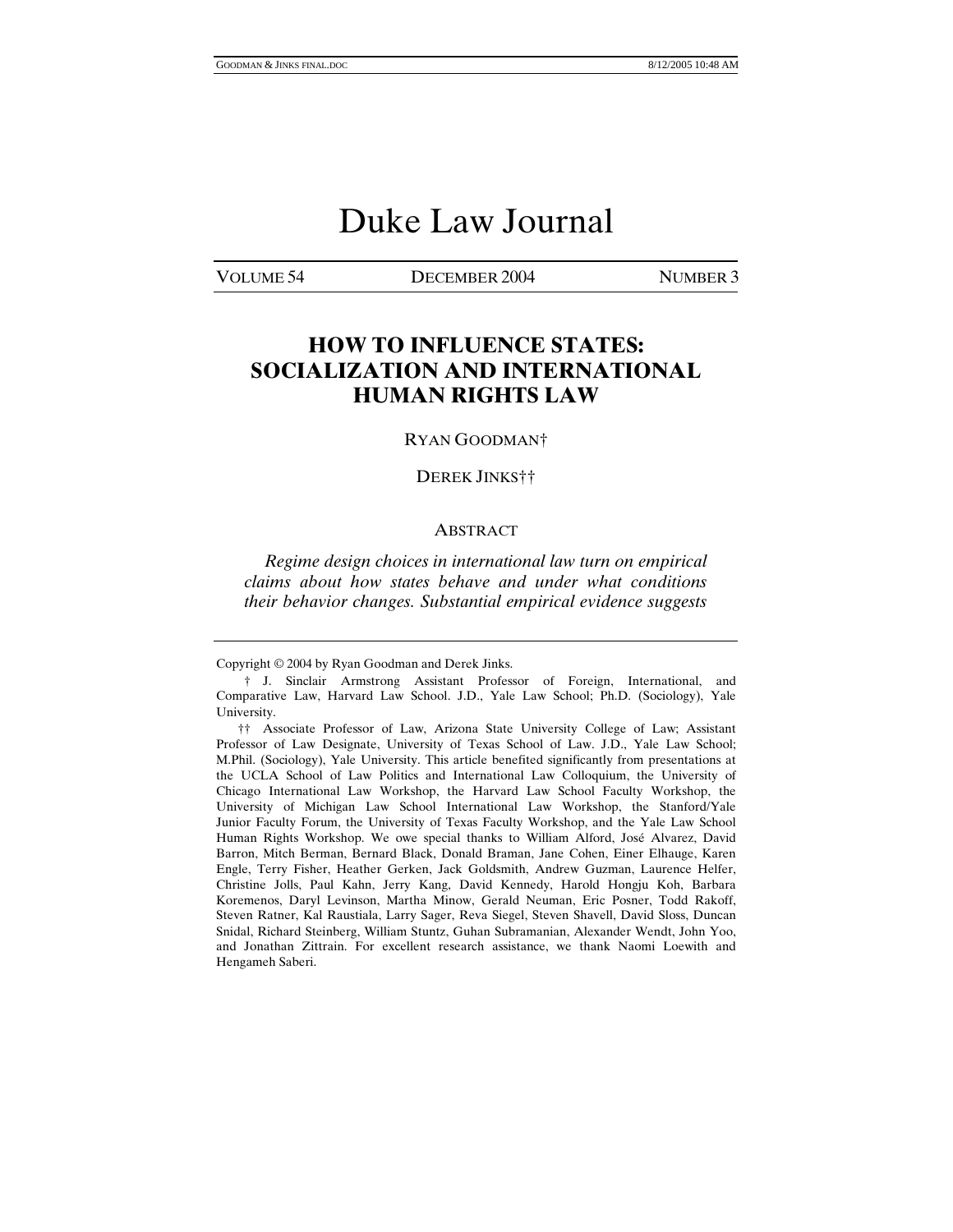# Duke Law Journal

VOLUME 54 DECEMBER 2004 NUMBER 3

# **HOW TO INFLUENCE STATES: SOCIALIZATION AND INTERNATIONAL HUMAN RIGHTS LAW**

### RYAN GOODMAN†

#### DEREK JINKS††

#### ABSTRACT

 *Regime design choices in international law turn on empirical claims about how states behave and under what conditions their behavior changes. Substantial empirical evidence suggests* 

Copyright © 2004 by Ryan Goodman and Derek Jinks.

 <sup>†</sup> J. Sinclair Armstrong Assistant Professor of Foreign, International, and Comparative Law, Harvard Law School. J.D., Yale Law School; Ph.D. (Sociology), Yale University.

 <sup>††</sup> Associate Professor of Law, Arizona State University College of Law; Assistant Professor of Law Designate, University of Texas School of Law. J.D., Yale Law School; M.Phil. (Sociology), Yale University. This article benefited significantly from presentations at the UCLA School of Law Politics and International Law Colloquium, the University of Chicago International Law Workshop, the Harvard Law School Faculty Workshop, the University of Michigan Law School International Law Workshop, the Stanford/Yale Junior Faculty Forum, the University of Texas Faculty Workshop, and the Yale Law School Human Rights Workshop. We owe special thanks to William Alford, José Alvarez, David Barron, Mitch Berman, Bernard Black, Donald Braman, Jane Cohen, Einer Elhauge, Karen Engle, Terry Fisher, Heather Gerken, Jack Goldsmith, Andrew Guzman, Laurence Helfer, Christine Jolls, Paul Kahn, Jerry Kang, David Kennedy, Harold Hongju Koh, Barbara Koremenos, Daryl Levinson, Martha Minow, Gerald Neuman, Eric Posner, Todd Rakoff, Steven Ratner, Kal Raustiala, Larry Sager, Reva Siegel, Steven Shavell, David Sloss, Duncan Snidal, Richard Steinberg, William Stuntz, Guhan Subramanian, Alexander Wendt, John Yoo, and Jonathan Zittrain. For excellent research assistance, we thank Naomi Loewith and Hengameh Saberi.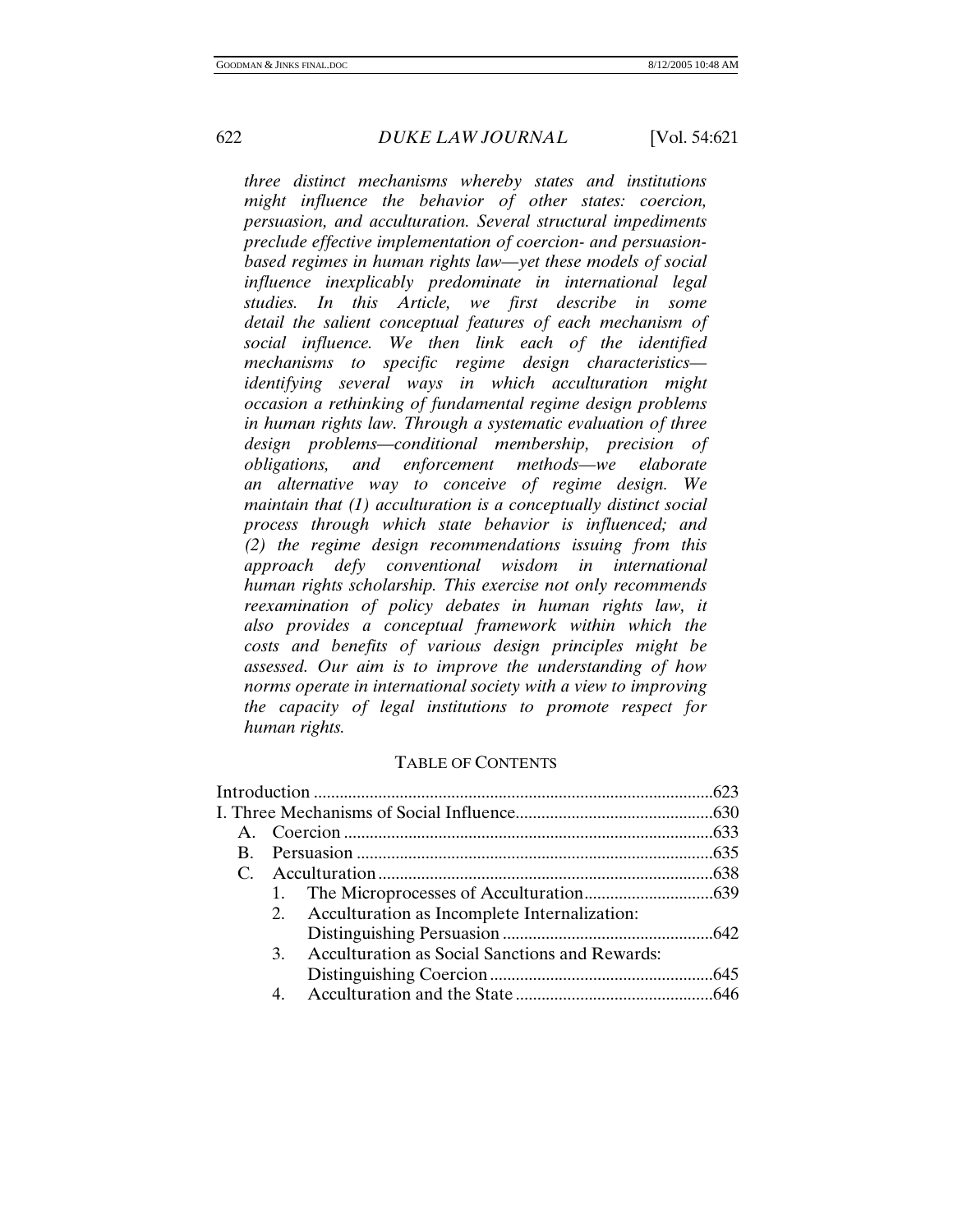*three distinct mechanisms whereby states and institutions might influence the behavior of other states: coercion, persuasion, and acculturation. Several structural impediments preclude effective implementation of coercion- and persuasionbased regimes in human rights law—yet these models of social influence inexplicably predominate in international legal studies. In this Article, we first describe in some detail the salient conceptual features of each mechanism of social influence. We then link each of the identified mechanisms to specific regime design characteristics identifying several ways in which acculturation might occasion a rethinking of fundamental regime design problems in human rights law. Through a systematic evaluation of three design problems—conditional membership, precision of obligations, and enforcement methods—we elaborate an alternative way to conceive of regime design. We maintain that (1) acculturation is a conceptually distinct social process through which state behavior is influenced; and (2) the regime design recommendations issuing from this approach defy conventional wisdom in international human rights scholarship. This exercise not only recommends reexamination of policy debates in human rights law, it also provides a conceptual framework within which the costs and benefits of various design principles might be assessed. Our aim is to improve the understanding of how norms operate in international society with a view to improving the capacity of legal institutions to promote respect for human rights.* 

### TABLE OF CONTENTS

| 2. Acculturation as Incomplete Internalization:   |  |  |
|---------------------------------------------------|--|--|
|                                                   |  |  |
| 3. Acculturation as Social Sanctions and Rewards: |  |  |
|                                                   |  |  |
|                                                   |  |  |
|                                                   |  |  |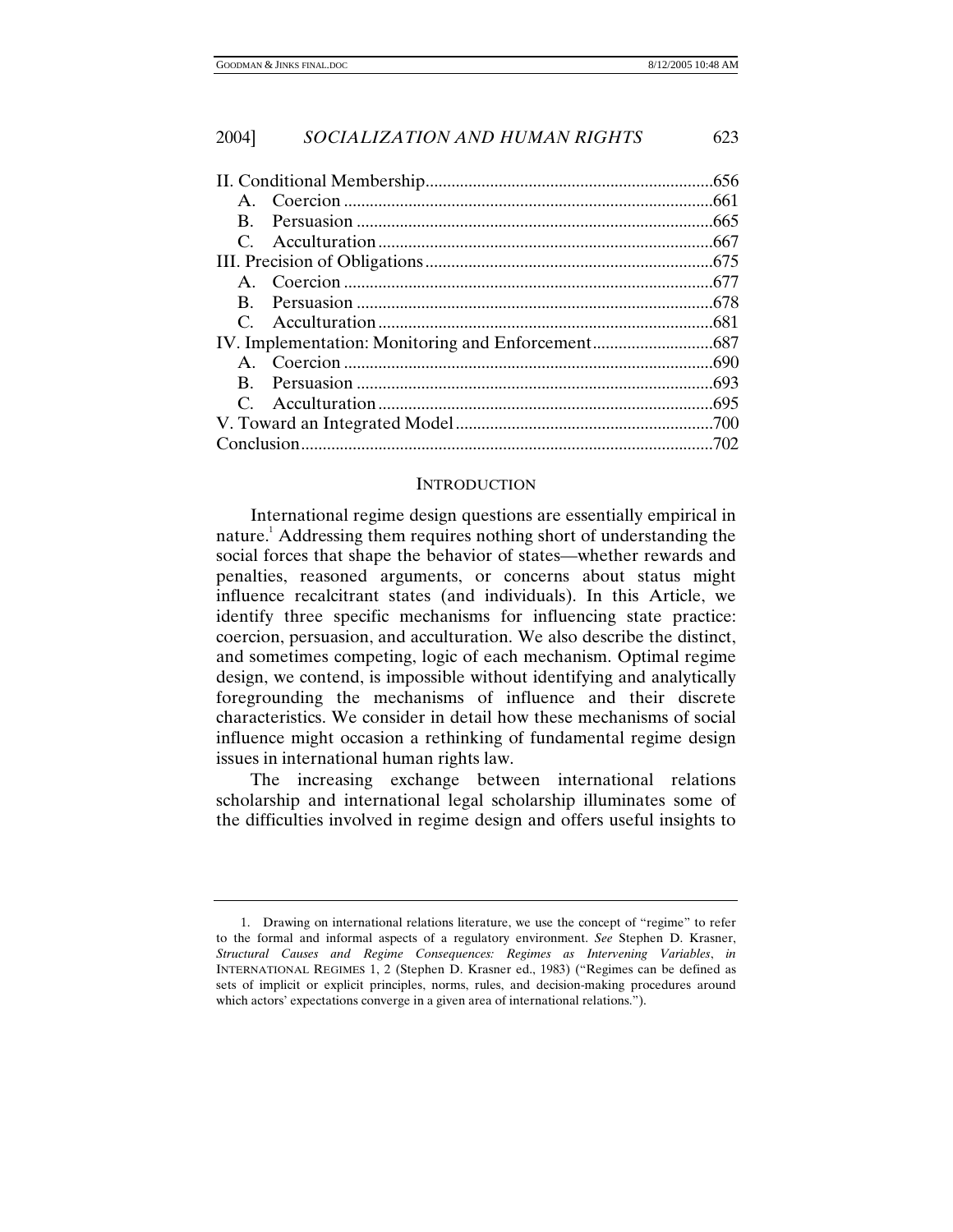| B. |  |  |
|----|--|--|
|    |  |  |
|    |  |  |
|    |  |  |
| B. |  |  |
|    |  |  |
|    |  |  |
|    |  |  |
| R. |  |  |
|    |  |  |
|    |  |  |
|    |  |  |
|    |  |  |

#### **INTRODUCTION**

International regime design questions are essentially empirical in nature.<sup>1</sup> Addressing them requires nothing short of understanding the social forces that shape the behavior of states—whether rewards and penalties, reasoned arguments, or concerns about status might influence recalcitrant states (and individuals). In this Article, we identify three specific mechanisms for influencing state practice: coercion, persuasion, and acculturation. We also describe the distinct, and sometimes competing, logic of each mechanism. Optimal regime design, we contend, is impossible without identifying and analytically foregrounding the mechanisms of influence and their discrete characteristics. We consider in detail how these mechanisms of social influence might occasion a rethinking of fundamental regime design issues in international human rights law.

The increasing exchange between international relations scholarship and international legal scholarship illuminates some of the difficulties involved in regime design and offers useful insights to

 <sup>1.</sup> Drawing on international relations literature, we use the concept of "regime" to refer to the formal and informal aspects of a regulatory environment. *See* Stephen D. Krasner, *Structural Causes and Regime Consequences: Regimes as Intervening Variables*, *in* INTERNATIONAL REGIMES 1, 2 (Stephen D. Krasner ed., 1983) ("Regimes can be defined as sets of implicit or explicit principles, norms, rules, and decision-making procedures around which actors' expectations converge in a given area of international relations.").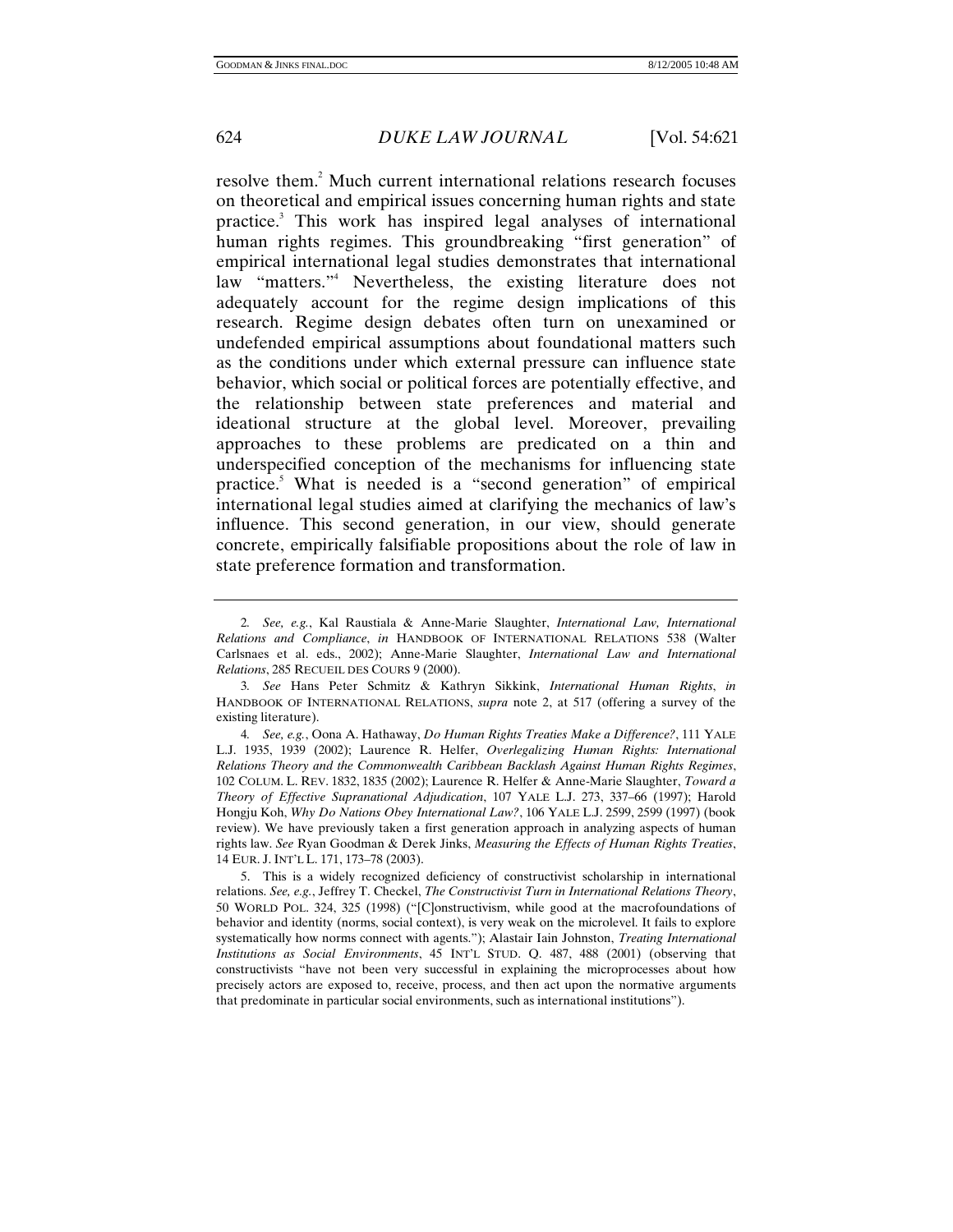resolve them.<sup>2</sup> Much current international relations research focuses on theoretical and empirical issues concerning human rights and state practice.<sup>3</sup> This work has inspired legal analyses of international human rights regimes. This groundbreaking "first generation" of empirical international legal studies demonstrates that international law "matters."4 Nevertheless, the existing literature does not adequately account for the regime design implications of this research. Regime design debates often turn on unexamined or undefended empirical assumptions about foundational matters such as the conditions under which external pressure can influence state behavior, which social or political forces are potentially effective, and the relationship between state preferences and material and ideational structure at the global level. Moreover, prevailing approaches to these problems are predicated on a thin and underspecified conception of the mechanisms for influencing state practice.<sup>5</sup> What is needed is a "second generation" of empirical international legal studies aimed at clarifying the mechanics of law's influence. This second generation, in our view, should generate concrete, empirically falsifiable propositions about the role of law in state preference formation and transformation.

<sup>2</sup>*. See, e.g.*, Kal Raustiala & Anne-Marie Slaughter, *International Law, International Relations and Compliance*, *in* HANDBOOK OF INTERNATIONAL RELATIONS 538 (Walter Carlsnaes et al. eds., 2002); Anne-Marie Slaughter, *International Law and International Relations*, 285 RECUEIL DES COURS 9 (2000).

<sup>3</sup>*. See* Hans Peter Schmitz & Kathryn Sikkink, *International Human Rights*, *in* HANDBOOK OF INTERNATIONAL RELATIONS, *supra* note 2, at 517 (offering a survey of the existing literature).

<sup>4</sup>*. See, e.g.*, Oona A. Hathaway, *Do Human Rights Treaties Make a Difference?*, 111 YALE L.J. 1935, 1939 (2002); Laurence R. Helfer, *Overlegalizing Human Rights: International Relations Theory and the Commonwealth Caribbean Backlash Against Human Rights Regimes*, 102 COLUM. L. REV. 1832, 1835 (2002); Laurence R. Helfer & Anne-Marie Slaughter, *Toward a Theory of Effective Supranational Adjudication*, 107 YALE L.J. 273, 337–66 (1997); Harold Hongju Koh, *Why Do Nations Obey International Law?*, 106 YALE L.J. 2599, 2599 (1997) (book review). We have previously taken a first generation approach in analyzing aspects of human rights law. *See* Ryan Goodman & Derek Jinks, *Measuring the Effects of Human Rights Treaties*, 14 EUR. J. INT'L L. 171, 173–78 (2003).

 <sup>5.</sup> This is a widely recognized deficiency of constructivist scholarship in international relations. *See, e.g.*, Jeffrey T. Checkel, *The Constructivist Turn in International Relations Theory*, 50 WORLD POL. 324, 325 (1998) ("[C]onstructivism, while good at the macrofoundations of behavior and identity (norms, social context), is very weak on the microlevel. It fails to explore systematically how norms connect with agents."); Alastair Iain Johnston, *Treating International Institutions as Social Environments*, 45 INT'L STUD. Q. 487, 488 (2001) (observing that constructivists "have not been very successful in explaining the microprocesses about how precisely actors are exposed to, receive, process, and then act upon the normative arguments that predominate in particular social environments, such as international institutions").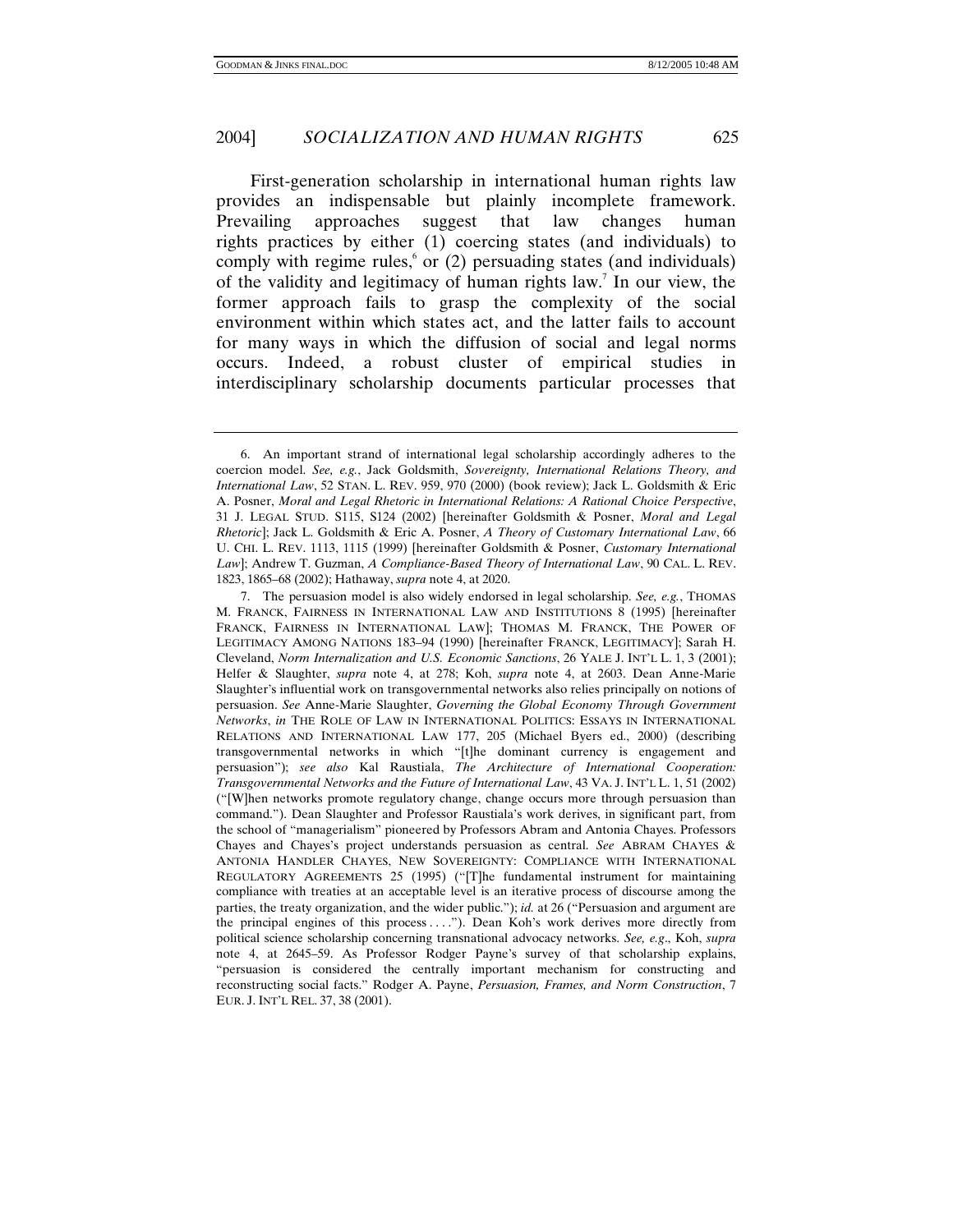First-generation scholarship in international human rights law provides an indispensable but plainly incomplete framework. Prevailing approaches suggest that law changes human rights practices by either (1) coercing states (and individuals) to comply with regime rules,  $\sigma$  or (2) persuading states (and individuals) of the validity and legitimacy of human rights law.<sup>7</sup> In our view, the former approach fails to grasp the complexity of the social environment within which states act, and the latter fails to account for many ways in which the diffusion of social and legal norms occurs. Indeed, a robust cluster of empirical studies in interdisciplinary scholarship documents particular processes that

 <sup>6.</sup> An important strand of international legal scholarship accordingly adheres to the coercion model. *See, e.g.*, Jack Goldsmith, *Sovereignty, International Relations Theory, and International Law*, 52 STAN. L. REV. 959, 970 (2000) (book review); Jack L. Goldsmith & Eric A. Posner, *Moral and Legal Rhetoric in International Relations: A Rational Choice Perspective*, 31 J. LEGAL STUD. S115, S124 (2002) [hereinafter Goldsmith & Posner, *Moral and Legal Rhetoric*]; Jack L. Goldsmith & Eric A. Posner, *A Theory of Customary International Law*, 66 U. CHI. L. REV. 1113, 1115 (1999) [hereinafter Goldsmith & Posner, *Customary International Law*]; Andrew T. Guzman, *A Compliance-Based Theory of International Law*, 90 CAL. L. REV. 1823, 1865–68 (2002); Hathaway, *supra* note 4, at 2020.

 <sup>7.</sup> The persuasion model is also widely endorsed in legal scholarship. *See, e.g.*, THOMAS M. FRANCK, FAIRNESS IN INTERNATIONAL LAW AND INSTITUTIONS 8 (1995) [hereinafter FRANCK, FAIRNESS IN INTERNATIONAL LAW]; THOMAS M. FRANCK, THE POWER OF LEGITIMACY AMONG NATIONS 183–94 (1990) [hereinafter FRANCK, LEGITIMACY]; Sarah H. Cleveland, *Norm Internalization and U.S. Economic Sanctions*, 26 YALE J. INT'L L. 1, 3 (2001); Helfer & Slaughter, *supra* note 4, at 278; Koh, *supra* note 4, at 2603. Dean Anne-Marie Slaughter's influential work on transgovernmental networks also relies principally on notions of persuasion. *See* Anne-Marie Slaughter, *Governing the Global Economy Through Government Networks*, *in* THE ROLE OF LAW IN INTERNATIONAL POLITICS: ESSAYS IN INTERNATIONAL RELATIONS AND INTERNATIONAL LAW 177, 205 (Michael Byers ed., 2000) (describing transgovernmental networks in which "[t]he dominant currency is engagement and persuasion"); *see also* Kal Raustiala, *The Architecture of International Cooperation: Transgovernmental Networks and the Future of International Law*, 43 VA. J. INT'L L. 1, 51 (2002) ("[W]hen networks promote regulatory change, change occurs more through persuasion than command."). Dean Slaughter and Professor Raustiala's work derives, in significant part, from the school of "managerialism" pioneered by Professors Abram and Antonia Chayes. Professors Chayes and Chayes's project understands persuasion as central. *See* ABRAM CHAYES & ANTONIA HANDLER CHAYES, NEW SOVEREIGNTY: COMPLIANCE WITH INTERNATIONAL REGULATORY AGREEMENTS 25 (1995) ("[T]he fundamental instrument for maintaining compliance with treaties at an acceptable level is an iterative process of discourse among the parties, the treaty organization, and the wider public."); *id.* at 26 ("Persuasion and argument are the principal engines of this process . . . ."). Dean Koh's work derives more directly from political science scholarship concerning transnational advocacy networks. *See, e.g*., Koh, *supra* note 4, at 2645–59. As Professor Rodger Payne's survey of that scholarship explains, "persuasion is considered the centrally important mechanism for constructing and reconstructing social facts." Rodger A. Payne, *Persuasion, Frames, and Norm Construction*, 7 EUR. J. INT'L REL. 37, 38 (2001).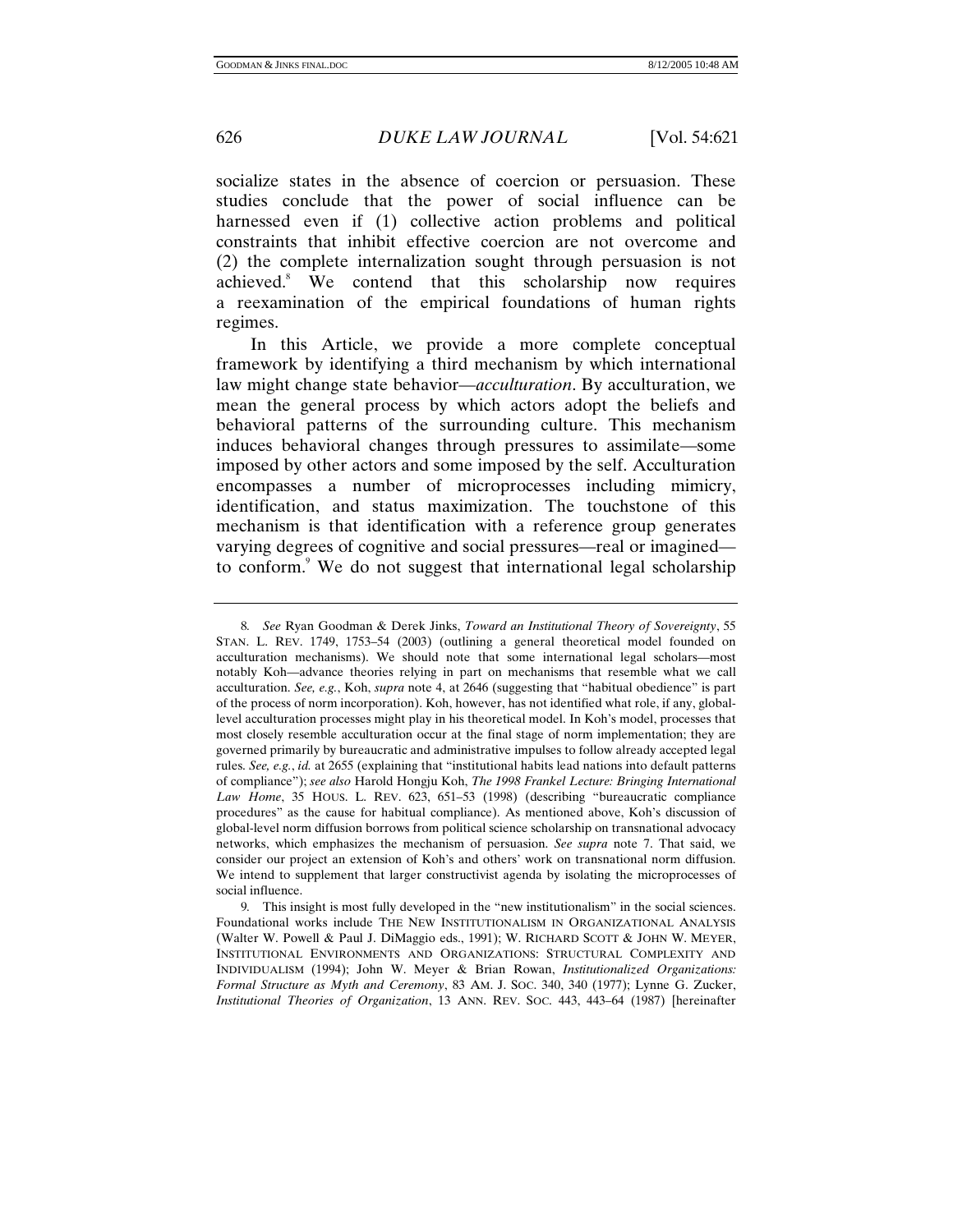socialize states in the absence of coercion or persuasion. These studies conclude that the power of social influence can be harnessed even if (1) collective action problems and political constraints that inhibit effective coercion are not overcome and (2) the complete internalization sought through persuasion is not achieved.<sup>8</sup> We contend that this scholarship now requires a reexamination of the empirical foundations of human rights regimes.

In this Article, we provide a more complete conceptual framework by identifying a third mechanism by which international law might change state behavior—*acculturation*. By acculturation, we mean the general process by which actors adopt the beliefs and behavioral patterns of the surrounding culture. This mechanism induces behavioral changes through pressures to assimilate—some imposed by other actors and some imposed by the self. Acculturation encompasses a number of microprocesses including mimicry, identification, and status maximization. The touchstone of this mechanism is that identification with a reference group generates varying degrees of cognitive and social pressures—real or imagined to conform.<sup>9</sup> We do not suggest that international legal scholarship

<sup>8</sup>*. See* Ryan Goodman & Derek Jinks, *Toward an Institutional Theory of Sovereignty*, 55 STAN. L. REV. 1749, 1753–54 (2003) (outlining a general theoretical model founded on acculturation mechanisms). We should note that some international legal scholars—most notably Koh—advance theories relying in part on mechanisms that resemble what we call acculturation. *See, e.g.*, Koh, *supra* note 4, at 2646 (suggesting that "habitual obedience" is part of the process of norm incorporation). Koh, however, has not identified what role, if any, globallevel acculturation processes might play in his theoretical model. In Koh's model, processes that most closely resemble acculturation occur at the final stage of norm implementation; they are governed primarily by bureaucratic and administrative impulses to follow already accepted legal rules. *See, e.g.*, *id.* at 2655 (explaining that "institutional habits lead nations into default patterns of compliance"); *see also* Harold Hongju Koh, *The 1998 Frankel Lecture: Bringing International Law Home*, 35 HOUS. L. REV. 623, 651–53 (1998) (describing "bureaucratic compliance procedures" as the cause for habitual compliance). As mentioned above, Koh's discussion of global-level norm diffusion borrows from political science scholarship on transnational advocacy networks, which emphasizes the mechanism of persuasion. *See supra* note 7. That said, we consider our project an extension of Koh's and others' work on transnational norm diffusion. We intend to supplement that larger constructivist agenda by isolating the microprocesses of social influence.

<sup>9</sup>*.* This insight is most fully developed in the "new institutionalism" in the social sciences. Foundational works include THE NEW INSTITUTIONALISM IN ORGANIZATIONAL ANALYSIS (Walter W. Powell & Paul J. DiMaggio eds., 1991); W. RICHARD SCOTT & JOHN W. MEYER, INSTITUTIONAL ENVIRONMENTS AND ORGANIZATIONS: STRUCTURAL COMPLEXITY AND INDIVIDUALISM (1994); John W. Meyer & Brian Rowan, *Institutionalized Organizations: Formal Structure as Myth and Ceremony*, 83 AM. J. SOC. 340, 340 (1977); Lynne G. Zucker, *Institutional Theories of Organization*, 13 ANN. REV. SOC. 443, 443–64 (1987) [hereinafter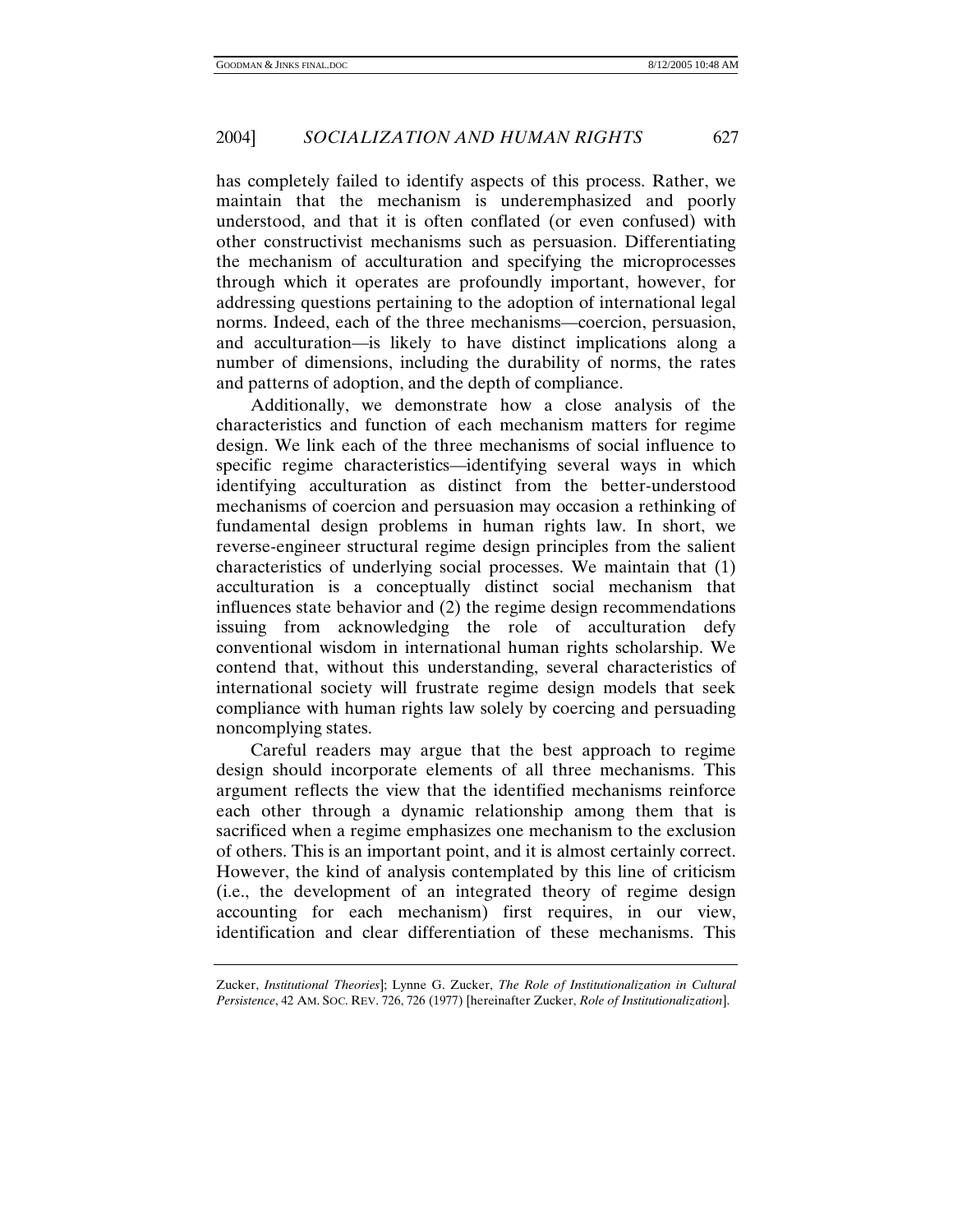has completely failed to identify aspects of this process. Rather, we maintain that the mechanism is underemphasized and poorly understood, and that it is often conflated (or even confused) with other constructivist mechanisms such as persuasion. Differentiating the mechanism of acculturation and specifying the microprocesses through which it operates are profoundly important, however, for addressing questions pertaining to the adoption of international legal norms. Indeed, each of the three mechanisms—coercion, persuasion, and acculturation—is likely to have distinct implications along a number of dimensions, including the durability of norms, the rates and patterns of adoption, and the depth of compliance.

Additionally, we demonstrate how a close analysis of the characteristics and function of each mechanism matters for regime design. We link each of the three mechanisms of social influence to specific regime characteristics—identifying several ways in which identifying acculturation as distinct from the better-understood mechanisms of coercion and persuasion may occasion a rethinking of fundamental design problems in human rights law. In short, we reverse-engineer structural regime design principles from the salient characteristics of underlying social processes. We maintain that (1) acculturation is a conceptually distinct social mechanism that influences state behavior and (2) the regime design recommendations issuing from acknowledging the role of acculturation defy conventional wisdom in international human rights scholarship. We contend that, without this understanding, several characteristics of international society will frustrate regime design models that seek compliance with human rights law solely by coercing and persuading noncomplying states.

Careful readers may argue that the best approach to regime design should incorporate elements of all three mechanisms. This argument reflects the view that the identified mechanisms reinforce each other through a dynamic relationship among them that is sacrificed when a regime emphasizes one mechanism to the exclusion of others. This is an important point, and it is almost certainly correct. However, the kind of analysis contemplated by this line of criticism (i.e., the development of an integrated theory of regime design accounting for each mechanism) first requires, in our view, identification and clear differentiation of these mechanisms. This

Zucker, *Institutional Theories*]; Lynne G. Zucker, *The Role of Institutionalization in Cultural Persistence*, 42 AM. SOC. REV. 726, 726 (1977) [hereinafter Zucker, *Role of Institutionalization*].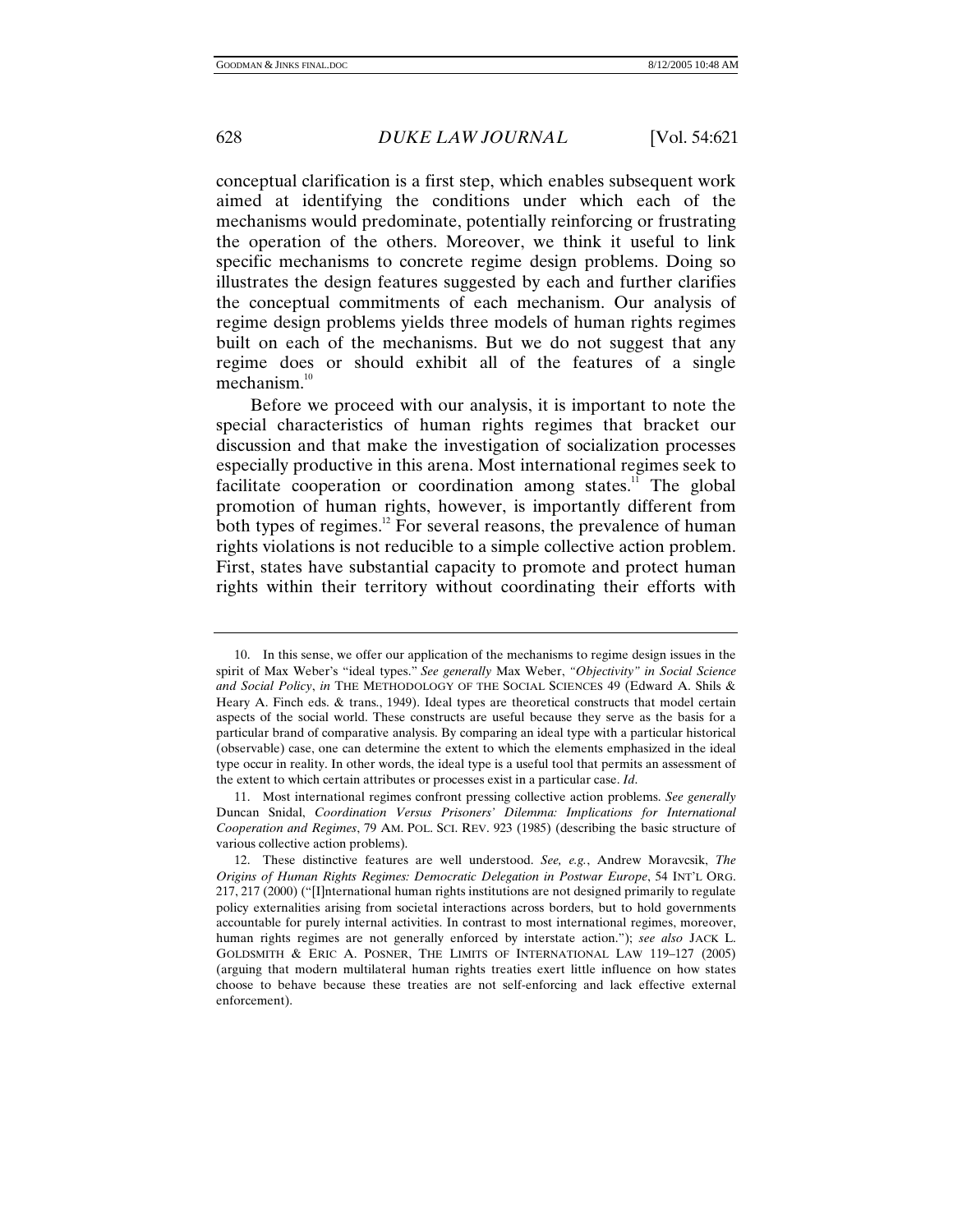conceptual clarification is a first step, which enables subsequent work aimed at identifying the conditions under which each of the mechanisms would predominate, potentially reinforcing or frustrating the operation of the others. Moreover, we think it useful to link specific mechanisms to concrete regime design problems. Doing so illustrates the design features suggested by each and further clarifies the conceptual commitments of each mechanism. Our analysis of regime design problems yields three models of human rights regimes built on each of the mechanisms. But we do not suggest that any regime does or should exhibit all of the features of a single mechanism. $10$ 

Before we proceed with our analysis, it is important to note the special characteristics of human rights regimes that bracket our discussion and that make the investigation of socialization processes especially productive in this arena. Most international regimes seek to facilitate cooperation or coordination among states.<sup>11</sup> The global promotion of human rights, however, is importantly different from both types of regimes.<sup>12</sup> For several reasons, the prevalence of human rights violations is not reducible to a simple collective action problem. First, states have substantial capacity to promote and protect human rights within their territory without coordinating their efforts with

 <sup>10.</sup> In this sense, we offer our application of the mechanisms to regime design issues in the spirit of Max Weber's "ideal types." *See generally* Max Weber, *"Objectivity" in Social Science and Social Policy*, *in* THE METHODOLOGY OF THE SOCIAL SCIENCES 49 (Edward A. Shils & Heary A. Finch eds. & trans., 1949). Ideal types are theoretical constructs that model certain aspects of the social world. These constructs are useful because they serve as the basis for a particular brand of comparative analysis. By comparing an ideal type with a particular historical (observable) case, one can determine the extent to which the elements emphasized in the ideal type occur in reality. In other words, the ideal type is a useful tool that permits an assessment of the extent to which certain attributes or processes exist in a particular case. *Id*.

 <sup>11.</sup> Most international regimes confront pressing collective action problems. *See generally* Duncan Snidal, *Coordination Versus Prisoners' Dilemma: Implications for International Cooperation and Regimes*, 79 AM. POL. SCI. REV. 923 (1985) (describing the basic structure of various collective action problems).

 <sup>12.</sup> These distinctive features are well understood. *See, e.g.*, Andrew Moravcsik, *The Origins of Human Rights Regimes: Democratic Delegation in Postwar Europe*, 54 INT'L ORG. 217, 217 (2000) ("[I]nternational human rights institutions are not designed primarily to regulate policy externalities arising from societal interactions across borders, but to hold governments accountable for purely internal activities. In contrast to most international regimes, moreover, human rights regimes are not generally enforced by interstate action."); *see also* JACK L. GOLDSMITH & ERIC A. POSNER, THE LIMITS OF INTERNATIONAL LAW 119–127 (2005) (arguing that modern multilateral human rights treaties exert little influence on how states choose to behave because these treaties are not self-enforcing and lack effective external enforcement).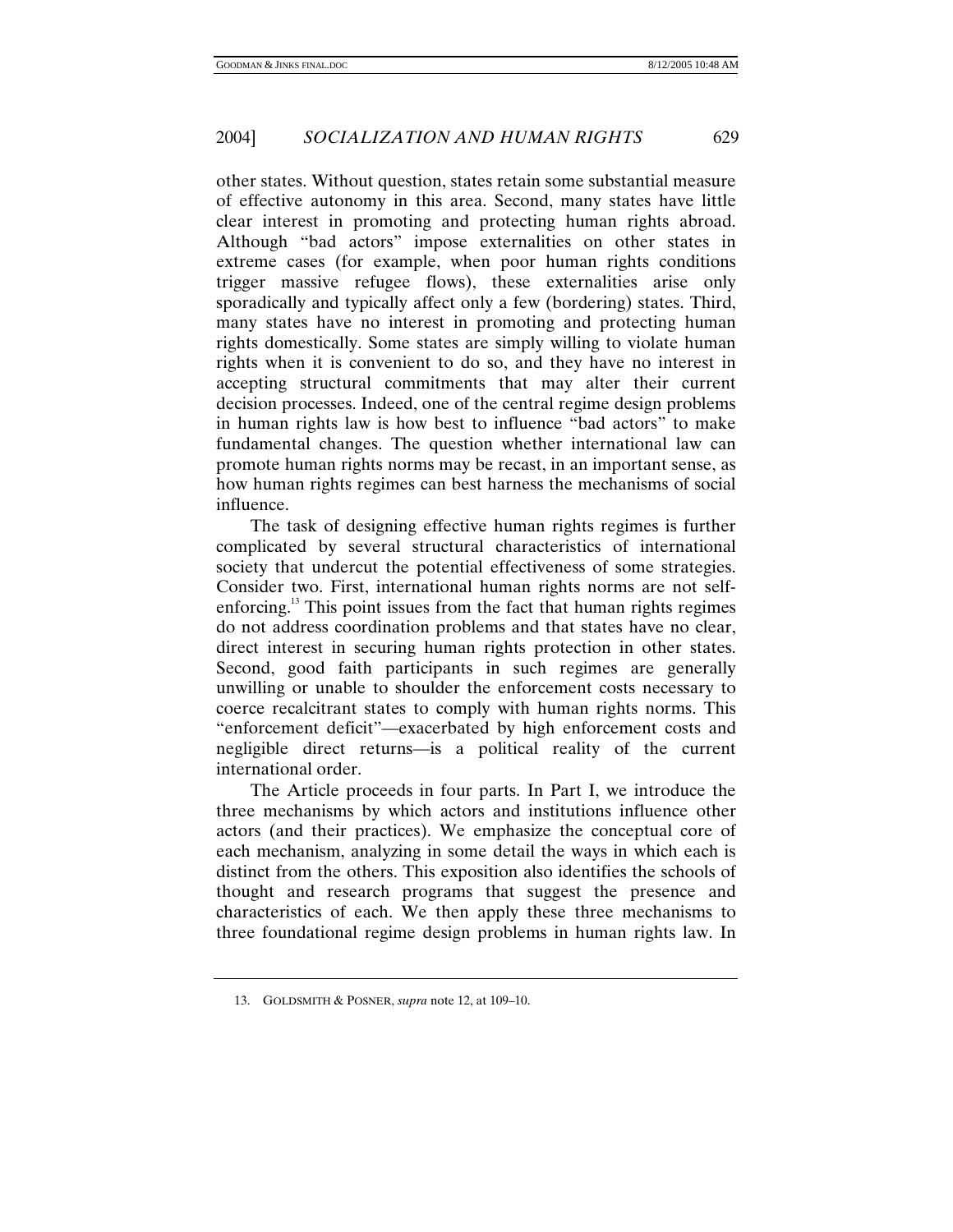other states. Without question, states retain some substantial measure of effective autonomy in this area. Second, many states have little clear interest in promoting and protecting human rights abroad. Although "bad actors" impose externalities on other states in extreme cases (for example, when poor human rights conditions trigger massive refugee flows), these externalities arise only sporadically and typically affect only a few (bordering) states. Third, many states have no interest in promoting and protecting human rights domestically. Some states are simply willing to violate human rights when it is convenient to do so, and they have no interest in accepting structural commitments that may alter their current decision processes. Indeed, one of the central regime design problems in human rights law is how best to influence "bad actors" to make fundamental changes. The question whether international law can promote human rights norms may be recast, in an important sense, as how human rights regimes can best harness the mechanisms of social influence.

The task of designing effective human rights regimes is further complicated by several structural characteristics of international society that undercut the potential effectiveness of some strategies. Consider two. First, international human rights norms are not selfenforcing.<sup>13</sup> This point issues from the fact that human rights regimes do not address coordination problems and that states have no clear, direct interest in securing human rights protection in other states. Second, good faith participants in such regimes are generally unwilling or unable to shoulder the enforcement costs necessary to coerce recalcitrant states to comply with human rights norms. This "enforcement deficit"—exacerbated by high enforcement costs and negligible direct returns—is a political reality of the current international order.

The Article proceeds in four parts. In Part I, we introduce the three mechanisms by which actors and institutions influence other actors (and their practices). We emphasize the conceptual core of each mechanism, analyzing in some detail the ways in which each is distinct from the others. This exposition also identifies the schools of thought and research programs that suggest the presence and characteristics of each. We then apply these three mechanisms to three foundational regime design problems in human rights law. In

 <sup>13.</sup> GOLDSMITH & POSNER, *supra* note 12, at 109–10.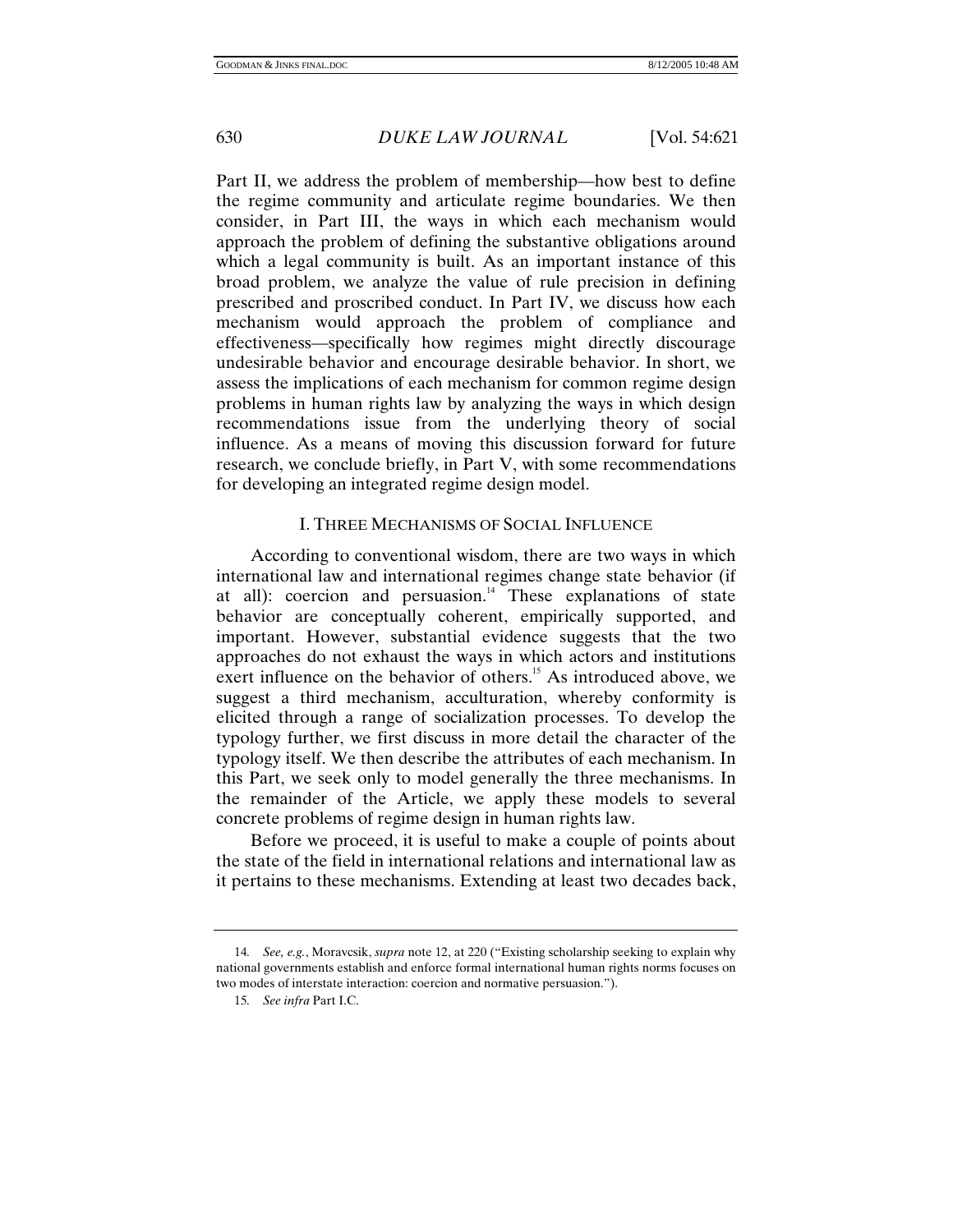Part II, we address the problem of membership—how best to define the regime community and articulate regime boundaries. We then consider, in Part III, the ways in which each mechanism would approach the problem of defining the substantive obligations around which a legal community is built. As an important instance of this broad problem, we analyze the value of rule precision in defining prescribed and proscribed conduct. In Part IV, we discuss how each mechanism would approach the problem of compliance and effectiveness—specifically how regimes might directly discourage undesirable behavior and encourage desirable behavior. In short, we assess the implications of each mechanism for common regime design problems in human rights law by analyzing the ways in which design recommendations issue from the underlying theory of social influence. As a means of moving this discussion forward for future research, we conclude briefly, in Part V, with some recommendations for developing an integrated regime design model.

# I. THREE MECHANISMS OF SOCIAL INFLUENCE

According to conventional wisdom, there are two ways in which international law and international regimes change state behavior (if at all): coercion and persuasion. $14$  These explanations of state behavior are conceptually coherent, empirically supported, and important. However, substantial evidence suggests that the two approaches do not exhaust the ways in which actors and institutions exert influence on the behavior of others.<sup>15</sup> As introduced above, we suggest a third mechanism, acculturation, whereby conformity is elicited through a range of socialization processes. To develop the typology further, we first discuss in more detail the character of the typology itself. We then describe the attributes of each mechanism. In this Part, we seek only to model generally the three mechanisms. In the remainder of the Article, we apply these models to several concrete problems of regime design in human rights law.

Before we proceed, it is useful to make a couple of points about the state of the field in international relations and international law as it pertains to these mechanisms. Extending at least two decades back,

<sup>14</sup>*. See, e.g.*, Moravcsik, *supra* note 12, at 220 ("Existing scholarship seeking to explain why national governments establish and enforce formal international human rights norms focuses on two modes of interstate interaction: coercion and normative persuasion.").

<sup>15</sup>*. See infra* Part I.C.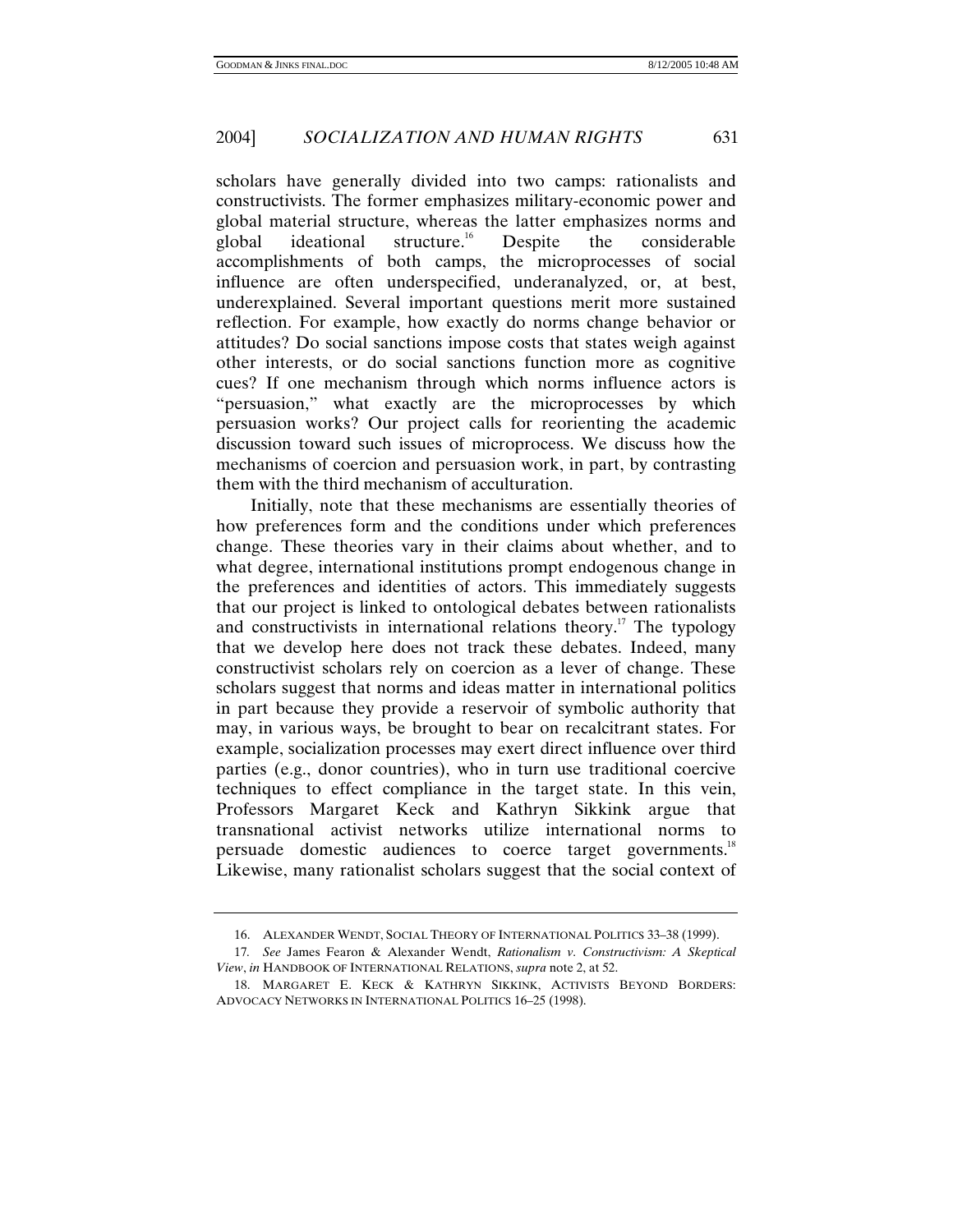scholars have generally divided into two camps: rationalists and constructivists. The former emphasizes military-economic power and global material structure, whereas the latter emphasizes norms and global ideational structure.<sup>16</sup> Despite the considerable accomplishments of both camps, the microprocesses of social influence are often underspecified, underanalyzed, or, at best, underexplained. Several important questions merit more sustained reflection. For example, how exactly do norms change behavior or attitudes? Do social sanctions impose costs that states weigh against other interests, or do social sanctions function more as cognitive cues? If one mechanism through which norms influence actors is "persuasion," what exactly are the microprocesses by which persuasion works? Our project calls for reorienting the academic discussion toward such issues of microprocess. We discuss how the mechanisms of coercion and persuasion work, in part, by contrasting them with the third mechanism of acculturation.

Initially, note that these mechanisms are essentially theories of how preferences form and the conditions under which preferences change. These theories vary in their claims about whether, and to what degree, international institutions prompt endogenous change in the preferences and identities of actors. This immediately suggests that our project is linked to ontological debates between rationalists and constructivists in international relations theory.<sup>17</sup> The typology that we develop here does not track these debates. Indeed, many constructivist scholars rely on coercion as a lever of change. These scholars suggest that norms and ideas matter in international politics in part because they provide a reservoir of symbolic authority that may, in various ways, be brought to bear on recalcitrant states. For example, socialization processes may exert direct influence over third parties (e.g., donor countries), who in turn use traditional coercive techniques to effect compliance in the target state. In this vein, Professors Margaret Keck and Kathryn Sikkink argue that transnational activist networks utilize international norms to persuade domestic audiences to coerce target governments.18 Likewise, many rationalist scholars suggest that the social context of

 <sup>16.</sup> ALEXANDER WENDT, SOCIAL THEORY OF INTERNATIONAL POLITICS 33–38 (1999).

<sup>17</sup>*. See* James Fearon & Alexander Wendt, *Rationalism v. Constructivism: A Skeptical View*, *in* HANDBOOK OF INTERNATIONAL RELATIONS, *supra* note 2, at 52.

 <sup>18.</sup> MARGARET E. KECK & KATHRYN SIKKINK, ACTIVISTS BEYOND BORDERS: ADVOCACY NETWORKS IN INTERNATIONAL POLITICS 16–25 (1998).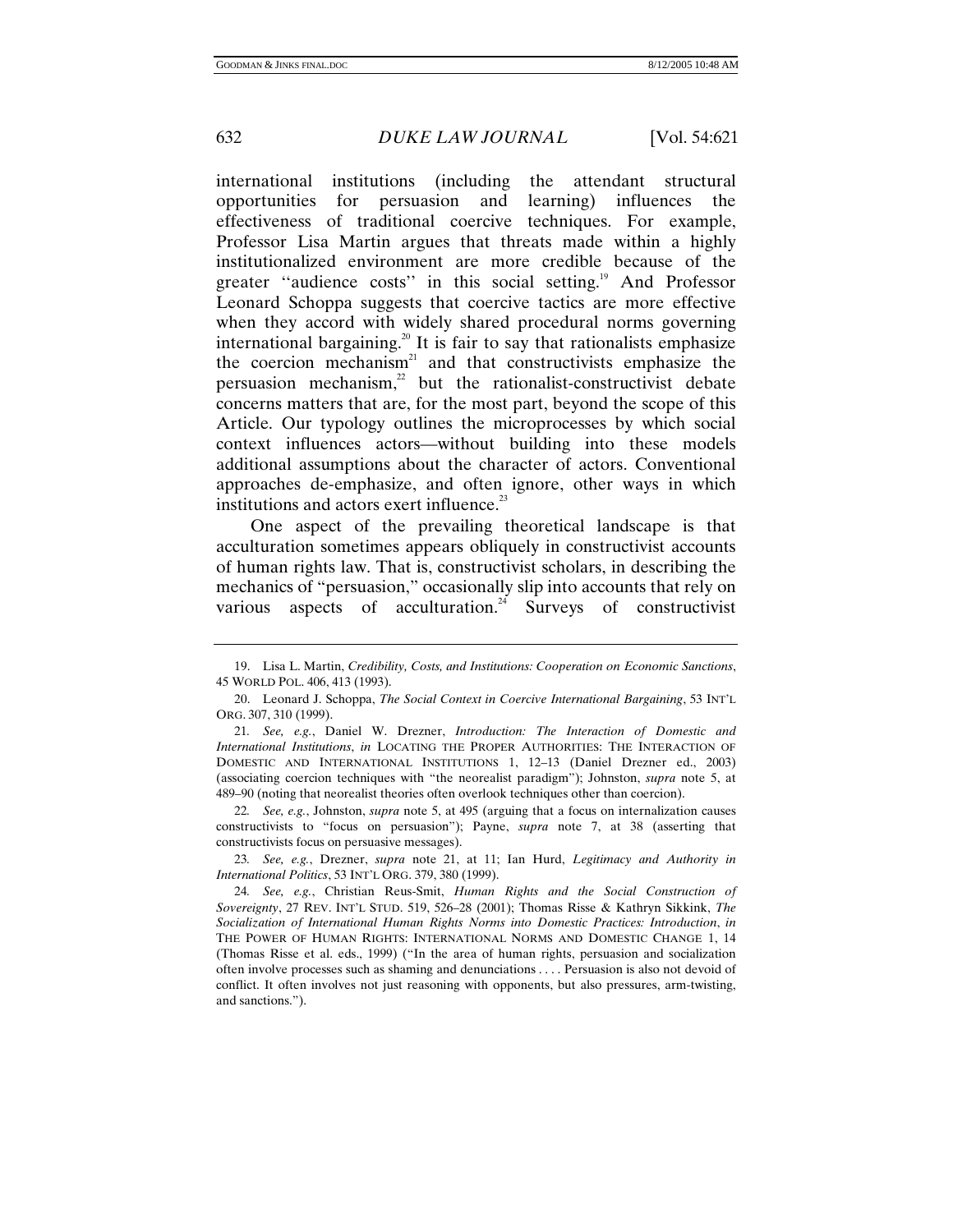international institutions (including the attendant structural opportunities for persuasion and learning) influences the effectiveness of traditional coercive techniques. For example, Professor Lisa Martin argues that threats made within a highly institutionalized environment are more credible because of the greater "audience costs" in this social setting.<sup>19</sup> And Professor Leonard Schoppa suggests that coercive tactics are more effective when they accord with widely shared procedural norms governing international bargaining.<sup>20</sup> It is fair to say that rationalists emphasize the coercion mechanism<sup>21</sup> and that constructivists emphasize the persuasion mechanism, $^{22}$  but the rationalist-constructivist debate concerns matters that are, for the most part, beyond the scope of this Article. Our typology outlines the microprocesses by which social context influences actors—without building into these models additional assumptions about the character of actors. Conventional approaches de-emphasize, and often ignore, other ways in which institutions and actors exert influence. $^{23}$ 

One aspect of the prevailing theoretical landscape is that acculturation sometimes appears obliquely in constructivist accounts of human rights law. That is, constructivist scholars, in describing the mechanics of "persuasion," occasionally slip into accounts that rely on various aspects of acculturation.<sup>24</sup> Surveys of constructivist

22*. See, e.g.*, Johnston, *supra* note 5, at 495 (arguing that a focus on internalization causes constructivists to "focus on persuasion"); Payne, *supra* note 7, at 38 (asserting that constructivists focus on persuasive messages).

23*. See, e.g.*, Drezner, *supra* note 21, at 11; Ian Hurd, *Legitimacy and Authority in International Politics*, 53 INT'L ORG. 379, 380 (1999).

24*. See, e.g.*, Christian Reus-Smit, *Human Rights and the Social Construction of Sovereignty*, 27 REV. INT'L STUD. 519, 526–28 (2001); Thomas Risse & Kathryn Sikkink, *The Socialization of International Human Rights Norms into Domestic Practices: Introduction*, *in* THE POWER OF HUMAN RIGHTS: INTERNATIONAL NORMS AND DOMESTIC CHANGE 1, 14 (Thomas Risse et al. eds., 1999) ("In the area of human rights, persuasion and socialization often involve processes such as shaming and denunciations . . . . Persuasion is also not devoid of conflict. It often involves not just reasoning with opponents, but also pressures, arm-twisting, and sanctions.").

 <sup>19.</sup> Lisa L. Martin, *Credibility, Costs, and Institutions: Cooperation on Economic Sanctions*, 45 WORLD POL. 406, 413 (1993).

 <sup>20.</sup> Leonard J. Schoppa, *The Social Context in Coercive International Bargaining*, 53 INT'L ORG. 307, 310 (1999).

<sup>21</sup>*. See, e.g.*, Daniel W. Drezner, *Introduction: The Interaction of Domestic and International Institutions*, *in* LOCATING THE PROPER AUTHORITIES: THE INTERACTION OF DOMESTIC AND INTERNATIONAL INSTITUTIONS 1, 12–13 (Daniel Drezner ed., 2003) (associating coercion techniques with "the neorealist paradigm"); Johnston, *supra* note 5, at 489–90 (noting that neorealist theories often overlook techniques other than coercion).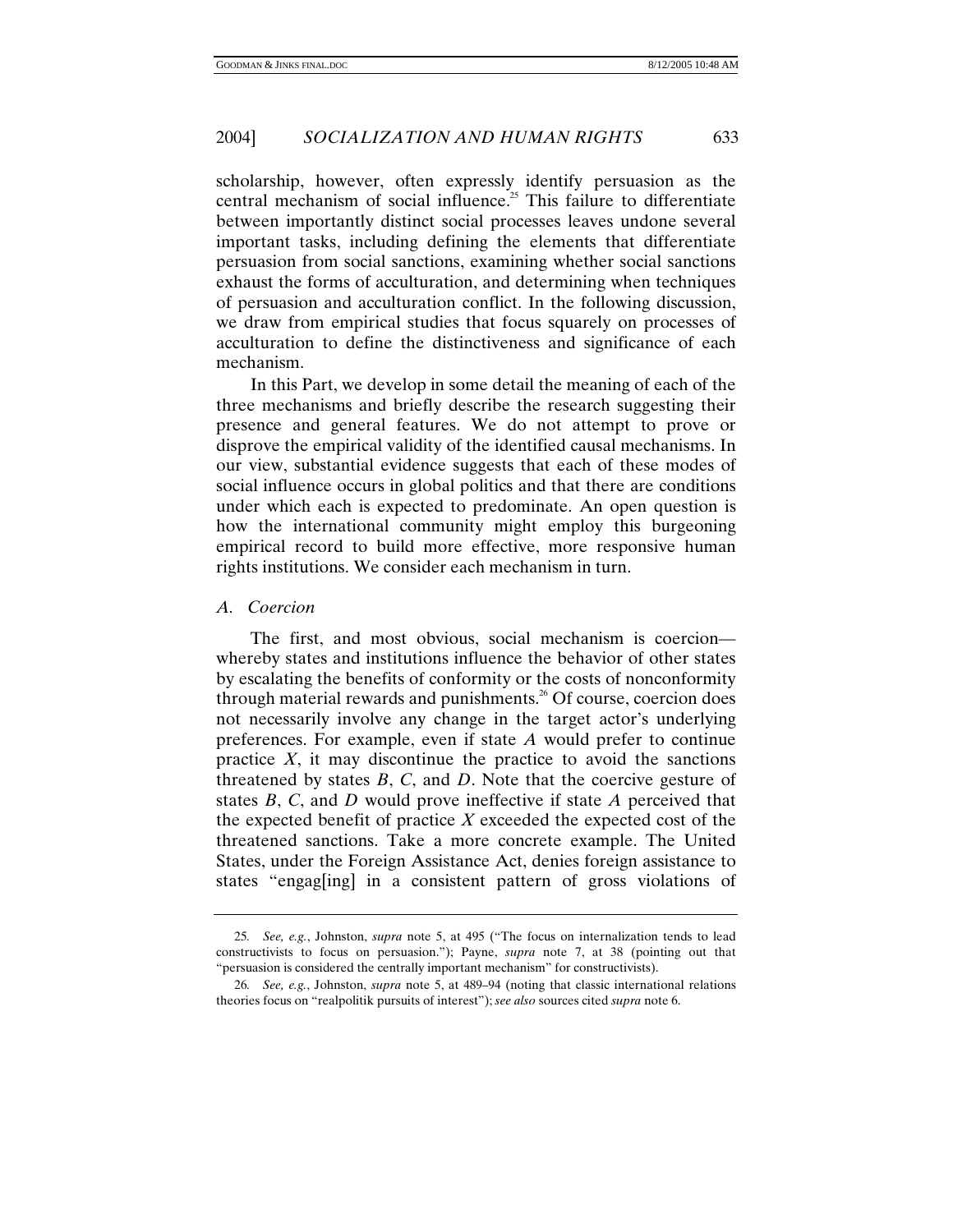scholarship, however, often expressly identify persuasion as the central mechanism of social influence.<sup>25</sup> This failure to differentiate between importantly distinct social processes leaves undone several important tasks, including defining the elements that differentiate persuasion from social sanctions, examining whether social sanctions exhaust the forms of acculturation, and determining when techniques of persuasion and acculturation conflict. In the following discussion, we draw from empirical studies that focus squarely on processes of acculturation to define the distinctiveness and significance of each mechanism.

In this Part, we develop in some detail the meaning of each of the three mechanisms and briefly describe the research suggesting their presence and general features. We do not attempt to prove or disprove the empirical validity of the identified causal mechanisms. In our view, substantial evidence suggests that each of these modes of social influence occurs in global politics and that there are conditions under which each is expected to predominate. An open question is how the international community might employ this burgeoning empirical record to build more effective, more responsive human rights institutions. We consider each mechanism in turn.

#### *A. Coercion*

The first, and most obvious, social mechanism is coercion whereby states and institutions influence the behavior of other states by escalating the benefits of conformity or the costs of nonconformity through material rewards and punishments.<sup>26</sup> Of course, coercion does not necessarily involve any change in the target actor's underlying preferences. For example, even if state *A* would prefer to continue practice  $X$ , it may discontinue the practice to avoid the sanctions threatened by states *B*, *C*, and *D*. Note that the coercive gesture of states *B*, *C*, and *D* would prove ineffective if state *A* perceived that the expected benefit of practice *X* exceeded the expected cost of the threatened sanctions. Take a more concrete example. The United States, under the Foreign Assistance Act, denies foreign assistance to states "engag[ing] in a consistent pattern of gross violations of

<sup>25</sup>*. See, e.g.*, Johnston, *supra* note 5, at 495 ("The focus on internalization tends to lead constructivists to focus on persuasion."); Payne, *supra* note 7, at 38 (pointing out that "persuasion is considered the centrally important mechanism" for constructivists).

<sup>26</sup>*. See, e.g.*, Johnston, *supra* note 5, at 489–94 (noting that classic international relations theories focus on "realpolitik pursuits of interest"); *see also* sources cited *supra* note 6.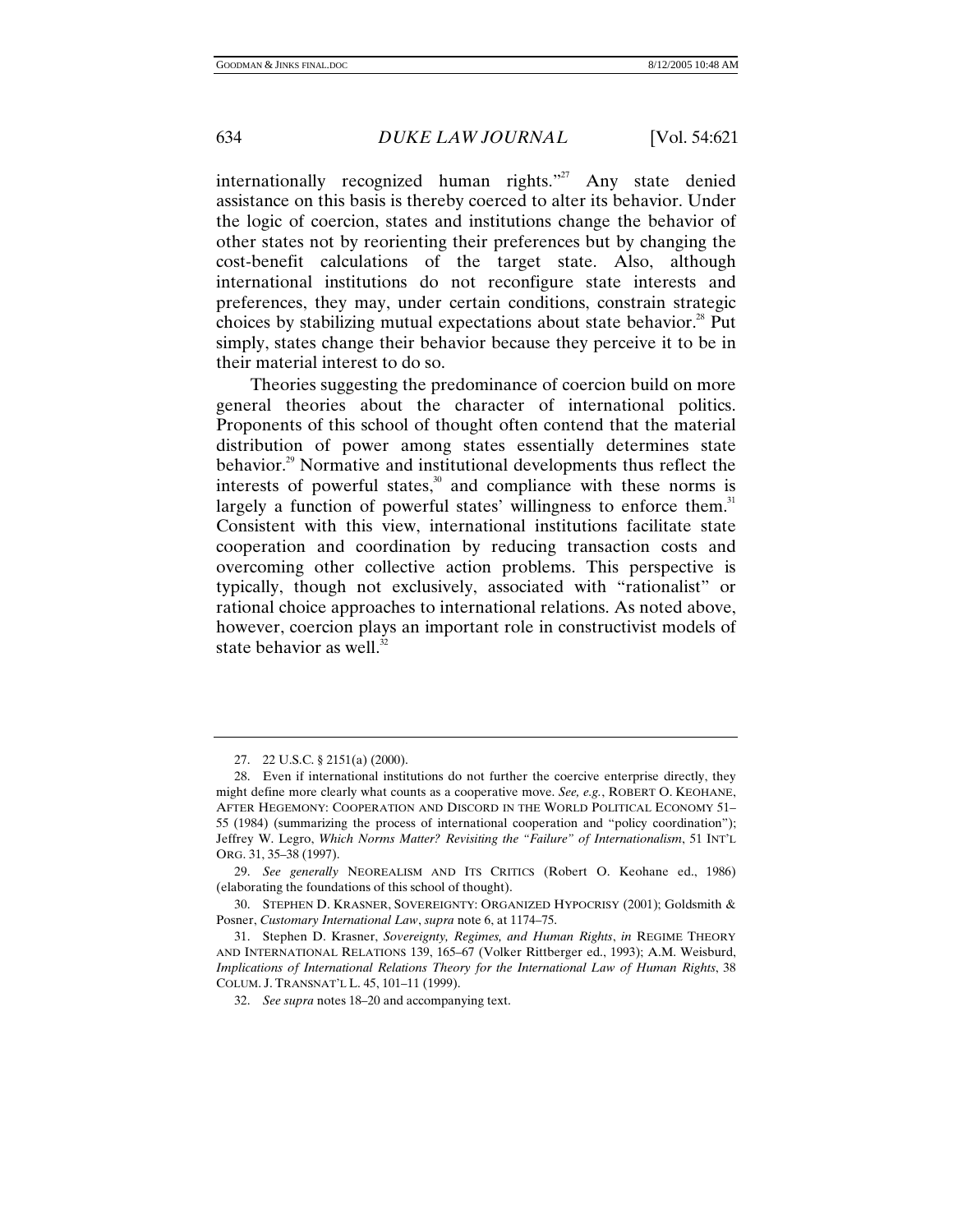internationally recognized human rights. $n^{27}$  Any state denied assistance on this basis is thereby coerced to alter its behavior. Under the logic of coercion, states and institutions change the behavior of other states not by reorienting their preferences but by changing the cost-benefit calculations of the target state. Also, although international institutions do not reconfigure state interests and preferences, they may, under certain conditions, constrain strategic choices by stabilizing mutual expectations about state behavior.<sup>28</sup> Put simply, states change their behavior because they perceive it to be in their material interest to do so.

Theories suggesting the predominance of coercion build on more general theories about the character of international politics. Proponents of this school of thought often contend that the material distribution of power among states essentially determines state behavior.<sup>29</sup> Normative and institutional developments thus reflect the interests of powerful states, $30$  and compliance with these norms is largely a function of powerful states' willingness to enforce them.<sup>31</sup> Consistent with this view, international institutions facilitate state cooperation and coordination by reducing transaction costs and overcoming other collective action problems. This perspective is typically, though not exclusively, associated with "rationalist" or rational choice approaches to international relations. As noted above, however, coercion plays an important role in constructivist models of state behavior as well. $32$ 

 <sup>27. 22</sup> U.S.C. § 2151(a) (2000).

 <sup>28.</sup> Even if international institutions do not further the coercive enterprise directly, they might define more clearly what counts as a cooperative move. *See, e.g.*, ROBERT O. KEOHANE, AFTER HEGEMONY: COOPERATION AND DISCORD IN THE WORLD POLITICAL ECONOMY 51– 55 (1984) (summarizing the process of international cooperation and "policy coordination"); Jeffrey W. Legro, *Which Norms Matter? Revisiting the "Failure" of Internationalism*, 51 INT'L ORG. 31, 35–38 (1997).

 <sup>29.</sup> *See generally* NEOREALISM AND ITS CRITICS (Robert O. Keohane ed., 1986) (elaborating the foundations of this school of thought).

 <sup>30.</sup> STEPHEN D. KRASNER, SOVEREIGNTY: ORGANIZED HYPOCRISY (2001); Goldsmith & Posner, *Customary International Law*, *supra* note 6, at 1174–75.

 <sup>31.</sup> Stephen D. Krasner, *Sovereignty, Regimes, and Human Rights*, *in* REGIME THEORY AND INTERNATIONAL RELATIONS 139, 165–67 (Volker Rittberger ed., 1993); A.M. Weisburd, *Implications of International Relations Theory for the International Law of Human Rights*, 38 COLUM. J. TRANSNAT'L L. 45, 101–11 (1999).

 <sup>32.</sup> *See supra* notes 18–20 and accompanying text.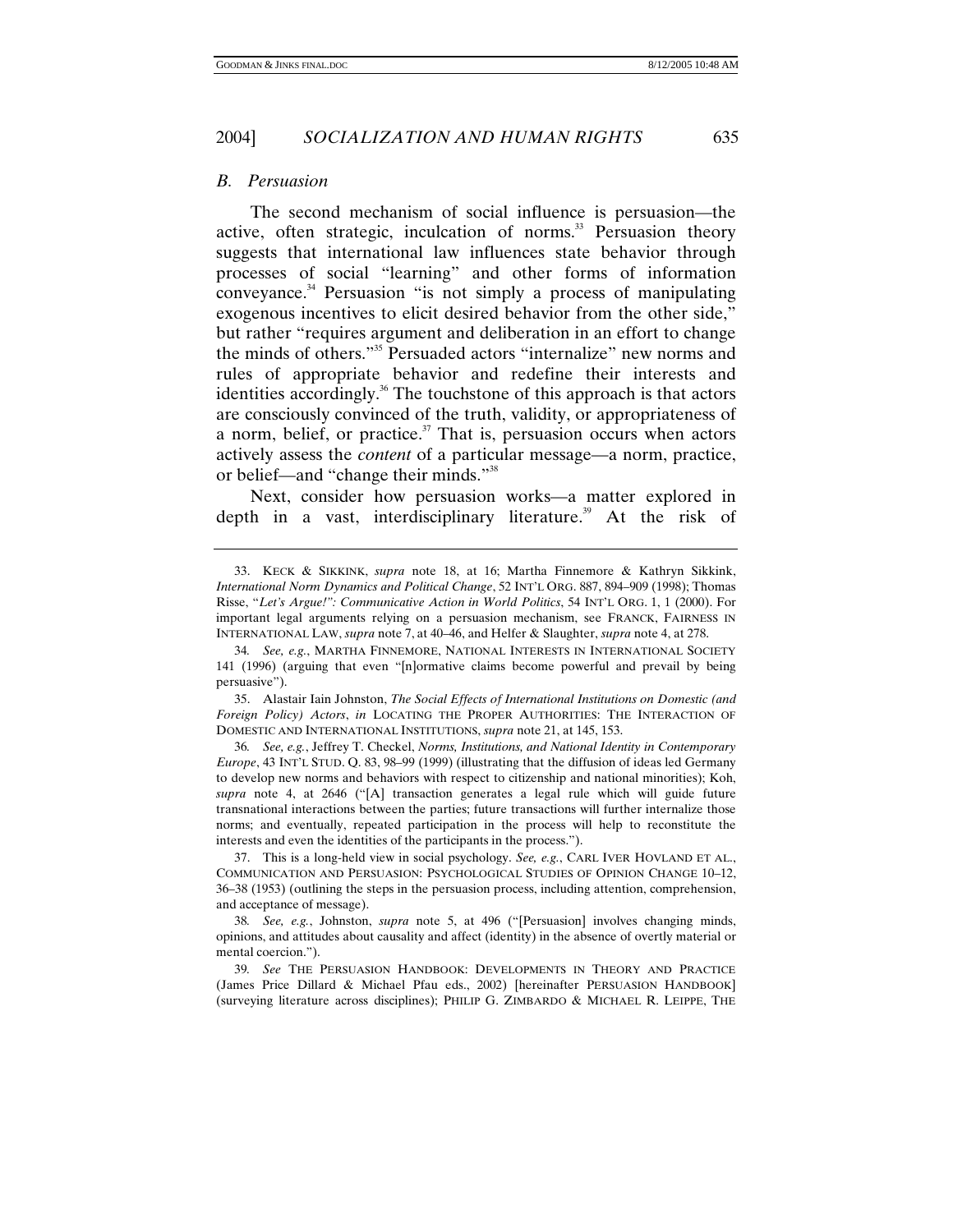#### *B. Persuasion*

The second mechanism of social influence is persuasion—the active, often strategic, inculcation of norms.<sup>33</sup> Persuasion theory suggests that international law influences state behavior through processes of social "learning" and other forms of information conveyance. $34$  Persuasion "is not simply a process of manipulating exogenous incentives to elicit desired behavior from the other side," but rather "requires argument and deliberation in an effort to change the minds of others."35 Persuaded actors "internalize" new norms and rules of appropriate behavior and redefine their interests and identities accordingly.<sup>36</sup> The touchstone of this approach is that actors are consciously convinced of the truth, validity, or appropriateness of a norm, belief, or practice. $37$  That is, persuasion occurs when actors actively assess the *content* of a particular message—a norm, practice, or belief—and "change their minds."<sup>38</sup>

Next, consider how persuasion works—a matter explored in depth in a vast, interdisciplinary literature.<sup>39</sup> At the risk of

 35. Alastair Iain Johnston, *The Social Effects of International Institutions on Domestic (and Foreign Policy) Actors*, *in* LOCATING THE PROPER AUTHORITIES: THE INTERACTION OF DOMESTIC AND INTERNATIONAL INSTITUTIONS, *supra* note 21, at 145, 153.

36*. See, e.g.*, Jeffrey T. Checkel, *Norms, Institutions, and National Identity in Contemporary Europe*, 43 INT'L STUD. Q. 83, 98–99 (1999) (illustrating that the diffusion of ideas led Germany to develop new norms and behaviors with respect to citizenship and national minorities); Koh, *supra* note 4, at 2646 ("[A] transaction generates a legal rule which will guide future transnational interactions between the parties; future transactions will further internalize those norms; and eventually, repeated participation in the process will help to reconstitute the interests and even the identities of the participants in the process.").

 37. This is a long-held view in social psychology. *See, e.g.*, CARL IVER HOVLAND ET AL., COMMUNICATION AND PERSUASION: PSYCHOLOGICAL STUDIES OF OPINION CHANGE 10–12, 36–38 (1953) (outlining the steps in the persuasion process, including attention, comprehension, and acceptance of message).

38*. See, e.g.*, Johnston, *supra* note 5, at 496 ("[Persuasion] involves changing minds, opinions, and attitudes about causality and affect (identity) in the absence of overtly material or mental coercion.").

39*. See* THE PERSUASION HANDBOOK: DEVELOPMENTS IN THEORY AND PRACTICE (James Price Dillard & Michael Pfau eds., 2002) [hereinafter PERSUASION HANDBOOK] (surveying literature across disciplines); PHILIP G. ZIMBARDO & MICHAEL R. LEIPPE, THE

 <sup>33.</sup> KECK & SIKKINK, *supra* note 18, at 16; Martha Finnemore & Kathryn Sikkink, *International Norm Dynamics and Political Change*, 52 INT'L ORG. 887, 894–909 (1998); Thomas Risse, "*Let's Argue!": Communicative Action in World Politics*, 54 INT'L ORG. 1, 1 (2000). For important legal arguments relying on a persuasion mechanism, see FRANCK, FAIRNESS IN INTERNATIONAL LAW, *supra* note 7, at 40–46, and Helfer & Slaughter, *supra* note 4, at 278.

<sup>34</sup>*. See, e.g.*, MARTHA FINNEMORE, NATIONAL INTERESTS IN INTERNATIONAL SOCIETY 141 (1996) (arguing that even "[n]ormative claims become powerful and prevail by being persuasive").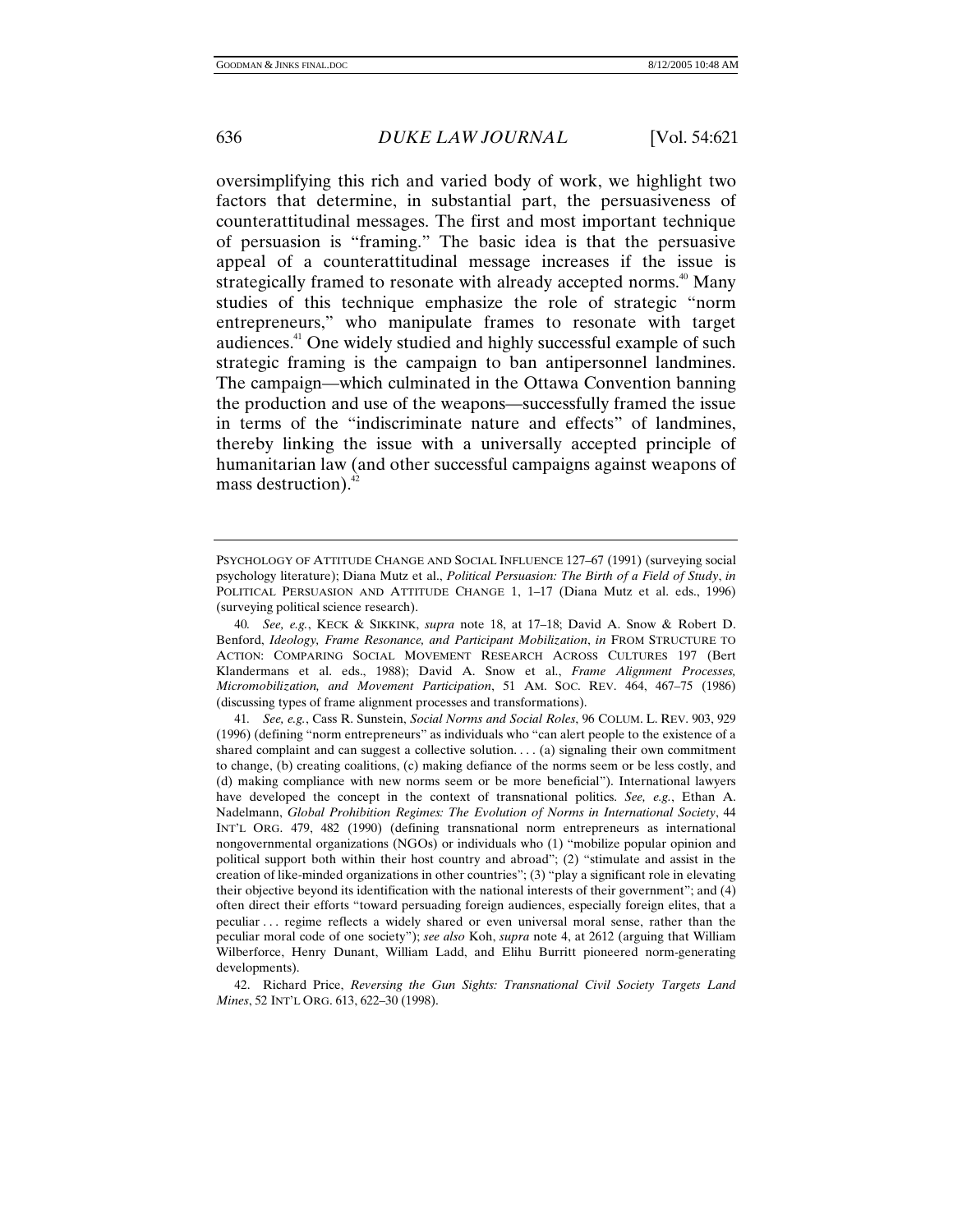oversimplifying this rich and varied body of work, we highlight two factors that determine, in substantial part, the persuasiveness of counterattitudinal messages. The first and most important technique of persuasion is "framing." The basic idea is that the persuasive appeal of a counterattitudinal message increases if the issue is strategically framed to resonate with already accepted norms.<sup>40</sup> Many studies of this technique emphasize the role of strategic "norm entrepreneurs," who manipulate frames to resonate with target audiences.<sup>41</sup> One widely studied and highly successful example of such strategic framing is the campaign to ban antipersonnel landmines. The campaign—which culminated in the Ottawa Convention banning the production and use of the weapons—successfully framed the issue in terms of the "indiscriminate nature and effects" of landmines, thereby linking the issue with a universally accepted principle of humanitarian law (and other successful campaigns against weapons of mass destruction). $42$ 

PSYCHOLOGY OF ATTITUDE CHANGE AND SOCIAL INFLUENCE 127–67 (1991) (surveying social psychology literature); Diana Mutz et al., *Political Persuasion: The Birth of a Field of Study*, *in* POLITICAL PERSUASION AND ATTITUDE CHANGE 1, 1–17 (Diana Mutz et al. eds., 1996) (surveying political science research).

<sup>40</sup>*. See, e.g.*, KECK & SIKKINK, *supra* note 18, at 17–18; David A. Snow & Robert D. Benford, *Ideology, Frame Resonance, and Participant Mobilization*, *in* FROM STRUCTURE TO ACTION: COMPARING SOCIAL MOVEMENT RESEARCH ACROSS CULTURES 197 (Bert Klandermans et al. eds., 1988); David A. Snow et al., *Frame Alignment Processes, Micromobilization, and Movement Participation*, 51 AM. SOC. REV. 464, 467–75 (1986) (discussing types of frame alignment processes and transformations).

<sup>41</sup>*. See, e.g.*, Cass R. Sunstein, *Social Norms and Social Roles*, 96 COLUM. L. REV. 903, 929 (1996) (defining "norm entrepreneurs" as individuals who "can alert people to the existence of a shared complaint and can suggest a collective solution. . . . (a) signaling their own commitment to change, (b) creating coalitions, (c) making defiance of the norms seem or be less costly, and (d) making compliance with new norms seem or be more beneficial"). International lawyers have developed the concept in the context of transnational politics. *See, e.g.*, Ethan A. Nadelmann, *Global Prohibition Regimes: The Evolution of Norms in International Society*, 44 INT'L ORG. 479, 482 (1990) (defining transnational norm entrepreneurs as international nongovernmental organizations (NGOs) or individuals who (1) "mobilize popular opinion and political support both within their host country and abroad"; (2) "stimulate and assist in the creation of like-minded organizations in other countries"; (3) "play a significant role in elevating their objective beyond its identification with the national interests of their government"; and (4) often direct their efforts "toward persuading foreign audiences, especially foreign elites, that a peculiar . . . regime reflects a widely shared or even universal moral sense, rather than the peculiar moral code of one society"); *see also* Koh, *supra* note 4, at 2612 (arguing that William Wilberforce, Henry Dunant, William Ladd, and Elihu Burritt pioneered norm-generating developments).

 <sup>42.</sup> Richard Price, *Reversing the Gun Sights: Transnational Civil Society Targets Land Mines*, 52 INT'L ORG. 613, 622–30 (1998).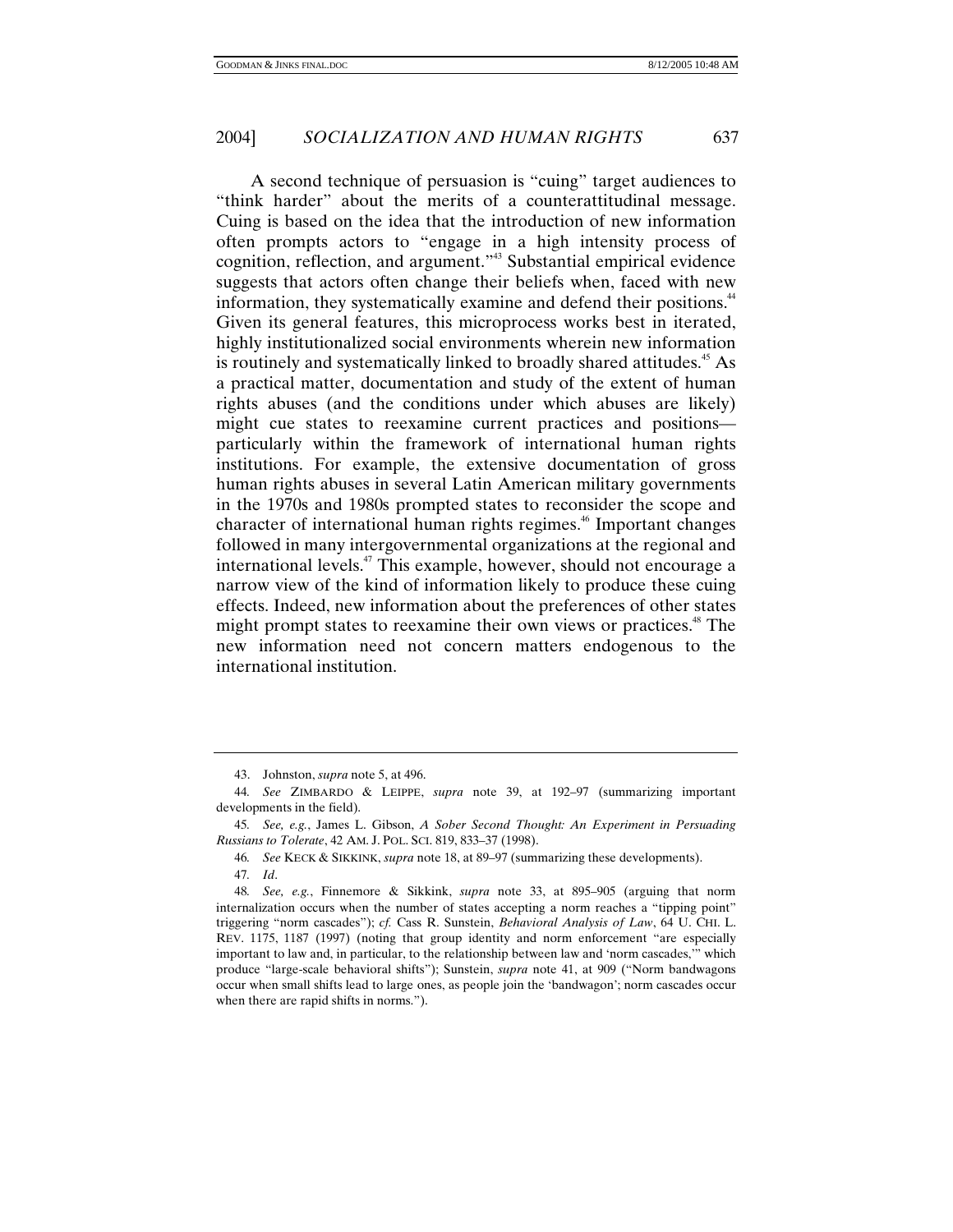A second technique of persuasion is "cuing" target audiences to "think harder" about the merits of a counterattitudinal message. Cuing is based on the idea that the introduction of new information often prompts actors to "engage in a high intensity process of cognition, reflection, and argument."43 Substantial empirical evidence suggests that actors often change their beliefs when, faced with new information, they systematically examine and defend their positions.<sup>44</sup> Given its general features, this microprocess works best in iterated, highly institutionalized social environments wherein new information is routinely and systematically linked to broadly shared attitudes.<sup> $45$ </sup> As a practical matter, documentation and study of the extent of human rights abuses (and the conditions under which abuses are likely) might cue states to reexamine current practices and positions particularly within the framework of international human rights institutions. For example, the extensive documentation of gross human rights abuses in several Latin American military governments in the 1970s and 1980s prompted states to reconsider the scope and character of international human rights regimes.<sup>46</sup> Important changes followed in many intergovernmental organizations at the regional and international levels.47 This example, however, should not encourage a narrow view of the kind of information likely to produce these cuing effects. Indeed, new information about the preferences of other states might prompt states to reexamine their own views or practices.<sup>48</sup> The new information need not concern matters endogenous to the international institution.

 <sup>43.</sup> Johnston, *supra* note 5, at 496.

<sup>44</sup>*. See* ZIMBARDO & LEIPPE, *supra* note 39, at 192–97 (summarizing important developments in the field).

<sup>45</sup>*. See, e.g.*, James L. Gibson, *A Sober Second Thought: An Experiment in Persuading Russians to Tolerate*, 42 AM. J. POL. SCI. 819, 833–37 (1998).

<sup>46</sup>*. See* KECK & SIKKINK, *supra* note 18, at 89–97 (summarizing these developments).

<sup>47</sup>*. Id*.

<sup>48</sup>*. See, e.g.*, Finnemore & Sikkink, *supra* note 33, at 895–905 (arguing that norm internalization occurs when the number of states accepting a norm reaches a "tipping point" triggering "norm cascades"); *cf.* Cass R. Sunstein, *Behavioral Analysis of Law*, 64 U. CHI. L. REV. 1175, 1187 (1997) (noting that group identity and norm enforcement "are especially important to law and, in particular, to the relationship between law and 'norm cascades,'" which produce "large-scale behavioral shifts"); Sunstein, *supra* note 41, at 909 ("Norm bandwagons occur when small shifts lead to large ones, as people join the 'bandwagon'; norm cascades occur when there are rapid shifts in norms.").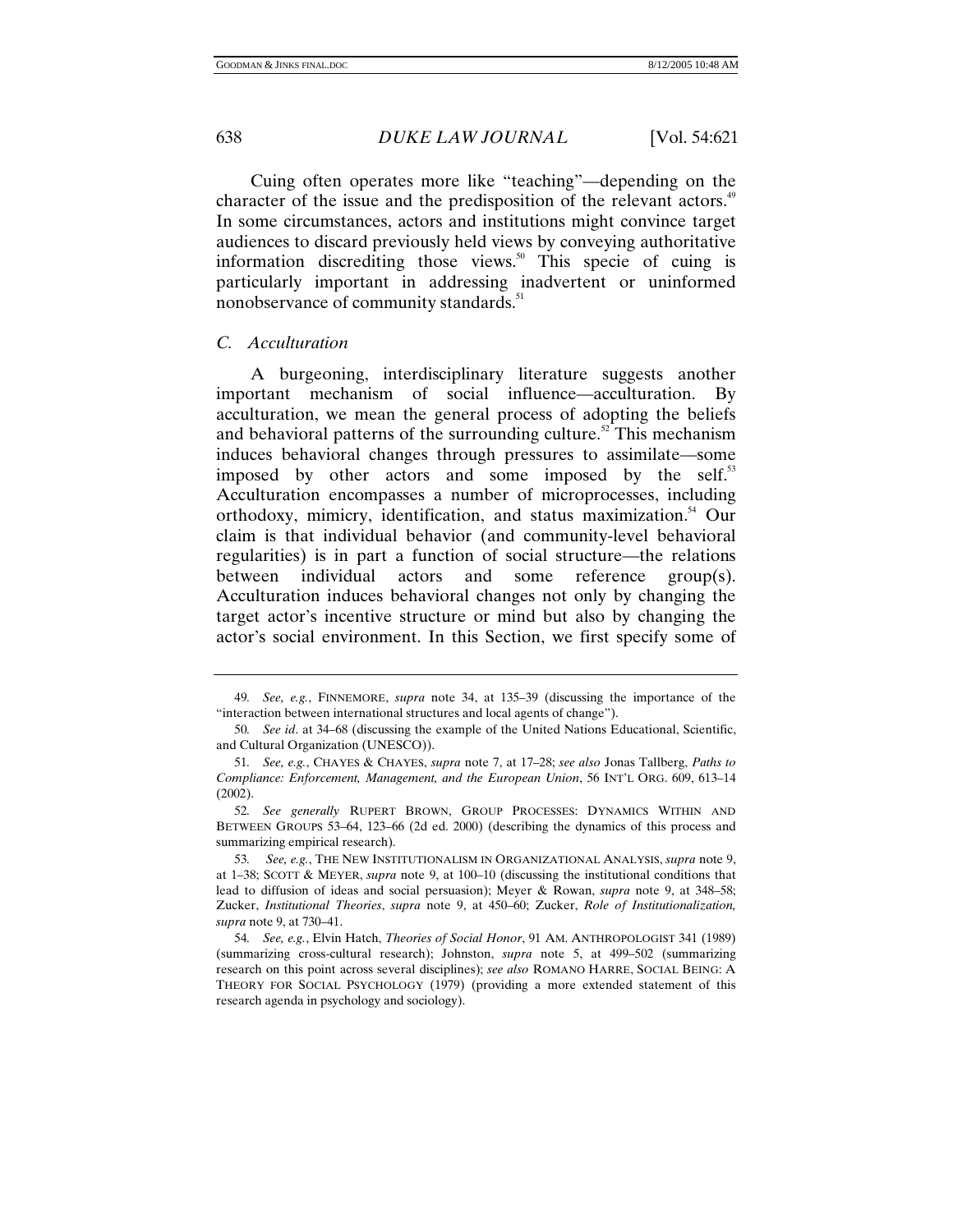Cuing often operates more like "teaching"—depending on the character of the issue and the predisposition of the relevant actors.<sup>49</sup> In some circumstances, actors and institutions might convince target audiences to discard previously held views by conveying authoritative information discrediting those views.<sup>50</sup> This specie of cuing is particularly important in addressing inadvertent or uninformed nonobservance of community standards.<sup>51</sup>

# *C. Acculturation*

A burgeoning, interdisciplinary literature suggests another important mechanism of social influence—acculturation. By acculturation, we mean the general process of adopting the beliefs and behavioral patterns of the surrounding culture.<sup>52</sup> This mechanism induces behavioral changes through pressures to assimilate—some imposed by other actors and some imposed by the self. $53$ Acculturation encompasses a number of microprocesses, including orthodoxy, mimicry, identification, and status maximization.<sup>54</sup> Our claim is that individual behavior (and community-level behavioral regularities) is in part a function of social structure—the relations between individual actors and some reference group(s). Acculturation induces behavioral changes not only by changing the target actor's incentive structure or mind but also by changing the actor's social environment. In this Section, we first specify some of

<sup>49</sup>*. See, e.g.*, FINNEMORE, *supra* note 34, at 135–39 (discussing the importance of the "interaction between international structures and local agents of change").

<sup>50</sup>*. See id*. at 34–68 (discussing the example of the United Nations Educational, Scientific, and Cultural Organization (UNESCO)).

<sup>51</sup>*. See, e.g.*, CHAYES & CHAYES, *supra* note 7, at 17–28; *see also* Jonas Tallberg, *Paths to Compliance: Enforcement, Management, and the European Union*, 56 INT'L ORG. 609, 613–14 (2002).

<sup>52</sup>*. See generally* RUPERT BROWN, GROUP PROCESSES: DYNAMICS WITHIN AND BETWEEN GROUPS 53–64, 123–66 (2d ed. 2000) (describing the dynamics of this process and summarizing empirical research).

<sup>53</sup>*. See, e.g.*, THE NEW INSTITUTIONALISM IN ORGANIZATIONAL ANALYSIS, *supra* note 9, at 1–38; SCOTT & MEYER, *supra* note 9, at 100–10 (discussing the institutional conditions that lead to diffusion of ideas and social persuasion); Meyer & Rowan, *supra* note 9, at 348–58; Zucker, *Institutional Theories*, *supra* note 9, at 450–60; Zucker, *Role of Institutionalization, supra* note 9, at 730–41.

<sup>54</sup>*. See, e.g.*, Elvin Hatch, *Theories of Social Honor*, 91 AM. ANTHROPOLOGIST 341 (1989) (summarizing cross-cultural research); Johnston, *supra* note 5, at 499–502 (summarizing research on this point across several disciplines); *see also* ROMANO HARRE, SOCIAL BEING: A THEORY FOR SOCIAL PSYCHOLOGY (1979) (providing a more extended statement of this research agenda in psychology and sociology).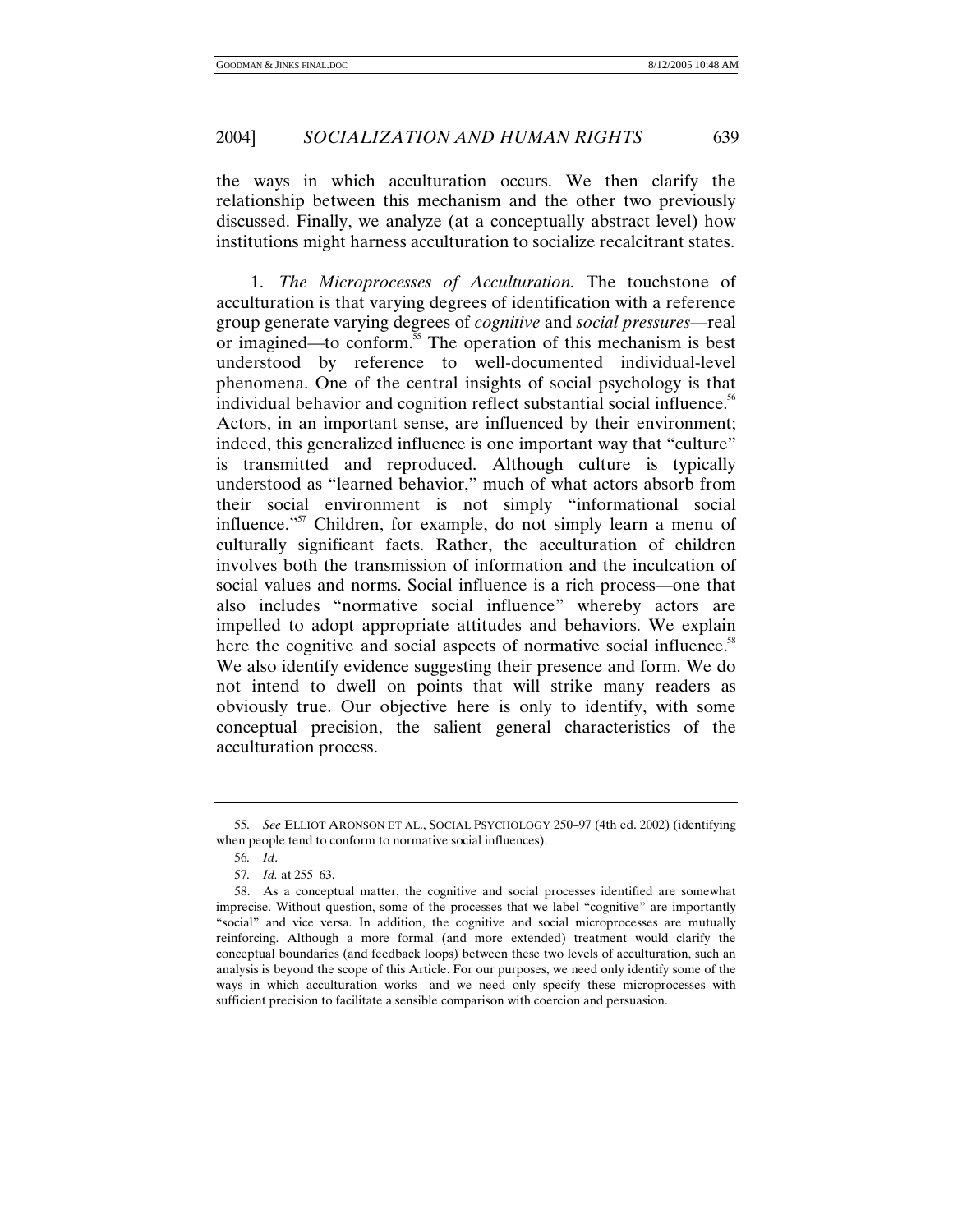the ways in which acculturation occurs. We then clarify the relationship between this mechanism and the other two previously discussed. Finally, we analyze (at a conceptually abstract level) how institutions might harness acculturation to socialize recalcitrant states.

1. *The Microprocesses of Acculturation.* The touchstone of acculturation is that varying degrees of identification with a reference group generate varying degrees of *cognitive* and *social pressures*—real or imagined—to conform.<sup>55</sup> The operation of this mechanism is best understood by reference to well-documented individual-level phenomena. One of the central insights of social psychology is that individual behavior and cognition reflect substantial social influence.<sup>56</sup> Actors, in an important sense, are influenced by their environment; indeed, this generalized influence is one important way that "culture" is transmitted and reproduced. Although culture is typically understood as "learned behavior," much of what actors absorb from their social environment is not simply "informational social influence."57 Children, for example, do not simply learn a menu of culturally significant facts. Rather, the acculturation of children involves both the transmission of information and the inculcation of social values and norms. Social influence is a rich process—one that also includes "normative social influence" whereby actors are impelled to adopt appropriate attitudes and behaviors. We explain here the cognitive and social aspects of normative social influence.<sup>58</sup> We also identify evidence suggesting their presence and form. We do not intend to dwell on points that will strike many readers as obviously true. Our objective here is only to identify, with some conceptual precision, the salient general characteristics of the acculturation process.

<sup>55</sup>*. See* ELLIOT ARONSON ET AL., SOCIAL PSYCHOLOGY 250–97 (4th ed. 2002) (identifying when people tend to conform to normative social influences).

<sup>56</sup>*. Id*.

<sup>57</sup>*. Id.* at 255–63.

 <sup>58.</sup> As a conceptual matter, the cognitive and social processes identified are somewhat imprecise. Without question, some of the processes that we label "cognitive" are importantly "social" and vice versa. In addition, the cognitive and social microprocesses are mutually reinforcing. Although a more formal (and more extended) treatment would clarify the conceptual boundaries (and feedback loops) between these two levels of acculturation, such an analysis is beyond the scope of this Article. For our purposes, we need only identify some of the ways in which acculturation works—and we need only specify these microprocesses with sufficient precision to facilitate a sensible comparison with coercion and persuasion.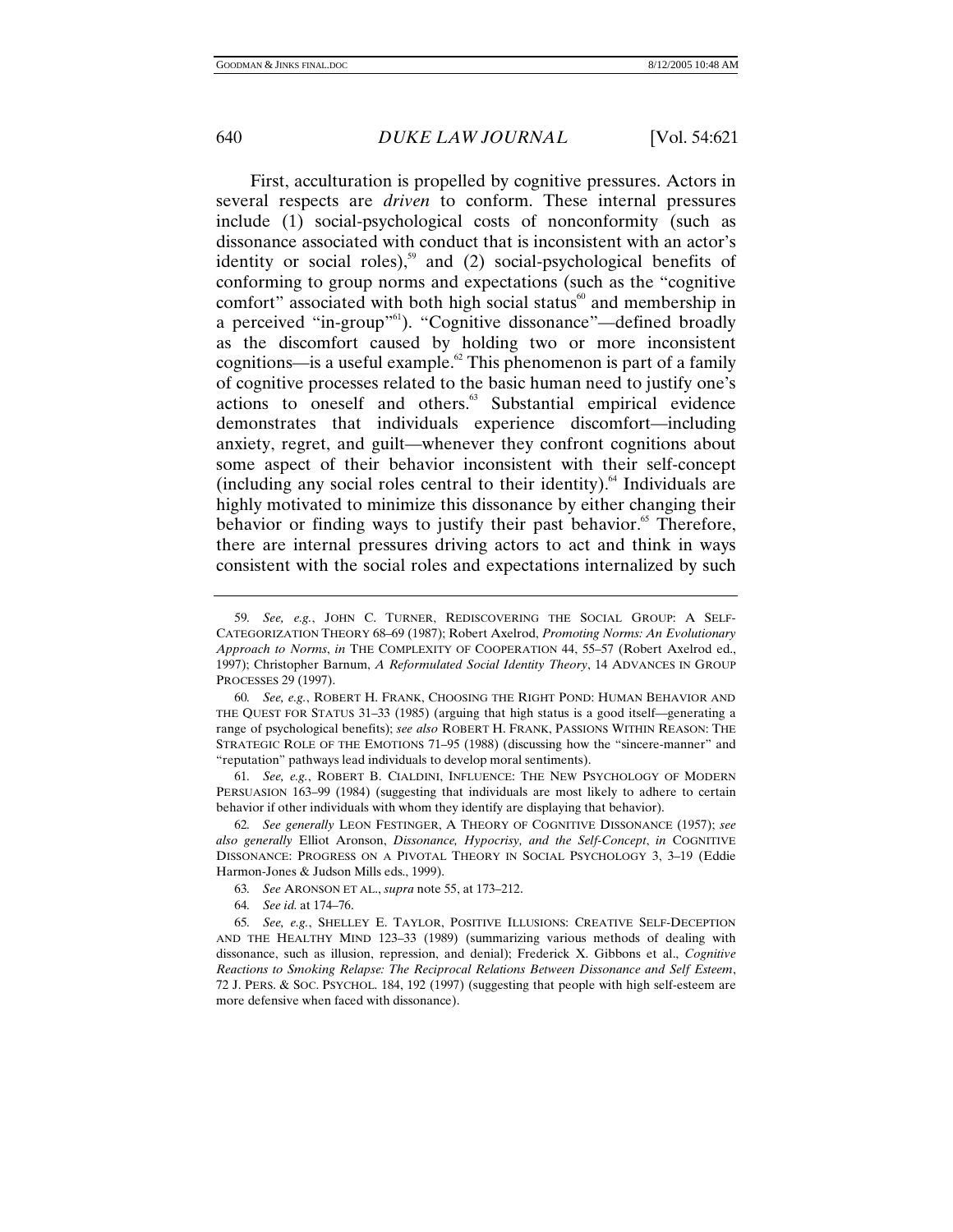First, acculturation is propelled by cognitive pressures. Actors in several respects are *driven* to conform. These internal pressures include (1) social-psychological costs of nonconformity (such as dissonance associated with conduct that is inconsistent with an actor's identity or social roles),<sup>59</sup> and (2) social-psychological benefits of conforming to group norms and expectations (such as the "cognitive comfort" associated with both high social status<sup>60</sup> and membership in a perceived "in-group"<sup>61</sup>). "Cognitive dissonance"—defined broadly as the discomfort caused by holding two or more inconsistent cognitions—is a useful example. $\degree$  This phenomenon is part of a family of cognitive processes related to the basic human need to justify one's actions to oneself and others.<sup>63</sup> Substantial empirical evidence demonstrates that individuals experience discomfort—including anxiety, regret, and guilt—whenever they confront cognitions about some aspect of their behavior inconsistent with their self-concept (including any social roles central to their identity).<sup> $64$ </sup> Individuals are highly motivated to minimize this dissonance by either changing their behavior or finding ways to justify their past behavior.<sup>65</sup> Therefore, there are internal pressures driving actors to act and think in ways consistent with the social roles and expectations internalized by such

61*. See, e.g.*, ROBERT B. CIALDINI, INFLUENCE: THE NEW PSYCHOLOGY OF MODERN PERSUASION 163–99 (1984) (suggesting that individuals are most likely to adhere to certain behavior if other individuals with whom they identify are displaying that behavior).

62*. See generally* LEON FESTINGER, A THEORY OF COGNITIVE DISSONANCE (1957); *see also generally* Elliot Aronson, *Dissonance, Hypocrisy, and the Self-Concept*, *in* COGNITIVE DISSONANCE: PROGRESS ON A PIVOTAL THEORY IN SOCIAL PSYCHOLOGY 3, 3–19 (Eddie Harmon-Jones & Judson Mills eds., 1999).

64*. See id.* at 174–76.

<sup>59</sup>*. See, e.g.*, JOHN C. TURNER, REDISCOVERING THE SOCIAL GROUP: A SELF-CATEGORIZATION THEORY 68–69 (1987); Robert Axelrod, *Promoting Norms: An Evolutionary Approach to Norms*, *in* THE COMPLEXITY OF COOPERATION 44, 55–57 (Robert Axelrod ed., 1997); Christopher Barnum, *A Reformulated Social Identity Theory*, 14 ADVANCES IN GROUP PROCESSES 29 (1997).

<sup>60</sup>*. See, e.g.*, ROBERT H. FRANK, CHOOSING THE RIGHT POND: HUMAN BEHAVIOR AND THE QUEST FOR STATUS 31–33 (1985) (arguing that high status is a good itself—generating a range of psychological benefits); *see also* ROBERT H. FRANK, PASSIONS WITHIN REASON: THE STRATEGIC ROLE OF THE EMOTIONS 71–95 (1988) (discussing how the "sincere-manner" and "reputation" pathways lead individuals to develop moral sentiments).

<sup>63</sup>*. See* ARONSON ET AL., *supra* note 55, at 173–212.

<sup>65</sup>*. See, e.g.*, SHELLEY E. TAYLOR, POSITIVE ILLUSIONS: CREATIVE SELF-DECEPTION AND THE HEALTHY MIND 123–33 (1989) (summarizing various methods of dealing with dissonance, such as illusion, repression, and denial); Frederick X. Gibbons et al., *Cognitive Reactions to Smoking Relapse: The Reciprocal Relations Between Dissonance and Self Esteem*, 72 J. PERS. & SOC. PSYCHOL. 184, 192 (1997) (suggesting that people with high self-esteem are more defensive when faced with dissonance).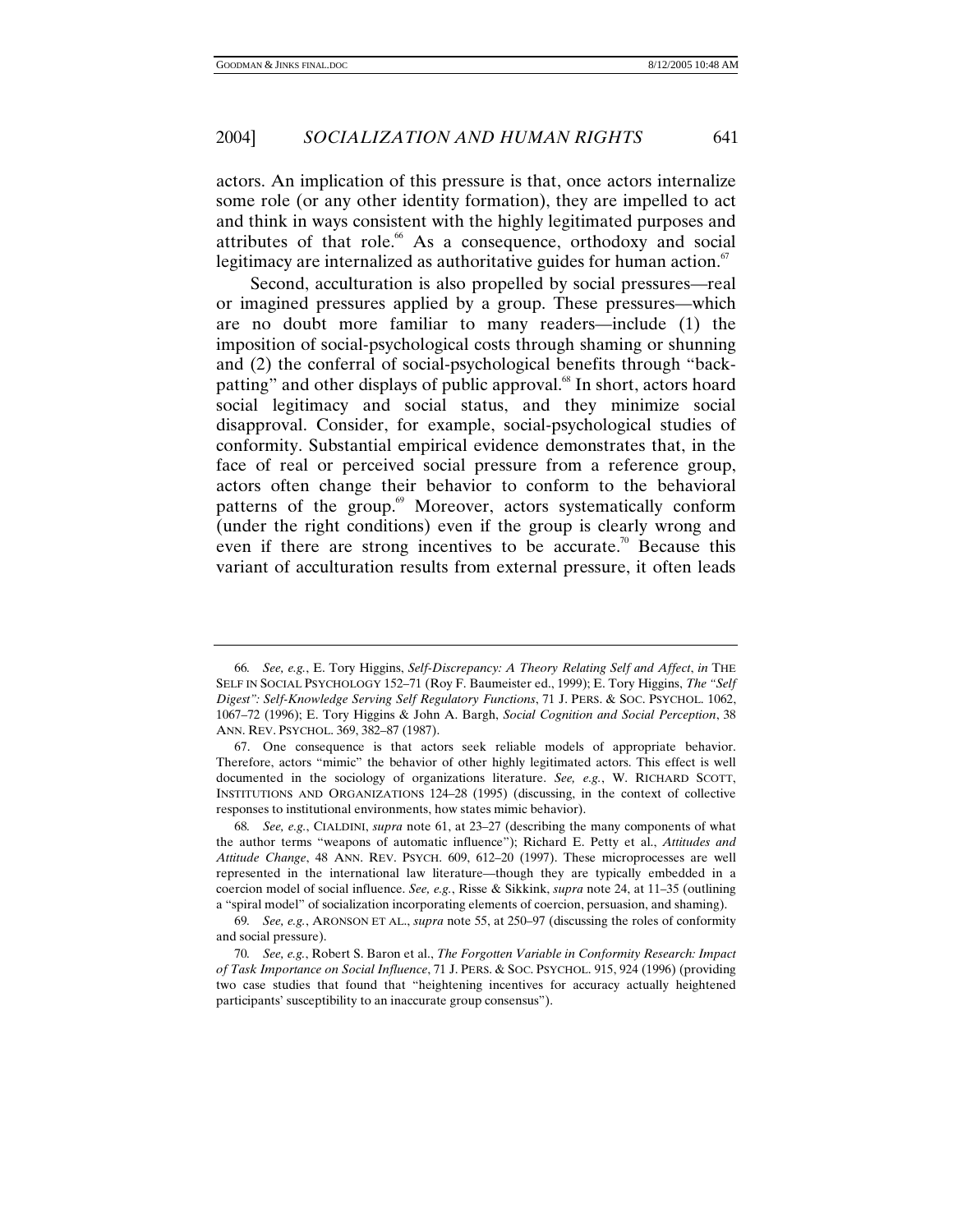actors. An implication of this pressure is that, once actors internalize some role (or any other identity formation), they are impelled to act and think in ways consistent with the highly legitimated purposes and attributes of that role.<sup>66</sup> As a consequence, orthodoxy and social legitimacy are internalized as authoritative guides for human action. $\mathfrak{g}$ 

Second, acculturation is also propelled by social pressures—real or imagined pressures applied by a group. These pressures—which are no doubt more familiar to many readers—include (1) the imposition of social-psychological costs through shaming or shunning and (2) the conferral of social-psychological benefits through "backpatting" and other displays of public approval.<sup>68</sup> In short, actors hoard social legitimacy and social status, and they minimize social disapproval. Consider, for example, social-psychological studies of conformity. Substantial empirical evidence demonstrates that, in the face of real or perceived social pressure from a reference group, actors often change their behavior to conform to the behavioral patterns of the group.<sup>69</sup> Moreover, actors systematically conform (under the right conditions) even if the group is clearly wrong and even if there are strong incentives to be accurate.<sup>70</sup> Because this variant of acculturation results from external pressure, it often leads

<sup>66</sup>*. See, e.g.*, E. Tory Higgins, *Self-Discrepancy: A Theory Relating Self and Affect*, *in* THE SELF IN SOCIAL PSYCHOLOGY 152–71 (Roy F. Baumeister ed., 1999); E. Tory Higgins, *The "Self Digest": Self-Knowledge Serving Self Regulatory Functions*, 71 J. PERS. & SOC. PSYCHOL. 1062, 1067–72 (1996); E. Tory Higgins & John A. Bargh, *Social Cognition and Social Perception*, 38 ANN. REV. PSYCHOL. 369, 382–87 (1987).

 <sup>67.</sup> One consequence is that actors seek reliable models of appropriate behavior. Therefore, actors "mimic" the behavior of other highly legitimated actors. This effect is well documented in the sociology of organizations literature. *See, e.g.*, W. RICHARD SCOTT, INSTITUTIONS AND ORGANIZATIONS 124–28 (1995) (discussing, in the context of collective responses to institutional environments, how states mimic behavior).

<sup>68</sup>*. See, e.g.*, CIALDINI, *supra* note 61, at 23–27 (describing the many components of what the author terms "weapons of automatic influence"); Richard E. Petty et al., *Attitudes and Attitude Change*, 48 ANN. REV. PSYCH. 609, 612–20 (1997). These microprocesses are well represented in the international law literature—though they are typically embedded in a coercion model of social influence. *See, e.g.*, Risse & Sikkink, *supra* note 24, at 11–35 (outlining a "spiral model" of socialization incorporating elements of coercion, persuasion, and shaming).

<sup>69</sup>*. See, e.g.*, ARONSON ET AL., *supra* note 55, at 250–97 (discussing the roles of conformity and social pressure).

<sup>70</sup>*. See, e.g.*, Robert S. Baron et al., *The Forgotten Variable in Conformity Research: Impact of Task Importance on Social Influence*, 71 J. PERS. & SOC. PSYCHOL. 915, 924 (1996) (providing two case studies that found that "heightening incentives for accuracy actually heightened participants' susceptibility to an inaccurate group consensus").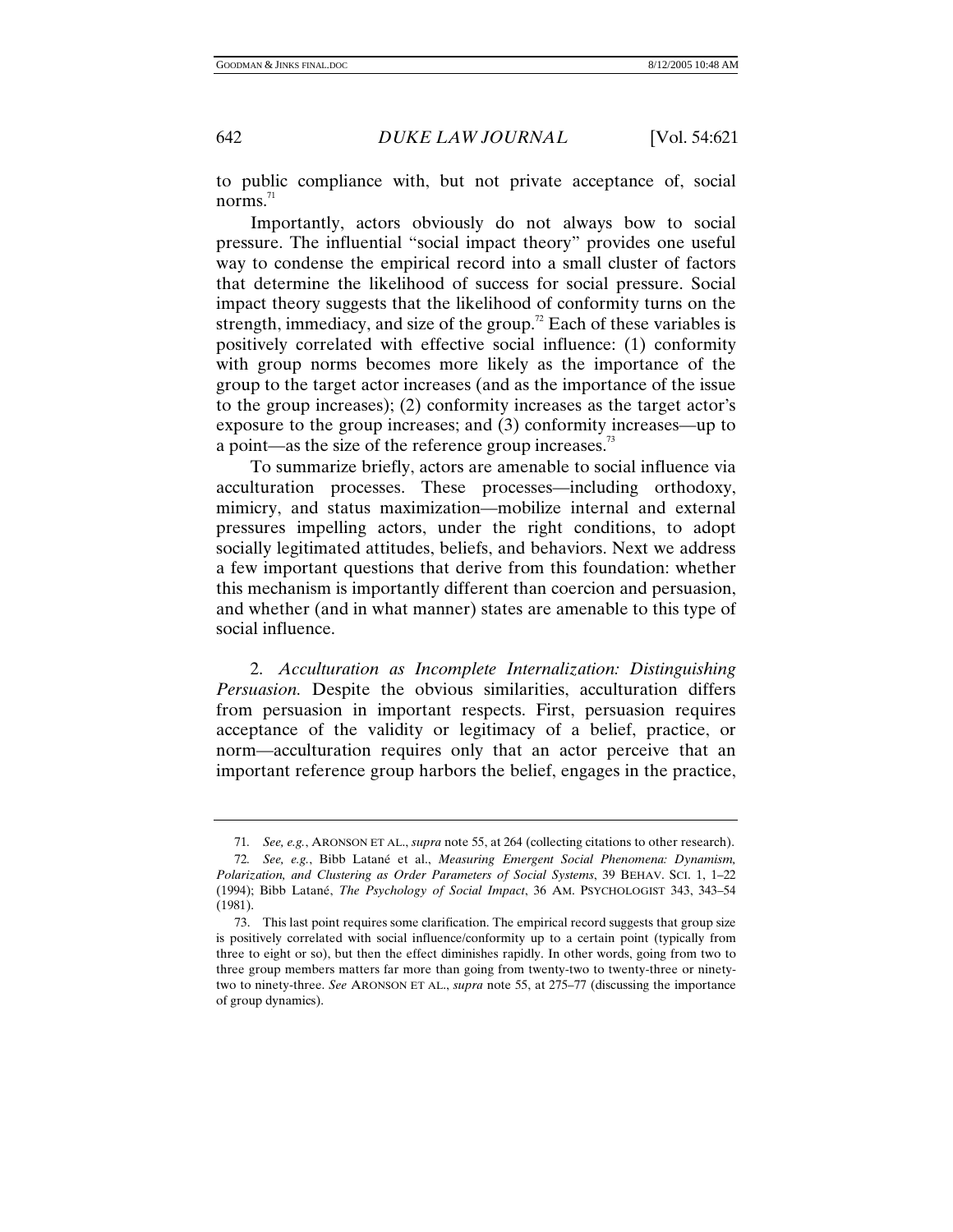to public compliance with, but not private acceptance of, social norms. $^{71}$ 

Importantly, actors obviously do not always bow to social pressure. The influential "social impact theory" provides one useful way to condense the empirical record into a small cluster of factors that determine the likelihood of success for social pressure. Social impact theory suggests that the likelihood of conformity turns on the strength, immediacy, and size of the group.<sup>72</sup> Each of these variables is positively correlated with effective social influence: (1) conformity with group norms becomes more likely as the importance of the group to the target actor increases (and as the importance of the issue to the group increases); (2) conformity increases as the target actor's exposure to the group increases; and (3) conformity increases—up to a point—as the size of the reference group increases.<sup>73</sup>

To summarize briefly, actors are amenable to social influence via acculturation processes. These processes—including orthodoxy, mimicry, and status maximization—mobilize internal and external pressures impelling actors, under the right conditions, to adopt socially legitimated attitudes, beliefs, and behaviors. Next we address a few important questions that derive from this foundation: whether this mechanism is importantly different than coercion and persuasion, and whether (and in what manner) states are amenable to this type of social influence.

2. *Acculturation as Incomplete Internalization: Distinguishing Persuasion.* Despite the obvious similarities, acculturation differs from persuasion in important respects. First, persuasion requires acceptance of the validity or legitimacy of a belief, practice, or norm—acculturation requires only that an actor perceive that an important reference group harbors the belief, engages in the practice,

<sup>71</sup>*. See, e.g.*, ARONSON ET AL., *supra* note 55, at 264 (collecting citations to other research).

<sup>72</sup>*. See, e.g.*, Bibb Latané et al., *Measuring Emergent Social Phenomena: Dynamism, Polarization, and Clustering as Order Parameters of Social Systems*, 39 BEHAV. SCI. 1, 1–22 (1994); Bibb Latané, *The Psychology of Social Impact*, 36 AM. PSYCHOLOGIST 343, 343–54 (1981).

 <sup>73.</sup> This last point requires some clarification. The empirical record suggests that group size is positively correlated with social influence/conformity up to a certain point (typically from three to eight or so), but then the effect diminishes rapidly. In other words, going from two to three group members matters far more than going from twenty-two to twenty-three or ninetytwo to ninety-three. *See* ARONSON ET AL., *supra* note 55, at 275–77 (discussing the importance of group dynamics).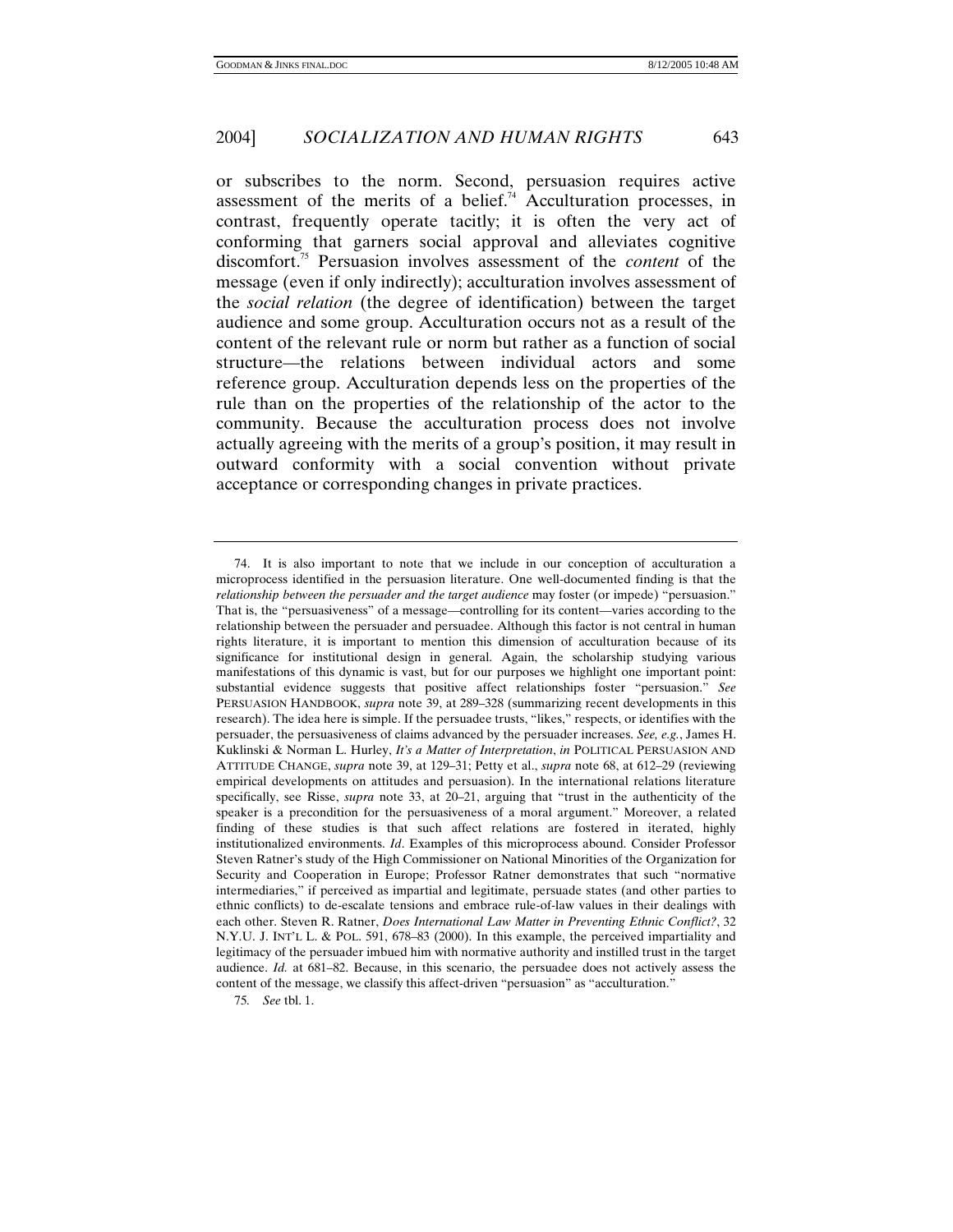or subscribes to the norm. Second, persuasion requires active assessment of the merits of a belief.<sup>74</sup> Acculturation processes, in contrast, frequently operate tacitly; it is often the very act of conforming that garners social approval and alleviates cognitive discomfort.75 Persuasion involves assessment of the *content* of the message (even if only indirectly); acculturation involves assessment of the *social relation* (the degree of identification) between the target audience and some group. Acculturation occurs not as a result of the content of the relevant rule or norm but rather as a function of social structure—the relations between individual actors and some reference group. Acculturation depends less on the properties of the rule than on the properties of the relationship of the actor to the community. Because the acculturation process does not involve actually agreeing with the merits of a group's position, it may result in outward conformity with a social convention without private acceptance or corresponding changes in private practices.

75*. See* tbl. 1.

 <sup>74.</sup> It is also important to note that we include in our conception of acculturation a microprocess identified in the persuasion literature. One well-documented finding is that the *relationship between the persuader and the target audience* may foster (or impede) "persuasion." That is, the "persuasiveness" of a message—controlling for its content—varies according to the relationship between the persuader and persuadee. Although this factor is not central in human rights literature, it is important to mention this dimension of acculturation because of its significance for institutional design in general. Again, the scholarship studying various manifestations of this dynamic is vast, but for our purposes we highlight one important point: substantial evidence suggests that positive affect relationships foster "persuasion." *See* PERSUASION HANDBOOK, *supra* note 39, at 289–328 (summarizing recent developments in this research). The idea here is simple. If the persuadee trusts, "likes," respects, or identifies with the persuader, the persuasiveness of claims advanced by the persuader increases. *See, e.g.*, James H. Kuklinski & Norman L. Hurley, *It's a Matter of Interpretation*, *in* POLITICAL PERSUASION AND ATTITUDE CHANGE, *supra* note 39, at 129–31; Petty et al., *supra* note 68, at 612–29 (reviewing empirical developments on attitudes and persuasion). In the international relations literature specifically, see Risse, *supra* note 33, at 20–21, arguing that "trust in the authenticity of the speaker is a precondition for the persuasiveness of a moral argument." Moreover, a related finding of these studies is that such affect relations are fostered in iterated, highly institutionalized environments. *Id*. Examples of this microprocess abound. Consider Professor Steven Ratner's study of the High Commissioner on National Minorities of the Organization for Security and Cooperation in Europe; Professor Ratner demonstrates that such "normative intermediaries," if perceived as impartial and legitimate, persuade states (and other parties to ethnic conflicts) to de-escalate tensions and embrace rule-of-law values in their dealings with each other. Steven R. Ratner, *Does International Law Matter in Preventing Ethnic Conflict?*, 32 N.Y.U. J. INT'L L. & POL. 591, 678–83 (2000). In this example, the perceived impartiality and legitimacy of the persuader imbued him with normative authority and instilled trust in the target audience. *Id.* at 681–82. Because, in this scenario, the persuadee does not actively assess the content of the message, we classify this affect-driven "persuasion" as "acculturation."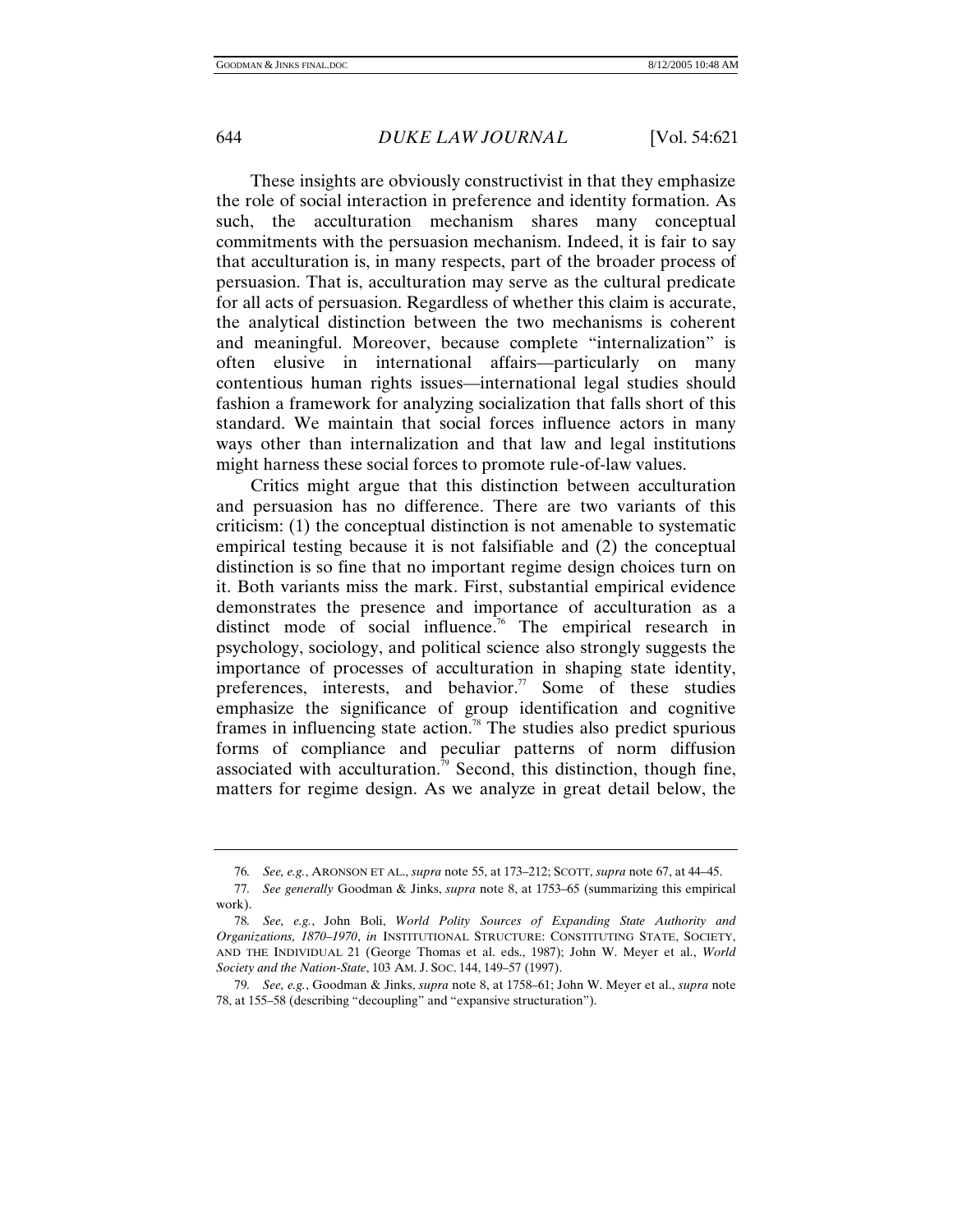These insights are obviously constructivist in that they emphasize the role of social interaction in preference and identity formation. As such, the acculturation mechanism shares many conceptual commitments with the persuasion mechanism. Indeed, it is fair to say that acculturation is, in many respects, part of the broader process of persuasion. That is, acculturation may serve as the cultural predicate for all acts of persuasion. Regardless of whether this claim is accurate, the analytical distinction between the two mechanisms is coherent and meaningful. Moreover, because complete "internalization" is often elusive in international affairs—particularly on many contentious human rights issues—international legal studies should fashion a framework for analyzing socialization that falls short of this standard. We maintain that social forces influence actors in many ways other than internalization and that law and legal institutions might harness these social forces to promote rule-of-law values.

Critics might argue that this distinction between acculturation and persuasion has no difference. There are two variants of this criticism: (1) the conceptual distinction is not amenable to systematic empirical testing because it is not falsifiable and (2) the conceptual distinction is so fine that no important regime design choices turn on it. Both variants miss the mark. First, substantial empirical evidence demonstrates the presence and importance of acculturation as a distinct mode of social influence.<sup>76</sup> The empirical research in psychology, sociology, and political science also strongly suggests the importance of processes of acculturation in shaping state identity, preferences, interests, and behavior.<sup>77</sup> Some of these studies emphasize the significance of group identification and cognitive frames in influencing state action.<sup>78</sup> The studies also predict spurious forms of compliance and peculiar patterns of norm diffusion associated with acculturation.<sup>79</sup> Second, this distinction, though fine, matters for regime design. As we analyze in great detail below, the

<sup>76</sup>*. See, e.g.*, ARONSON ET AL., *supra* note 55, at 173–212; SCOTT, *supra* note 67, at 44–45.

<sup>77</sup>*. See generally* Goodman & Jinks, *supra* note 8, at 1753–65 (summarizing this empirical work).

<sup>78</sup>*. See, e.g.*, John Boli, *World Polity Sources of Expanding State Authority and Organizations, 1870–1970*, *in* INSTITUTIONAL STRUCTURE: CONSTITUTING STATE, SOCIETY, AND THE INDIVIDUAL 21 (George Thomas et al. eds., 1987); John W. Meyer et al., *World Society and the Nation-State*, 103 AM. J. SOC. 144, 149–57 (1997).

<sup>79</sup>*. See, e.g.*, Goodman & Jinks, *supra* note 8, at 1758–61; John W. Meyer et al., *supra* note 78, at 155–58 (describing "decoupling" and "expansive structuration").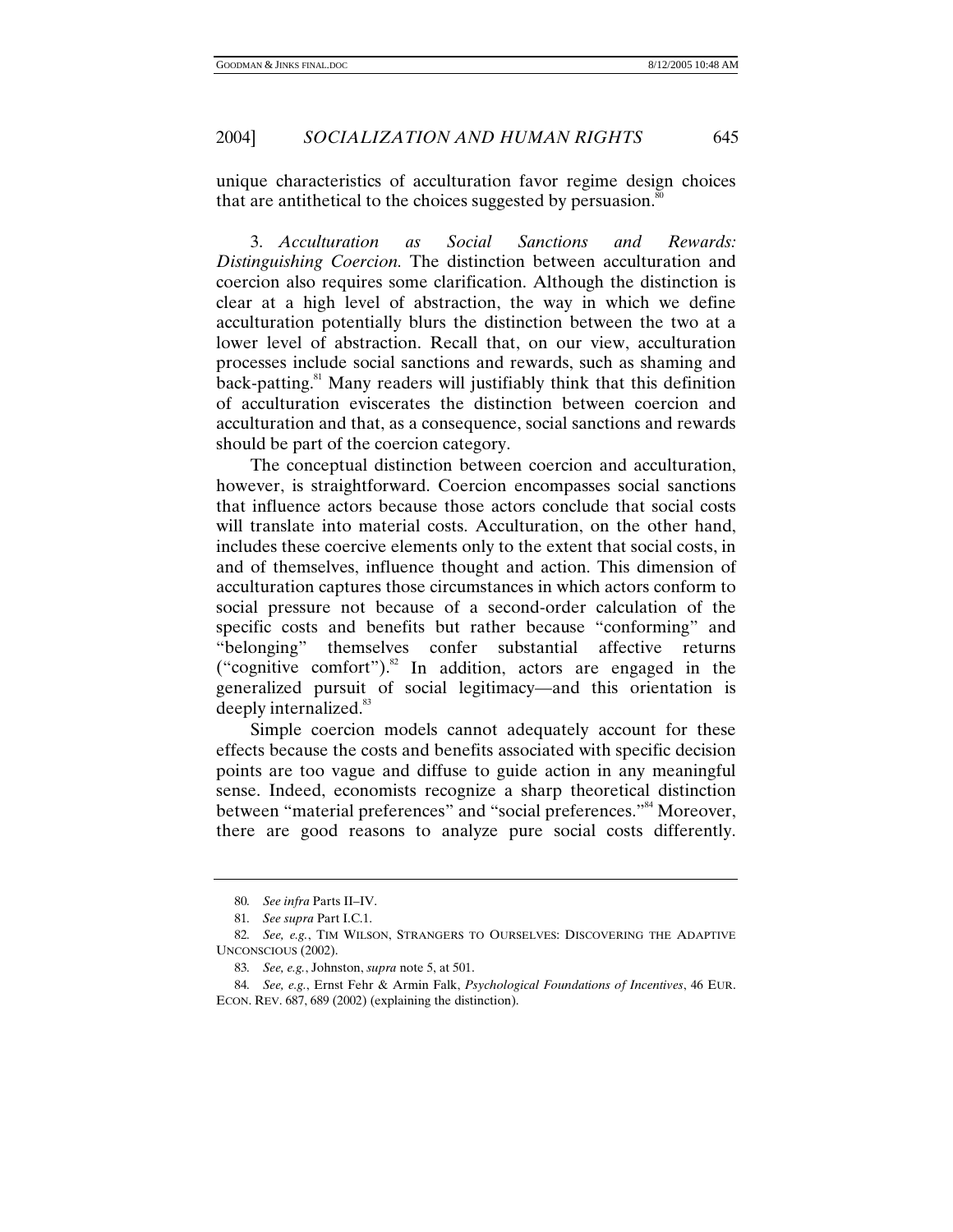unique characteristics of acculturation favor regime design choices that are antithetical to the choices suggested by persuasion.<sup>80</sup>

3. *Acculturation as Social Sanctions and Rewards: Distinguishing Coercion.* The distinction between acculturation and coercion also requires some clarification. Although the distinction is clear at a high level of abstraction, the way in which we define acculturation potentially blurs the distinction between the two at a lower level of abstraction. Recall that, on our view, acculturation processes include social sanctions and rewards, such as shaming and  $back$ -patting.<sup>81</sup> Many readers will justifiably think that this definition of acculturation eviscerates the distinction between coercion and acculturation and that, as a consequence, social sanctions and rewards should be part of the coercion category.

The conceptual distinction between coercion and acculturation, however, is straightforward. Coercion encompasses social sanctions that influence actors because those actors conclude that social costs will translate into material costs. Acculturation, on the other hand, includes these coercive elements only to the extent that social costs, in and of themselves, influence thought and action. This dimension of acculturation captures those circumstances in which actors conform to social pressure not because of a second-order calculation of the specific costs and benefits but rather because "conforming" and "belonging" themselves confer substantial affective returns ("cognitive comfort").<sup>82</sup> In addition, actors are engaged in the generalized pursuit of social legitimacy—and this orientation is deeply internalized.<sup>83</sup>

Simple coercion models cannot adequately account for these effects because the costs and benefits associated with specific decision points are too vague and diffuse to guide action in any meaningful sense. Indeed, economists recognize a sharp theoretical distinction between "material preferences" and "social preferences."<sup>34</sup> Moreover, there are good reasons to analyze pure social costs differently.

<sup>80</sup>*. See infra* Parts II–IV.

<sup>81</sup>*. See supra* Part I.C.1.

<sup>82</sup>*. See, e.g.*, TIM WILSON, STRANGERS TO OURSELVES: DISCOVERING THE ADAPTIVE UNCONSCIOUS (2002).

<sup>83</sup>*. See, e.g.*, Johnston, *supra* note 5, at 501.

<sup>84</sup>*. See, e.g.*, Ernst Fehr & Armin Falk, *Psychological Foundations of Incentives*, 46 EUR. ECON. REV. 687, 689 (2002) (explaining the distinction).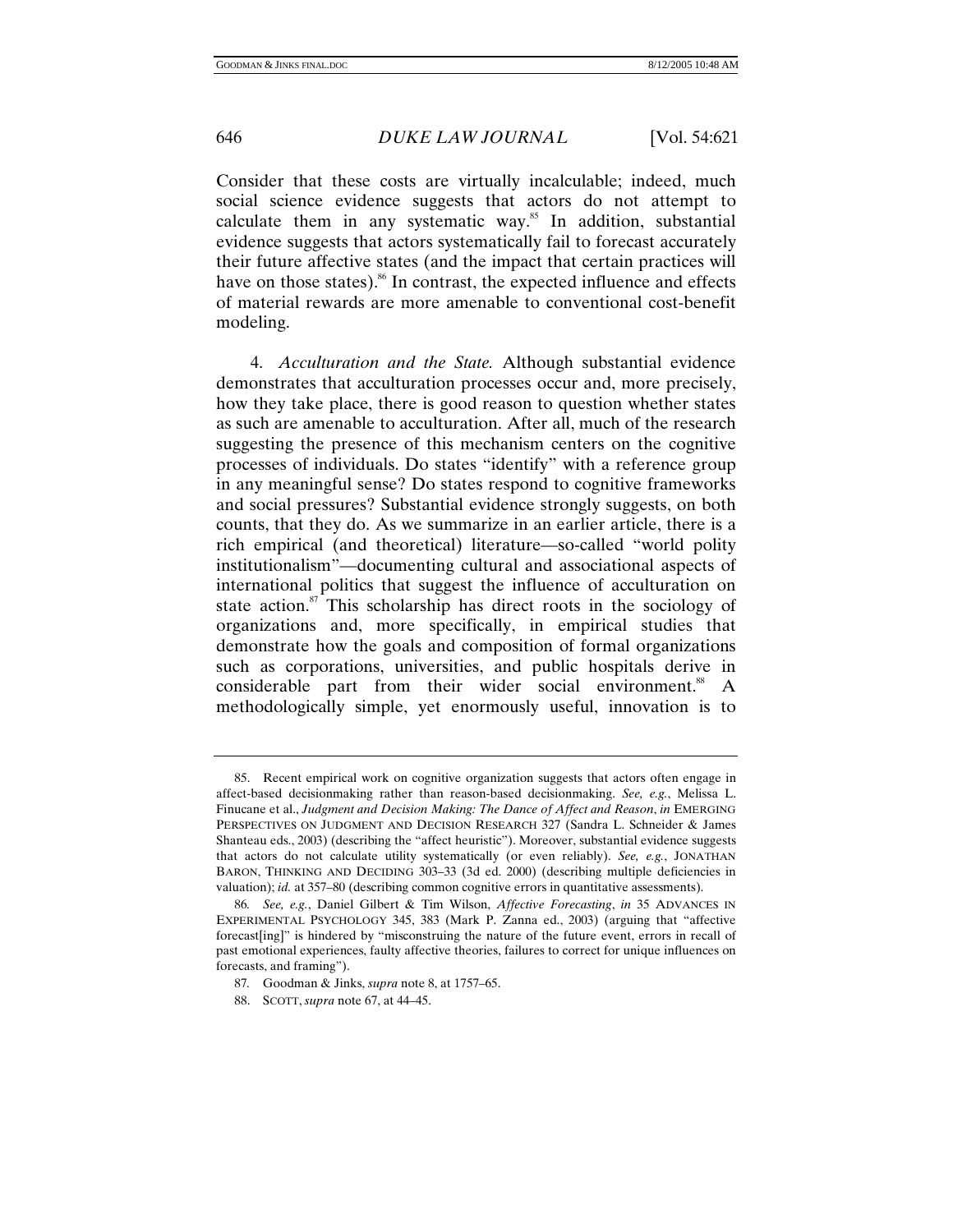Consider that these costs are virtually incalculable; indeed, much social science evidence suggests that actors do not attempt to calculate them in any systematic way.85 In addition, substantial evidence suggests that actors systematically fail to forecast accurately their future affective states (and the impact that certain practices will have on those states).<sup>86</sup> In contrast, the expected influence and effects of material rewards are more amenable to conventional cost-benefit modeling.

4. *Acculturation and the State.* Although substantial evidence demonstrates that acculturation processes occur and, more precisely, how they take place, there is good reason to question whether states as such are amenable to acculturation. After all, much of the research suggesting the presence of this mechanism centers on the cognitive processes of individuals. Do states "identify" with a reference group in any meaningful sense? Do states respond to cognitive frameworks and social pressures? Substantial evidence strongly suggests, on both counts, that they do. As we summarize in an earlier article, there is a rich empirical (and theoretical) literature—so-called "world polity institutionalism"—documenting cultural and associational aspects of international politics that suggest the influence of acculturation on state action.<sup>87</sup> This scholarship has direct roots in the sociology of organizations and, more specifically, in empirical studies that demonstrate how the goals and composition of formal organizations such as corporations, universities, and public hospitals derive in considerable part from their wider social environment.<sup>88</sup> A methodologically simple, yet enormously useful, innovation is to

 <sup>85.</sup> Recent empirical work on cognitive organization suggests that actors often engage in affect-based decisionmaking rather than reason-based decisionmaking. *See, e.g.*, Melissa L. Finucane et al., *Judgment and Decision Making: The Dance of Affect and Reason*, *in* EMERGING PERSPECTIVES ON JUDGMENT AND DECISION RESEARCH 327 (Sandra L. Schneider & James Shanteau eds., 2003) (describing the "affect heuristic"). Moreover, substantial evidence suggests that actors do not calculate utility systematically (or even reliably). *See, e.g.*, JONATHAN BARON, THINKING AND DECIDING 303–33 (3d ed. 2000) (describing multiple deficiencies in valuation); *id.* at 357–80 (describing common cognitive errors in quantitative assessments).

<sup>86</sup>*. See, e.g.*, Daniel Gilbert & Tim Wilson, *Affective Forecasting*, *in* 35 ADVANCES IN EXPERIMENTAL PSYCHOLOGY 345, 383 (Mark P. Zanna ed., 2003) (arguing that "affective forecast[ing]" is hindered by "misconstruing the nature of the future event, errors in recall of past emotional experiences, faulty affective theories, failures to correct for unique influences on forecasts, and framing").

<sup>87</sup>*.* Goodman & Jinks, *supra* note 8, at 1757–65.

 <sup>88.</sup> SCOTT, *supra* note 67, at 44–45.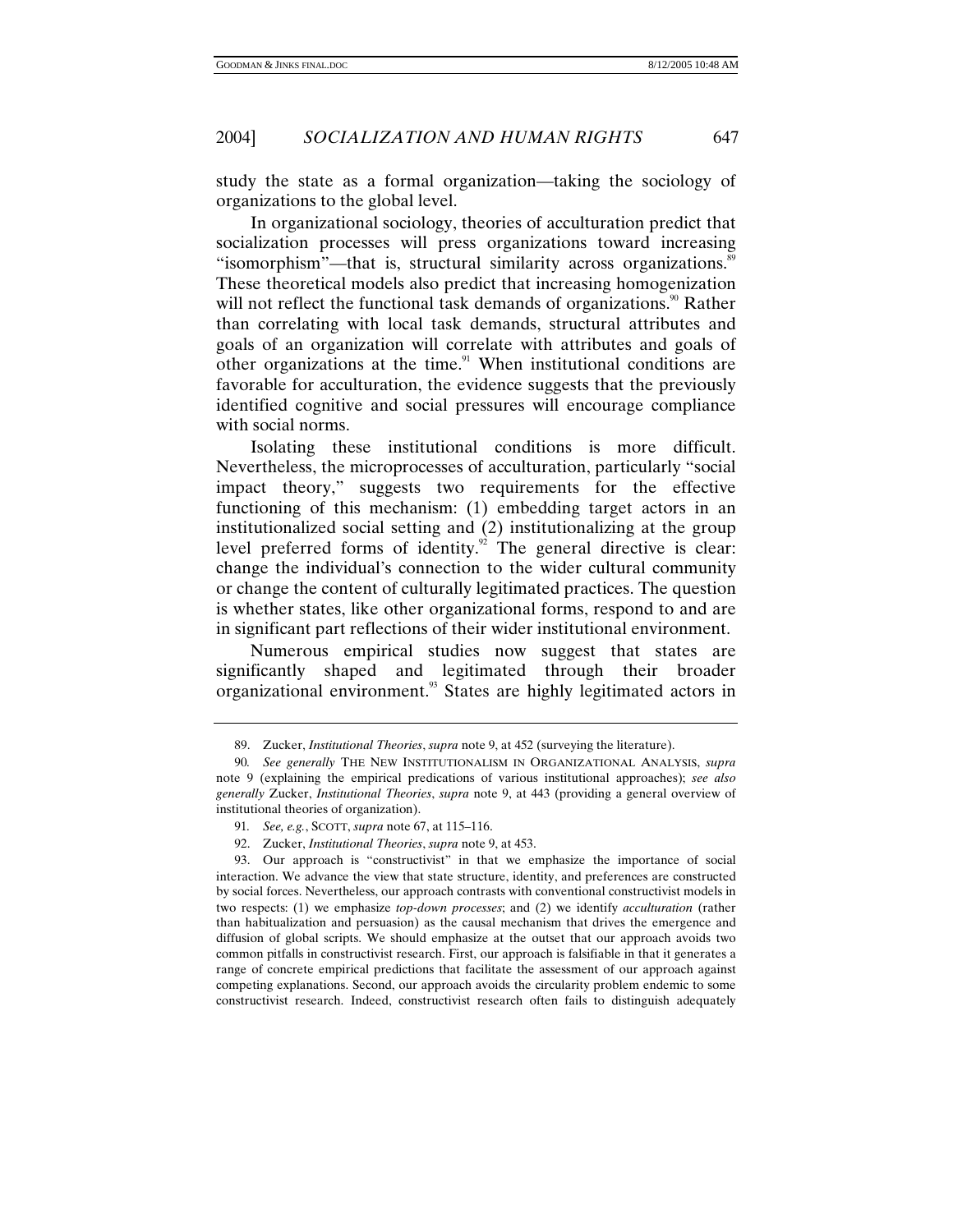study the state as a formal organization—taking the sociology of organizations to the global level.

In organizational sociology, theories of acculturation predict that socialization processes will press organizations toward increasing "isomorphism"—that is, structural similarity across organizations.<sup>89</sup> These theoretical models also predict that increasing homogenization will not reflect the functional task demands of organizations.<sup>90</sup> Rather than correlating with local task demands, structural attributes and goals of an organization will correlate with attributes and goals of other organizations at the time. $91$  When institutional conditions are favorable for acculturation, the evidence suggests that the previously identified cognitive and social pressures will encourage compliance with social norms.

Isolating these institutional conditions is more difficult. Nevertheless, the microprocesses of acculturation, particularly "social impact theory," suggests two requirements for the effective functioning of this mechanism: (1) embedding target actors in an institutionalized social setting and (2) institutionalizing at the group level preferred forms of identity.<sup>92</sup> The general directive is clear: change the individual's connection to the wider cultural community or change the content of culturally legitimated practices. The question is whether states, like other organizational forms, respond to and are in significant part reflections of their wider institutional environment.

Numerous empirical studies now suggest that states are significantly shaped and legitimated through their broader organizational environment.<sup>93</sup> States are highly legitimated actors in

 <sup>89.</sup> Zucker, *Institutional Theories*, *supra* note 9, at 452 (surveying the literature).

<sup>90</sup>*. See generally* THE NEW INSTITUTIONALISM IN ORGANIZATIONAL ANALYSIS, *supra* note 9 (explaining the empirical predications of various institutional approaches); *see also generally* Zucker, *Institutional Theories*, *supra* note 9, at 443 (providing a general overview of institutional theories of organization).

<sup>91</sup>*. See, e.g.*, SCOTT, *supra* note 67, at 115–116.

 <sup>92.</sup> Zucker, *Institutional Theories*, *supra* note 9, at 453.

 <sup>93.</sup> Our approach is "constructivist" in that we emphasize the importance of social interaction. We advance the view that state structure, identity, and preferences are constructed by social forces. Nevertheless, our approach contrasts with conventional constructivist models in two respects: (1) we emphasize *top-down processes*; and (2) we identify *acculturation* (rather than habitualization and persuasion) as the causal mechanism that drives the emergence and diffusion of global scripts. We should emphasize at the outset that our approach avoids two common pitfalls in constructivist research. First, our approach is falsifiable in that it generates a range of concrete empirical predictions that facilitate the assessment of our approach against competing explanations. Second, our approach avoids the circularity problem endemic to some constructivist research. Indeed, constructivist research often fails to distinguish adequately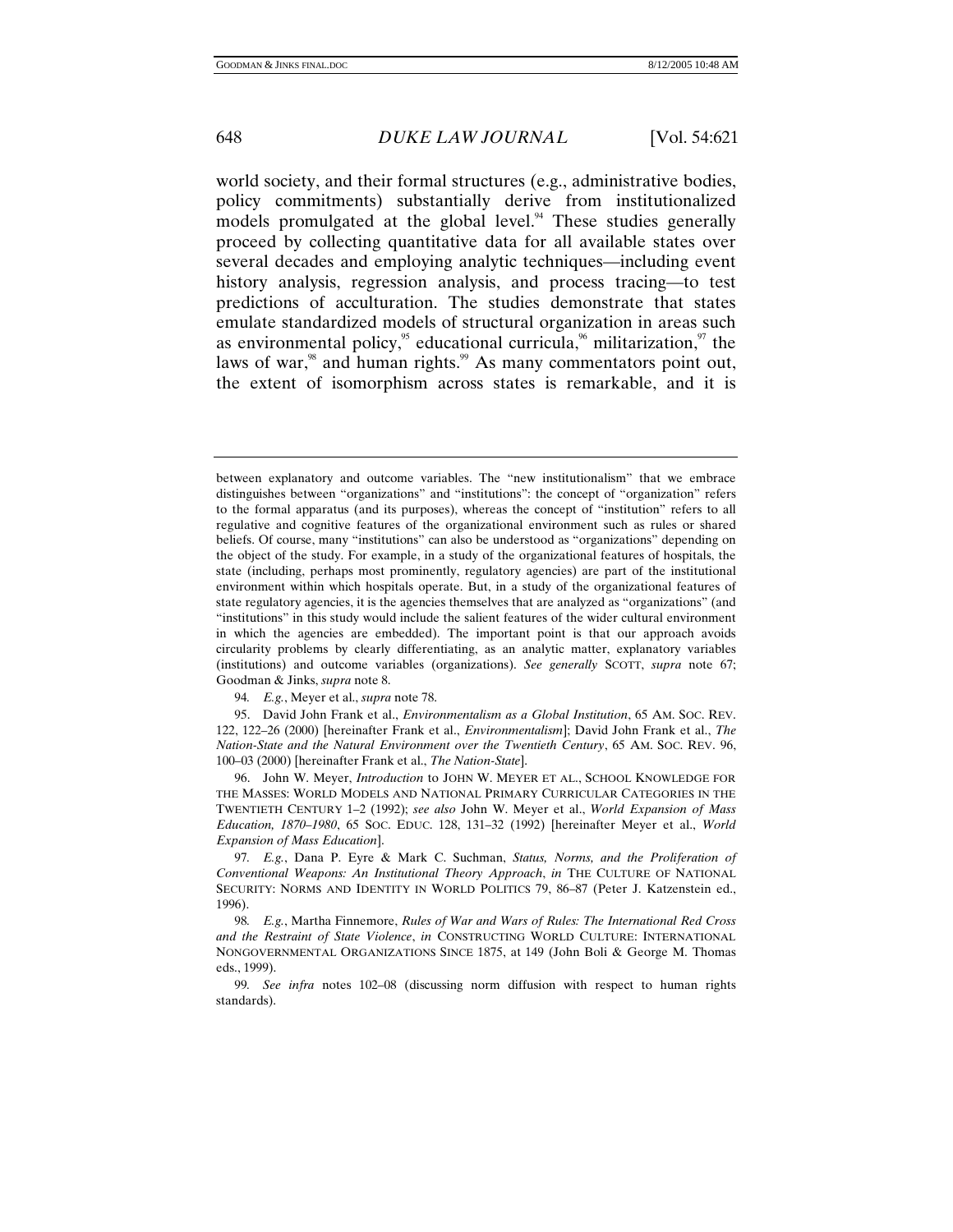world society, and their formal structures (e.g., administrative bodies, policy commitments) substantially derive from institutionalized models promulgated at the global level.<sup>94</sup> These studies generally proceed by collecting quantitative data for all available states over several decades and employing analytic techniques—including event history analysis, regression analysis, and process tracing—to test predictions of acculturation. The studies demonstrate that states emulate standardized models of structural organization in areas such as environmental policy,<sup>95</sup> educational curricula,<sup>96</sup> militarization,<sup>97</sup> the laws of war, $\frac{98}{8}$  and human rights. $\frac{99}{8}$  As many commentators point out, the extent of isomorphism across states is remarkable, and it is

94*. E.g.*, Meyer et al., *supra* note 78.

 95. David John Frank et al., *Environmentalism as a Global Institution*, 65 AM. SOC. REV. 122, 122–26 (2000) [hereinafter Frank et al., *Environmentalism*]; David John Frank et al., *The Nation-State and the Natural Environment over the Twentieth Century*, 65 AM. SOC. REV. 96, 100–03 (2000) [hereinafter Frank et al., *The Nation-State*].

 96. John W. Meyer, *Introduction* to JOHN W. MEYER ET AL., SCHOOL KNOWLEDGE FOR THE MASSES: WORLD MODELS AND NATIONAL PRIMARY CURRICULAR CATEGORIES IN THE TWENTIETH CENTURY 1–2 (1992); *see also* John W. Meyer et al., *World Expansion of Mass Education, 1870–1980*, 65 SOC. EDUC. 128, 131–32 (1992) [hereinafter Meyer et al., *World Expansion of Mass Education*].

97*. E.g.*, Dana P. Eyre & Mark C. Suchman, *Status, Norms, and the Proliferation of Conventional Weapons: An Institutional Theory Approach*, *in* THE CULTURE OF NATIONAL SECURITY: NORMS AND IDENTITY IN WORLD POLITICS 79, 86–87 (Peter J. Katzenstein ed., 1996).

98*. E.g.*, Martha Finnemore, *Rules of War and Wars of Rules: The International Red Cross and the Restraint of State Violence*, *in* CONSTRUCTING WORLD CULTURE: INTERNATIONAL NONGOVERNMENTAL ORGANIZATIONS SINCE 1875, at 149 (John Boli & George M. Thomas eds., 1999).

99*. See infra* notes 102–08 (discussing norm diffusion with respect to human rights standards).

between explanatory and outcome variables. The "new institutionalism" that we embrace distinguishes between "organizations" and "institutions": the concept of "organization" refers to the formal apparatus (and its purposes), whereas the concept of "institution" refers to all regulative and cognitive features of the organizational environment such as rules or shared beliefs. Of course, many "institutions" can also be understood as "organizations" depending on the object of the study. For example, in a study of the organizational features of hospitals, the state (including, perhaps most prominently, regulatory agencies) are part of the institutional environment within which hospitals operate. But, in a study of the organizational features of state regulatory agencies, it is the agencies themselves that are analyzed as "organizations" (and "institutions" in this study would include the salient features of the wider cultural environment in which the agencies are embedded). The important point is that our approach avoids circularity problems by clearly differentiating, as an analytic matter, explanatory variables (institutions) and outcome variables (organizations). *See generally* SCOTT, *supra* note 67; Goodman & Jinks, *supra* note 8.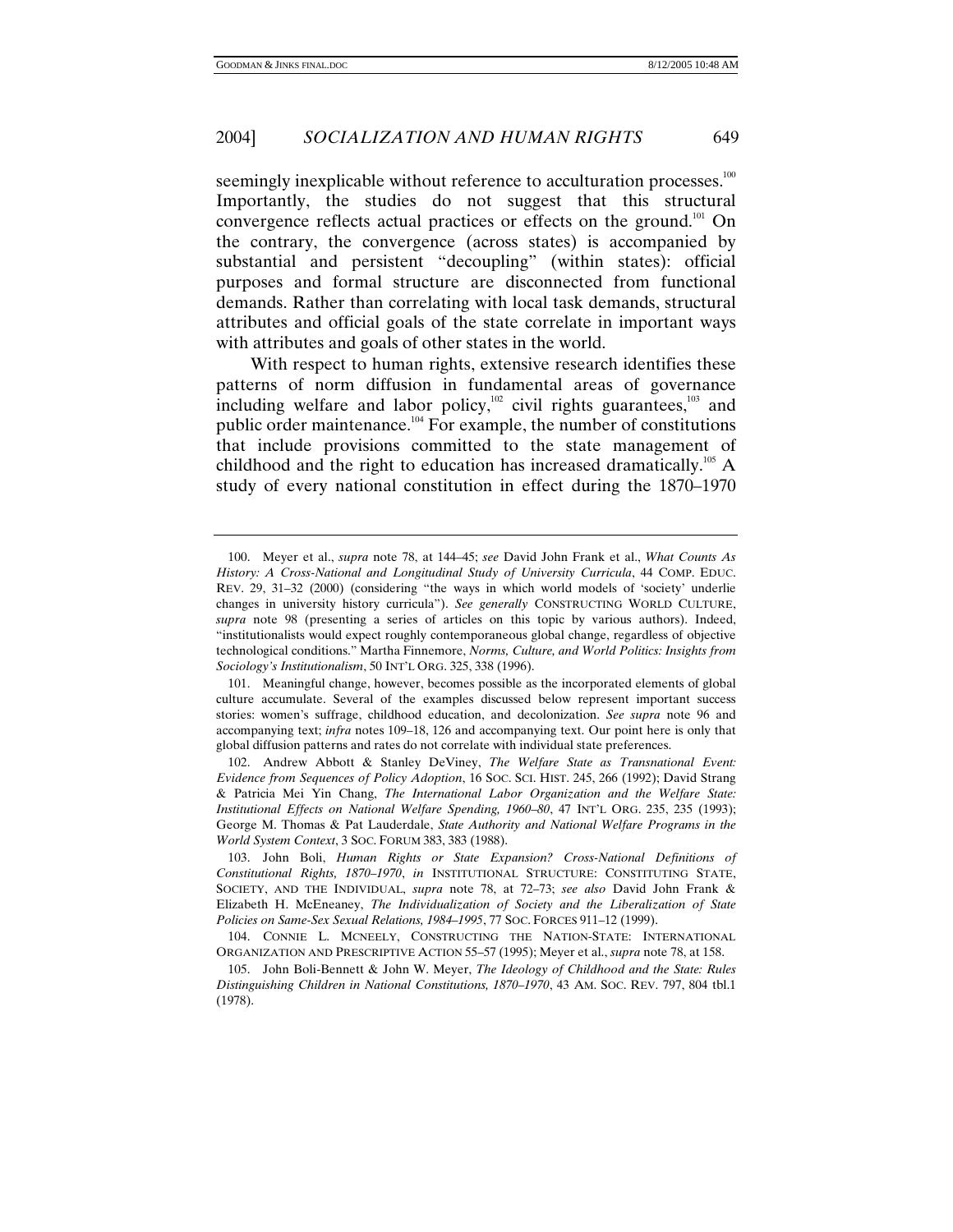seemingly inexplicable without reference to acculturation processes.<sup>100</sup> Importantly, the studies do not suggest that this structural convergence reflects actual practices or effects on the ground.101 On the contrary, the convergence (across states) is accompanied by substantial and persistent "decoupling" (within states): official purposes and formal structure are disconnected from functional demands. Rather than correlating with local task demands, structural attributes and official goals of the state correlate in important ways with attributes and goals of other states in the world.

With respect to human rights, extensive research identifies these patterns of norm diffusion in fundamental areas of governance including welfare and labor policy, $102$  civil rights guarantees, $103$  and public order maintenance.<sup>104</sup> For example, the number of constitutions that include provisions committed to the state management of childhood and the right to education has increased dramatically.<sup>105</sup> A study of every national constitution in effect during the 1870–1970

 <sup>100.</sup> Meyer et al., *supra* note 78, at 144–45; *see* David John Frank et al., *What Counts As History: A Cross-National and Longitudinal Study of University Curricula*, 44 COMP. EDUC. REV. 29, 31–32 (2000) (considering "the ways in which world models of 'society' underlie changes in university history curricula"). *See generally* CONSTRUCTING WORLD CULTURE, *supra* note 98 (presenting a series of articles on this topic by various authors). Indeed, "institutionalists would expect roughly contemporaneous global change, regardless of objective technological conditions." Martha Finnemore, *Norms, Culture, and World Politics: Insights from Sociology's Institutionalism*, 50 INT'L ORG. 325, 338 (1996).

 <sup>101.</sup> Meaningful change, however, becomes possible as the incorporated elements of global culture accumulate. Several of the examples discussed below represent important success stories: women's suffrage, childhood education, and decolonization. *See supra* note 96 and accompanying text; *infra* notes 109–18, 126 and accompanying text. Our point here is only that global diffusion patterns and rates do not correlate with individual state preferences.

 <sup>102.</sup> Andrew Abbott & Stanley DeViney, *The Welfare State as Transnational Event: Evidence from Sequences of Policy Adoption*, 16 SOC. SCI. HIST. 245, 266 (1992); David Strang & Patricia Mei Yin Chang, *The International Labor Organization and the Welfare State: Institutional Effects on National Welfare Spending, 1960–80*, 47 INT'L ORG. 235, 235 (1993); George M. Thomas & Pat Lauderdale, *State Authority and National Welfare Programs in the World System Context*, 3 SOC. FORUM 383, 383 (1988).

 <sup>103.</sup> John Boli, *Human Rights or State Expansion? Cross-National Definitions of Constitutional Rights, 1870–1970*, *in* INSTITUTIONAL STRUCTURE: CONSTITUTING STATE, SOCIETY, AND THE INDIVIDUAL, *supra* note 78, at 72–73; *see also* David John Frank & Elizabeth H. McEneaney, *The Individualization of Society and the Liberalization of State Policies on Same-Sex Sexual Relations, 1984–1995*, 77 SOC. FORCES 911–12 (1999).

 <sup>104.</sup> CONNIE L. MCNEELY, CONSTRUCTING THE NATION-STATE: INTERNATIONAL ORGANIZATION AND PRESCRIPTIVE ACTION 55–57 (1995); Meyer et al., *supra* note 78, at 158.

 <sup>105.</sup> John Boli-Bennett & John W. Meyer, *The Ideology of Childhood and the State: Rules Distinguishing Children in National Constitutions, 1870–1970*, 43 AM. SOC. REV. 797, 804 tbl.1 (1978).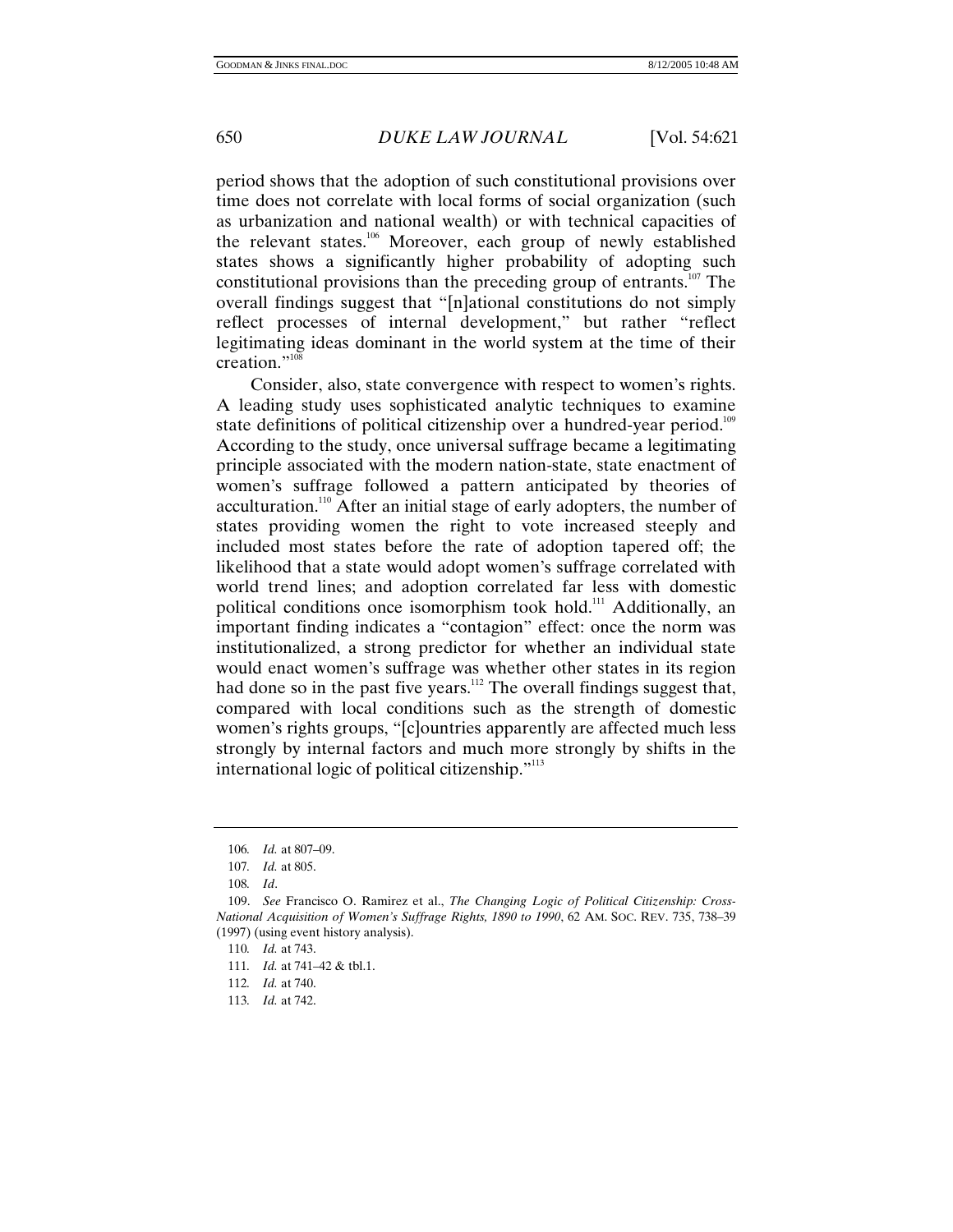period shows that the adoption of such constitutional provisions over time does not correlate with local forms of social organization (such as urbanization and national wealth) or with technical capacities of the relevant states.<sup>106</sup> Moreover, each group of newly established states shows a significantly higher probability of adopting such constitutional provisions than the preceding group of entrants.<sup>107</sup> The overall findings suggest that "[n]ational constitutions do not simply reflect processes of internal development," but rather "reflect legitimating ideas dominant in the world system at the time of their creation."<sup>108</sup>

Consider, also, state convergence with respect to women's rights. A leading study uses sophisticated analytic techniques to examine state definitions of political citizenship over a hundred-year period.<sup>109</sup> According to the study, once universal suffrage became a legitimating principle associated with the modern nation-state, state enactment of women's suffrage followed a pattern anticipated by theories of acculturation.110 After an initial stage of early adopters, the number of states providing women the right to vote increased steeply and included most states before the rate of adoption tapered off; the likelihood that a state would adopt women's suffrage correlated with world trend lines; and adoption correlated far less with domestic political conditions once isomorphism took hold.<sup>111</sup> Additionally, an important finding indicates a "contagion" effect: once the norm was institutionalized, a strong predictor for whether an individual state would enact women's suffrage was whether other states in its region had done so in the past five years.<sup>112</sup> The overall findings suggest that, compared with local conditions such as the strength of domestic women's rights groups, "[c]ountries apparently are affected much less strongly by internal factors and much more strongly by shifts in the international logic of political citizenship."<sup>113</sup>

<sup>106</sup>*. Id.* at 807–09.

<sup>107</sup>*. Id.* at 805.

<sup>108</sup>*. Id*.

 <sup>109.</sup> *See* Francisco O. Ramirez et al., *The Changing Logic of Political Citizenship: Cross-National Acquisition of Women's Suffrage Rights, 1890 to 1990*, 62 AM. SOC. REV. 735, 738–39 (1997) (using event history analysis).

<sup>110</sup>*. Id.* at 743.

<sup>111</sup>*. Id.* at 741–42 & tbl.1.

<sup>112</sup>*. Id.* at 740.

<sup>113</sup>*. Id.* at 742.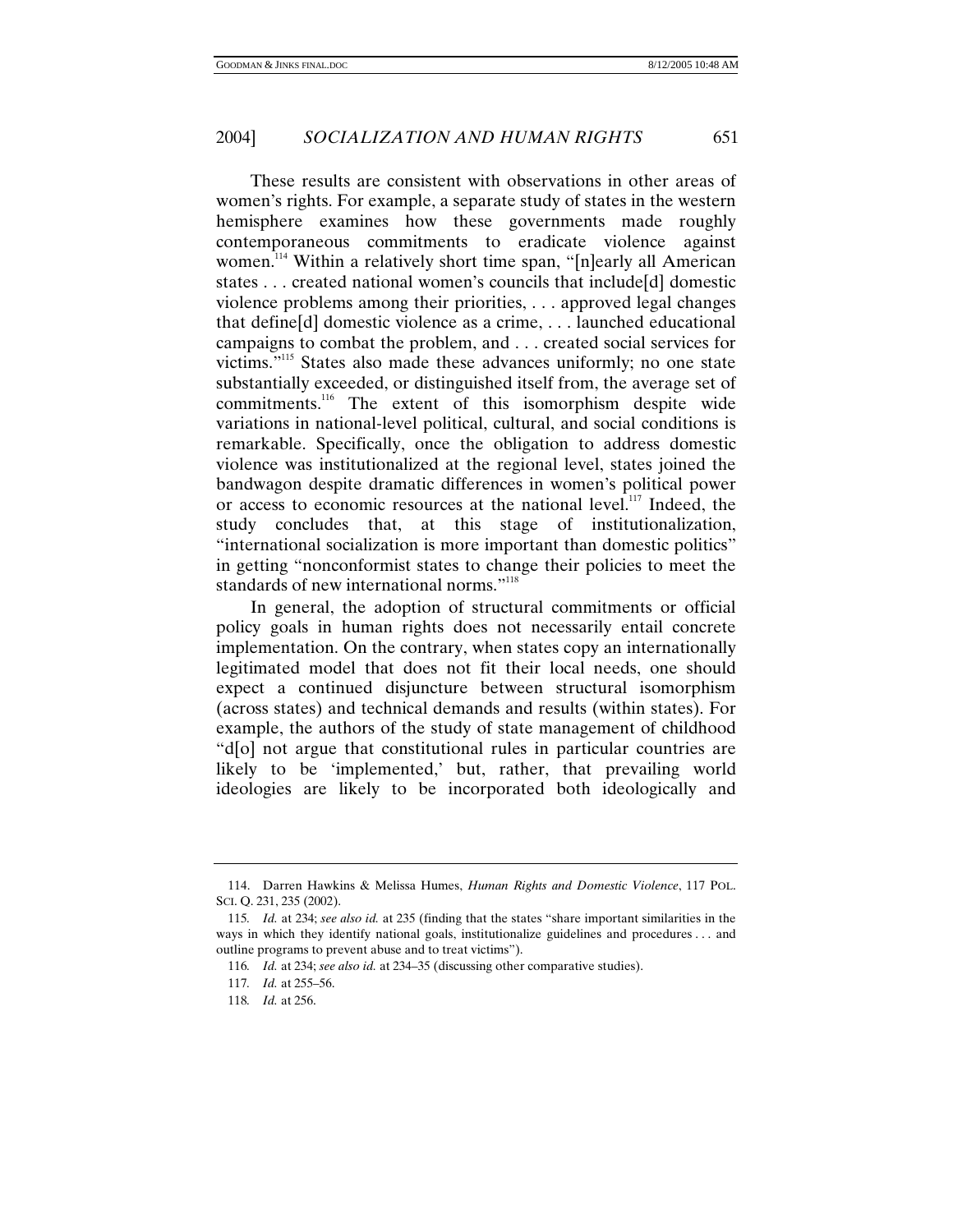These results are consistent with observations in other areas of women's rights. For example, a separate study of states in the western hemisphere examines how these governments made roughly contemporaneous commitments to eradicate violence against women.<sup>114</sup> Within a relatively short time span, "[n]early all American states . . . created national women's councils that include[d] domestic violence problems among their priorities, . . . approved legal changes that define[d] domestic violence as a crime, . . . launched educational campaigns to combat the problem, and . . . created social services for victims."115 States also made these advances uniformly; no one state substantially exceeded, or distinguished itself from, the average set of commitments.116 The extent of this isomorphism despite wide variations in national-level political, cultural, and social conditions is remarkable. Specifically, once the obligation to address domestic violence was institutionalized at the regional level, states joined the bandwagon despite dramatic differences in women's political power or access to economic resources at the national level.<sup>117</sup> Indeed, the study concludes that, at this stage of institutionalization, "international socialization is more important than domestic politics" in getting "nonconformist states to change their policies to meet the standards of new international norms."<sup>118</sup>

In general, the adoption of structural commitments or official policy goals in human rights does not necessarily entail concrete implementation. On the contrary, when states copy an internationally legitimated model that does not fit their local needs, one should expect a continued disjuncture between structural isomorphism (across states) and technical demands and results (within states). For example, the authors of the study of state management of childhood "d[o] not argue that constitutional rules in particular countries are likely to be 'implemented,' but, rather, that prevailing world ideologies are likely to be incorporated both ideologically and

 <sup>114.</sup> Darren Hawkins & Melissa Humes, *Human Rights and Domestic Violence*, 117 POL. SCI. Q. 231, 235 (2002).

<sup>115</sup>*. Id.* at 234; *see also id.* at 235 (finding that the states "share important similarities in the ways in which they identify national goals, institutionalize guidelines and procedures . . . and outline programs to prevent abuse and to treat victims").

<sup>116</sup>*. Id.* at 234; *see also id.* at 234–35 (discussing other comparative studies).

<sup>117</sup>*. Id.* at 255–56.

<sup>118</sup>*. Id.* at 256.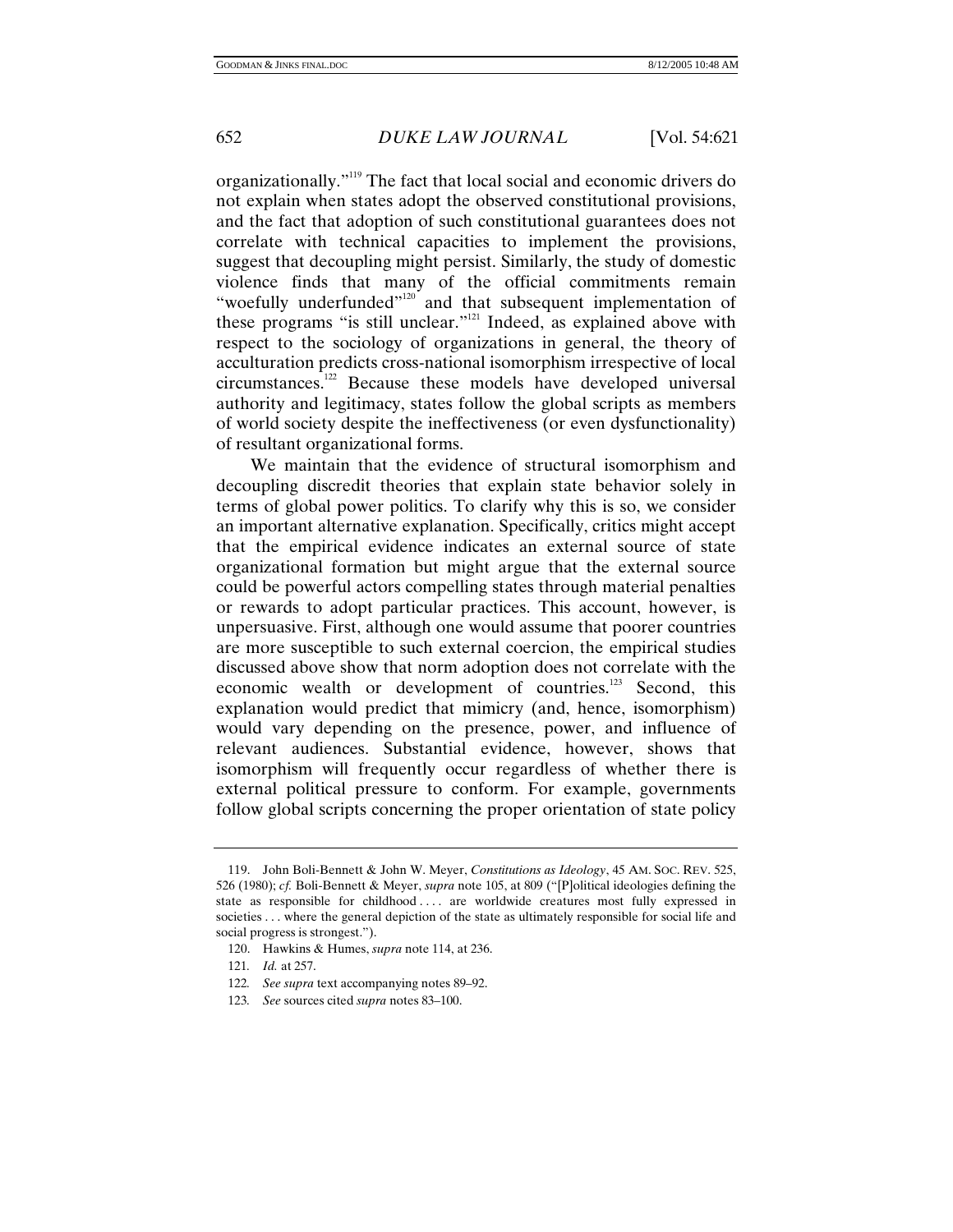organizationally."119 The fact that local social and economic drivers do not explain when states adopt the observed constitutional provisions, and the fact that adoption of such constitutional guarantees does not correlate with technical capacities to implement the provisions, suggest that decoupling might persist. Similarly, the study of domestic violence finds that many of the official commitments remain "woefully underfunded"<sup>120</sup> and that subsequent implementation of these programs "is still unclear."<sup>121</sup> Indeed, as explained above with respect to the sociology of organizations in general, the theory of acculturation predicts cross-national isomorphism irrespective of local circumstances.<sup>122</sup> Because these models have developed universal authority and legitimacy, states follow the global scripts as members of world society despite the ineffectiveness (or even dysfunctionality) of resultant organizational forms.

We maintain that the evidence of structural isomorphism and decoupling discredit theories that explain state behavior solely in terms of global power politics. To clarify why this is so, we consider an important alternative explanation. Specifically, critics might accept that the empirical evidence indicates an external source of state organizational formation but might argue that the external source could be powerful actors compelling states through material penalties or rewards to adopt particular practices. This account, however, is unpersuasive. First, although one would assume that poorer countries are more susceptible to such external coercion, the empirical studies discussed above show that norm adoption does not correlate with the economic wealth or development of countries.<sup>123</sup> Second, this explanation would predict that mimicry (and, hence, isomorphism) would vary depending on the presence, power, and influence of relevant audiences. Substantial evidence, however, shows that isomorphism will frequently occur regardless of whether there is external political pressure to conform. For example, governments follow global scripts concerning the proper orientation of state policy

 <sup>119.</sup> John Boli-Bennett & John W. Meyer, *Constitutions as Ideology*, 45 AM. SOC. REV. 525, 526 (1980); *cf.* Boli-Bennett & Meyer, *supra* note 105, at 809 ("[P]olitical ideologies defining the state as responsible for childhood ... . are worldwide creatures most fully expressed in societies . . . where the general depiction of the state as ultimately responsible for social life and social progress is strongest.").

 <sup>120.</sup> Hawkins & Humes, *supra* note 114, at 236.

<sup>121</sup>*. Id.* at 257.

<sup>122</sup>*. See supra* text accompanying notes 89–92.

<sup>123</sup>*. See* sources cited *supra* notes 83–100.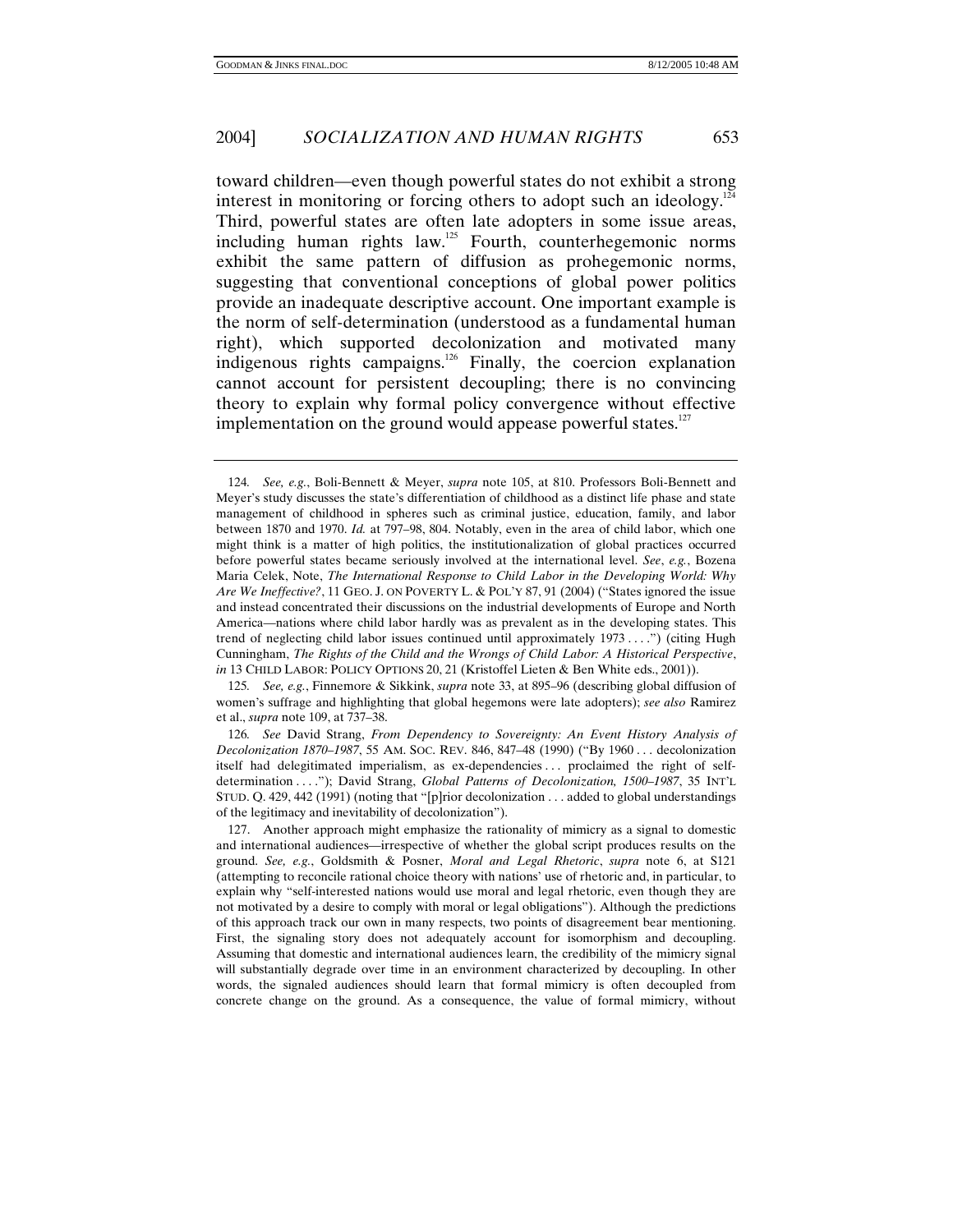toward children—even though powerful states do not exhibit a strong interest in monitoring or forcing others to adopt such an ideology.<sup>124</sup> Third, powerful states are often late adopters in some issue areas, including human rights law.<sup>125</sup> Fourth, counterhegemonic norms exhibit the same pattern of diffusion as prohegemonic norms, suggesting that conventional conceptions of global power politics provide an inadequate descriptive account. One important example is the norm of self-determination (understood as a fundamental human right), which supported decolonization and motivated many indigenous rights campaigns.<sup>126</sup> Finally, the coercion explanation cannot account for persistent decoupling; there is no convincing theory to explain why formal policy convergence without effective implementation on the ground would appease powerful states.<sup>127</sup>

125*. See, e.g.*, Finnemore & Sikkink, *supra* note 33, at 895–96 (describing global diffusion of women's suffrage and highlighting that global hegemons were late adopters); *see also* Ramirez et al., *supra* note 109, at 737–38.

126*. See* David Strang, *From Dependency to Sovereignty: An Event History Analysis of Decolonization 1870–1987*, 55 AM. SOC. REV. 846, 847–48 (1990) ("By 1960 . . . decolonization itself had delegitimated imperialism, as ex-dependencies ... proclaimed the right of selfdetermination . . . ."); David Strang, *Global Patterns of Decolonization*, 1500–1987, 35 INT'L STUD. Q. 429, 442 (1991) (noting that "[p]rior decolonization . . . added to global understandings of the legitimacy and inevitability of decolonization").

 127. Another approach might emphasize the rationality of mimicry as a signal to domestic and international audiences—irrespective of whether the global script produces results on the ground. *See, e.g.*, Goldsmith & Posner, *Moral and Legal Rhetoric*, *supra* note 6, at S121 (attempting to reconcile rational choice theory with nations' use of rhetoric and, in particular, to explain why "self-interested nations would use moral and legal rhetoric, even though they are not motivated by a desire to comply with moral or legal obligations"). Although the predictions of this approach track our own in many respects, two points of disagreement bear mentioning. First, the signaling story does not adequately account for isomorphism and decoupling. Assuming that domestic and international audiences learn, the credibility of the mimicry signal will substantially degrade over time in an environment characterized by decoupling. In other words, the signaled audiences should learn that formal mimicry is often decoupled from concrete change on the ground. As a consequence, the value of formal mimicry, without

<sup>124</sup>*. See, e.g.*, Boli-Bennett & Meyer, *supra* note 105, at 810. Professors Boli-Bennett and Meyer's study discusses the state's differentiation of childhood as a distinct life phase and state management of childhood in spheres such as criminal justice, education, family, and labor between 1870 and 1970. *Id.* at 797–98, 804. Notably, even in the area of child labor, which one might think is a matter of high politics, the institutionalization of global practices occurred before powerful states became seriously involved at the international level. *See*, *e.g.*, Bozena Maria Celek, Note, *The International Response to Child Labor in the Developing World: Why Are We Ineffective?*, 11 GEO. J. ON POVERTY L. & POL'Y 87, 91 (2004) ("States ignored the issue and instead concentrated their discussions on the industrial developments of Europe and North America—nations where child labor hardly was as prevalent as in the developing states. This trend of neglecting child labor issues continued until approximately 1973 . . . .") (citing Hugh Cunningham, *The Rights of the Child and the Wrongs of Child Labor: A Historical Perspective*, *in* 13 CHILD LABOR: POLICY OPTIONS 20, 21 (Kristoffel Lieten & Ben White eds., 2001)).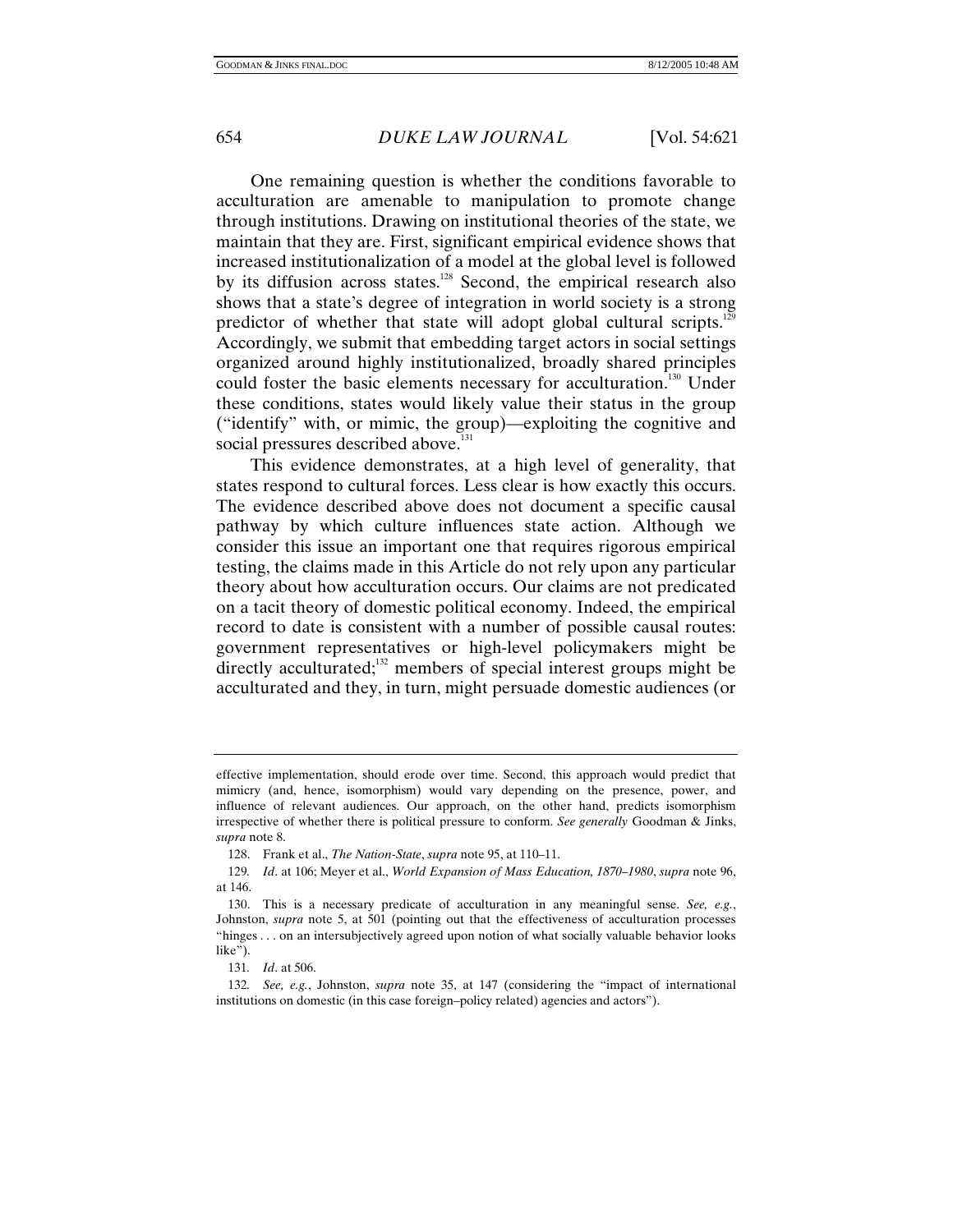One remaining question is whether the conditions favorable to acculturation are amenable to manipulation to promote change through institutions. Drawing on institutional theories of the state, we maintain that they are. First, significant empirical evidence shows that increased institutionalization of a model at the global level is followed by its diffusion across states.<sup>128</sup> Second, the empirical research also shows that a state's degree of integration in world society is a strong predictor of whether that state will adopt global cultural scripts.<sup>129</sup> Accordingly, we submit that embedding target actors in social settings organized around highly institutionalized, broadly shared principles could foster the basic elements necessary for acculturation.<sup>130</sup> Under these conditions, states would likely value their status in the group ("identify" with, or mimic, the group)—exploiting the cognitive and social pressures described above.<sup>131</sup>

This evidence demonstrates, at a high level of generality, that states respond to cultural forces. Less clear is how exactly this occurs. The evidence described above does not document a specific causal pathway by which culture influences state action. Although we consider this issue an important one that requires rigorous empirical testing, the claims made in this Article do not rely upon any particular theory about how acculturation occurs. Our claims are not predicated on a tacit theory of domestic political economy. Indeed, the empirical record to date is consistent with a number of possible causal routes: government representatives or high-level policymakers might be directly acculturated;<sup>132</sup> members of special interest groups might be acculturated and they, in turn, might persuade domestic audiences (or

effective implementation, should erode over time. Second, this approach would predict that mimicry (and, hence, isomorphism) would vary depending on the presence, power, and influence of relevant audiences. Our approach, on the other hand, predicts isomorphism irrespective of whether there is political pressure to conform. *See generally* Goodman & Jinks, *supra* note 8.

 <sup>128.</sup> Frank et al., *The Nation-State*, *supra* note 95, at 110–11.

<sup>129</sup>*. Id*. at 106; Meyer et al., *World Expansion of Mass Education, 1870–1980*, *supra* note 96, at 146.

 <sup>130.</sup> This is a necessary predicate of acculturation in any meaningful sense. *See, e.g.*, Johnston, *supra* note 5, at 501 (pointing out that the effectiveness of acculturation processes "hinges . . . on an intersubjectively agreed upon notion of what socially valuable behavior looks like").

<sup>131</sup>*. Id*. at 506.

<sup>132</sup>*. See, e.g.*, Johnston, *supra* note 35, at 147 (considering the "impact of international institutions on domestic (in this case foreign–policy related) agencies and actors").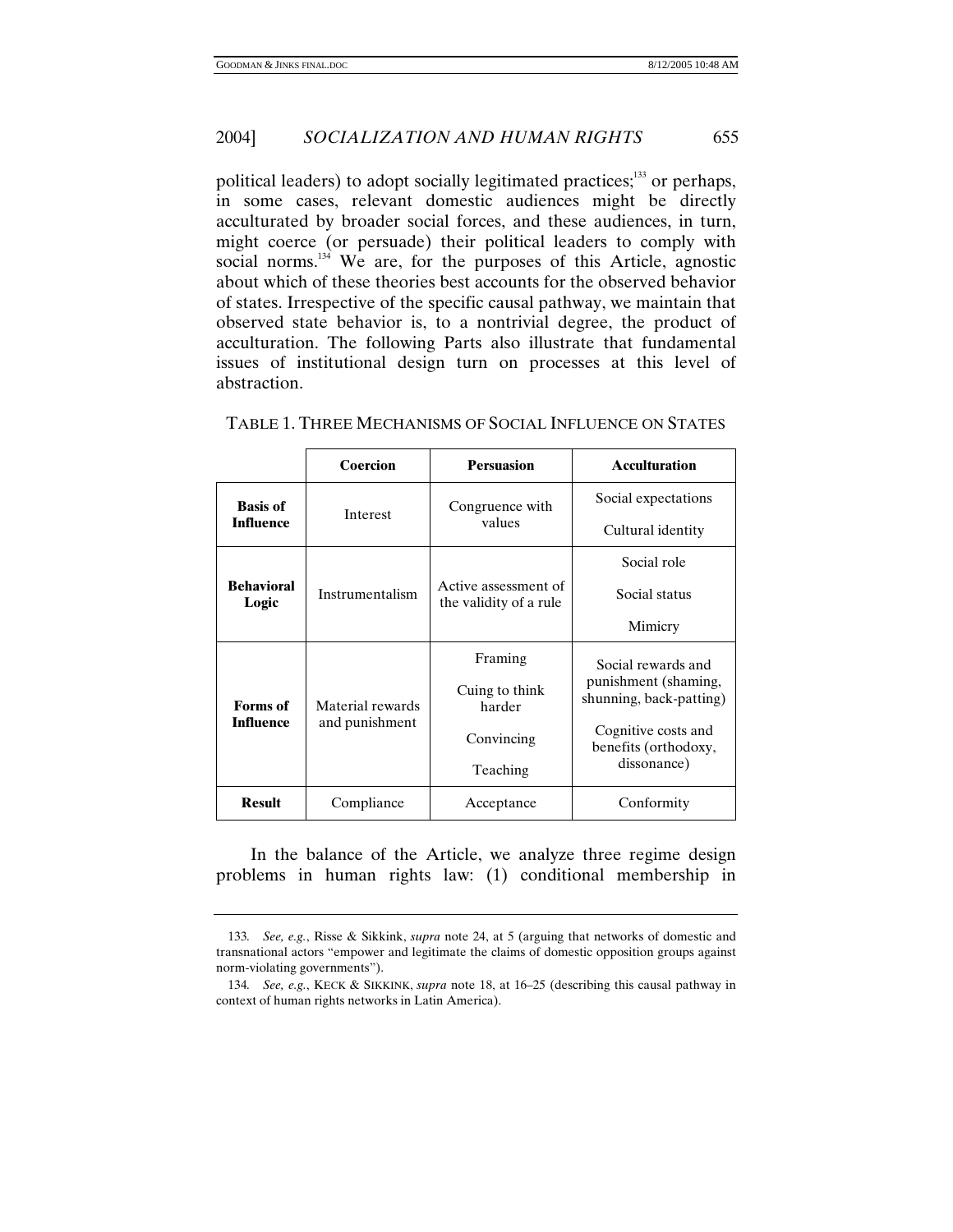political leaders) to adopt socially legitimated practices;<sup>133</sup> or perhaps, in some cases, relevant domestic audiences might be directly acculturated by broader social forces, and these audiences, in turn, might coerce (or persuade) their political leaders to comply with social norms.<sup>134</sup> We are, for the purposes of this Article, agnostic about which of these theories best accounts for the observed behavior of states. Irrespective of the specific causal pathway, we maintain that observed state behavior is, to a nontrivial degree, the product of acculturation. The following Parts also illustrate that fundamental issues of institutional design turn on processes at this level of abstraction.

|                                     | Coercion                           | <b>Persuasion</b>                              | <b>Acculturation</b>                                       |
|-------------------------------------|------------------------------------|------------------------------------------------|------------------------------------------------------------|
| <b>Basis of</b><br><b>Influence</b> | Interest                           | Congruence with<br>values                      | Social expectations                                        |
|                                     |                                    |                                                | Cultural identity                                          |
| <b>Behavioral</b><br>Logic          |                                    | Active assessment of<br>the validity of a rule | Social role                                                |
|                                     | Instrumentalism                    |                                                | Social status                                              |
|                                     |                                    |                                                | Mimicry                                                    |
| <b>Forms</b> of<br><b>Influence</b> | Material rewards<br>and punishment | Framing                                        | Social rewards and                                         |
|                                     |                                    | Cuing to think<br>harder                       | punishment (shaming,<br>shunning, back-patting)            |
|                                     |                                    | Convincing                                     | Cognitive costs and<br>benefits (orthodoxy,<br>dissonance) |
|                                     |                                    | Teaching                                       |                                                            |
| <b>Result</b>                       | Compliance                         | Acceptance                                     | Conformity                                                 |

TABLE 1. THREE MECHANISMS OF SOCIAL INFLUENCE ON STATES

In the balance of the Article, we analyze three regime design problems in human rights law: (1) conditional membership in

<sup>133</sup>*. See, e.g.*, Risse & Sikkink, *supra* note 24, at 5 (arguing that networks of domestic and transnational actors "empower and legitimate the claims of domestic opposition groups against norm-violating governments").

<sup>134</sup>*. See, e.g.*, KECK & SIKKINK, *supra* note 18, at 16–25 (describing this causal pathway in context of human rights networks in Latin America).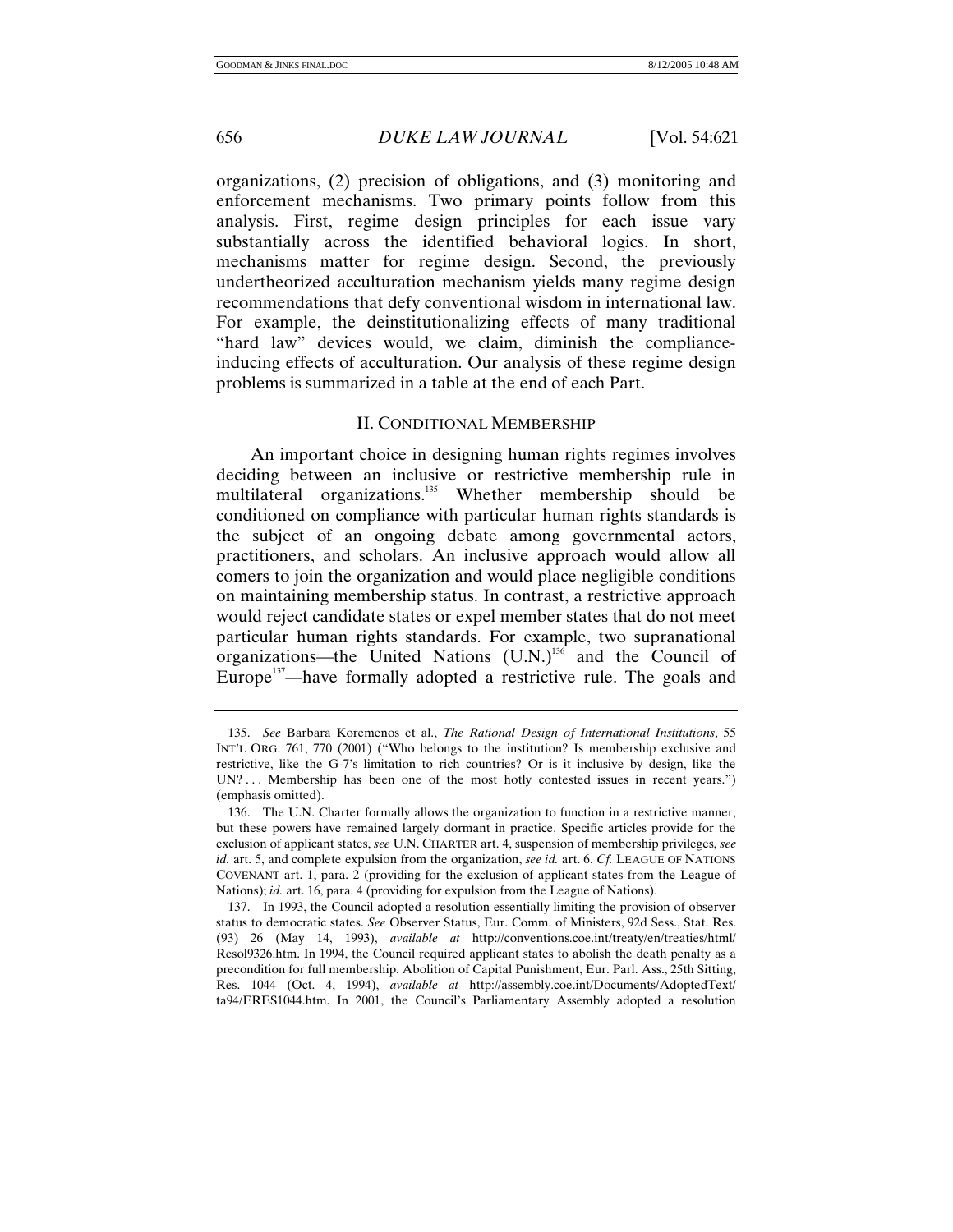organizations, (2) precision of obligations, and (3) monitoring and enforcement mechanisms. Two primary points follow from this analysis. First, regime design principles for each issue vary substantially across the identified behavioral logics. In short, mechanisms matter for regime design. Second, the previously undertheorized acculturation mechanism yields many regime design recommendations that defy conventional wisdom in international law. For example, the deinstitutionalizing effects of many traditional "hard law" devices would, we claim, diminish the complianceinducing effects of acculturation. Our analysis of these regime design problems is summarized in a table at the end of each Part.

### II. CONDITIONAL MEMBERSHIP

An important choice in designing human rights regimes involves deciding between an inclusive or restrictive membership rule in multilateral organizations.<sup>135</sup> Whether membership should be conditioned on compliance with particular human rights standards is the subject of an ongoing debate among governmental actors, practitioners, and scholars. An inclusive approach would allow all comers to join the organization and would place negligible conditions on maintaining membership status. In contrast, a restrictive approach would reject candidate states or expel member states that do not meet particular human rights standards. For example, two supranational organizations—the United Nations  $(U.N.)^{136}$  and the Council of Europe $137$ —have formally adopted a restrictive rule. The goals and

 <sup>135.</sup> *See* Barbara Koremenos et al., *The Rational Design of International Institutions*, 55 INT'L ORG. 761, 770 (2001) ("Who belongs to the institution? Is membership exclusive and restrictive, like the G-7's limitation to rich countries? Or is it inclusive by design, like the UN?... Membership has been one of the most hotly contested issues in recent years.") (emphasis omitted).

 <sup>136.</sup> The U.N. Charter formally allows the organization to function in a restrictive manner, but these powers have remained largely dormant in practice. Specific articles provide for the exclusion of applicant states, *see* U.N. CHARTER art. 4, suspension of membership privileges, *see id.* art. 5, and complete expulsion from the organization, *see id.* art. 6. *Cf.* LEAGUE OF NATIONS COVENANT art. 1, para. 2 (providing for the exclusion of applicant states from the League of Nations); *id.* art. 16, para. 4 (providing for expulsion from the League of Nations).

 <sup>137.</sup> In 1993, the Council adopted a resolution essentially limiting the provision of observer status to democratic states. *See* Observer Status, Eur. Comm. of Ministers, 92d Sess., Stat. Res. (93) 26 (May 14, 1993), *available at* http://conventions.coe.int/treaty/en/treaties/html/ Resol9326.htm. In 1994, the Council required applicant states to abolish the death penalty as a precondition for full membership. Abolition of Capital Punishment, Eur. Parl. Ass., 25th Sitting, Res. 1044 (Oct. 4, 1994), *available at* http://assembly.coe.int/Documents/AdoptedText/ ta94/ERES1044.htm. In 2001, the Council's Parliamentary Assembly adopted a resolution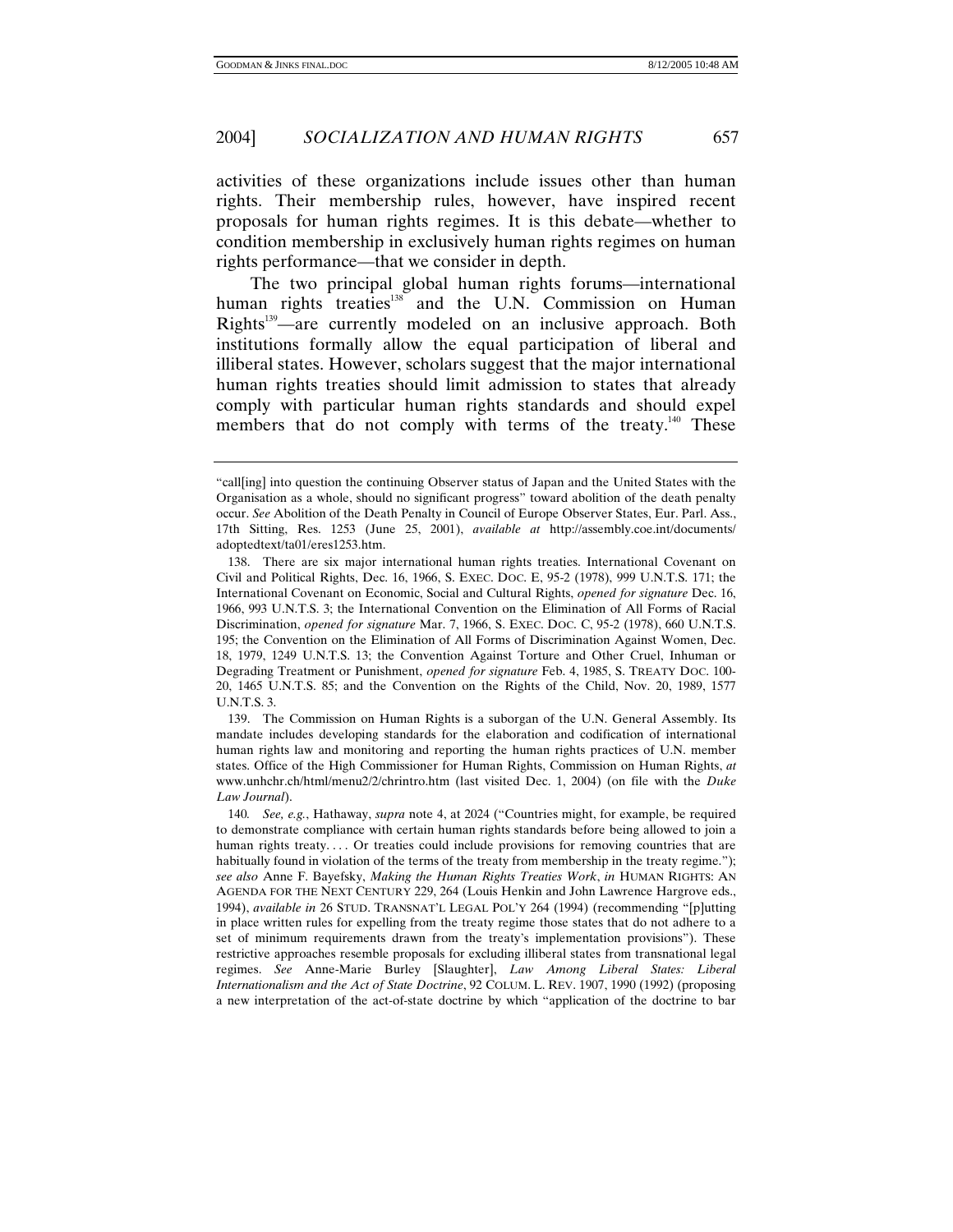activities of these organizations include issues other than human rights. Their membership rules, however, have inspired recent proposals for human rights regimes. It is this debate—whether to condition membership in exclusively human rights regimes on human rights performance—that we consider in depth.

The two principal global human rights forums—international human rights treaties<sup>138</sup> and the U.N. Commission on Human Rights<sup>139</sup>—are currently modeled on an inclusive approach. Both institutions formally allow the equal participation of liberal and illiberal states. However, scholars suggest that the major international human rights treaties should limit admission to states that already comply with particular human rights standards and should expel members that do not comply with terms of the treaty.<sup>140</sup> These

 139. The Commission on Human Rights is a suborgan of the U.N. General Assembly. Its mandate includes developing standards for the elaboration and codification of international human rights law and monitoring and reporting the human rights practices of U.N. member states. Office of the High Commissioner for Human Rights, Commission on Human Rights, *at* www.unhchr.ch/html/menu2/2/chrintro.htm (last visited Dec. 1, 2004) (on file with the *Duke Law Journal*).

140*. See, e.g.*, Hathaway, *supra* note 4, at 2024 ("Countries might, for example, be required to demonstrate compliance with certain human rights standards before being allowed to join a human rights treaty.... Or treaties could include provisions for removing countries that are habitually found in violation of the terms of the treaty from membership in the treaty regime."); *see also* Anne F. Bayefsky, *Making the Human Rights Treaties Work*, *in* HUMAN RIGHTS: AN AGENDA FOR THE NEXT CENTURY 229, 264 (Louis Henkin and John Lawrence Hargrove eds., 1994), *available in* 26 STUD. TRANSNAT'L LEGAL POL'Y 264 (1994) (recommending "[p]utting in place written rules for expelling from the treaty regime those states that do not adhere to a set of minimum requirements drawn from the treaty's implementation provisions"). These restrictive approaches resemble proposals for excluding illiberal states from transnational legal regimes. *See* Anne-Marie Burley [Slaughter], *Law Among Liberal States: Liberal Internationalism and the Act of State Doctrine*, 92 COLUM. L. REV. 1907, 1990 (1992) (proposing a new interpretation of the act-of-state doctrine by which "application of the doctrine to bar

<sup>&</sup>quot;call[ing] into question the continuing Observer status of Japan and the United States with the Organisation as a whole, should no significant progress" toward abolition of the death penalty occur. *See* Abolition of the Death Penalty in Council of Europe Observer States, Eur. Parl. Ass., 17th Sitting, Res. 1253 (June 25, 2001), *available at* http://assembly.coe.int/documents/ adoptedtext/ta01/eres1253.htm.

 <sup>138.</sup> There are six major international human rights treaties. International Covenant on Civil and Political Rights, Dec. 16, 1966, S. EXEC. DOC. E, 95-2 (1978), 999 U.N.T.S. 171; the International Covenant on Economic, Social and Cultural Rights, *opened for signature* Dec. 16, 1966, 993 U.N.T.S. 3; the International Convention on the Elimination of All Forms of Racial Discrimination, *opened for signature* Mar. 7, 1966, S. EXEC. DOC. C, 95-2 (1978), 660 U.N.T.S. 195; the Convention on the Elimination of All Forms of Discrimination Against Women, Dec. 18, 1979, 1249 U.N.T.S. 13; the Convention Against Torture and Other Cruel, Inhuman or Degrading Treatment or Punishment, *opened for signature* Feb. 4, 1985, S. TREATY DOC. 100- 20, 1465 U.N.T.S. 85; and the Convention on the Rights of the Child, Nov. 20, 1989, 1577 U.N.T.S. 3.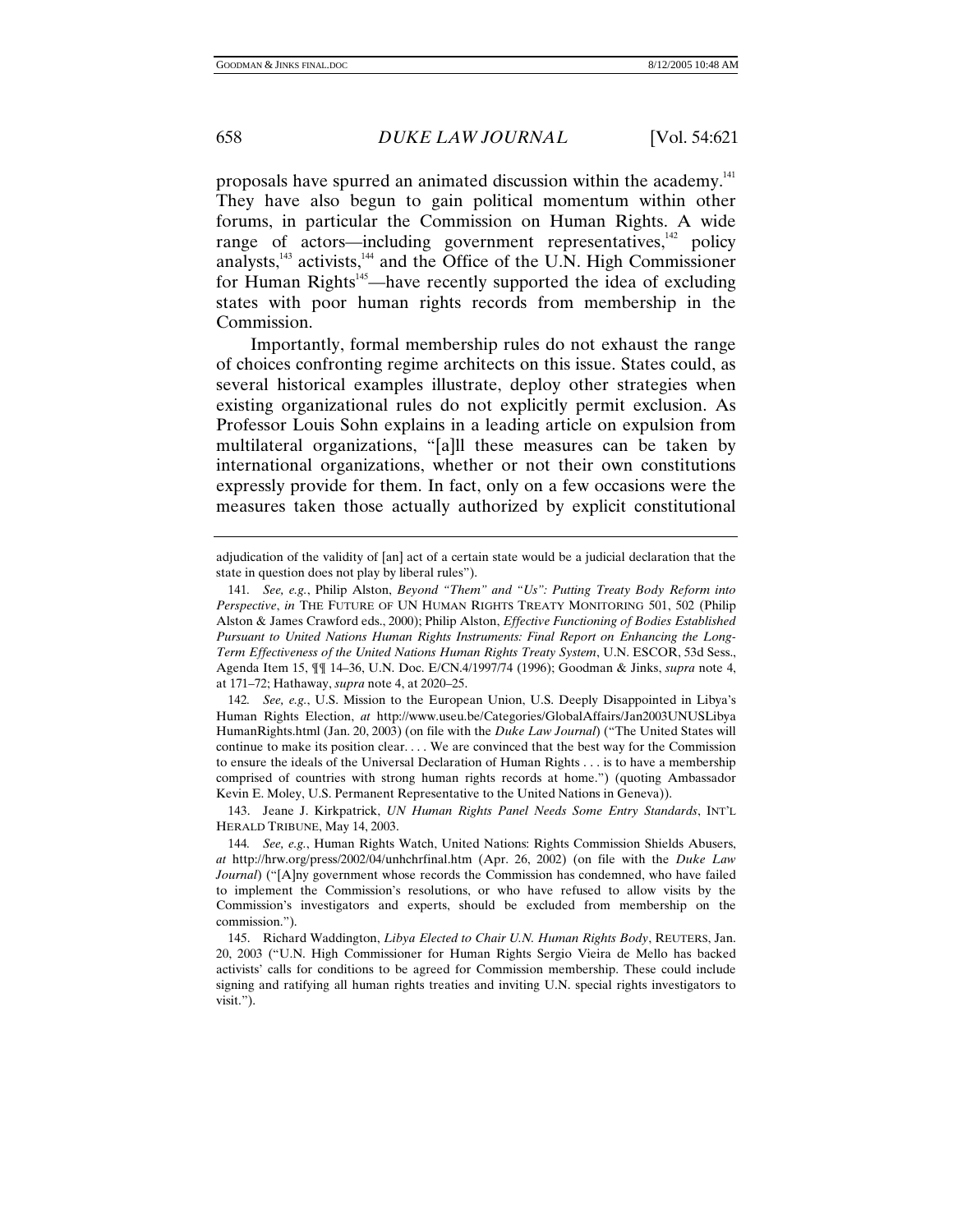proposals have spurred an animated discussion within the academy.<sup>141</sup> They have also begun to gain political momentum within other forums, in particular the Commission on Human Rights. A wide range of actors—including government representatives, $142$  policy analysts, $143$  activists, $144$  and the Office of the U.N. High Commissioner for Human Rights<sup>145</sup>—have recently supported the idea of excluding states with poor human rights records from membership in the Commission.

Importantly, formal membership rules do not exhaust the range of choices confronting regime architects on this issue. States could, as several historical examples illustrate, deploy other strategies when existing organizational rules do not explicitly permit exclusion. As Professor Louis Sohn explains in a leading article on expulsion from multilateral organizations, "[a]ll these measures can be taken by international organizations, whether or not their own constitutions expressly provide for them. In fact, only on a few occasions were the measures taken those actually authorized by explicit constitutional

142*. See, e.g.*, U.S. Mission to the European Union, U.S. Deeply Disappointed in Libya's Human Rights Election, *at* http://www.useu.be/Categories/GlobalAffairs/Jan2003UNUSLibya HumanRights.html (Jan. 20, 2003) (on file with the *Duke Law Journal*) ("The United States will continue to make its position clear. . . . We are convinced that the best way for the Commission to ensure the ideals of the Universal Declaration of Human Rights . . . is to have a membership comprised of countries with strong human rights records at home.") (quoting Ambassador Kevin E. Moley, U.S. Permanent Representative to the United Nations in Geneva)).

 143. Jeane J. Kirkpatrick, *UN Human Rights Panel Needs Some Entry Standards*, INT'L HERALD TRIBUNE, May 14, 2003.

144*. See, e.g.*, Human Rights Watch, United Nations: Rights Commission Shields Abusers, *at* http://hrw.org/press/2002/04/unhchrfinal.htm (Apr. 26, 2002) (on file with the *Duke Law Journal*) ("[A]ny government whose records the Commission has condemned, who have failed to implement the Commission's resolutions, or who have refused to allow visits by the Commission's investigators and experts, should be excluded from membership on the commission.").

 145. Richard Waddington, *Libya Elected to Chair U.N. Human Rights Body*, REUTERS, Jan. 20, 2003 ("U.N. High Commissioner for Human Rights Sergio Vieira de Mello has backed activists' calls for conditions to be agreed for Commission membership. These could include signing and ratifying all human rights treaties and inviting U.N. special rights investigators to visit.").

adjudication of the validity of [an] act of a certain state would be a judicial declaration that the state in question does not play by liberal rules").

<sup>141</sup>*. See, e.g.*, Philip Alston, *Beyond "Them" and "Us": Putting Treaty Body Reform into Perspective*, *in* THE FUTURE OF UN HUMAN RIGHTS TREATY MONITORING 501, 502 (Philip Alston & James Crawford eds., 2000); Philip Alston, *Effective Functioning of Bodies Established Pursuant to United Nations Human Rights Instruments: Final Report on Enhancing the Long-Term Effectiveness of the United Nations Human Rights Treaty System*, U.N. ESCOR, 53d Sess., Agenda Item 15, ¶¶ 14–36, U.N. Doc. E/CN.4/1997/74 (1996); Goodman & Jinks, *supra* note 4, at 171–72; Hathaway, *supra* note 4, at 2020–25.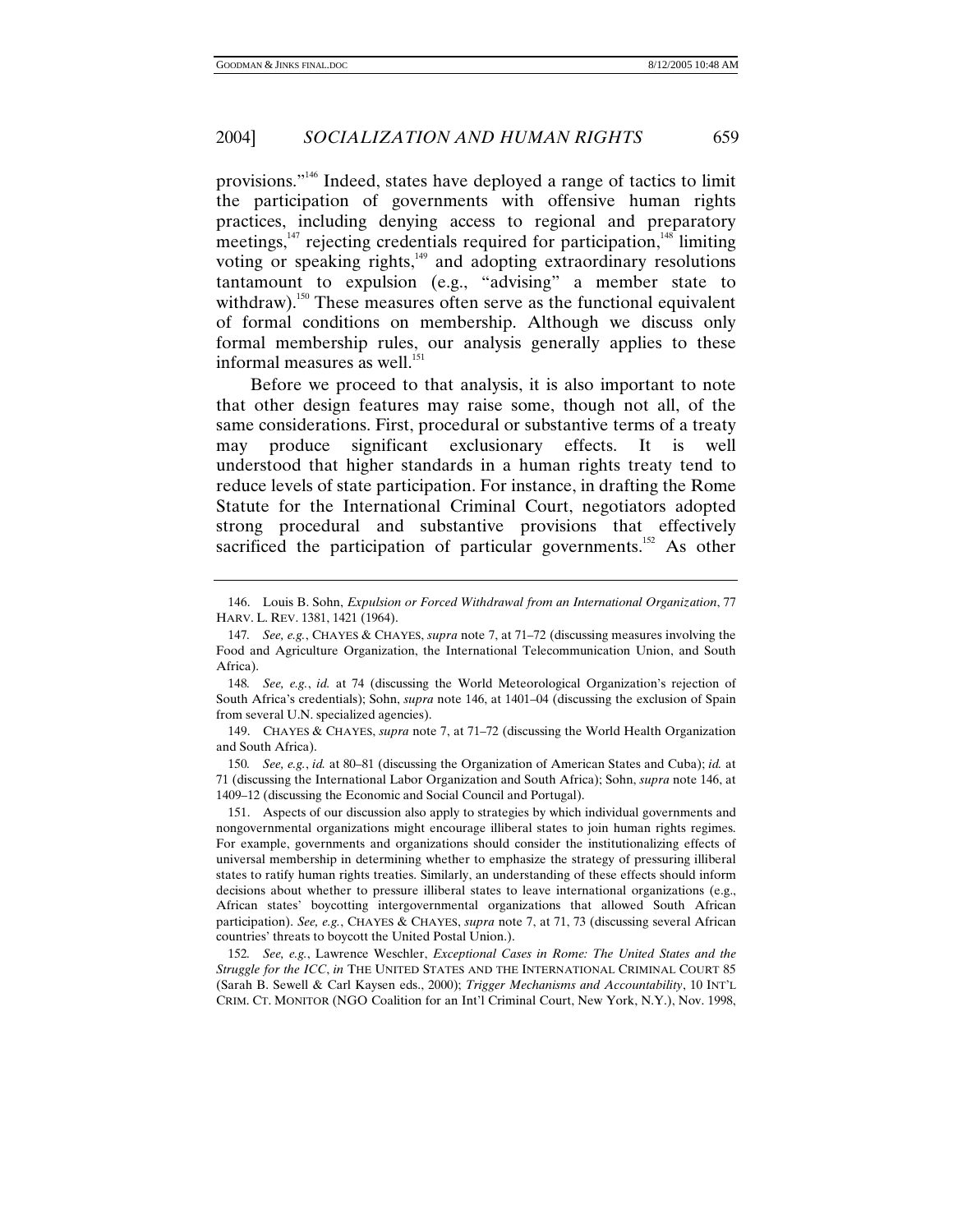provisions."146 Indeed, states have deployed a range of tactics to limit the participation of governments with offensive human rights practices, including denying access to regional and preparatory meetings, $147$  rejecting credentials required for participation, $148$  limiting voting or speaking rights,<sup>149</sup> and adopting extraordinary resolutions tantamount to expulsion (e.g., "advising" a member state to withdraw).<sup>150</sup> These measures often serve as the functional equivalent of formal conditions on membership. Although we discuss only formal membership rules, our analysis generally applies to these informal measures as well. $^{151}$ 

Before we proceed to that analysis, it is also important to note that other design features may raise some, though not all, of the same considerations. First, procedural or substantive terms of a treaty may produce significant exclusionary effects. It is well understood that higher standards in a human rights treaty tend to reduce levels of state participation. For instance, in drafting the Rome Statute for the International Criminal Court, negotiators adopted strong procedural and substantive provisions that effectively sacrificed the participation of particular governments.<sup>152</sup> As other

150*. See, e.g.*, *id.* at 80–81 (discussing the Organization of American States and Cuba); *id.* at 71 (discussing the International Labor Organization and South Africa); Sohn, *supra* note 146, at 1409–12 (discussing the Economic and Social Council and Portugal).

 151. Aspects of our discussion also apply to strategies by which individual governments and nongovernmental organizations might encourage illiberal states to join human rights regimes. For example, governments and organizations should consider the institutionalizing effects of universal membership in determining whether to emphasize the strategy of pressuring illiberal states to ratify human rights treaties. Similarly, an understanding of these effects should inform decisions about whether to pressure illiberal states to leave international organizations (e.g., African states' boycotting intergovernmental organizations that allowed South African participation). *See, e.g.*, CHAYES & CHAYES, *supra* note 7, at 71, 73 (discussing several African countries' threats to boycott the United Postal Union.).

152*. See, e.g.*, Lawrence Weschler, *Exceptional Cases in Rome: The United States and the Struggle for the ICC*, *in* THE UNITED STATES AND THE INTERNATIONAL CRIMINAL COURT 85 (Sarah B. Sewell & Carl Kaysen eds., 2000); *Trigger Mechanisms and Accountability*, 10 INT'L CRIM. CT. MONITOR (NGO Coalition for an Int'l Criminal Court, New York, N.Y.), Nov. 1998,

 <sup>146.</sup> Louis B. Sohn, *Expulsion or Forced Withdrawal from an International Organization*, 77 HARV. L. REV. 1381, 1421 (1964).

<sup>147</sup>*. See, e.g.*, CHAYES & CHAYES, *supra* note 7, at 71–72 (discussing measures involving the Food and Agriculture Organization, the International Telecommunication Union, and South Africa).

<sup>148</sup>*. See, e.g.*, *id.* at 74 (discussing the World Meteorological Organization's rejection of South Africa's credentials); Sohn, *supra* note 146, at 1401–04 (discussing the exclusion of Spain from several U.N. specialized agencies).

 <sup>149.</sup> CHAYES & CHAYES, *supra* note 7, at 71–72 (discussing the World Health Organization and South Africa).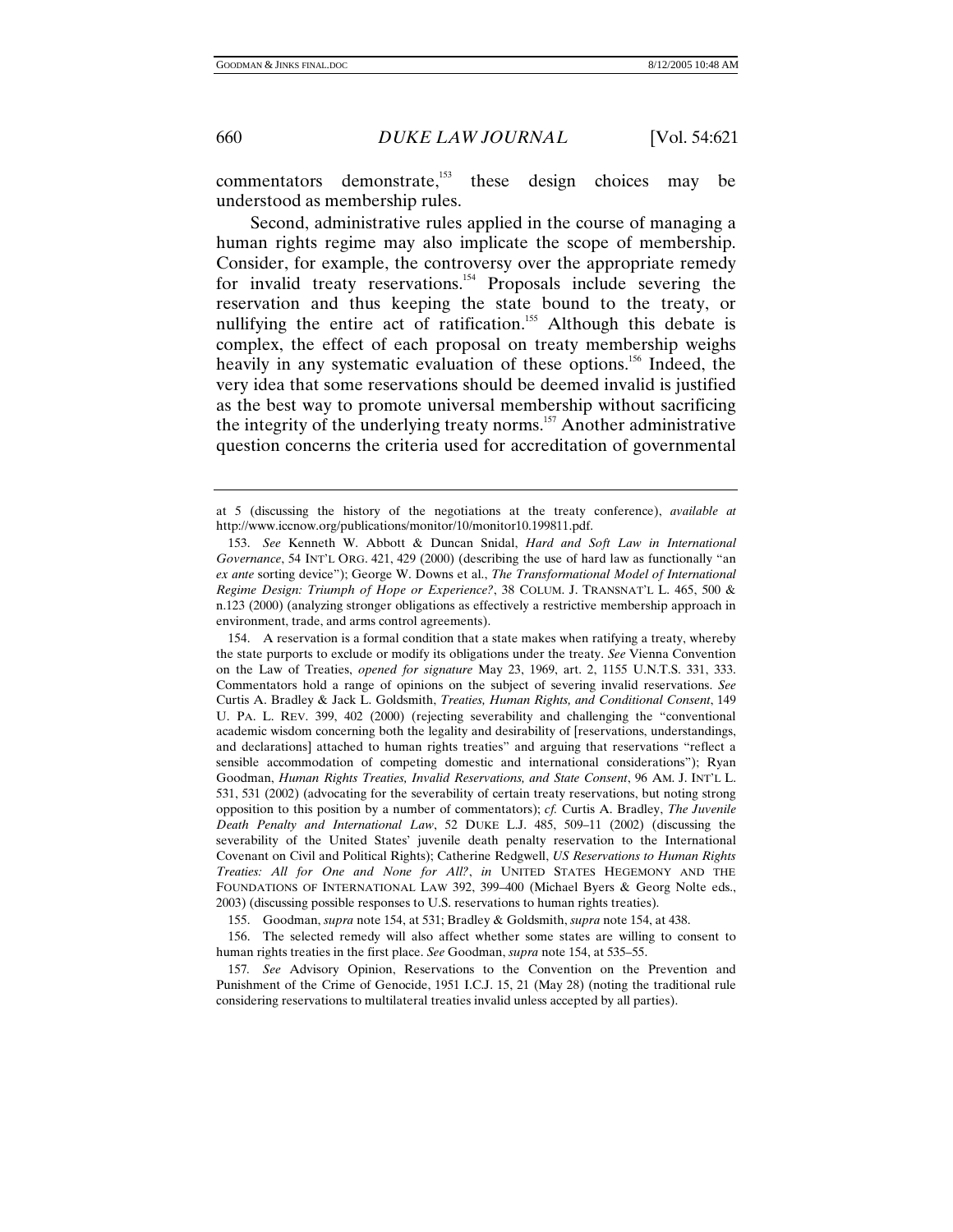commentators demonstrate,<sup>153</sup> these design choices may be understood as membership rules.

Second, administrative rules applied in the course of managing a human rights regime may also implicate the scope of membership. Consider, for example, the controversy over the appropriate remedy for invalid treaty reservations.<sup>154</sup> Proposals include severing the reservation and thus keeping the state bound to the treaty, or nullifying the entire act of ratification.<sup>155</sup> Although this debate is complex, the effect of each proposal on treaty membership weighs heavily in any systematic evaluation of these options.<sup>156</sup> Indeed, the very idea that some reservations should be deemed invalid is justified as the best way to promote universal membership without sacrificing the integrity of the underlying treaty norms.<sup>157</sup> Another administrative question concerns the criteria used for accreditation of governmental

 154. A reservation is a formal condition that a state makes when ratifying a treaty, whereby the state purports to exclude or modify its obligations under the treaty. *See* Vienna Convention on the Law of Treaties, *opened for signature* May 23, 1969, art. 2, 1155 U.N.T.S. 331, 333. Commentators hold a range of opinions on the subject of severing invalid reservations. *See* Curtis A. Bradley & Jack L. Goldsmith, *Treaties, Human Rights, and Conditional Consent*, 149 U. PA. L. REV. 399, 402 (2000) (rejecting severability and challenging the "conventional academic wisdom concerning both the legality and desirability of [reservations, understandings, and declarations] attached to human rights treaties" and arguing that reservations "reflect a sensible accommodation of competing domestic and international considerations"); Ryan Goodman, *Human Rights Treaties, Invalid Reservations, and State Consent*, 96 AM. J. INT'L L. 531, 531 (2002) (advocating for the severability of certain treaty reservations, but noting strong opposition to this position by a number of commentators); *cf.* Curtis A. Bradley, *The Juvenile Death Penalty and International Law*, 52 DUKE L.J. 485, 509–11 (2002) (discussing the severability of the United States' juvenile death penalty reservation to the International Covenant on Civil and Political Rights); Catherine Redgwell, *US Reservations to Human Rights Treaties: All for One and None for All?*, *in* UNITED STATES HEGEMONY AND THE FOUNDATIONS OF INTERNATIONAL LAW 392, 399–400 (Michael Byers & Georg Nolte eds., 2003) (discussing possible responses to U.S. reservations to human rights treaties).

155. Goodman, *supra* note 154, at 531; Bradley & Goldsmith, *supra* note 154, at 438.

 156. The selected remedy will also affect whether some states are willing to consent to human rights treaties in the first place. *See* Goodman, *supra* note 154, at 535–55.

at 5 (discussing the history of the negotiations at the treaty conference), *available at*  http://www.iccnow.org/publications/monitor/10/monitor10.199811.pdf.

 <sup>153.</sup> *See* Kenneth W. Abbott & Duncan Snidal, *Hard and Soft Law in International Governance*, 54 INT'L ORG. 421, 429 (2000) (describing the use of hard law as functionally "an *ex ante* sorting device"); George W. Downs et al., *The Transformational Model of International Regime Design: Triumph of Hope or Experience?*, 38 COLUM. J. TRANSNAT'L L. 465, 500 & n.123 (2000) (analyzing stronger obligations as effectively a restrictive membership approach in environment, trade, and arms control agreements).

<sup>157</sup>*. See* Advisory Opinion, Reservations to the Convention on the Prevention and Punishment of the Crime of Genocide, 1951 I.C.J. 15, 21 (May 28) (noting the traditional rule considering reservations to multilateral treaties invalid unless accepted by all parties).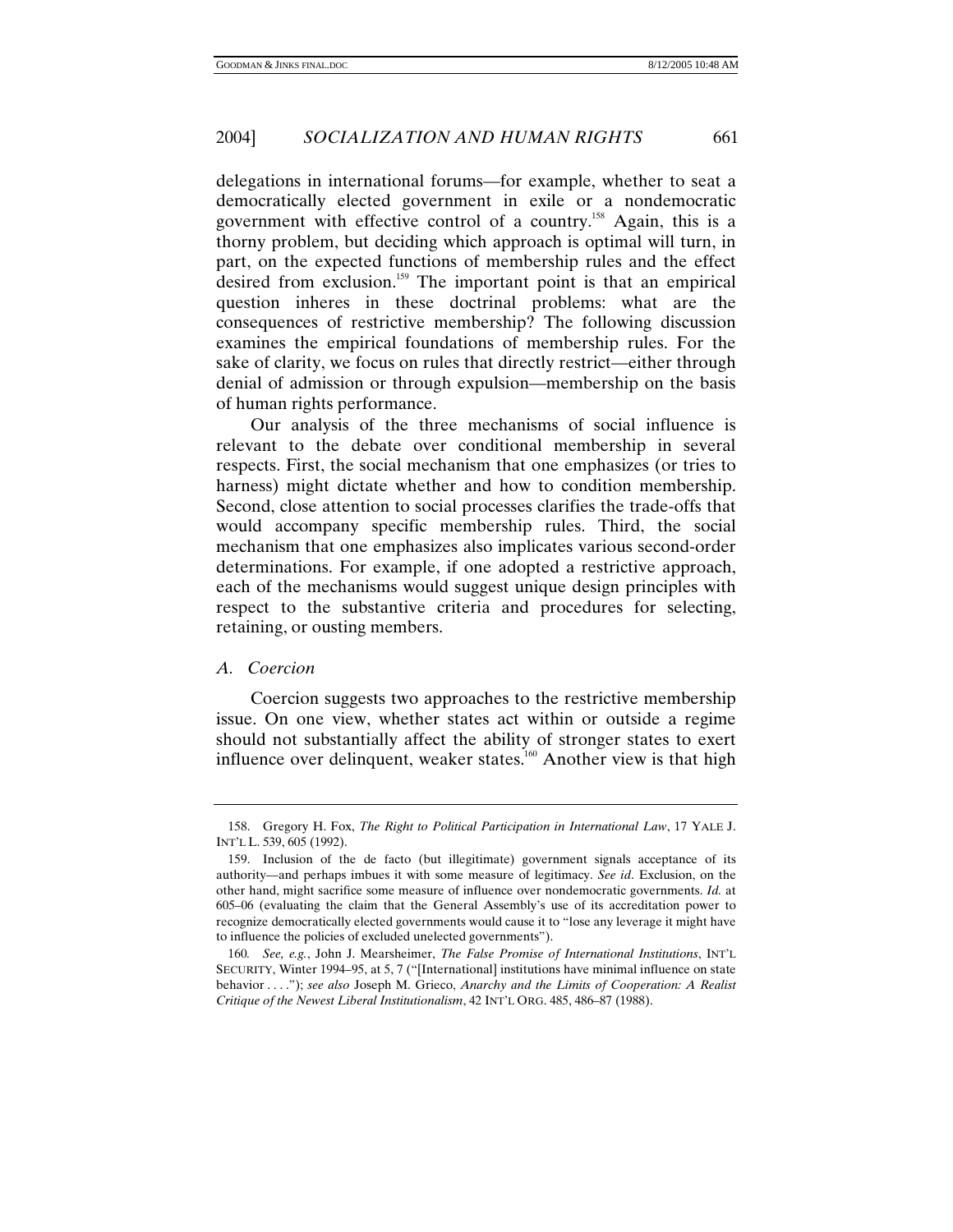delegations in international forums—for example, whether to seat a democratically elected government in exile or a nondemocratic government with effective control of a country.<sup>158</sup> Again, this is a thorny problem, but deciding which approach is optimal will turn, in part, on the expected functions of membership rules and the effect desired from exclusion.<sup>159</sup> The important point is that an empirical question inheres in these doctrinal problems: what are the consequences of restrictive membership? The following discussion examines the empirical foundations of membership rules. For the sake of clarity, we focus on rules that directly restrict—either through denial of admission or through expulsion—membership on the basis of human rights performance.

Our analysis of the three mechanisms of social influence is relevant to the debate over conditional membership in several respects. First, the social mechanism that one emphasizes (or tries to harness) might dictate whether and how to condition membership. Second, close attention to social processes clarifies the trade-offs that would accompany specific membership rules. Third, the social mechanism that one emphasizes also implicates various second-order determinations. For example, if one adopted a restrictive approach, each of the mechanisms would suggest unique design principles with respect to the substantive criteria and procedures for selecting, retaining, or ousting members.

# *A. Coercion*

Coercion suggests two approaches to the restrictive membership issue. On one view, whether states act within or outside a regime should not substantially affect the ability of stronger states to exert influence over delinquent, weaker states.<sup>160</sup> Another view is that high

 <sup>158.</sup> Gregory H. Fox, *The Right to Political Participation in International Law*, 17 YALE J. INT'L L. 539, 605 (1992).

 <sup>159.</sup> Inclusion of the de facto (but illegitimate) government signals acceptance of its authority—and perhaps imbues it with some measure of legitimacy. *See id*. Exclusion, on the other hand, might sacrifice some measure of influence over nondemocratic governments. *Id.* at 605–06 (evaluating the claim that the General Assembly's use of its accreditation power to recognize democratically elected governments would cause it to "lose any leverage it might have to influence the policies of excluded unelected governments").

<sup>160</sup>*. See, e.g.*, John J. Mearsheimer, *The False Promise of International Institutions*, INT'L SECURITY, Winter 1994–95, at 5, 7 ("[International] institutions have minimal influence on state behavior . . . ."); *see also* Joseph M. Grieco, *Anarchy and the Limits of Cooperation: A Realist Critique of the Newest Liberal Institutionalism*, 42 INT'L ORG. 485, 486–87 (1988).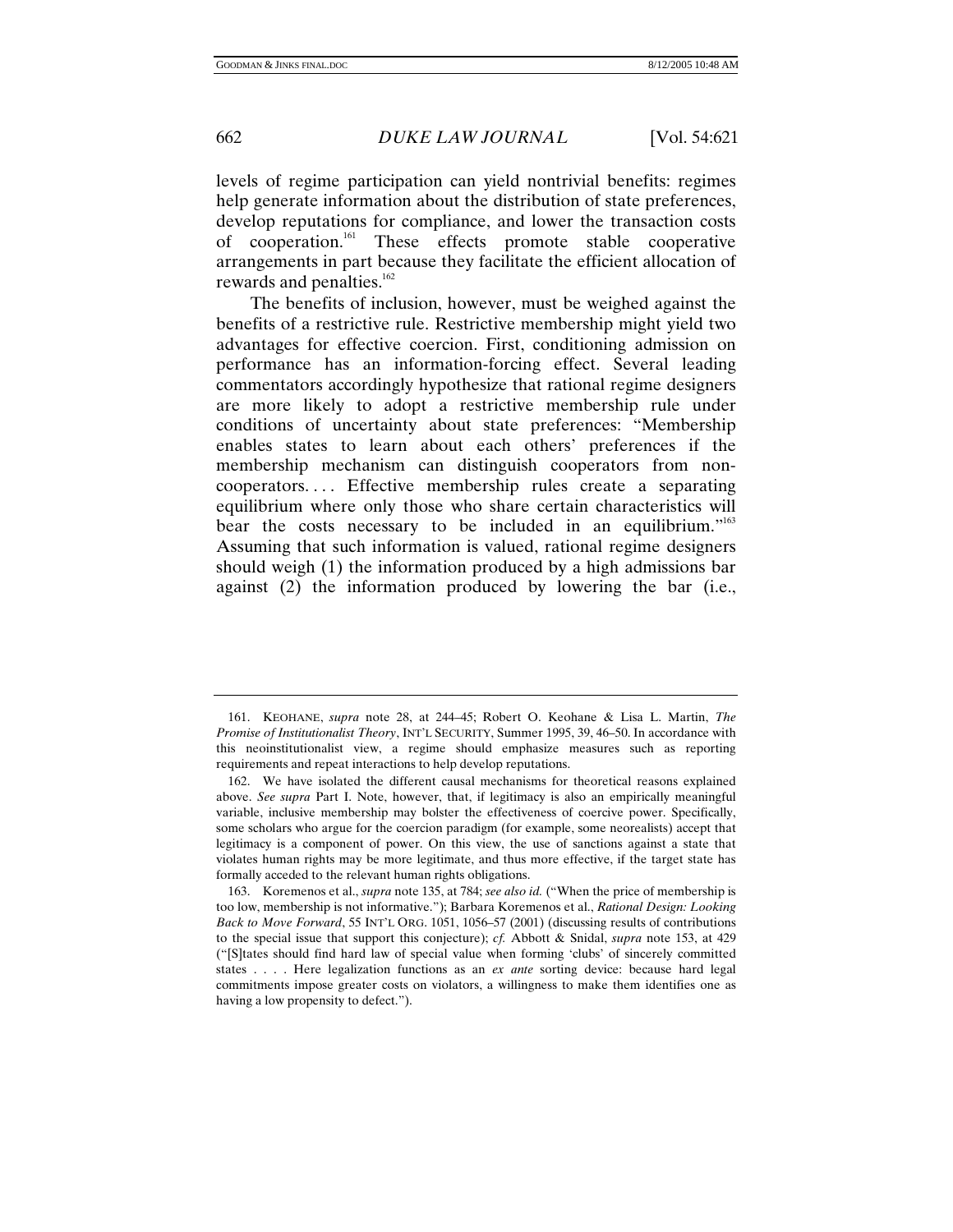levels of regime participation can yield nontrivial benefits: regimes help generate information about the distribution of state preferences, develop reputations for compliance, and lower the transaction costs of cooperation.<sup>161</sup> These effects promote stable cooperative arrangements in part because they facilitate the efficient allocation of rewards and penalties.<sup>162</sup>

The benefits of inclusion, however, must be weighed against the benefits of a restrictive rule. Restrictive membership might yield two advantages for effective coercion. First, conditioning admission on performance has an information-forcing effect. Several leading commentators accordingly hypothesize that rational regime designers are more likely to adopt a restrictive membership rule under conditions of uncertainty about state preferences: "Membership enables states to learn about each others' preferences if the membership mechanism can distinguish cooperators from noncooperators. . . . Effective membership rules create a separating equilibrium where only those who share certain characteristics will bear the costs necessary to be included in an equilibrium."<sup>163</sup> Assuming that such information is valued, rational regime designers should weigh (1) the information produced by a high admissions bar against (2) the information produced by lowering the bar (i.e.,

 <sup>161.</sup> KEOHANE, *supra* note 28, at 244–45; Robert O. Keohane & Lisa L. Martin, *The Promise of Institutionalist Theory*, INT'L SECURITY, Summer 1995, 39, 46–50. In accordance with this neoinstitutionalist view, a regime should emphasize measures such as reporting requirements and repeat interactions to help develop reputations.

 <sup>162.</sup> We have isolated the different causal mechanisms for theoretical reasons explained above. *See supra* Part I. Note, however, that, if legitimacy is also an empirically meaningful variable, inclusive membership may bolster the effectiveness of coercive power. Specifically, some scholars who argue for the coercion paradigm (for example, some neorealists) accept that legitimacy is a component of power. On this view, the use of sanctions against a state that violates human rights may be more legitimate, and thus more effective, if the target state has formally acceded to the relevant human rights obligations.

 <sup>163.</sup> Koremenos et al., *supra* note 135, at 784; *see also id.* ("When the price of membership is too low, membership is not informative."); Barbara Koremenos et al., *Rational Design: Looking Back to Move Forward*, 55 INT'L ORG. 1051, 1056–57 (2001) (discussing results of contributions to the special issue that support this conjecture); *cf.* Abbott & Snidal, *supra* note 153, at 429 ("[S]tates should find hard law of special value when forming 'clubs' of sincerely committed states . . . . Here legalization functions as an *ex ante* sorting device: because hard legal commitments impose greater costs on violators, a willingness to make them identifies one as having a low propensity to defect.").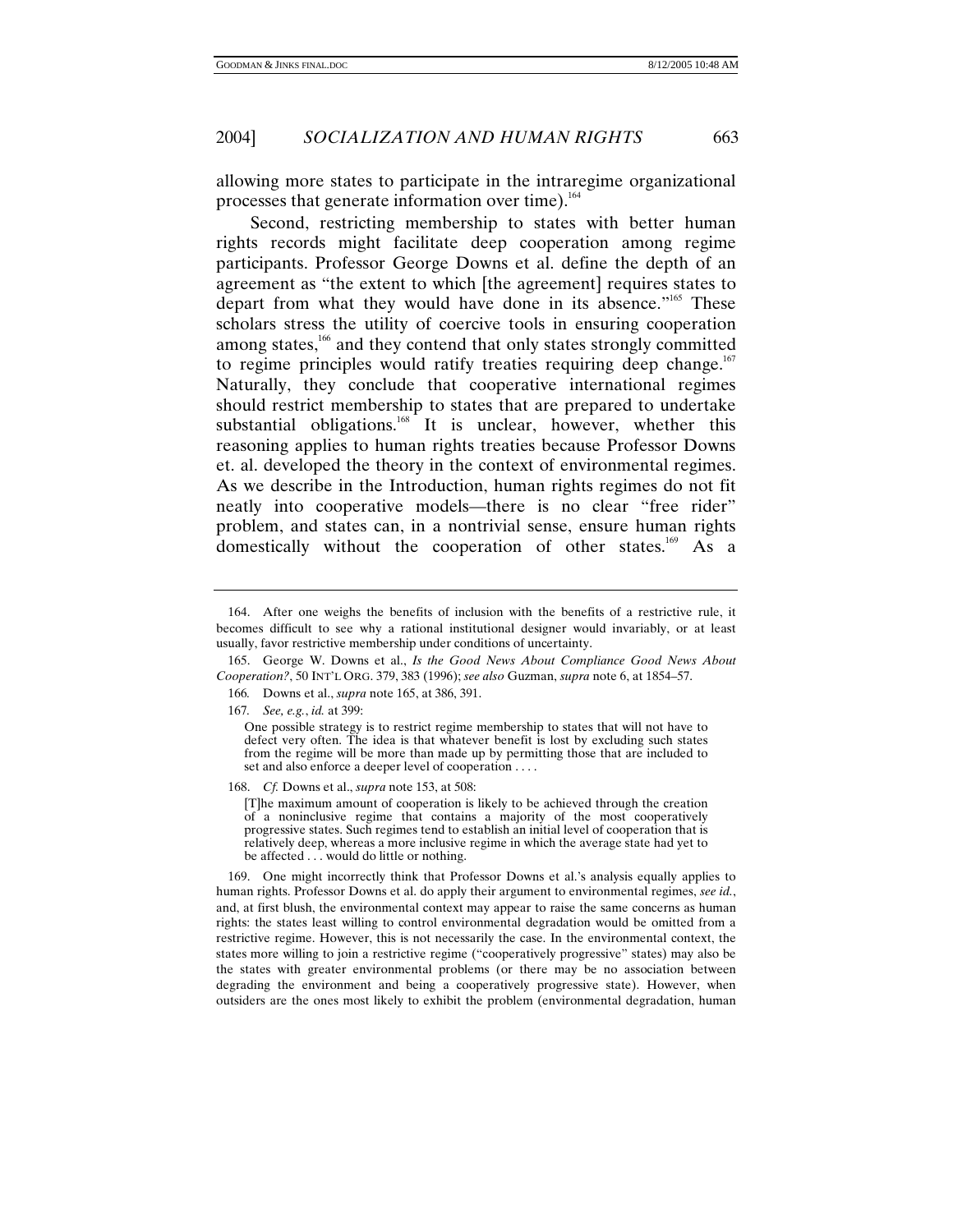allowing more states to participate in the intraregime organizational processes that generate information over time).<sup>164</sup>

Second, restricting membership to states with better human rights records might facilitate deep cooperation among regime participants. Professor George Downs et al. define the depth of an agreement as "the extent to which [the agreement] requires states to depart from what they would have done in its absence."<sup>165</sup> These scholars stress the utility of coercive tools in ensuring cooperation among states,<sup>166</sup> and they contend that only states strongly committed to regime principles would ratify treaties requiring deep change.<sup>167</sup> Naturally, they conclude that cooperative international regimes should restrict membership to states that are prepared to undertake substantial obligations.<sup>168</sup> It is unclear, however, whether this reasoning applies to human rights treaties because Professor Downs et. al. developed the theory in the context of environmental regimes. As we describe in the Introduction, human rights regimes do not fit neatly into cooperative models—there is no clear "free rider" problem, and states can, in a nontrivial sense, ensure human rights domestically without the cooperation of other states.<sup>169</sup> As a

167*. See, e.g.*, *id.* at 399:

168. *Cf.* Downs et al., *supra* note 153, at 508:

[T]he maximum amount of cooperation is likely to be achieved through the creation of a noninclusive regime that contains a majority of the most cooperatively progressive states. Such regimes tend to establish an initial level of cooperation that is relatively deep, whereas a more inclusive regime in which the average state had yet to be affected . . . would do little or nothing.

 169. One might incorrectly think that Professor Downs et al.'s analysis equally applies to human rights. Professor Downs et al. do apply their argument to environmental regimes, *see id.*, and, at first blush, the environmental context may appear to raise the same concerns as human rights: the states least willing to control environmental degradation would be omitted from a restrictive regime. However, this is not necessarily the case. In the environmental context, the states more willing to join a restrictive regime ("cooperatively progressive" states) may also be the states with greater environmental problems (or there may be no association between degrading the environment and being a cooperatively progressive state). However, when outsiders are the ones most likely to exhibit the problem (environmental degradation, human

 <sup>164.</sup> After one weighs the benefits of inclusion with the benefits of a restrictive rule, it becomes difficult to see why a rational institutional designer would invariably, or at least usually, favor restrictive membership under conditions of uncertainty.

 <sup>165.</sup> George W. Downs et al., *Is the Good News About Compliance Good News About Cooperation?*, 50 INT'L ORG. 379, 383 (1996); *see also* Guzman, *supra* note 6, at 1854–57.

<sup>166</sup>*.* Downs et al., *supra* note 165, at 386, 391.

One possible strategy is to restrict regime membership to states that will not have to defect very often. The idea is that whatever benefit is lost by excluding such states from the regime will be more than made up by permitting those that are included to set and also enforce a deeper level of cooperation . . . .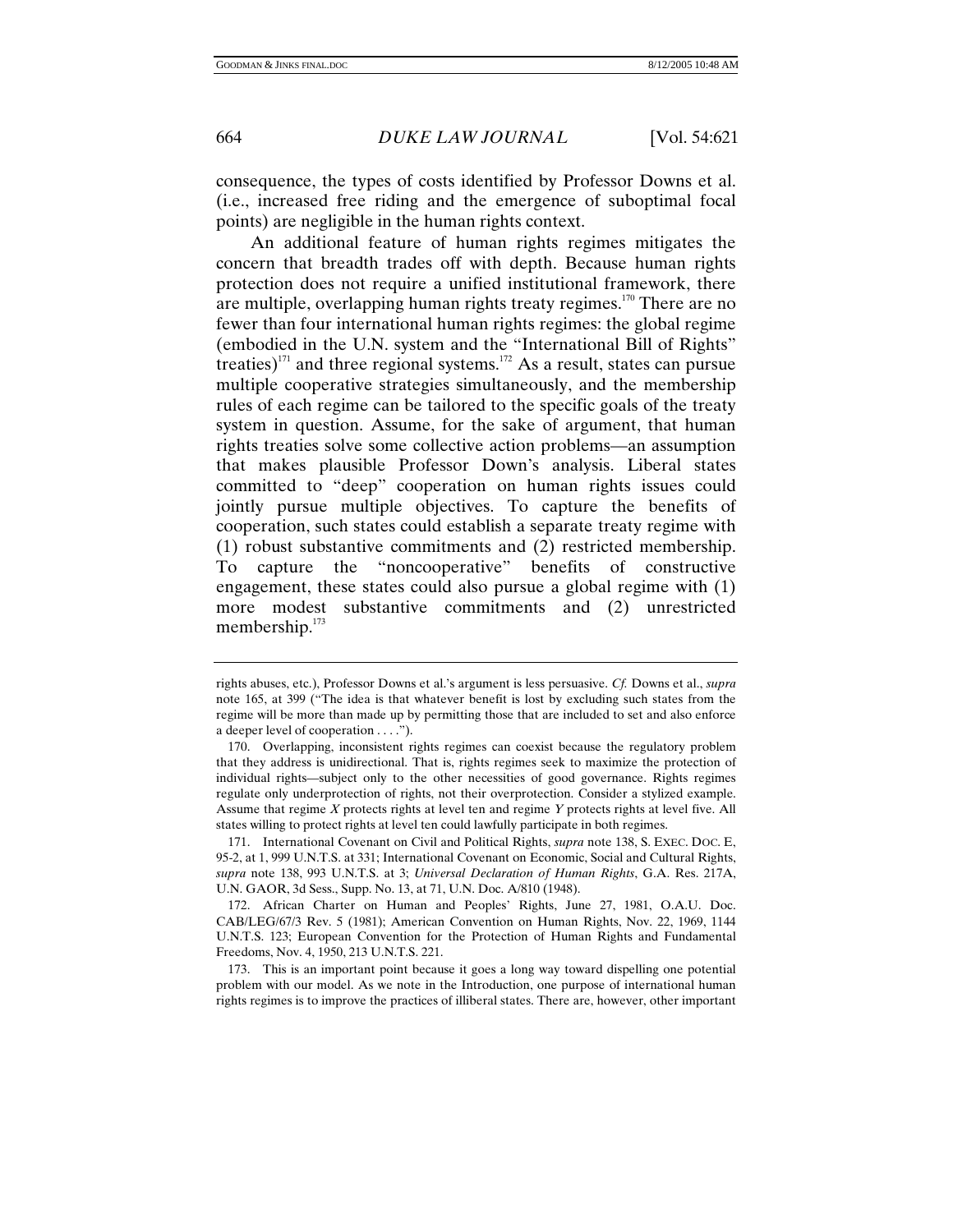consequence, the types of costs identified by Professor Downs et al. (i.e., increased free riding and the emergence of suboptimal focal points) are negligible in the human rights context.

An additional feature of human rights regimes mitigates the concern that breadth trades off with depth. Because human rights protection does not require a unified institutional framework, there are multiple, overlapping human rights treaty regimes.<sup>170</sup> There are no fewer than four international human rights regimes: the global regime (embodied in the U.N. system and the "International Bill of Rights" treaties)<sup>171</sup> and three regional systems.<sup>172</sup> As a result, states can pursue multiple cooperative strategies simultaneously, and the membership rules of each regime can be tailored to the specific goals of the treaty system in question. Assume, for the sake of argument, that human rights treaties solve some collective action problems—an assumption that makes plausible Professor Down's analysis. Liberal states committed to "deep" cooperation on human rights issues could jointly pursue multiple objectives. To capture the benefits of cooperation, such states could establish a separate treaty regime with (1) robust substantive commitments and (2) restricted membership. To capture the "noncooperative" benefits of constructive engagement, these states could also pursue a global regime with (1) more modest substantive commitments and (2) unrestricted membership.<sup>173</sup>

rights abuses, etc.), Professor Downs et al.'s argument is less persuasive. *Cf.* Downs et al., *supra* note 165, at 399 ("The idea is that whatever benefit is lost by excluding such states from the regime will be more than made up by permitting those that are included to set and also enforce a deeper level of cooperation . . . .").

 <sup>170.</sup> Overlapping, inconsistent rights regimes can coexist because the regulatory problem that they address is unidirectional. That is, rights regimes seek to maximize the protection of individual rights—subject only to the other necessities of good governance. Rights regimes regulate only underprotection of rights, not their overprotection. Consider a stylized example. Assume that regime *X* protects rights at level ten and regime *Y* protects rights at level five. All states willing to protect rights at level ten could lawfully participate in both regimes.

 <sup>171.</sup> International Covenant on Civil and Political Rights, *supra* note 138, S. EXEC. DOC. E, 95-2, at 1, 999 U.N.T.S. at 331; International Covenant on Economic, Social and Cultural Rights, *supra* note 138, 993 U.N.T.S. at 3; *Universal Declaration of Human Rights*, G.A. Res. 217A, U.N. GAOR, 3d Sess., Supp. No. 13, at 71, U.N. Doc. A/810 (1948).

 <sup>172.</sup> African Charter on Human and Peoples' Rights, June 27, 1981, O.A.U. Doc. CAB/LEG/67/3 Rev. 5 (1981); American Convention on Human Rights, Nov. 22, 1969, 1144 U.N.T.S. 123; European Convention for the Protection of Human Rights and Fundamental Freedoms, Nov. 4, 1950, 213 U.N.T.S. 221.

 <sup>173.</sup> This is an important point because it goes a long way toward dispelling one potential problem with our model. As we note in the Introduction, one purpose of international human rights regimes is to improve the practices of illiberal states. There are, however, other important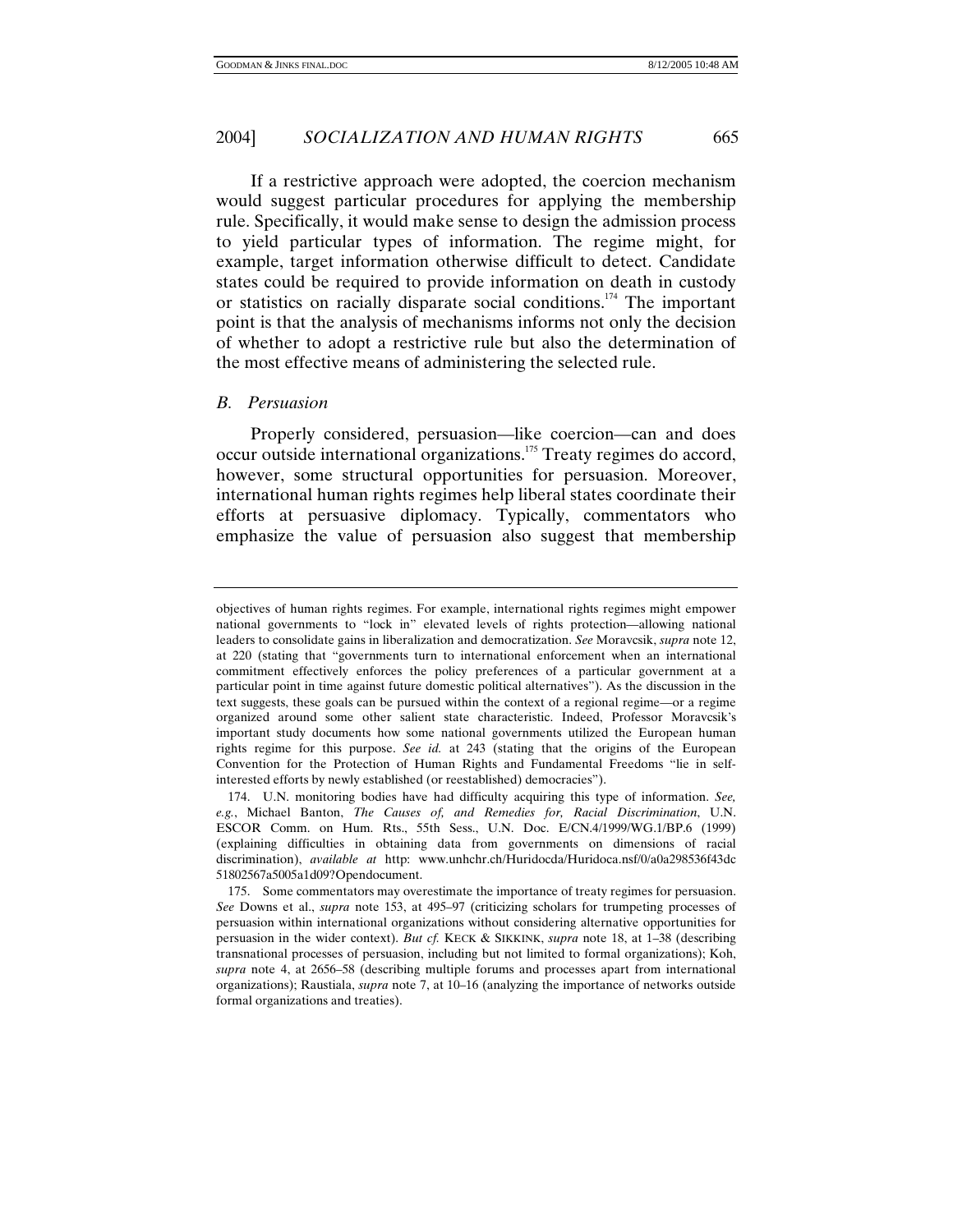If a restrictive approach were adopted, the coercion mechanism would suggest particular procedures for applying the membership rule. Specifically, it would make sense to design the admission process to yield particular types of information. The regime might, for example, target information otherwise difficult to detect. Candidate states could be required to provide information on death in custody or statistics on racially disparate social conditions.<sup>174</sup> The important point is that the analysis of mechanisms informs not only the decision of whether to adopt a restrictive rule but also the determination of the most effective means of administering the selected rule.

#### *B. Persuasion*

Properly considered, persuasion—like coercion—can and does occur outside international organizations.175 Treaty regimes do accord, however, some structural opportunities for persuasion. Moreover, international human rights regimes help liberal states coordinate their efforts at persuasive diplomacy. Typically, commentators who emphasize the value of persuasion also suggest that membership

objectives of human rights regimes. For example, international rights regimes might empower national governments to "lock in" elevated levels of rights protection—allowing national leaders to consolidate gains in liberalization and democratization. *See* Moravcsik, *supra* note 12, at 220 (stating that "governments turn to international enforcement when an international commitment effectively enforces the policy preferences of a particular government at a particular point in time against future domestic political alternatives"). As the discussion in the text suggests, these goals can be pursued within the context of a regional regime—or a regime organized around some other salient state characteristic. Indeed, Professor Moravcsik's important study documents how some national governments utilized the European human rights regime for this purpose. *See id.* at 243 (stating that the origins of the European Convention for the Protection of Human Rights and Fundamental Freedoms "lie in selfinterested efforts by newly established (or reestablished) democracies").

 <sup>174.</sup> U.N. monitoring bodies have had difficulty acquiring this type of information. *See, e.g.*, Michael Banton, *The Causes of, and Remedies for, Racial Discrimination*, U.N. ESCOR Comm. on Hum. Rts., 55th Sess., U.N. Doc. E/CN.4/1999/WG.1/BP.6 (1999) (explaining difficulties in obtaining data from governments on dimensions of racial discrimination), *available at* http: www.unhchr.ch/Huridocda/Huridoca.nsf/0/a0a298536f43dc 51802567a5005a1d09?Opendocument.

 <sup>175.</sup> Some commentators may overestimate the importance of treaty regimes for persuasion. *See* Downs et al., *supra* note 153, at 495–97 (criticizing scholars for trumpeting processes of persuasion within international organizations without considering alternative opportunities for persuasion in the wider context). *But cf.* KECK & SIKKINK, *supra* note 18, at 1–38 (describing transnational processes of persuasion, including but not limited to formal organizations); Koh, *supra* note 4, at 2656–58 (describing multiple forums and processes apart from international organizations); Raustiala, *supra* note 7, at 10–16 (analyzing the importance of networks outside formal organizations and treaties).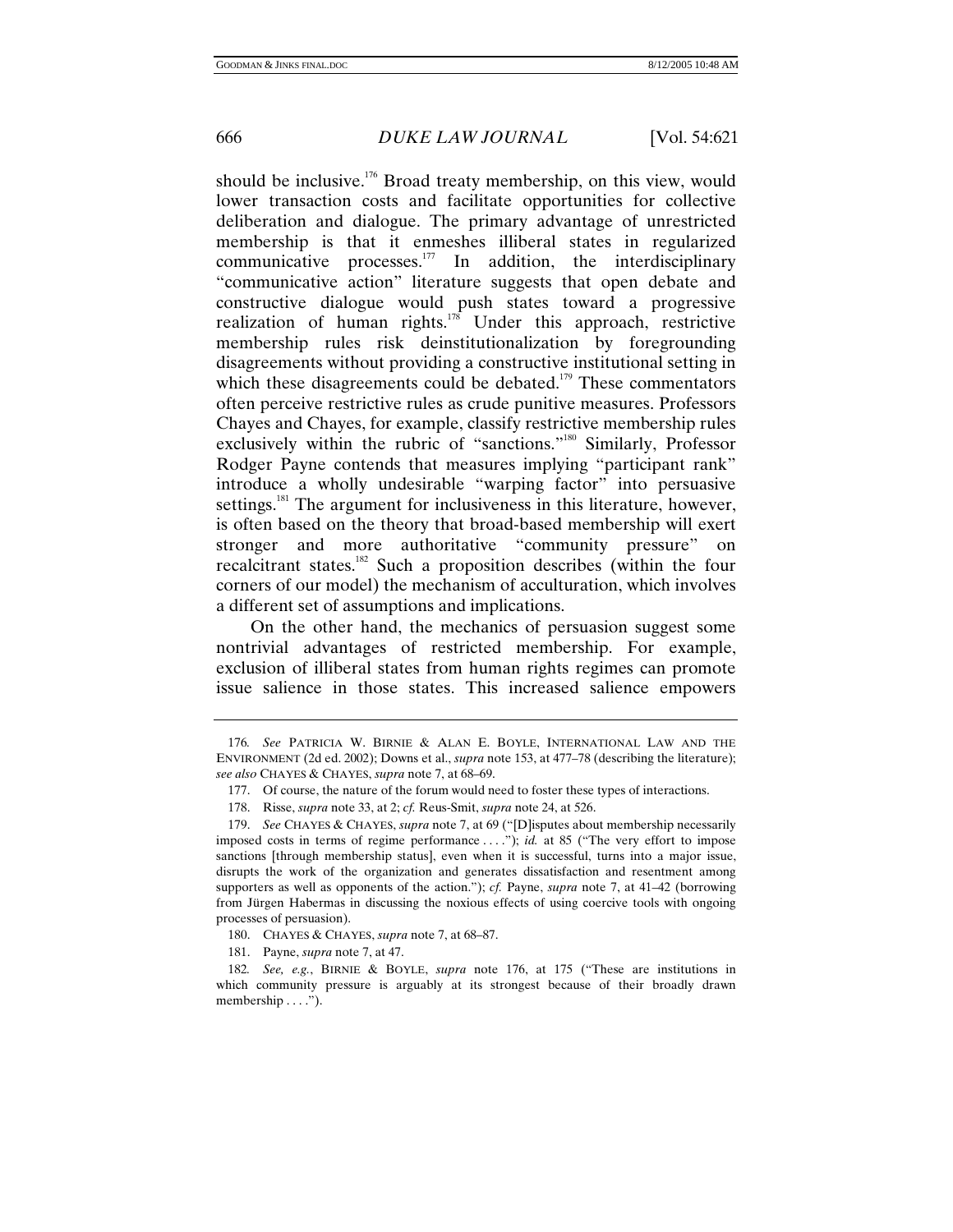should be inclusive.<sup>176</sup> Broad treaty membership, on this view, would lower transaction costs and facilitate opportunities for collective deliberation and dialogue. The primary advantage of unrestricted membership is that it enmeshes illiberal states in regularized communicative processes. $177$  In addition, the interdisciplinary "communicative action" literature suggests that open debate and constructive dialogue would push states toward a progressive realization of human rights.<sup>178</sup> Under this approach, restrictive membership rules risk deinstitutionalization by foregrounding disagreements without providing a constructive institutional setting in which these disagreements could be debated.<sup>179</sup> These commentators often perceive restrictive rules as crude punitive measures. Professors Chayes and Chayes, for example, classify restrictive membership rules exclusively within the rubric of "sanctions."<sup>180</sup> Similarly, Professor Rodger Payne contends that measures implying "participant rank" introduce a wholly undesirable "warping factor" into persuasive settings.<sup>181</sup> The argument for inclusiveness in this literature, however, is often based on the theory that broad-based membership will exert stronger and more authoritative "community pressure" on recalcitrant states.182 Such a proposition describes (within the four corners of our model) the mechanism of acculturation, which involves a different set of assumptions and implications.

On the other hand, the mechanics of persuasion suggest some nontrivial advantages of restricted membership. For example, exclusion of illiberal states from human rights regimes can promote issue salience in those states. This increased salience empowers

<sup>176</sup>*. See* PATRICIA W. BIRNIE & ALAN E. BOYLE, INTERNATIONAL LAW AND THE ENVIRONMENT (2d ed. 2002); Downs et al., *supra* note 153, at 477–78 (describing the literature); *see also* CHAYES & CHAYES, *supra* note 7, at 68–69.

 <sup>177.</sup> Of course, the nature of the forum would need to foster these types of interactions.

 <sup>178.</sup> Risse, *supra* note 33, at 2; *cf.* Reus-Smit, *supra* note 24, at 526.

 <sup>179.</sup> *See* CHAYES & CHAYES, *supra* note 7, at 69 ("[D]isputes about membership necessarily imposed costs in terms of regime performance . . . ."); *id.* at 85 ("The very effort to impose sanctions [through membership status], even when it is successful, turns into a major issue, disrupts the work of the organization and generates dissatisfaction and resentment among supporters as well as opponents of the action."); *cf.* Payne, *supra* note 7, at 41–42 (borrowing from Jürgen Habermas in discussing the noxious effects of using coercive tools with ongoing processes of persuasion).

 <sup>180.</sup> CHAYES & CHAYES, *supra* note 7, at 68–87.

 <sup>181.</sup> Payne, *supra* note 7, at 47.

<sup>182</sup>*. See, e.g.*, BIRNIE & BOYLE, *supra* note 176, at 175 ("These are institutions in which community pressure is arguably at its strongest because of their broadly drawn membership . . . .").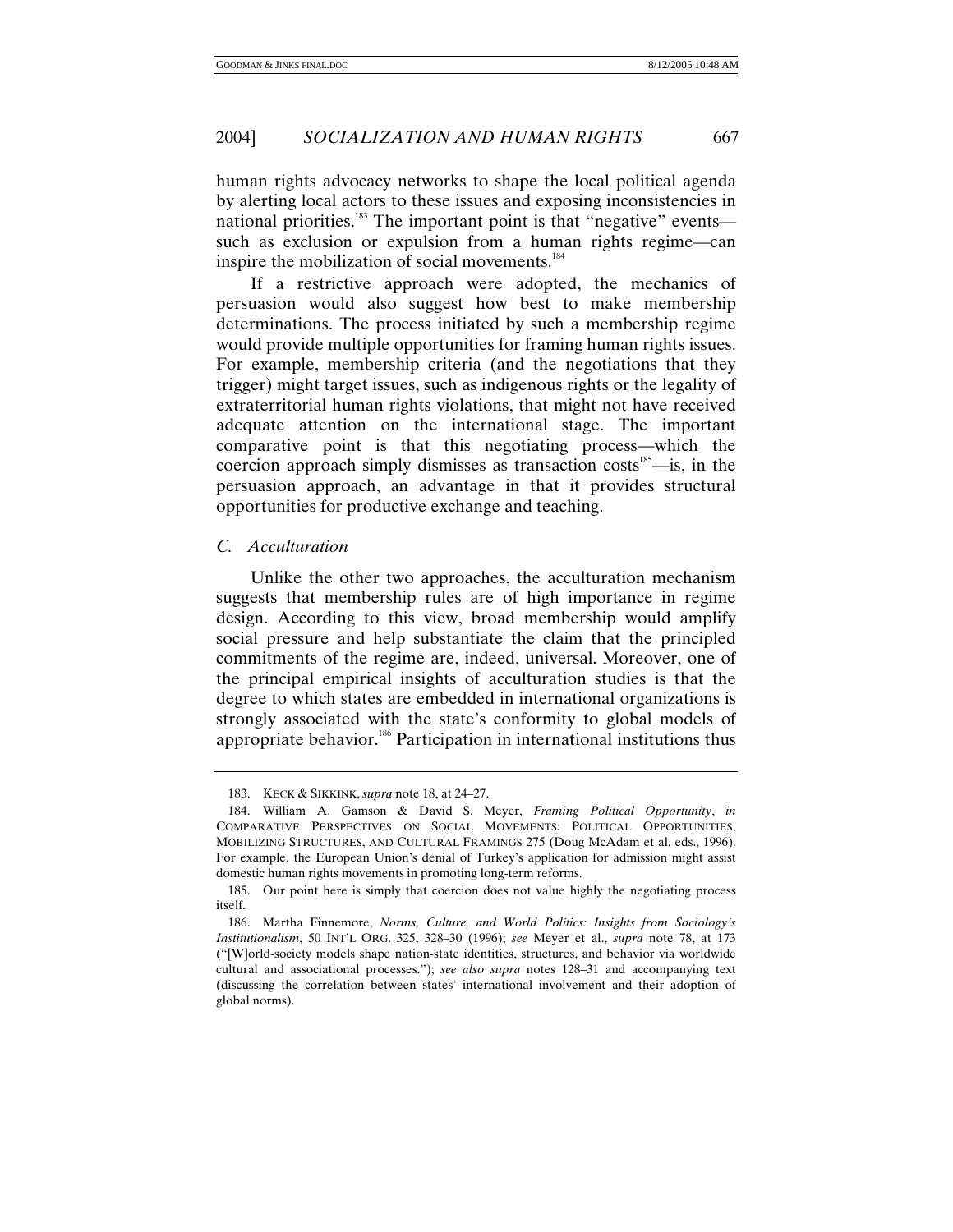human rights advocacy networks to shape the local political agenda by alerting local actors to these issues and exposing inconsistencies in national priorities.<sup>183</sup> The important point is that "negative" events such as exclusion or expulsion from a human rights regime—can inspire the mobilization of social movements.<sup>184</sup>

If a restrictive approach were adopted, the mechanics of persuasion would also suggest how best to make membership determinations. The process initiated by such a membership regime would provide multiple opportunities for framing human rights issues. For example, membership criteria (and the negotiations that they trigger) might target issues, such as indigenous rights or the legality of extraterritorial human rights violations, that might not have received adequate attention on the international stage. The important comparative point is that this negotiating process—which the coercion approach simply dismisses as transaction costs<sup>185</sup>—is, in the persuasion approach, an advantage in that it provides structural opportunities for productive exchange and teaching.

# *C. Acculturation*

Unlike the other two approaches, the acculturation mechanism suggests that membership rules are of high importance in regime design. According to this view, broad membership would amplify social pressure and help substantiate the claim that the principled commitments of the regime are, indeed, universal. Moreover, one of the principal empirical insights of acculturation studies is that the degree to which states are embedded in international organizations is strongly associated with the state's conformity to global models of appropriate behavior.<sup>186</sup> Participation in international institutions thus

 <sup>183.</sup> KECK & SIKKINK, *supra* note 18, at 24–27.

 <sup>184.</sup> William A. Gamson & David S. Meyer, *Framing Political Opportunity*, *in* COMPARATIVE PERSPECTIVES ON SOCIAL MOVEMENTS: POLITICAL OPPORTUNITIES, MOBILIZING STRUCTURES, AND CULTURAL FRAMINGS 275 (Doug McAdam et al. eds., 1996). For example, the European Union's denial of Turkey's application for admission might assist domestic human rights movements in promoting long-term reforms.

 <sup>185.</sup> Our point here is simply that coercion does not value highly the negotiating process itself.

 <sup>186.</sup> Martha Finnemore, *Norms, Culture, and World Politics: Insights from Sociology's Institutionalism*, 50 INT'L ORG. 325, 328–30 (1996); *see* Meyer et al., *supra* note 78, at 173 ("[W]orld-society models shape nation-state identities, structures, and behavior via worldwide cultural and associational processes."); *see also supra* notes 128–31 and accompanying text (discussing the correlation between states' international involvement and their adoption of global norms).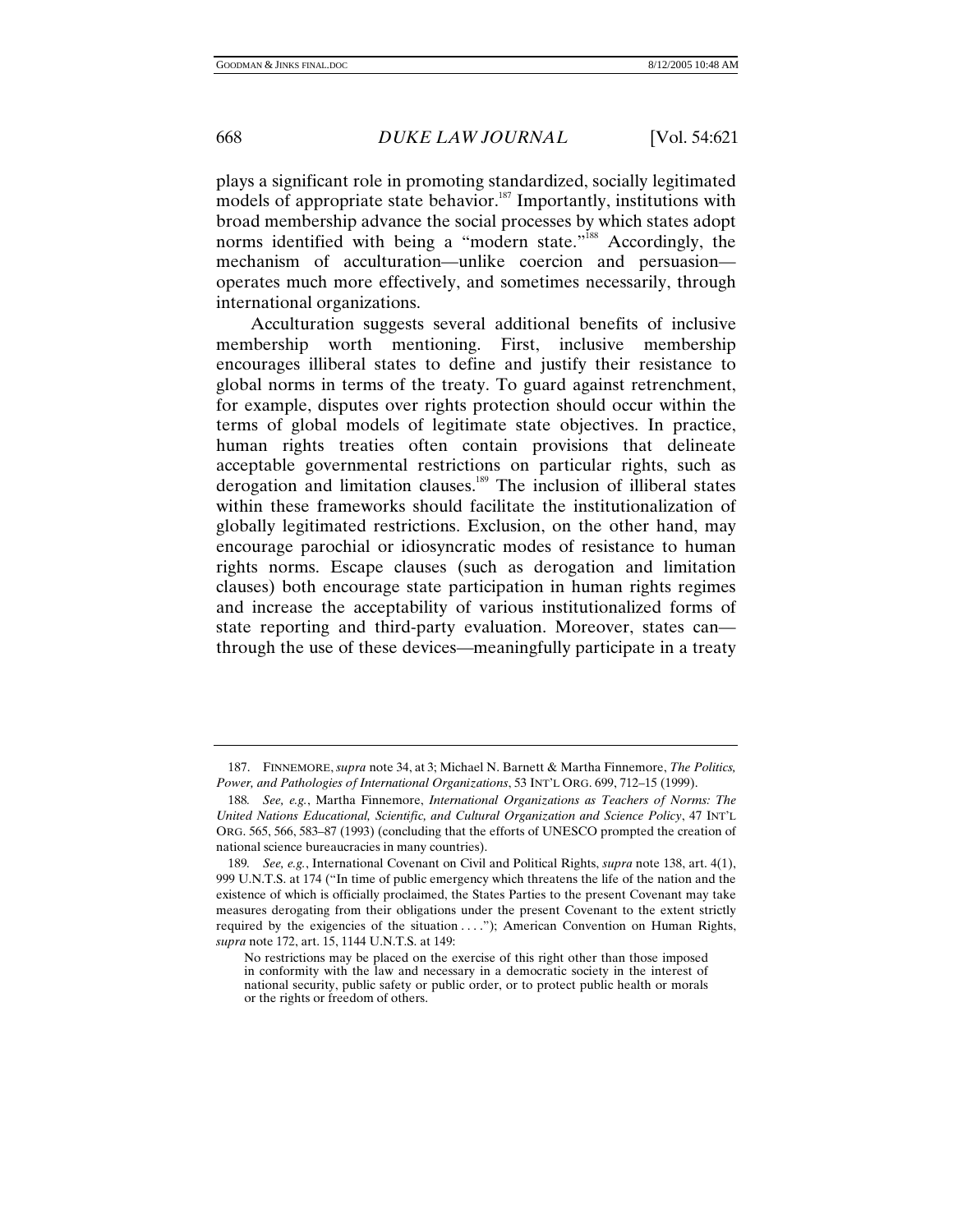plays a significant role in promoting standardized, socially legitimated models of appropriate state behavior.<sup>187</sup> Importantly, institutions with broad membership advance the social processes by which states adopt norms identified with being a "modern state."<sup>188</sup> Accordingly, the mechanism of acculturation—unlike coercion and persuasion operates much more effectively, and sometimes necessarily, through international organizations.

Acculturation suggests several additional benefits of inclusive membership worth mentioning. First, inclusive membership encourages illiberal states to define and justify their resistance to global norms in terms of the treaty. To guard against retrenchment, for example, disputes over rights protection should occur within the terms of global models of legitimate state objectives. In practice, human rights treaties often contain provisions that delineate acceptable governmental restrictions on particular rights, such as derogation and limitation clauses.<sup>189</sup> The inclusion of illiberal states within these frameworks should facilitate the institutionalization of globally legitimated restrictions. Exclusion, on the other hand, may encourage parochial or idiosyncratic modes of resistance to human rights norms. Escape clauses (such as derogation and limitation clauses) both encourage state participation in human rights regimes and increase the acceptability of various institutionalized forms of state reporting and third-party evaluation. Moreover, states can through the use of these devices—meaningfully participate in a treaty

 <sup>187.</sup> FINNEMORE, *supra* note 34, at 3; Michael N. Barnett & Martha Finnemore, *The Politics, Power, and Pathologies of International Organizations*, 53 INT'L ORG. 699, 712–15 (1999).

<sup>188</sup>*. See, e.g.*, Martha Finnemore, *International Organizations as Teachers of Norms: The United Nations Educational, Scientific, and Cultural Organization and Science Policy*, 47 INT'L ORG. 565, 566, 583–87 (1993) (concluding that the efforts of UNESCO prompted the creation of national science bureaucracies in many countries).

<sup>189</sup>*. See, e.g.*, International Covenant on Civil and Political Rights, *supra* note 138, art. 4(1), 999 U.N.T.S. at 174 ("In time of public emergency which threatens the life of the nation and the existence of which is officially proclaimed, the States Parties to the present Covenant may take measures derogating from their obligations under the present Covenant to the extent strictly required by the exigencies of the situation . . . ."); American Convention on Human Rights, *supra* note 172, art. 15, 1144 U.N.T.S. at 149:

No restrictions may be placed on the exercise of this right other than those imposed in conformity with the law and necessary in a democratic society in the interest of national security, public safety or public order, or to protect public health or morals or the rights or freedom of others.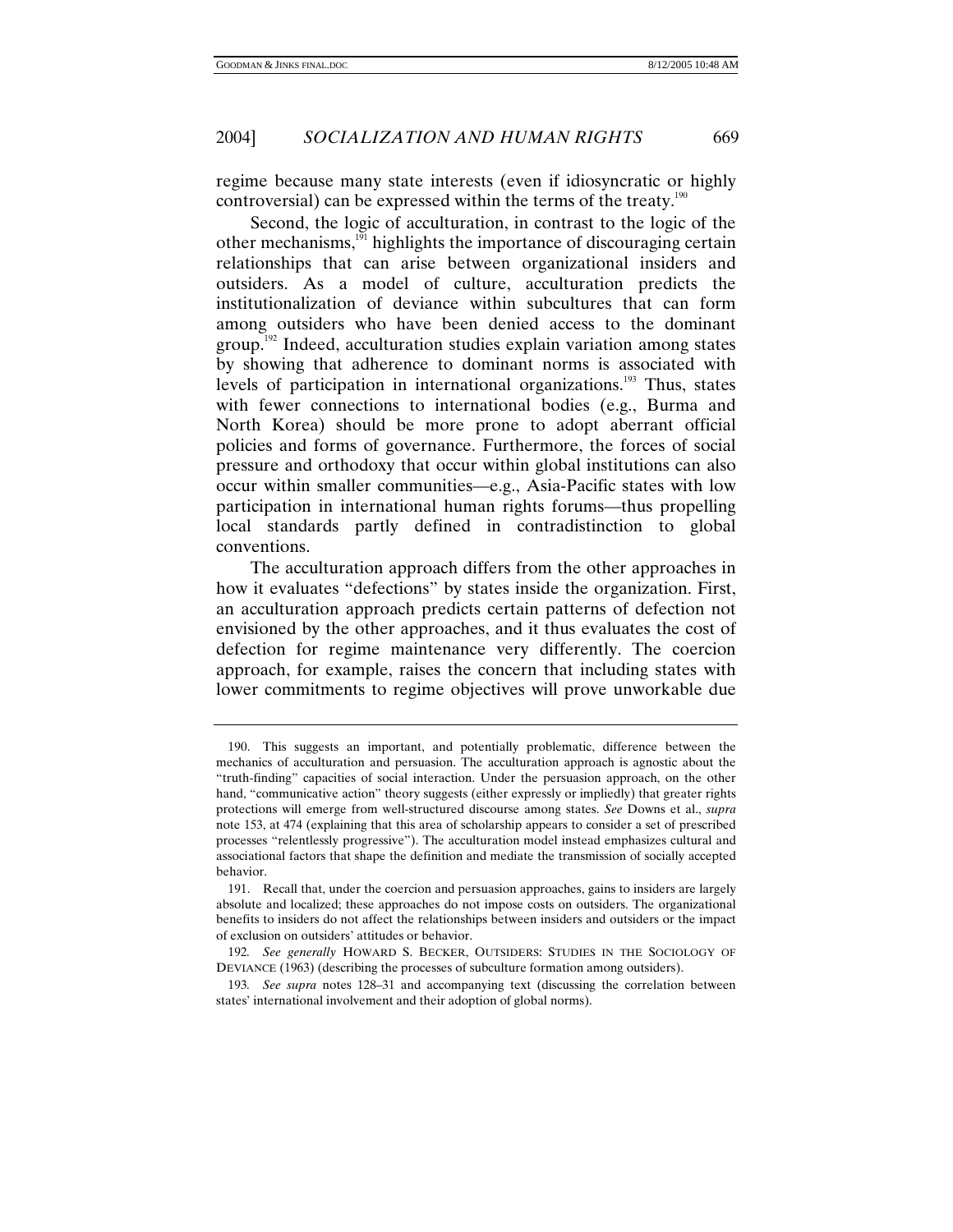regime because many state interests (even if idiosyncratic or highly controversial) can be expressed within the terms of the treaty.<sup>190</sup>

Second, the logic of acculturation, in contrast to the logic of the other mechanisms, $1\overline{91}$  highlights the importance of discouraging certain relationships that can arise between organizational insiders and outsiders. As a model of culture, acculturation predicts the institutionalization of deviance within subcultures that can form among outsiders who have been denied access to the dominant group.<sup>192</sup> Indeed, acculturation studies explain variation among states by showing that adherence to dominant norms is associated with levels of participation in international organizations.<sup>193</sup> Thus, states with fewer connections to international bodies (e.g., Burma and North Korea) should be more prone to adopt aberrant official policies and forms of governance. Furthermore, the forces of social pressure and orthodoxy that occur within global institutions can also occur within smaller communities—e.g., Asia-Pacific states with low participation in international human rights forums—thus propelling local standards partly defined in contradistinction to global conventions.

The acculturation approach differs from the other approaches in how it evaluates "defections" by states inside the organization. First, an acculturation approach predicts certain patterns of defection not envisioned by the other approaches, and it thus evaluates the cost of defection for regime maintenance very differently. The coercion approach, for example, raises the concern that including states with lower commitments to regime objectives will prove unworkable due

 <sup>190.</sup> This suggests an important, and potentially problematic, difference between the mechanics of acculturation and persuasion. The acculturation approach is agnostic about the "truth-finding" capacities of social interaction. Under the persuasion approach, on the other hand, "communicative action" theory suggests (either expressly or impliedly) that greater rights protections will emerge from well-structured discourse among states. *See* Downs et al., *supra* note 153, at 474 (explaining that this area of scholarship appears to consider a set of prescribed processes "relentlessly progressive"). The acculturation model instead emphasizes cultural and associational factors that shape the definition and mediate the transmission of socially accepted behavior.

 <sup>191.</sup> Recall that, under the coercion and persuasion approaches, gains to insiders are largely absolute and localized; these approaches do not impose costs on outsiders. The organizational benefits to insiders do not affect the relationships between insiders and outsiders or the impact of exclusion on outsiders' attitudes or behavior.

<sup>192</sup>*. See generally* HOWARD S. BECKER, OUTSIDERS: STUDIES IN THE SOCIOLOGY OF DEVIANCE (1963) (describing the processes of subculture formation among outsiders).

<sup>193</sup>*. See supra* notes 128–31 and accompanying text (discussing the correlation between states' international involvement and their adoption of global norms).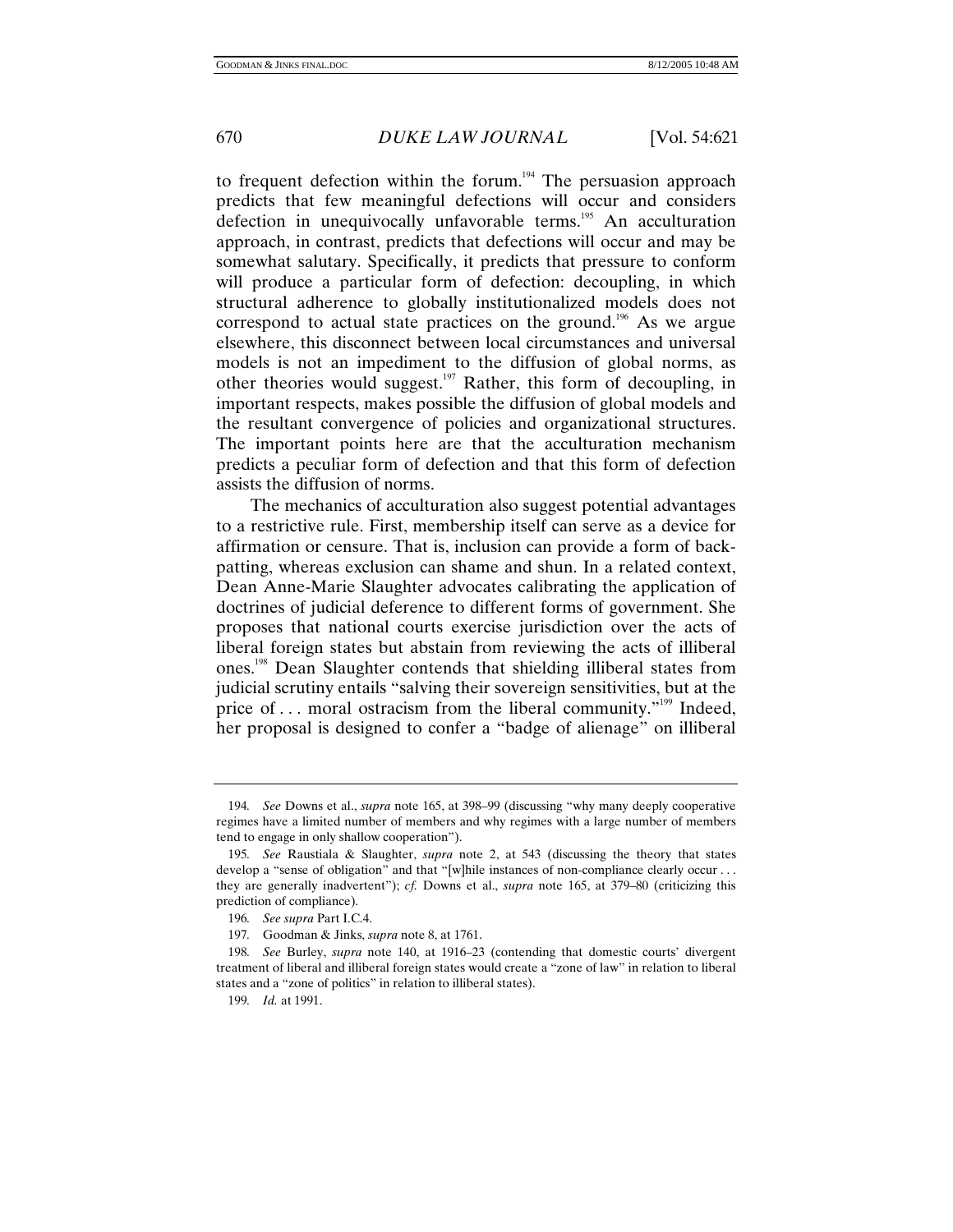to frequent defection within the forum.<sup>194</sup> The persuasion approach predicts that few meaningful defections will occur and considers  $deflection$  in unequivocally unfavorable terms.<sup>195</sup> An acculturation approach, in contrast, predicts that defections will occur and may be somewhat salutary. Specifically, it predicts that pressure to conform will produce a particular form of defection: decoupling, in which structural adherence to globally institutionalized models does not correspond to actual state practices on the ground.<sup>196</sup> As we argue elsewhere, this disconnect between local circumstances and universal models is not an impediment to the diffusion of global norms, as other theories would suggest.<sup>197</sup> Rather, this form of decoupling, in important respects, makes possible the diffusion of global models and the resultant convergence of policies and organizational structures. The important points here are that the acculturation mechanism predicts a peculiar form of defection and that this form of defection assists the diffusion of norms.

The mechanics of acculturation also suggest potential advantages to a restrictive rule. First, membership itself can serve as a device for affirmation or censure. That is, inclusion can provide a form of backpatting, whereas exclusion can shame and shun. In a related context, Dean Anne-Marie Slaughter advocates calibrating the application of doctrines of judicial deference to different forms of government. She proposes that national courts exercise jurisdiction over the acts of liberal foreign states but abstain from reviewing the acts of illiberal ones.198 Dean Slaughter contends that shielding illiberal states from judicial scrutiny entails "salving their sovereign sensitivities, but at the price of  $\ldots$  moral ostracism from the liberal community.<sup> $199$ </sup> Indeed, her proposal is designed to confer a "badge of alienage" on illiberal

<sup>194</sup>*. See* Downs et al., *supra* note 165, at 398–99 (discussing "why many deeply cooperative regimes have a limited number of members and why regimes with a large number of members tend to engage in only shallow cooperation").

<sup>195</sup>*. See* Raustiala & Slaughter, *supra* note 2, at 543 (discussing the theory that states develop a "sense of obligation" and that "[w]hile instances of non-compliance clearly occur . . . they are generally inadvertent"); *cf.* Downs et al., *supra* note 165, at 379–80 (criticizing this prediction of compliance).

<sup>196</sup>*. See supra* Part I.C.4.

<sup>197</sup>*.* Goodman & Jinks, *supra* note 8, at 1761.

<sup>198</sup>*. See* Burley, *supra* note 140, at 1916–23 (contending that domestic courts' divergent treatment of liberal and illiberal foreign states would create a "zone of law" in relation to liberal states and a "zone of politics" in relation to illiberal states).

<sup>199</sup>*. Id.* at 1991.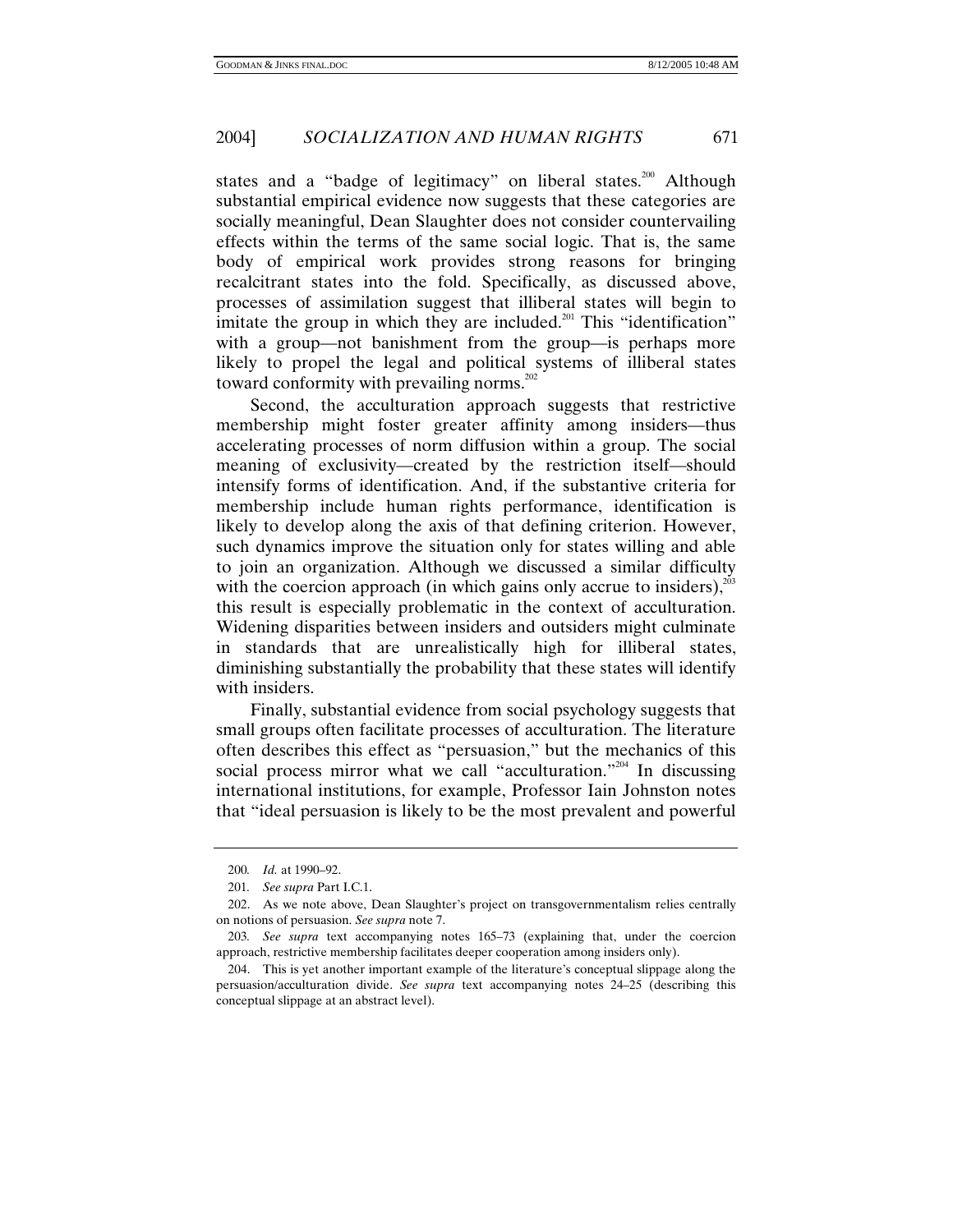states and a "badge of legitimacy" on liberal states.<sup>200</sup> Although substantial empirical evidence now suggests that these categories are socially meaningful, Dean Slaughter does not consider countervailing effects within the terms of the same social logic. That is, the same body of empirical work provides strong reasons for bringing recalcitrant states into the fold. Specifically, as discussed above, processes of assimilation suggest that illiberal states will begin to imitate the group in which they are included.<sup>201</sup> This "identification" with a group—not banishment from the group—is perhaps more likely to propel the legal and political systems of illiberal states toward conformity with prevailing norms. $^{202}$ 

Second, the acculturation approach suggests that restrictive membership might foster greater affinity among insiders—thus accelerating processes of norm diffusion within a group. The social meaning of exclusivity—created by the restriction itself—should intensify forms of identification. And, if the substantive criteria for membership include human rights performance, identification is likely to develop along the axis of that defining criterion. However, such dynamics improve the situation only for states willing and able to join an organization. Although we discussed a similar difficulty with the coercion approach (in which gains only accrue to insiders),  $^{203}$ this result is especially problematic in the context of acculturation. Widening disparities between insiders and outsiders might culminate in standards that are unrealistically high for illiberal states, diminishing substantially the probability that these states will identify with insiders.

Finally, substantial evidence from social psychology suggests that small groups often facilitate processes of acculturation. The literature often describes this effect as "persuasion," but the mechanics of this social process mirror what we call "acculturation."<sup>204</sup> In discussing international institutions, for example, Professor Iain Johnston notes that "ideal persuasion is likely to be the most prevalent and powerful

<sup>200</sup>*. Id.* at 1990–92.

<sup>201</sup>*. See supra* Part I.C.1.

 <sup>202.</sup> As we note above, Dean Slaughter's project on transgovernmentalism relies centrally on notions of persuasion. *See supra* note 7.

<sup>203</sup>*. See supra* text accompanying notes 165–73 (explaining that, under the coercion approach, restrictive membership facilitates deeper cooperation among insiders only).

 <sup>204.</sup> This is yet another important example of the literature's conceptual slippage along the persuasion/acculturation divide. *See supra* text accompanying notes 24–25 (describing this conceptual slippage at an abstract level).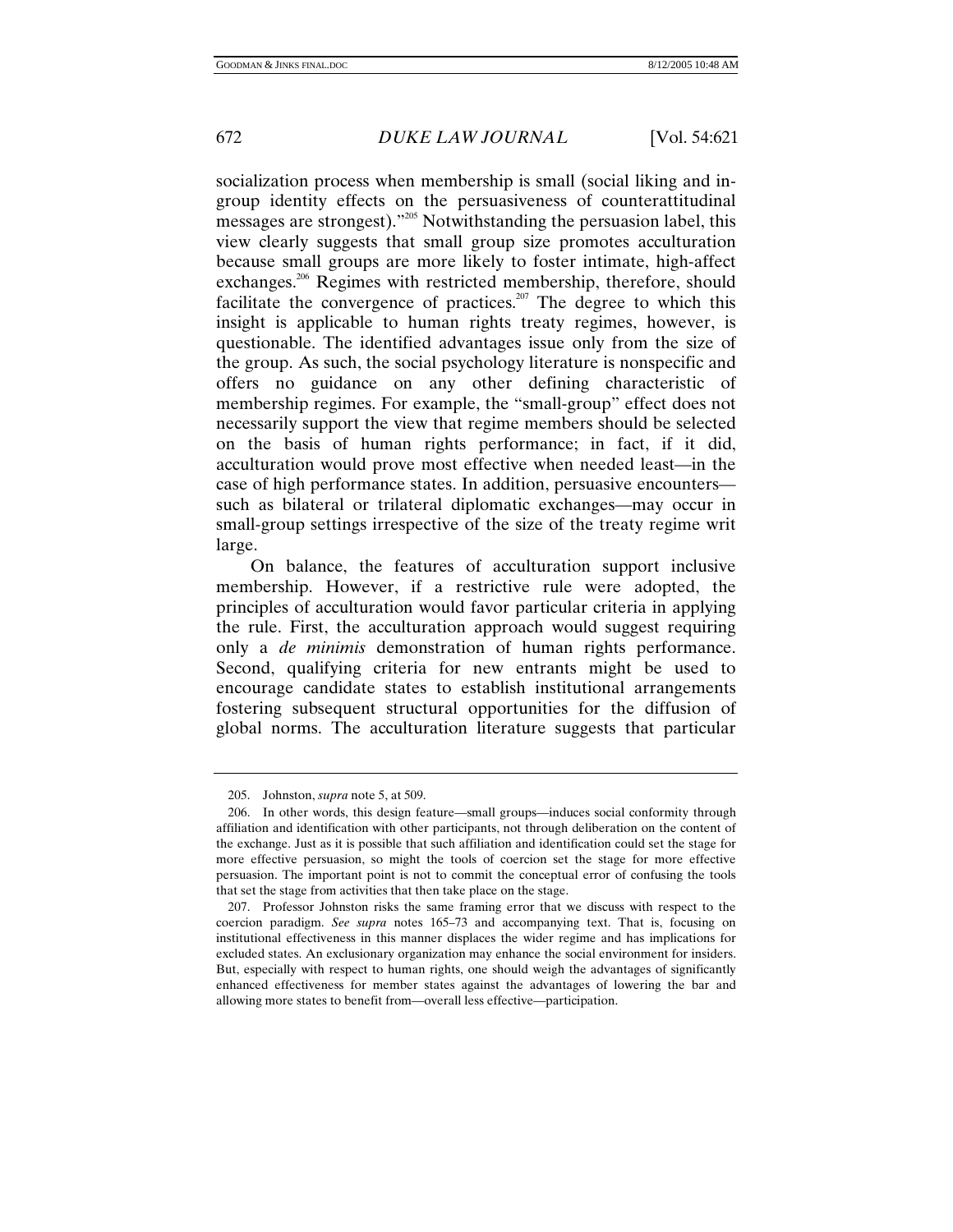socialization process when membership is small (social liking and ingroup identity effects on the persuasiveness of counterattitudinal messages are strongest)."205 Notwithstanding the persuasion label, this view clearly suggests that small group size promotes acculturation because small groups are more likely to foster intimate, high-affect exchanges.<sup>206</sup> Regimes with restricted membership, therefore, should facilitate the convergence of practices.<sup>207</sup> The degree to which this insight is applicable to human rights treaty regimes, however, is questionable. The identified advantages issue only from the size of the group. As such, the social psychology literature is nonspecific and offers no guidance on any other defining characteristic of membership regimes. For example, the "small-group" effect does not necessarily support the view that regime members should be selected on the basis of human rights performance; in fact, if it did, acculturation would prove most effective when needed least—in the case of high performance states. In addition, persuasive encounters such as bilateral or trilateral diplomatic exchanges—may occur in small-group settings irrespective of the size of the treaty regime writ large.

On balance, the features of acculturation support inclusive membership. However, if a restrictive rule were adopted, the principles of acculturation would favor particular criteria in applying the rule. First, the acculturation approach would suggest requiring only a *de minimis* demonstration of human rights performance. Second, qualifying criteria for new entrants might be used to encourage candidate states to establish institutional arrangements fostering subsequent structural opportunities for the diffusion of global norms. The acculturation literature suggests that particular

 <sup>205.</sup> Johnston, *supra* note 5, at 509.

 <sup>206.</sup> In other words, this design feature—small groups—induces social conformity through affiliation and identification with other participants, not through deliberation on the content of the exchange. Just as it is possible that such affiliation and identification could set the stage for more effective persuasion, so might the tools of coercion set the stage for more effective persuasion. The important point is not to commit the conceptual error of confusing the tools that set the stage from activities that then take place on the stage.

 <sup>207.</sup> Professor Johnston risks the same framing error that we discuss with respect to the coercion paradigm. *See supra* notes 165–73 and accompanying text. That is, focusing on institutional effectiveness in this manner displaces the wider regime and has implications for excluded states. An exclusionary organization may enhance the social environment for insiders. But, especially with respect to human rights, one should weigh the advantages of significantly enhanced effectiveness for member states against the advantages of lowering the bar and allowing more states to benefit from—overall less effective—participation.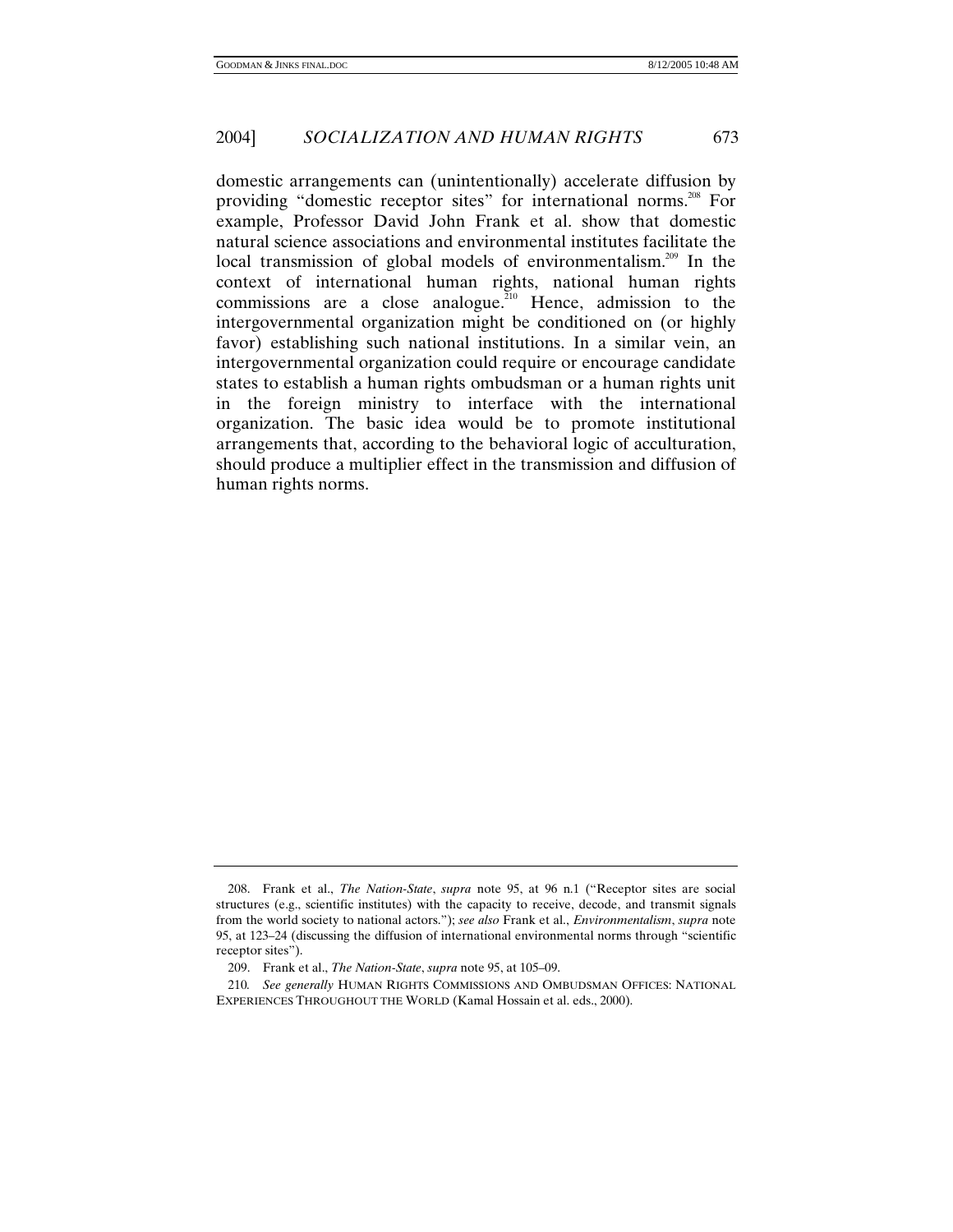domestic arrangements can (unintentionally) accelerate diffusion by providing "domestic receptor sites" for international norms.<sup>208</sup> For example, Professor David John Frank et al. show that domestic natural science associations and environmental institutes facilitate the local transmission of global models of environmentalism.<sup>209</sup> In the context of international human rights, national human rights commissions are a close analogue.<sup>210</sup> Hence, admission to the intergovernmental organization might be conditioned on (or highly favor) establishing such national institutions. In a similar vein, an intergovernmental organization could require or encourage candidate states to establish a human rights ombudsman or a human rights unit in the foreign ministry to interface with the international organization. The basic idea would be to promote institutional arrangements that, according to the behavioral logic of acculturation, should produce a multiplier effect in the transmission and diffusion of human rights norms.

 <sup>208.</sup> Frank et al., *The Nation-State*, *supra* note 95, at 96 n.1 ("Receptor sites are social structures (e.g., scientific institutes) with the capacity to receive, decode, and transmit signals from the world society to national actors."); *see also* Frank et al., *Environmentalism*, *supra* note 95, at 123–24 (discussing the diffusion of international environmental norms through "scientific receptor sites").

 <sup>209.</sup> Frank et al., *The Nation-State*, *supra* note 95, at 105–09.

<sup>210</sup>*. See generally* HUMAN RIGHTS COMMISSIONS AND OMBUDSMAN OFFICES: NATIONAL EXPERIENCES THROUGHOUT THE WORLD (Kamal Hossain et al. eds., 2000).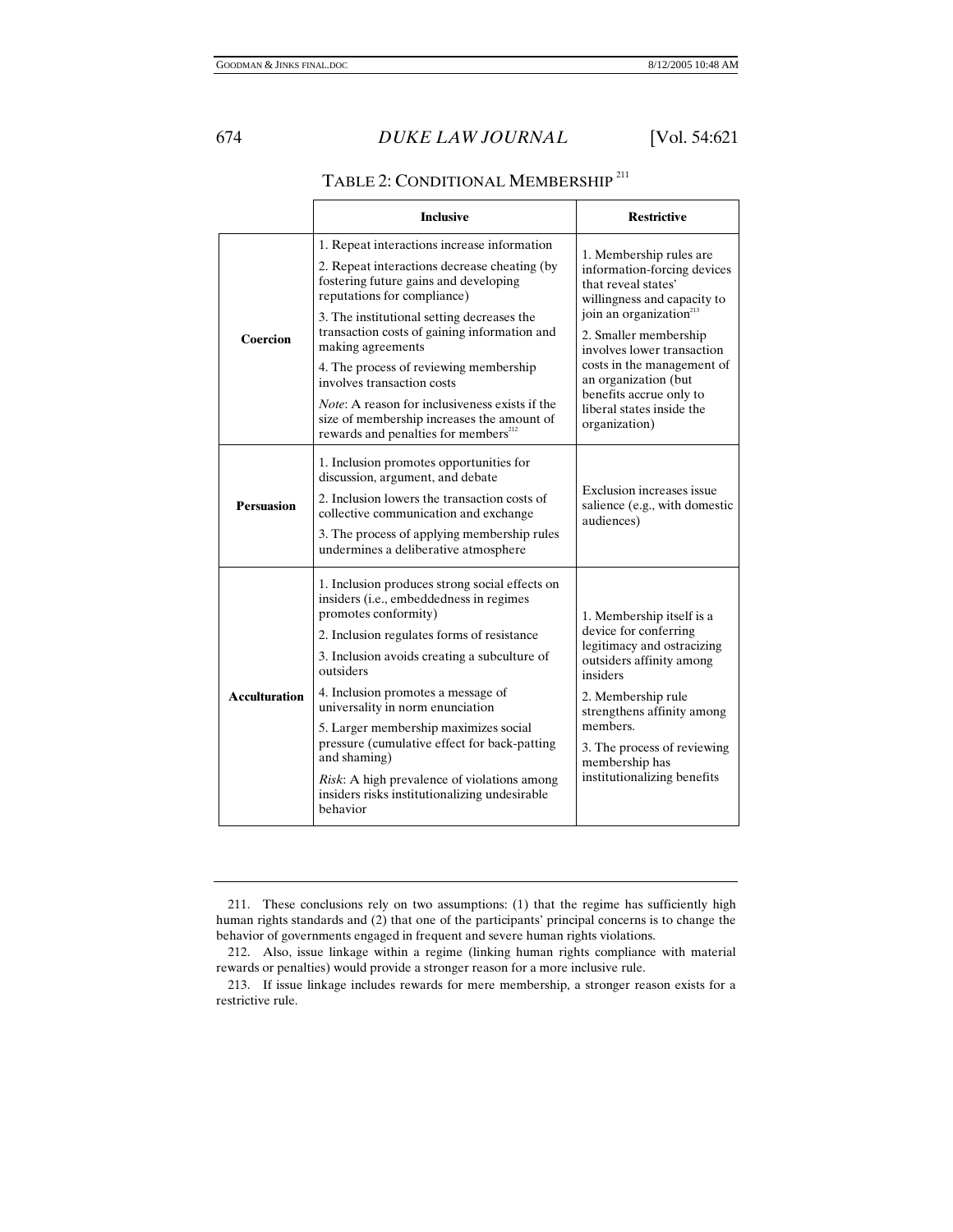| TABLE 2: CONDITIONAL MEMBERSHIP <sup>211</sup> |
|------------------------------------------------|
|------------------------------------------------|

|                      | <b>Inclusive</b>                                                                                                                                                                                                                                                                                                                                                                                                                                                                                                                   | <b>Restrictive</b>                                                                                                                                                                                                                                                                                                                        |
|----------------------|------------------------------------------------------------------------------------------------------------------------------------------------------------------------------------------------------------------------------------------------------------------------------------------------------------------------------------------------------------------------------------------------------------------------------------------------------------------------------------------------------------------------------------|-------------------------------------------------------------------------------------------------------------------------------------------------------------------------------------------------------------------------------------------------------------------------------------------------------------------------------------------|
| Coercion             | 1. Repeat interactions increase information<br>2. Repeat interactions decrease cheating (by)<br>fostering future gains and developing<br>reputations for compliance)<br>3. The institutional setting decreases the<br>transaction costs of gaining information and<br>making agreements<br>4. The process of reviewing membership<br>involves transaction costs<br>Note: A reason for inclusiveness exists if the<br>size of membership increases the amount of<br>rewards and penalties for members <sup>212</sup>                | 1. Membership rules are<br>information-forcing devices<br>that reveal states'<br>willingness and capacity to<br>join an organization <sup>213</sup><br>2. Smaller membership<br>involves lower transaction<br>costs in the management of<br>an organization (but<br>benefits accrue only to<br>liberal states inside the<br>organization) |
| <b>Persuasion</b>    | 1. Inclusion promotes opportunities for<br>discussion, argument, and debate<br>2. Inclusion lowers the transaction costs of<br>collective communication and exchange<br>3. The process of applying membership rules<br>undermines a deliberative atmosphere                                                                                                                                                                                                                                                                        | Exclusion increases issue<br>salience (e.g., with domestic<br>audiences)                                                                                                                                                                                                                                                                  |
| <b>Acculturation</b> | 1. Inclusion produces strong social effects on<br>insiders (i.e., embeddedness in regimes<br>promotes conformity)<br>2. Inclusion regulates forms of resistance<br>3. Inclusion avoids creating a subculture of<br>outsiders<br>4. Inclusion promotes a message of<br>universality in norm enunciation<br>5. Larger membership maximizes social<br>pressure (cumulative effect for back-patting<br>and shaming)<br><i>Risk:</i> A high prevalence of violations among<br>insiders risks institutionalizing undesirable<br>behavior | 1. Membership itself is a<br>device for conferring<br>legitimacy and ostracizing<br>outsiders affinity among<br>insiders<br>2. Membership rule<br>strengthens affinity among<br>members.<br>3. The process of reviewing<br>membership has<br>institutionalizing benefits                                                                  |

 <sup>211.</sup> These conclusions rely on two assumptions: (1) that the regime has sufficiently high human rights standards and (2) that one of the participants' principal concerns is to change the behavior of governments engaged in frequent and severe human rights violations.

 <sup>212.</sup> Also, issue linkage within a regime (linking human rights compliance with material rewards or penalties) would provide a stronger reason for a more inclusive rule.

 <sup>213.</sup> If issue linkage includes rewards for mere membership, a stronger reason exists for a restrictive rule.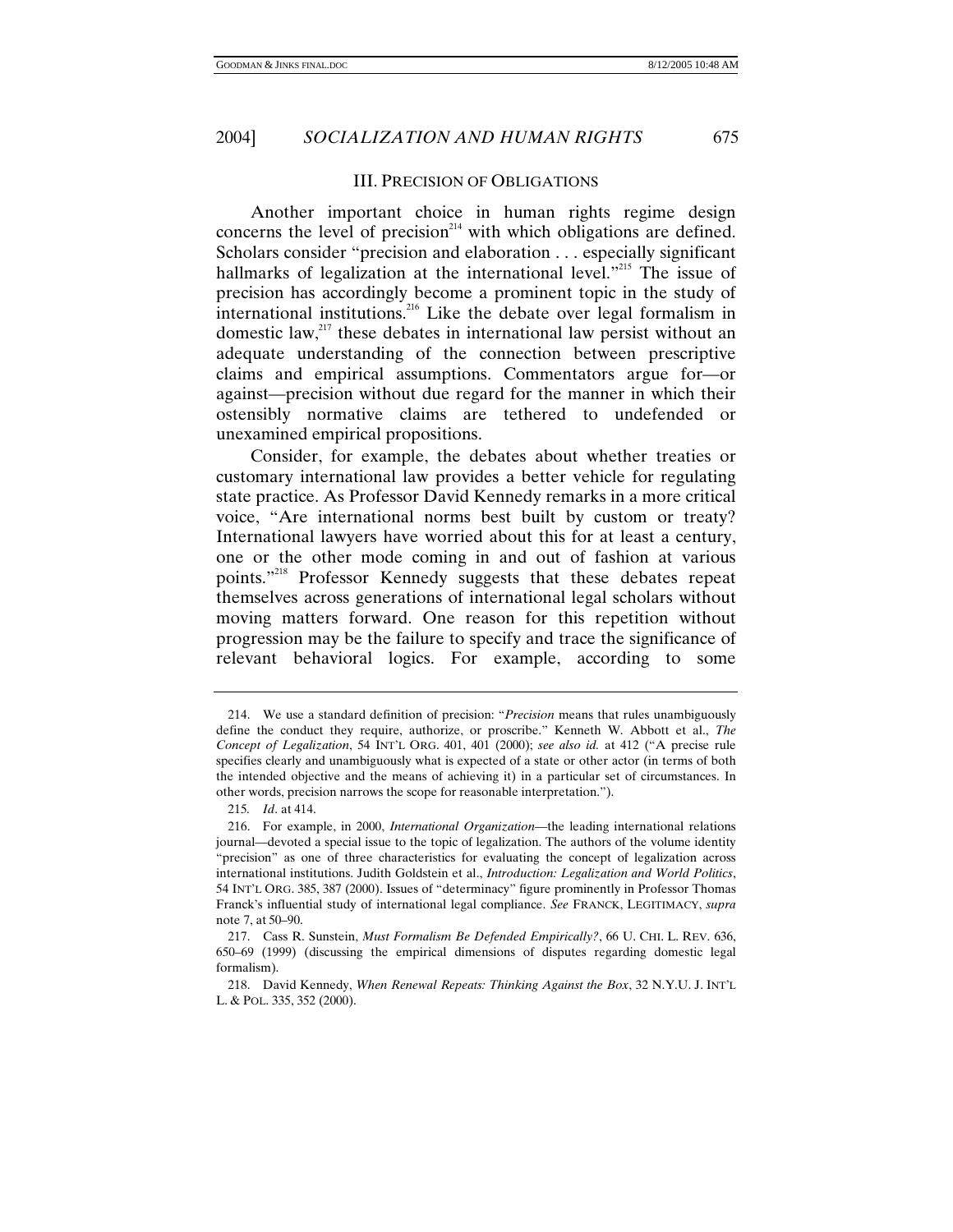## III. PRECISION OF OBLIGATIONS

Another important choice in human rights regime design concerns the level of precision<sup> $214$ </sup> with which obligations are defined. Scholars consider "precision and elaboration . . . especially significant hallmarks of legalization at the international level."<sup>215</sup> The issue of precision has accordingly become a prominent topic in the study of international institutions.<sup>216</sup> Like the debate over legal formalism in domestic law, $2^{17}$  these debates in international law persist without an adequate understanding of the connection between prescriptive claims and empirical assumptions. Commentators argue for—or against—precision without due regard for the manner in which their ostensibly normative claims are tethered to undefended or unexamined empirical propositions.

Consider, for example, the debates about whether treaties or customary international law provides a better vehicle for regulating state practice. As Professor David Kennedy remarks in a more critical voice, "Are international norms best built by custom or treaty? International lawyers have worried about this for at least a century, one or the other mode coming in and out of fashion at various points."<sup>218</sup> Professor Kennedy suggests that these debates repeat themselves across generations of international legal scholars without moving matters forward. One reason for this repetition without progression may be the failure to specify and trace the significance of relevant behavioral logics. For example, according to some

 <sup>214.</sup> We use a standard definition of precision: "*Precision* means that rules unambiguously define the conduct they require, authorize, or proscribe." Kenneth W. Abbott et al., *The Concept of Legalization*, 54 INT'L ORG. 401, 401 (2000); *see also id.* at 412 ("A precise rule specifies clearly and unambiguously what is expected of a state or other actor (in terms of both the intended objective and the means of achieving it) in a particular set of circumstances. In other words, precision narrows the scope for reasonable interpretation.").

<sup>215</sup>*. Id*. at 414.

 <sup>216.</sup> For example, in 2000, *International Organization*—the leading international relations journal—devoted a special issue to the topic of legalization. The authors of the volume identity "precision" as one of three characteristics for evaluating the concept of legalization across international institutions. Judith Goldstein et al., *Introduction: Legalization and World Politics*, 54 INT'L ORG. 385, 387 (2000). Issues of "determinacy" figure prominently in Professor Thomas Franck's influential study of international legal compliance. *See* FRANCK, LEGITIMACY, *supra* note 7, at 50–90.

 <sup>217.</sup> Cass R. Sunstein, *Must Formalism Be Defended Empirically?*, 66 U. CHI. L. REV. 636, 650–69 (1999) (discussing the empirical dimensions of disputes regarding domestic legal formalism).

 <sup>218.</sup> David Kennedy, *When Renewal Repeats: Thinking Against the Box*, 32 N.Y.U. J. INT'L L. & POL. 335, 352 (2000).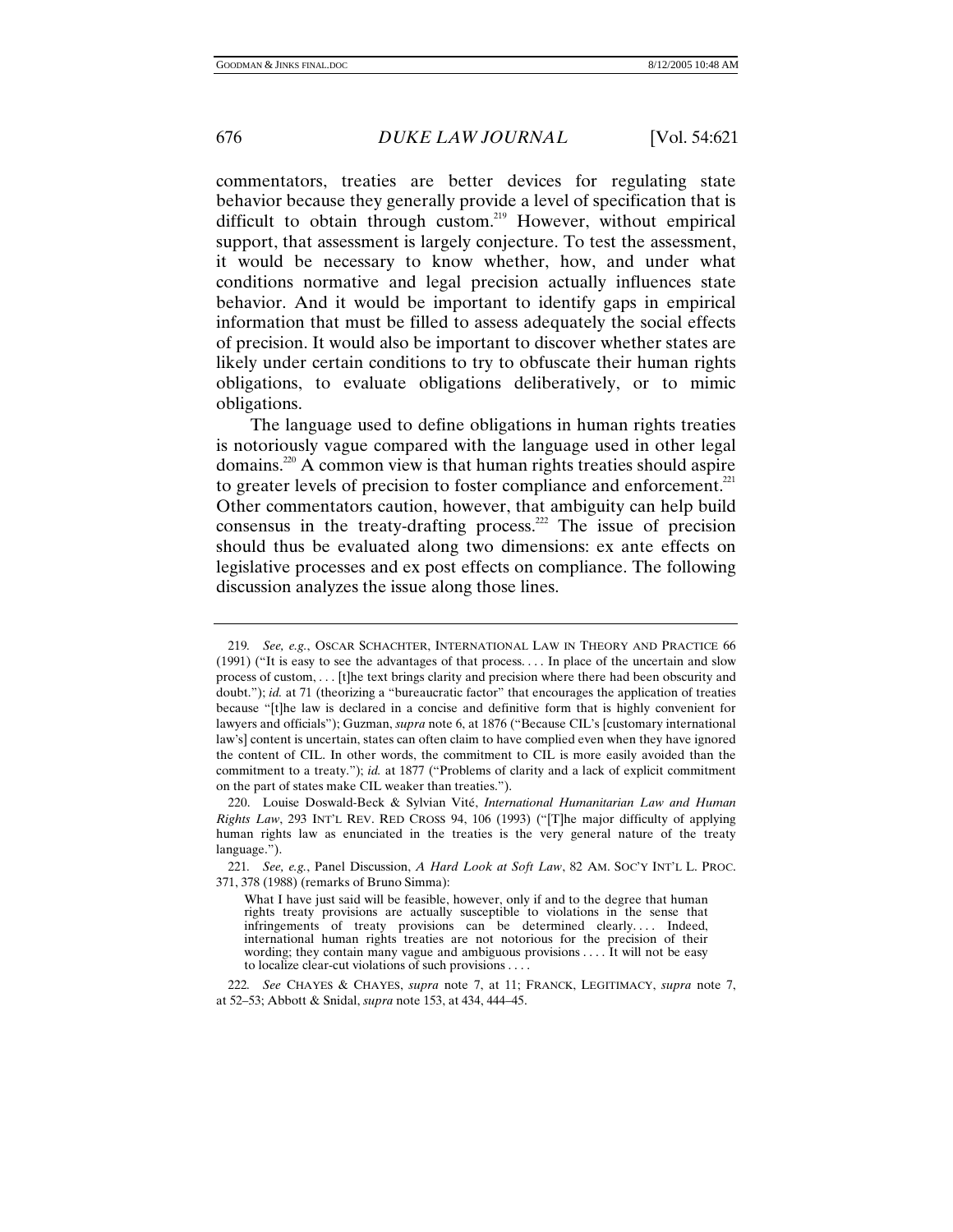commentators, treaties are better devices for regulating state behavior because they generally provide a level of specification that is difficult to obtain through custom.<sup>219</sup> However, without empirical support, that assessment is largely conjecture. To test the assessment, it would be necessary to know whether, how, and under what conditions normative and legal precision actually influences state behavior. And it would be important to identify gaps in empirical information that must be filled to assess adequately the social effects of precision. It would also be important to discover whether states are likely under certain conditions to try to obfuscate their human rights obligations, to evaluate obligations deliberatively, or to mimic obligations.

The language used to define obligations in human rights treaties is notoriously vague compared with the language used in other legal domains.220 A common view is that human rights treaties should aspire to greater levels of precision to foster compliance and enforcement. $^{221}$ Other commentators caution, however, that ambiguity can help build consensus in the treaty-drafting process.<sup>222</sup> The issue of precision should thus be evaluated along two dimensions: ex ante effects on legislative processes and ex post effects on compliance. The following discussion analyzes the issue along those lines.

<sup>219</sup>*. See, e.g.*, OSCAR SCHACHTER, INTERNATIONAL LAW IN THEORY AND PRACTICE 66 (1991) ("It is easy to see the advantages of that process. . . . In place of the uncertain and slow process of custom, . . . [t]he text brings clarity and precision where there had been obscurity and doubt."); *id.* at 71 (theorizing a "bureaucratic factor" that encourages the application of treaties because "[t]he law is declared in a concise and definitive form that is highly convenient for lawyers and officials"); Guzman, *supra* note 6, at 1876 ("Because CIL's [customary international law's] content is uncertain, states can often claim to have complied even when they have ignored the content of CIL. In other words, the commitment to CIL is more easily avoided than the commitment to a treaty."); *id.* at 1877 ("Problems of clarity and a lack of explicit commitment on the part of states make CIL weaker than treaties.").

 <sup>220.</sup> Louise Doswald-Beck & Sylvian Vité, *International Humanitarian Law and Human Rights Law*, 293 INT'L REV. RED CROSS 94, 106 (1993) ("[T]he major difficulty of applying human rights law as enunciated in the treaties is the very general nature of the treaty language.").

<sup>221</sup>*. See, e.g.*, Panel Discussion, *A Hard Look at Soft Law*, 82 AM. SOC'Y INT'L L. PROC. 371, 378 (1988) (remarks of Bruno Simma):

What I have just said will be feasible, however, only if and to the degree that human rights treaty provisions are actually susceptible to violations in the sense that infringements of treaty provisions can be determined clearly.... Indeed, international human rights treaties are not notorious for the precision of their wording; they contain many vague and ambiguous provisions . . . . It will not be easy to localize clear-cut violations of such provisions . . . .

<sup>222</sup>*. See* CHAYES & CHAYES, *supra* note 7, at 11; FRANCK, LEGITIMACY, *supra* note 7, at 52–53; Abbott & Snidal, *supra* note 153, at 434, 444–45.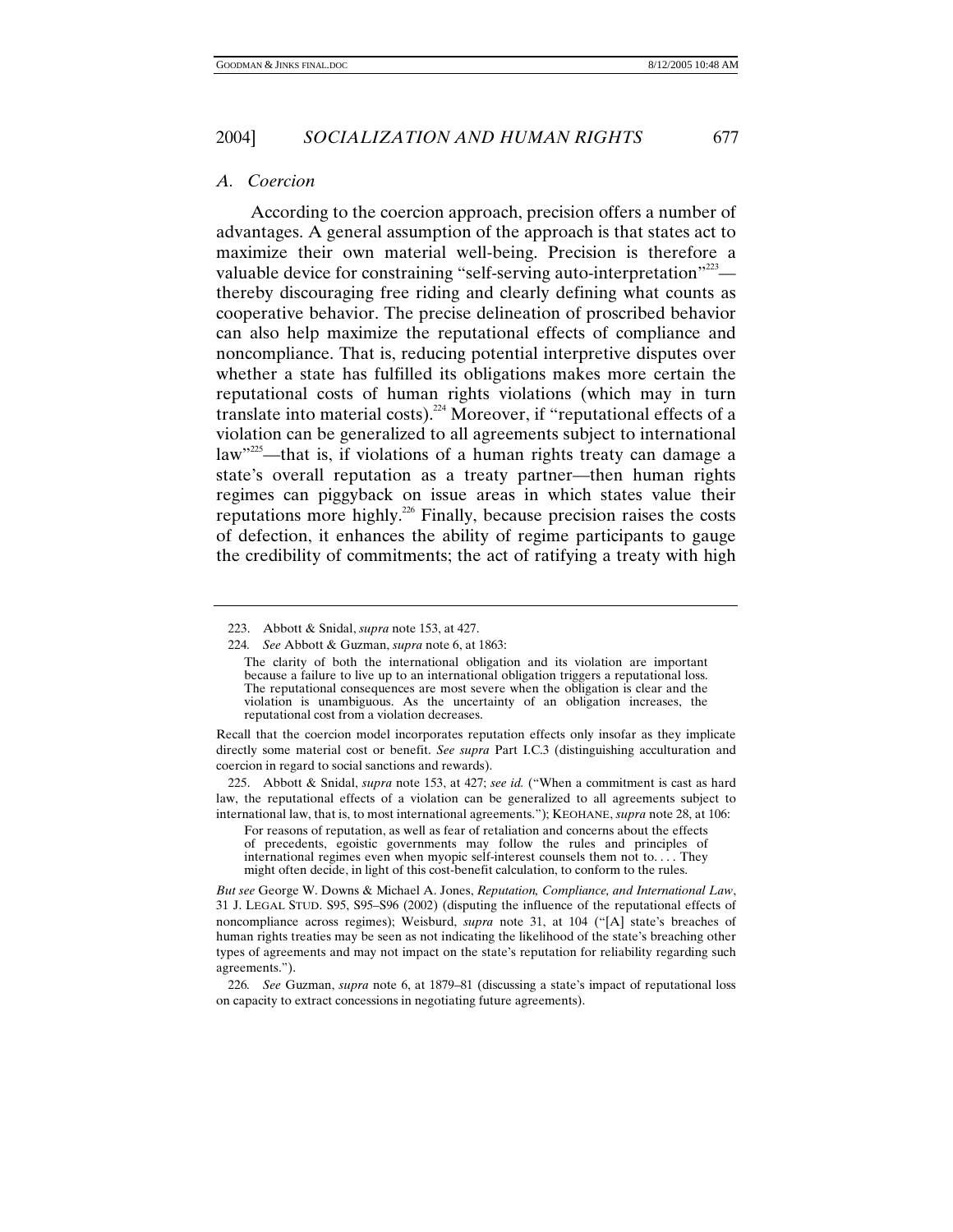### *A. Coercion*

According to the coercion approach, precision offers a number of advantages. A general assumption of the approach is that states act to maximize their own material well-being. Precision is therefore a valuable device for constraining "self-serving auto-interpretation"<sup>223</sup> thereby discouraging free riding and clearly defining what counts as cooperative behavior. The precise delineation of proscribed behavior can also help maximize the reputational effects of compliance and noncompliance. That is, reducing potential interpretive disputes over whether a state has fulfilled its obligations makes more certain the reputational costs of human rights violations (which may in turn translate into material costs).<sup>224</sup> Moreover, if "reputational effects of a violation can be generalized to all agreements subject to international law"<sup>225</sup>—that is, if violations of a human rights treaty can damage a state's overall reputation as a treaty partner—then human rights regimes can piggyback on issue areas in which states value their reputations more highly.226 Finally, because precision raises the costs of defection, it enhances the ability of regime participants to gauge the credibility of commitments; the act of ratifying a treaty with high

Recall that the coercion model incorporates reputation effects only insofar as they implicate directly some material cost or benefit. *See supra* Part I.C.3 (distinguishing acculturation and coercion in regard to social sanctions and rewards).

 225. Abbott & Snidal, *supra* note 153, at 427; *see id.* ("When a commitment is cast as hard law, the reputational effects of a violation can be generalized to all agreements subject to international law, that is, to most international agreements."); KEOHANE, *supra* note 28, at 106:

For reasons of reputation, as well as fear of retaliation and concerns about the effects of precedents, egoistic governments may follow the rules and principles of international regimes even when myopic self-interest counsels them not to. . . . They might often decide, in light of this cost-benefit calculation, to conform to the rules.

*But see* George W. Downs & Michael A. Jones, *Reputation, Compliance, and International Law*, 31 J. LEGAL STUD. S95, S95–S96 (2002) (disputing the influence of the reputational effects of noncompliance across regimes); Weisburd, *supra* note 31, at 104 ("[A] state's breaches of human rights treaties may be seen as not indicating the likelihood of the state's breaching other types of agreements and may not impact on the state's reputation for reliability regarding such agreements.").

226*. See* Guzman, *supra* note 6, at 1879–81 (discussing a state's impact of reputational loss on capacity to extract concessions in negotiating future agreements).

 <sup>223.</sup> Abbott & Snidal, *supra* note 153, at 427.

<sup>224</sup>*. See* Abbott & Guzman, *supra* note 6, at 1863:

The clarity of both the international obligation and its violation are important because a failure to live up to an international obligation triggers a reputational loss. The reputational consequences are most severe when the obligation is clear and the violation is unambiguous. As the uncertainty of an obligation increases, the reputational cost from a violation decreases.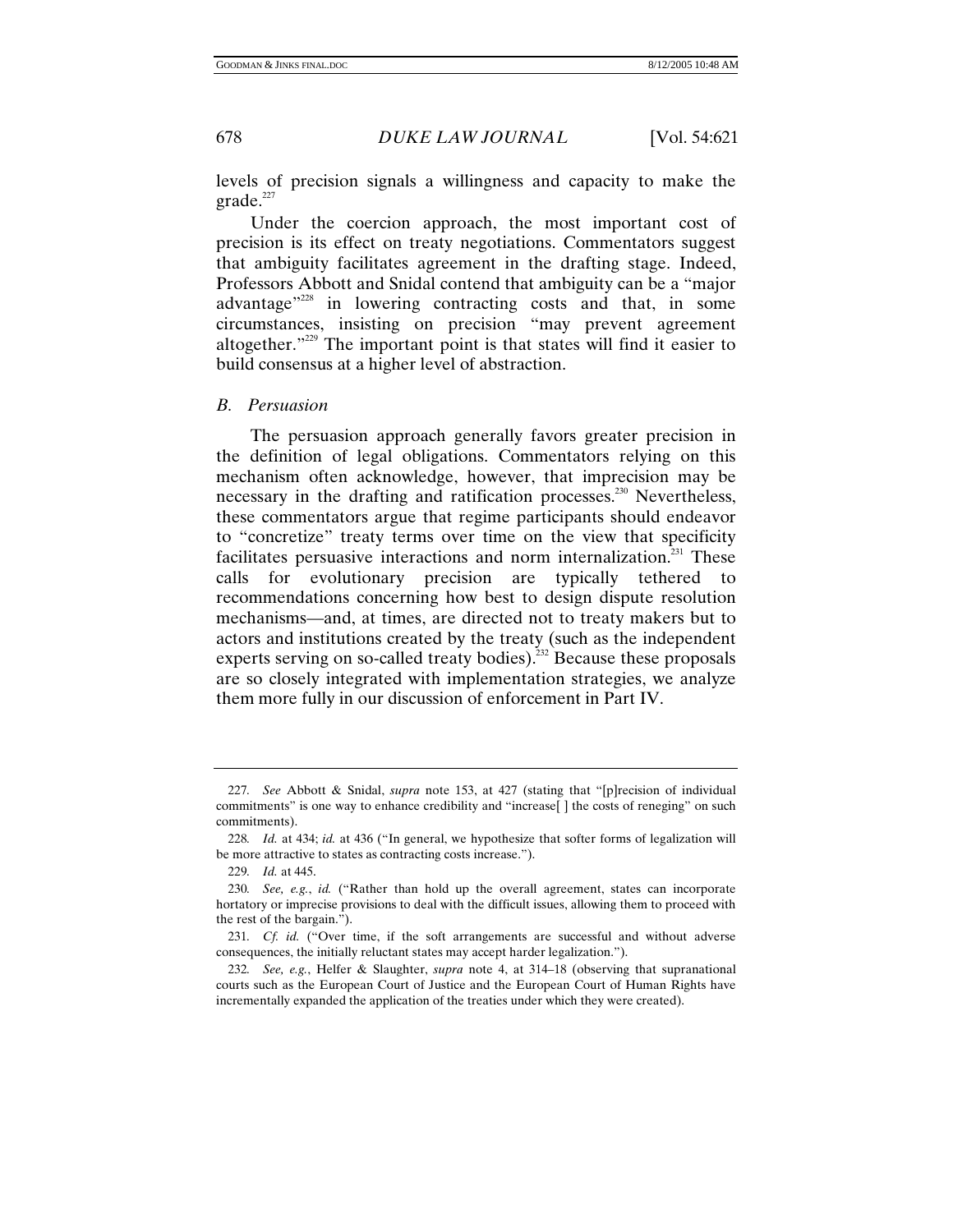levels of precision signals a willingness and capacity to make the grade.<sup>227</sup>

Under the coercion approach, the most important cost of precision is its effect on treaty negotiations. Commentators suggest that ambiguity facilitates agreement in the drafting stage. Indeed, Professors Abbott and Snidal contend that ambiguity can be a "major advantage"<sup>228</sup> in lowering contracting costs and that, in some circumstances, insisting on precision "may prevent agreement altogether."<sup>229</sup> The important point is that states will find it easier to build consensus at a higher level of abstraction.

## *B. Persuasion*

The persuasion approach generally favors greater precision in the definition of legal obligations. Commentators relying on this mechanism often acknowledge, however, that imprecision may be necessary in the drafting and ratification processes.<sup>230</sup> Nevertheless, these commentators argue that regime participants should endeavor to "concretize" treaty terms over time on the view that specificity facilitates persuasive interactions and norm internalization.<sup>231</sup> These calls for evolutionary precision are typically tethered to recommendations concerning how best to design dispute resolution mechanisms—and, at times, are directed not to treaty makers but to actors and institutions created by the treaty (such as the independent experts serving on so-called treaty bodies).<sup>232</sup> Because these proposals are so closely integrated with implementation strategies, we analyze them more fully in our discussion of enforcement in Part IV.

<sup>227</sup>*. See* Abbott & Snidal, *supra* note 153, at 427 (stating that "[p]recision of individual commitments" is one way to enhance credibility and "increase[ ] the costs of reneging" on such commitments).

<sup>228</sup>*. Id.* at 434; *id.* at 436 ("In general, we hypothesize that softer forms of legalization will be more attractive to states as contracting costs increase.").

<sup>229</sup>*. Id.* at 445.

<sup>230</sup>*. See, e.g.*, *id.* ("Rather than hold up the overall agreement, states can incorporate hortatory or imprecise provisions to deal with the difficult issues, allowing them to proceed with the rest of the bargain.").

<sup>231</sup>*. Cf. id.* ("Over time, if the soft arrangements are successful and without adverse consequences, the initially reluctant states may accept harder legalization.").

<sup>232</sup>*. See, e.g.*, Helfer & Slaughter, *supra* note 4, at 314–18 (observing that supranational courts such as the European Court of Justice and the European Court of Human Rights have incrementally expanded the application of the treaties under which they were created).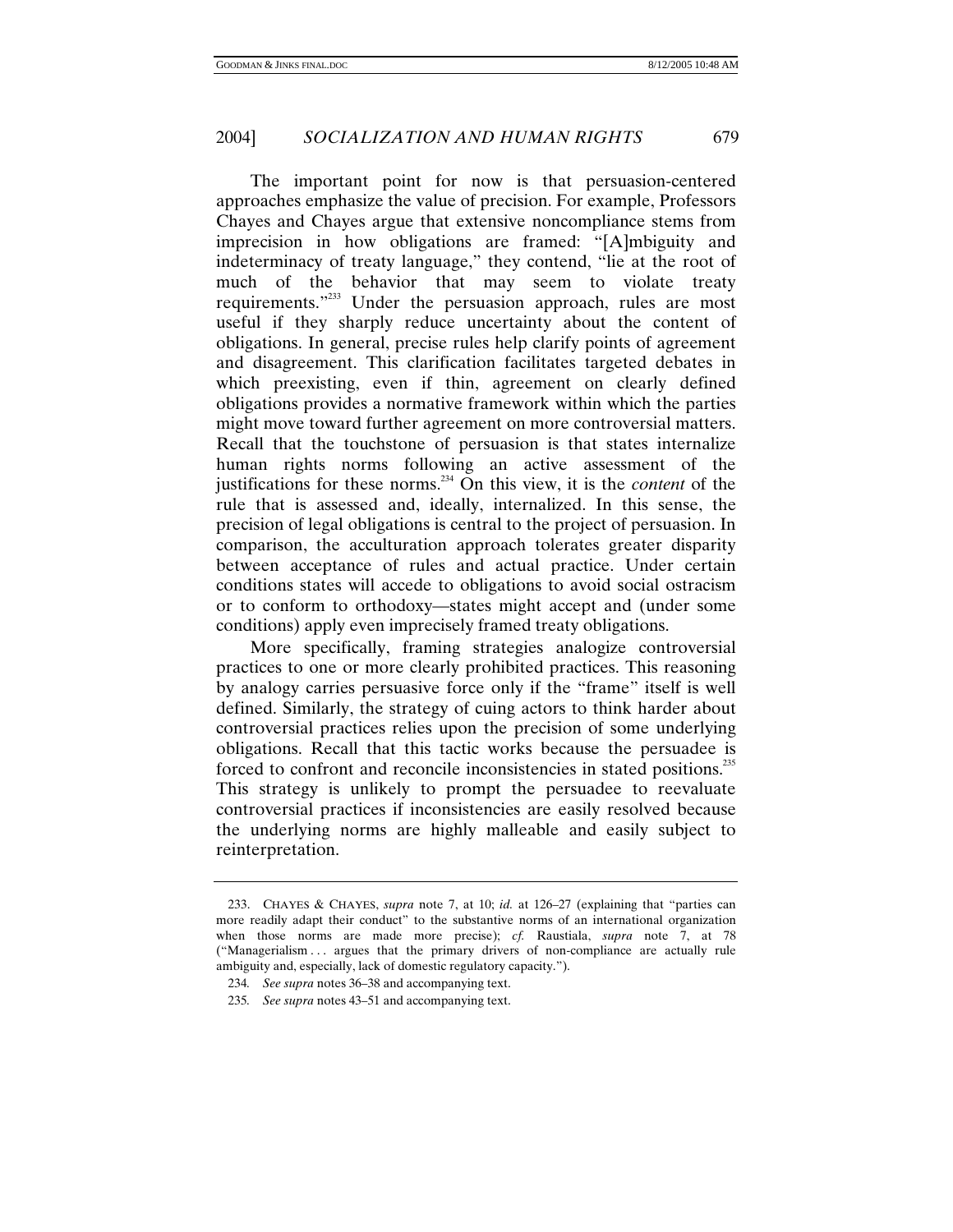The important point for now is that persuasion-centered approaches emphasize the value of precision. For example, Professors Chayes and Chayes argue that extensive noncompliance stems from imprecision in how obligations are framed: "[A]mbiguity and indeterminacy of treaty language," they contend, "lie at the root of much of the behavior that may seem to violate treaty requirements."<sup>233</sup> Under the persuasion approach, rules are most useful if they sharply reduce uncertainty about the content of obligations. In general, precise rules help clarify points of agreement and disagreement. This clarification facilitates targeted debates in which preexisting, even if thin, agreement on clearly defined obligations provides a normative framework within which the parties might move toward further agreement on more controversial matters. Recall that the touchstone of persuasion is that states internalize human rights norms following an active assessment of the justifications for these norms.<sup>234</sup> On this view, it is the *content* of the rule that is assessed and, ideally, internalized. In this sense, the precision of legal obligations is central to the project of persuasion. In comparison, the acculturation approach tolerates greater disparity between acceptance of rules and actual practice. Under certain conditions states will accede to obligations to avoid social ostracism or to conform to orthodoxy—states might accept and (under some conditions) apply even imprecisely framed treaty obligations.

More specifically, framing strategies analogize controversial practices to one or more clearly prohibited practices. This reasoning by analogy carries persuasive force only if the "frame" itself is well defined. Similarly, the strategy of cuing actors to think harder about controversial practices relies upon the precision of some underlying obligations. Recall that this tactic works because the persuadee is forced to confront and reconcile inconsistencies in stated positions.<sup>235</sup> This strategy is unlikely to prompt the persuadee to reevaluate controversial practices if inconsistencies are easily resolved because the underlying norms are highly malleable and easily subject to reinterpretation.

 <sup>233.</sup> CHAYES & CHAYES, *supra* note 7, at 10; *id.* at 126–27 (explaining that "parties can more readily adapt their conduct" to the substantive norms of an international organization when those norms are made more precise); *cf.* Raustiala, *supra* note 7, at 78 ("Managerialism ... argues that the primary drivers of non-compliance are actually rule ambiguity and, especially, lack of domestic regulatory capacity.").

<sup>234</sup>*. See supra* notes 36–38 and accompanying text.

<sup>235</sup>*. See supra* notes 43–51 and accompanying text.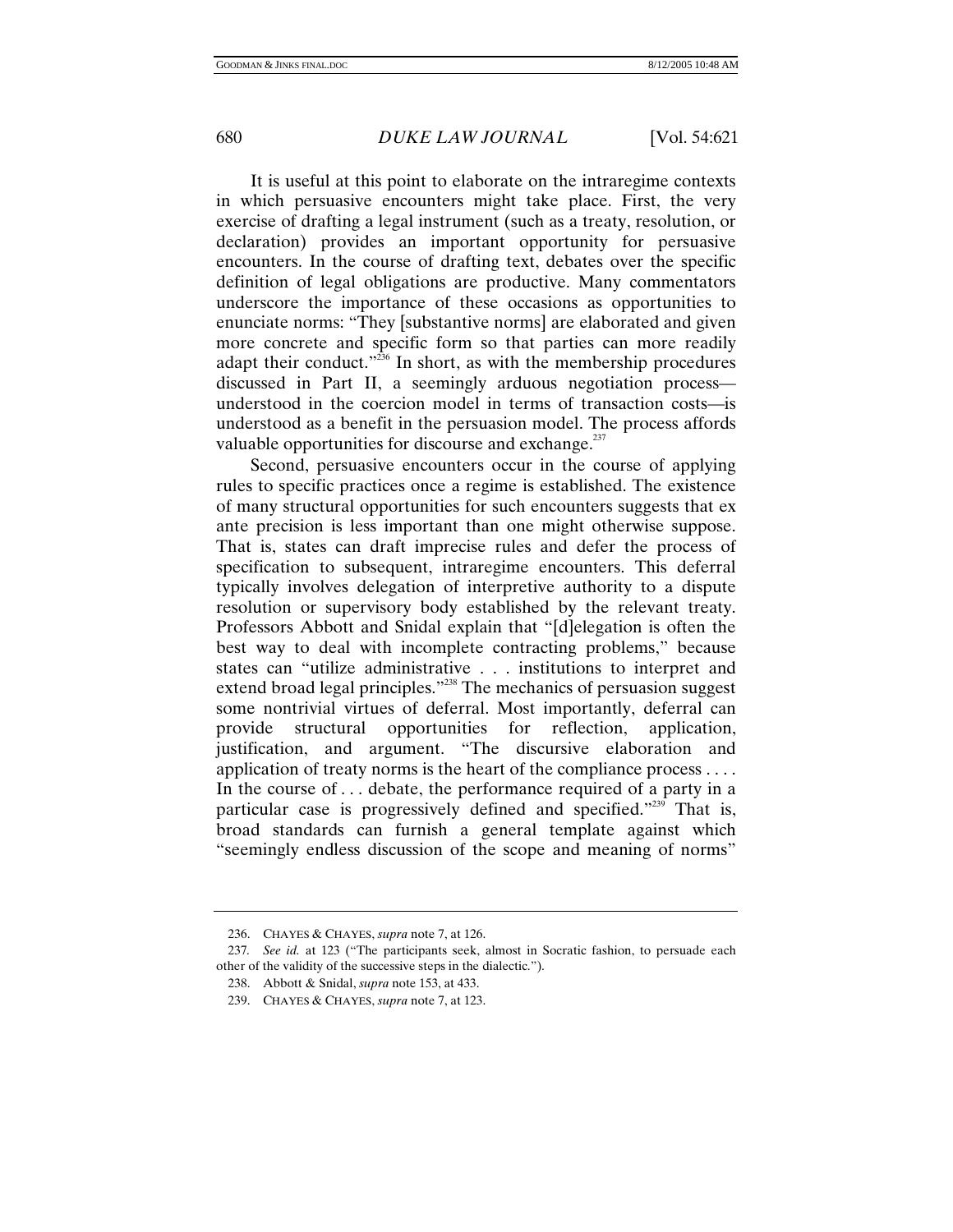It is useful at this point to elaborate on the intraregime contexts in which persuasive encounters might take place. First, the very exercise of drafting a legal instrument (such as a treaty, resolution, or declaration) provides an important opportunity for persuasive encounters. In the course of drafting text, debates over the specific definition of legal obligations are productive. Many commentators underscore the importance of these occasions as opportunities to enunciate norms: "They [substantive norms] are elaborated and given more concrete and specific form so that parties can more readily adapt their conduct."<sup>236</sup> In short, as with the membership procedures discussed in Part II, a seemingly arduous negotiation process understood in the coercion model in terms of transaction costs—is understood as a benefit in the persuasion model. The process affords valuable opportunities for discourse and exchange. $^{237}$ 

Second, persuasive encounters occur in the course of applying rules to specific practices once a regime is established. The existence of many structural opportunities for such encounters suggests that ex ante precision is less important than one might otherwise suppose. That is, states can draft imprecise rules and defer the process of specification to subsequent, intraregime encounters. This deferral typically involves delegation of interpretive authority to a dispute resolution or supervisory body established by the relevant treaty. Professors Abbott and Snidal explain that "[d]elegation is often the best way to deal with incomplete contracting problems," because states can "utilize administrative . . . institutions to interpret and extend broad legal principles."<sup>238</sup> The mechanics of persuasion suggest some nontrivial virtues of deferral. Most importantly, deferral can provide structural opportunities for reflection, application, justification, and argument. "The discursive elaboration and application of treaty norms is the heart of the compliance process . . . . In the course of . . . debate, the performance required of a party in a particular case is progressively defined and specified."<sup>239</sup> That is, broad standards can furnish a general template against which "seemingly endless discussion of the scope and meaning of norms"

 <sup>236.</sup> CHAYES & CHAYES, *supra* note 7, at 126.

<sup>237</sup>*. See id.* at 123 ("The participants seek, almost in Socratic fashion, to persuade each other of the validity of the successive steps in the dialectic.").

 <sup>238.</sup> Abbott & Snidal, *supra* note 153, at 433.

 <sup>239.</sup> CHAYES & CHAYES, *supra* note 7, at 123.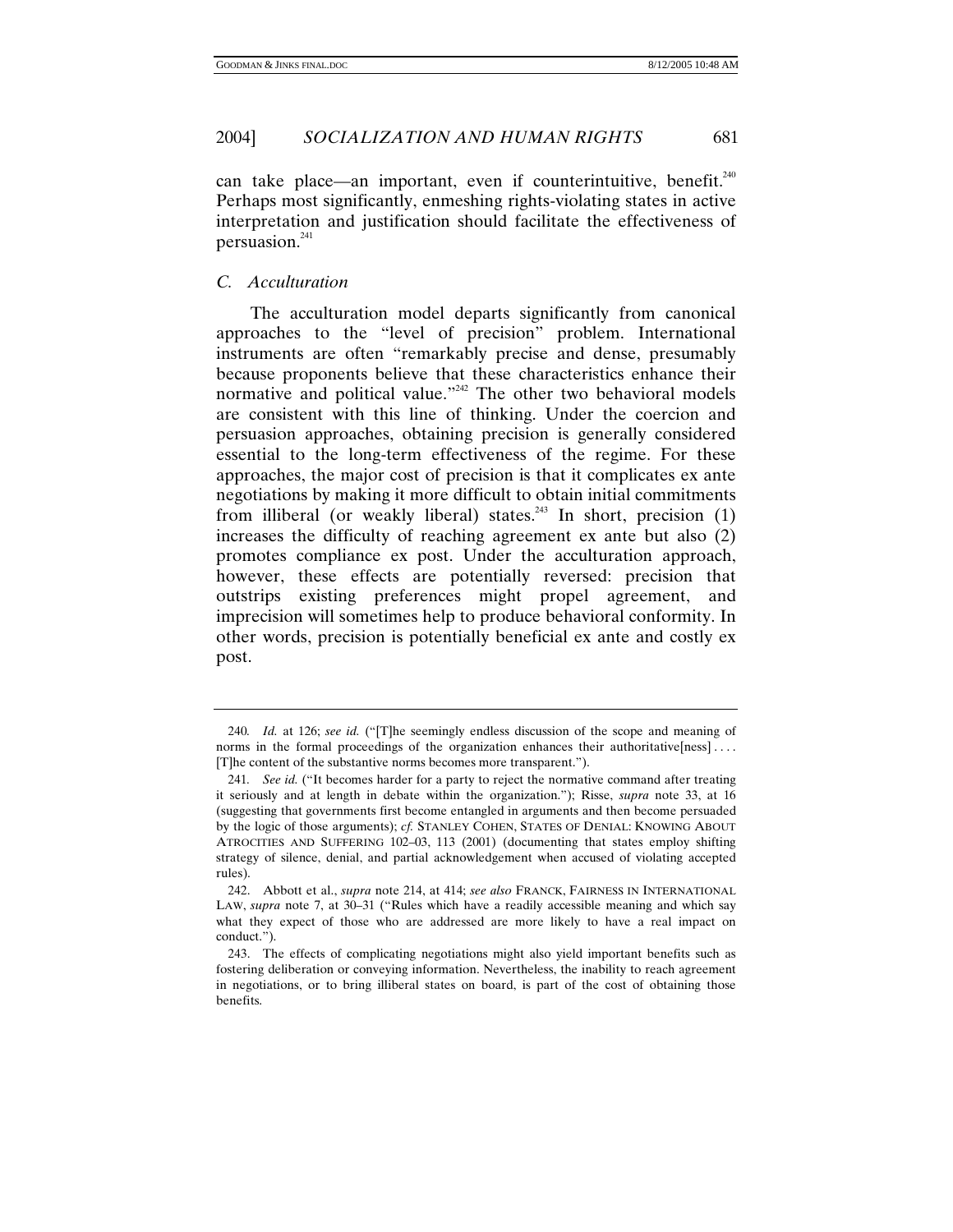can take place—an important, even if counterintuitive, benefit.<sup>240</sup> Perhaps most significantly, enmeshing rights-violating states in active interpretation and justification should facilitate the effectiveness of persuasion. $^{241}$ 

# *C. Acculturation*

The acculturation model departs significantly from canonical approaches to the "level of precision" problem. International instruments are often "remarkably precise and dense, presumably because proponents believe that these characteristics enhance their normative and political value."<sup>242</sup> The other two behavioral models are consistent with this line of thinking. Under the coercion and persuasion approaches, obtaining precision is generally considered essential to the long-term effectiveness of the regime. For these approaches, the major cost of precision is that it complicates ex ante negotiations by making it more difficult to obtain initial commitments from illiberal (or weakly liberal) states.<sup>243</sup> In short, precision  $(1)$ increases the difficulty of reaching agreement ex ante but also (2) promotes compliance ex post. Under the acculturation approach, however, these effects are potentially reversed: precision that outstrips existing preferences might propel agreement, and imprecision will sometimes help to produce behavioral conformity. In other words, precision is potentially beneficial ex ante and costly ex post.

<sup>240</sup>*. Id.* at 126; *see id.* ("[T]he seemingly endless discussion of the scope and meaning of norms in the formal proceedings of the organization enhances their authoritative[ness].... [T]he content of the substantive norms becomes more transparent.").

<sup>241</sup>*. See id.* ("It becomes harder for a party to reject the normative command after treating it seriously and at length in debate within the organization."); Risse, *supra* note 33, at 16 (suggesting that governments first become entangled in arguments and then become persuaded by the logic of those arguments); *cf.* STANLEY COHEN, STATES OF DENIAL: KNOWING ABOUT ATROCITIES AND SUFFERING 102–03, 113 (2001) (documenting that states employ shifting strategy of silence, denial, and partial acknowledgement when accused of violating accepted rules).

 <sup>242.</sup> Abbott et al., *supra* note 214, at 414; *see also* FRANCK, FAIRNESS IN INTERNATIONAL LAW, *supra* note 7, at 30–31 ("Rules which have a readily accessible meaning and which say what they expect of those who are addressed are more likely to have a real impact on conduct.").

 <sup>243.</sup> The effects of complicating negotiations might also yield important benefits such as fostering deliberation or conveying information. Nevertheless, the inability to reach agreement in negotiations, or to bring illiberal states on board, is part of the cost of obtaining those benefits.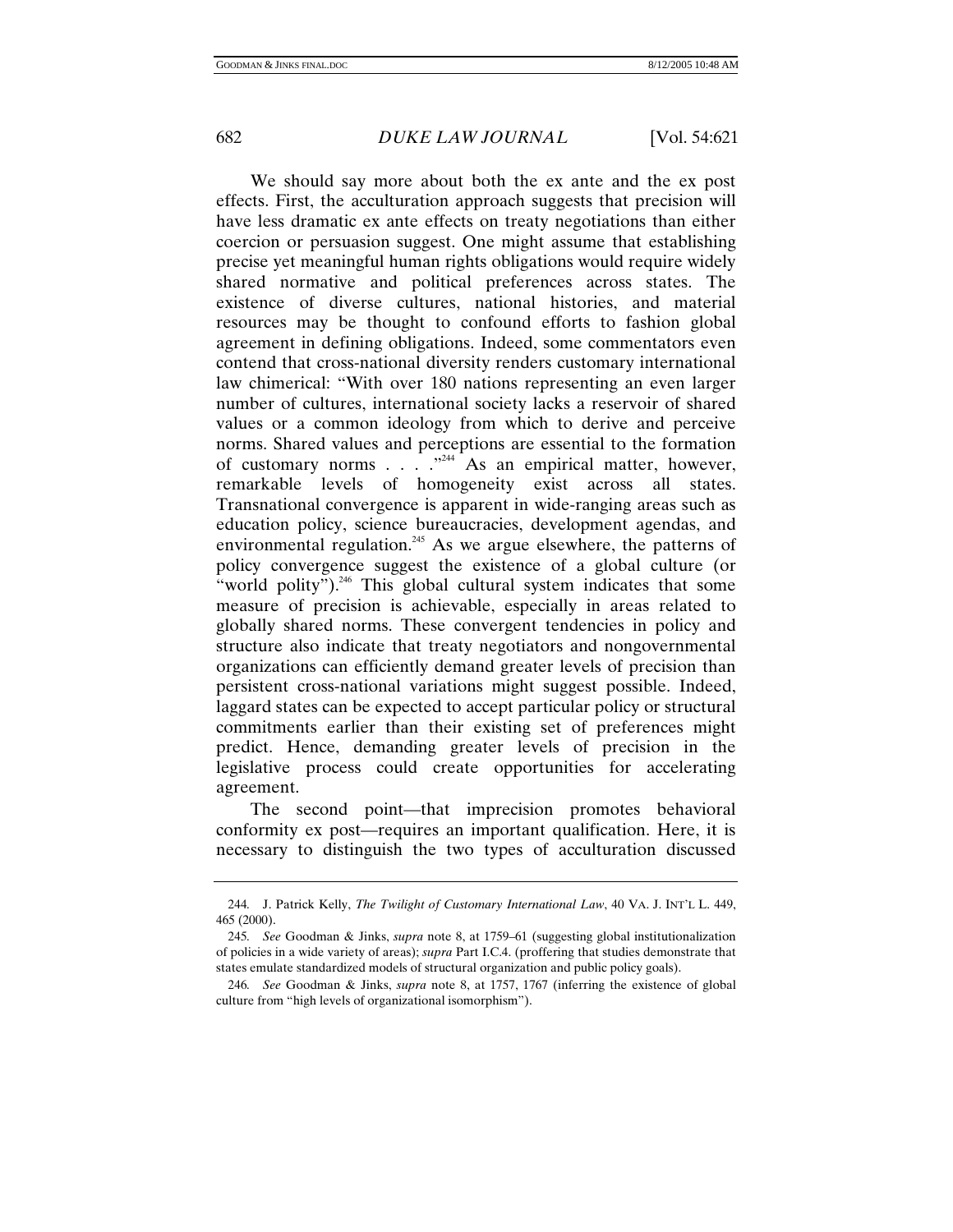We should say more about both the ex ante and the ex post effects. First, the acculturation approach suggests that precision will have less dramatic ex ante effects on treaty negotiations than either coercion or persuasion suggest. One might assume that establishing precise yet meaningful human rights obligations would require widely shared normative and political preferences across states. The existence of diverse cultures, national histories, and material resources may be thought to confound efforts to fashion global agreement in defining obligations. Indeed, some commentators even contend that cross-national diversity renders customary international law chimerical: "With over 180 nations representing an even larger number of cultures, international society lacks a reservoir of shared values or a common ideology from which to derive and perceive norms. Shared values and perceptions are essential to the formation of customary norms  $\ldots$   $\ldots$   $\ldots$   $\ldots$  As an empirical matter, however, remarkable levels of homogeneity exist across all states. Transnational convergence is apparent in wide-ranging areas such as education policy, science bureaucracies, development agendas, and environmental regulation.<sup>245</sup> As we argue elsewhere, the patterns of policy convergence suggest the existence of a global culture (or "world polity").<sup>246</sup> This global cultural system indicates that some measure of precision is achievable, especially in areas related to globally shared norms. These convergent tendencies in policy and structure also indicate that treaty negotiators and nongovernmental organizations can efficiently demand greater levels of precision than persistent cross-national variations might suggest possible. Indeed, laggard states can be expected to accept particular policy or structural commitments earlier than their existing set of preferences might predict. Hence, demanding greater levels of precision in the legislative process could create opportunities for accelerating agreement.

The second point—that imprecision promotes behavioral conformity ex post—requires an important qualification. Here, it is necessary to distinguish the two types of acculturation discussed

<sup>244</sup>*.* J. Patrick Kelly, *The Twilight of Customary International Law*, 40 VA. J. INT'L L. 449, 465 (2000).

<sup>245</sup>*. See* Goodman & Jinks, *supra* note 8, at 1759–61 (suggesting global institutionalization of policies in a wide variety of areas); *supra* Part I.C.4. (proffering that studies demonstrate that states emulate standardized models of structural organization and public policy goals).

<sup>246</sup>*. See* Goodman & Jinks, *supra* note 8, at 1757, 1767 (inferring the existence of global culture from "high levels of organizational isomorphism").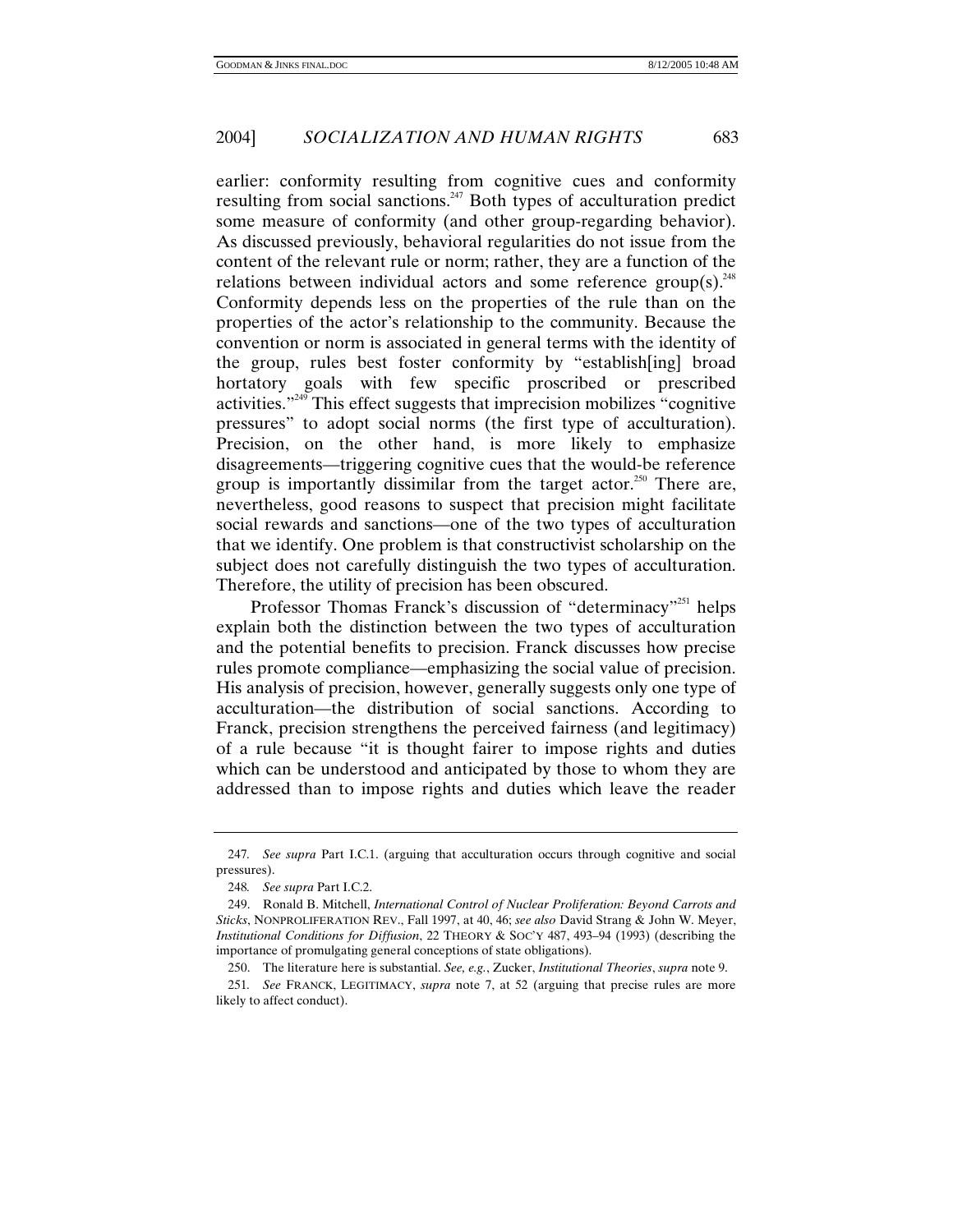earlier: conformity resulting from cognitive cues and conformity resulting from social sanctions.<sup>247</sup> Both types of acculturation predict some measure of conformity (and other group-regarding behavior). As discussed previously, behavioral regularities do not issue from the content of the relevant rule or norm; rather, they are a function of the relations between individual actors and some reference group(s).<sup>248</sup> Conformity depends less on the properties of the rule than on the properties of the actor's relationship to the community. Because the convention or norm is associated in general terms with the identity of the group, rules best foster conformity by "establish[ing] broad hortatory goals with few specific proscribed or prescribed activities."249 This effect suggests that imprecision mobilizes "cognitive pressures" to adopt social norms (the first type of acculturation). Precision, on the other hand, is more likely to emphasize disagreements—triggering cognitive cues that the would-be reference group is importantly dissimilar from the target actor.<sup>250</sup> There are, nevertheless, good reasons to suspect that precision might facilitate social rewards and sanctions—one of the two types of acculturation that we identify. One problem is that constructivist scholarship on the subject does not carefully distinguish the two types of acculturation. Therefore, the utility of precision has been obscured.

Professor Thomas Franck's discussion of "determinacy"<sup>251</sup> helps explain both the distinction between the two types of acculturation and the potential benefits to precision. Franck discusses how precise rules promote compliance—emphasizing the social value of precision. His analysis of precision, however, generally suggests only one type of acculturation—the distribution of social sanctions. According to Franck, precision strengthens the perceived fairness (and legitimacy) of a rule because "it is thought fairer to impose rights and duties which can be understood and anticipated by those to whom they are addressed than to impose rights and duties which leave the reader

<sup>247</sup>*. See supra* Part I.C.1. (arguing that acculturation occurs through cognitive and social pressures).

<sup>248</sup>*. See supra* Part I.C.2.

 <sup>249.</sup> Ronald B. Mitchell, *International Control of Nuclear Proliferation: Beyond Carrots and Sticks*, NONPROLIFERATION REV., Fall 1997, at 40, 46; *see also* David Strang & John W. Meyer, *Institutional Conditions for Diffusion*, 22 THEORY & SOC'Y 487, 493–94 (1993) (describing the importance of promulgating general conceptions of state obligations).

 <sup>250.</sup> The literature here is substantial. *See, e.g.*, Zucker, *Institutional Theories*, *supra* note 9.

<sup>251</sup>*. See* FRANCK, LEGITIMACY, *supra* note 7, at 52 (arguing that precise rules are more likely to affect conduct).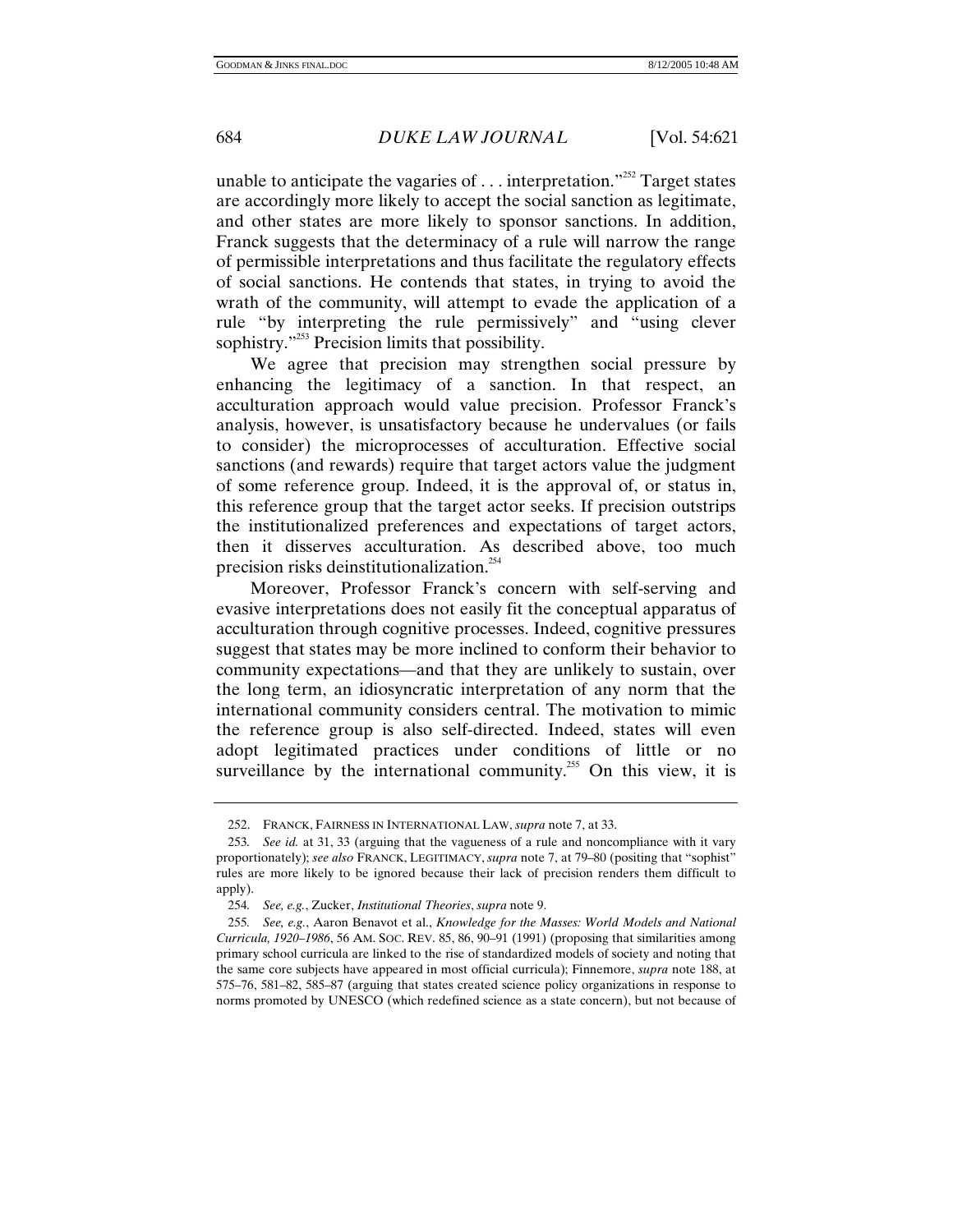unable to anticipate the vagaries of  $\dots$  interpretation."<sup>252</sup> Target states are accordingly more likely to accept the social sanction as legitimate, and other states are more likely to sponsor sanctions. In addition, Franck suggests that the determinacy of a rule will narrow the range of permissible interpretations and thus facilitate the regulatory effects of social sanctions. He contends that states, in trying to avoid the wrath of the community, will attempt to evade the application of a rule "by interpreting the rule permissively" and "using clever sophistry."<sup>253</sup> Precision limits that possibility.

We agree that precision may strengthen social pressure by enhancing the legitimacy of a sanction. In that respect, an acculturation approach would value precision. Professor Franck's analysis, however, is unsatisfactory because he undervalues (or fails to consider) the microprocesses of acculturation. Effective social sanctions (and rewards) require that target actors value the judgment of some reference group. Indeed, it is the approval of, or status in, this reference group that the target actor seeks. If precision outstrips the institutionalized preferences and expectations of target actors, then it disserves acculturation. As described above, too much precision risks deinstitutionalization.254

Moreover, Professor Franck's concern with self-serving and evasive interpretations does not easily fit the conceptual apparatus of acculturation through cognitive processes. Indeed, cognitive pressures suggest that states may be more inclined to conform their behavior to community expectations—and that they are unlikely to sustain, over the long term, an idiosyncratic interpretation of any norm that the international community considers central. The motivation to mimic the reference group is also self-directed. Indeed, states will even adopt legitimated practices under conditions of little or no surveillance by the international community.<sup>255</sup> On this view, it is

 <sup>252.</sup> FRANCK, FAIRNESS IN INTERNATIONAL LAW, *supra* note 7, at 33.

<sup>253</sup>*. See id.* at 31, 33 (arguing that the vagueness of a rule and noncompliance with it vary proportionately); *see also* FRANCK, LEGITIMACY, *supra* note 7, at 79–80 (positing that "sophist" rules are more likely to be ignored because their lack of precision renders them difficult to apply).

<sup>254</sup>*. See, e.g.*, Zucker, *Institutional Theories*, *supra* note 9.

<sup>255</sup>*. See, e.g.*, Aaron Benavot et al., *Knowledge for the Masses: World Models and National Curricula, 1920–1986*, 56 AM. SOC. REV. 85, 86, 90–91 (1991) (proposing that similarities among primary school curricula are linked to the rise of standardized models of society and noting that the same core subjects have appeared in most official curricula); Finnemore, *supra* note 188, at 575–76, 581–82, 585–87 (arguing that states created science policy organizations in response to norms promoted by UNESCO (which redefined science as a state concern), but not because of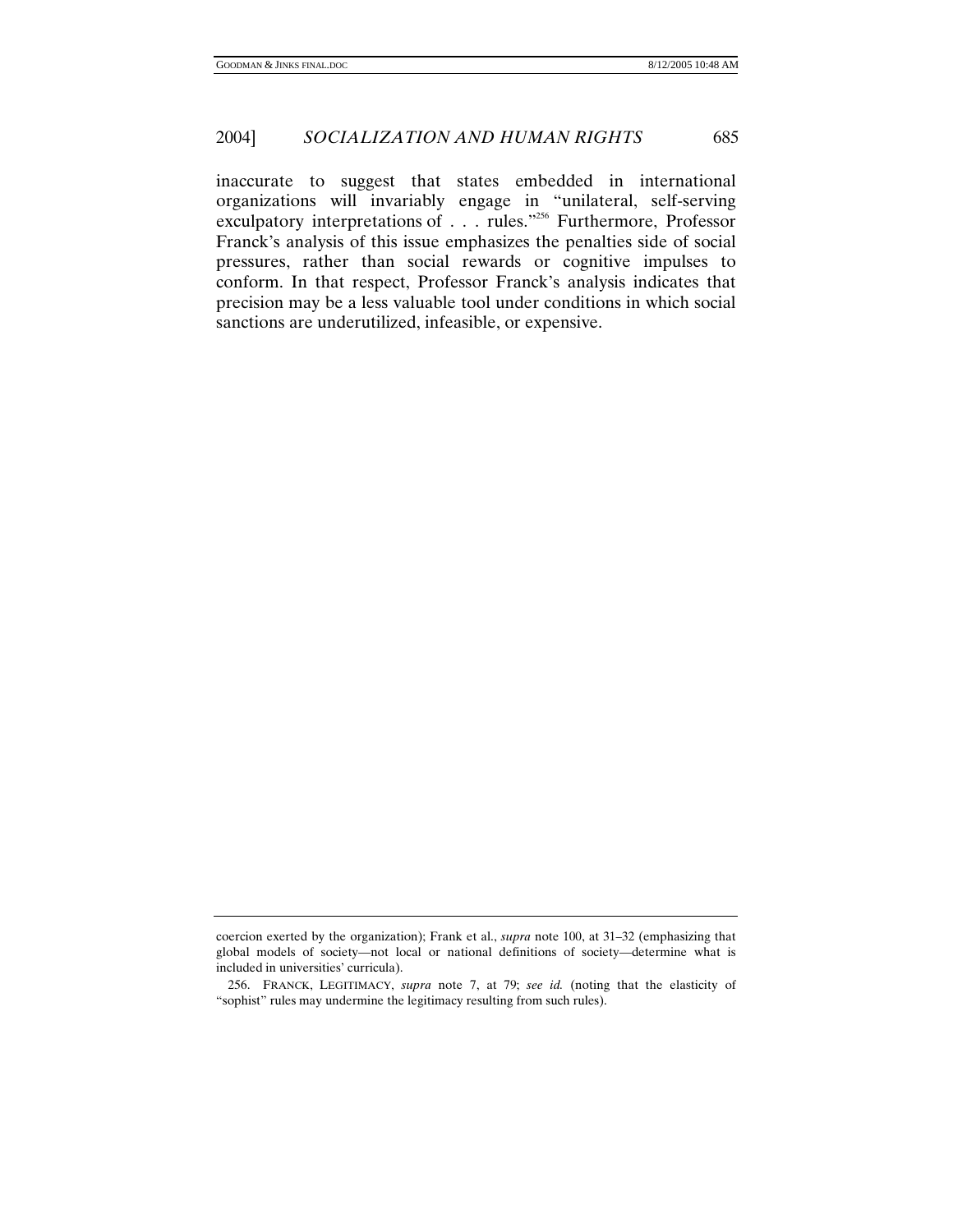inaccurate to suggest that states embedded in international organizations will invariably engage in "unilateral, self-serving exculpatory interpretations of . . . rules."256 Furthermore, Professor Franck's analysis of this issue emphasizes the penalties side of social pressures, rather than social rewards or cognitive impulses to conform. In that respect, Professor Franck's analysis indicates that precision may be a less valuable tool under conditions in which social sanctions are underutilized, infeasible, or expensive.

coercion exerted by the organization); Frank et al., *supra* note 100, at 31–32 (emphasizing that global models of society—not local or national definitions of society—determine what is included in universities' curricula).

 <sup>256.</sup> FRANCK, LEGITIMACY, *supra* note 7, at 79; *see id.* (noting that the elasticity of "sophist" rules may undermine the legitimacy resulting from such rules).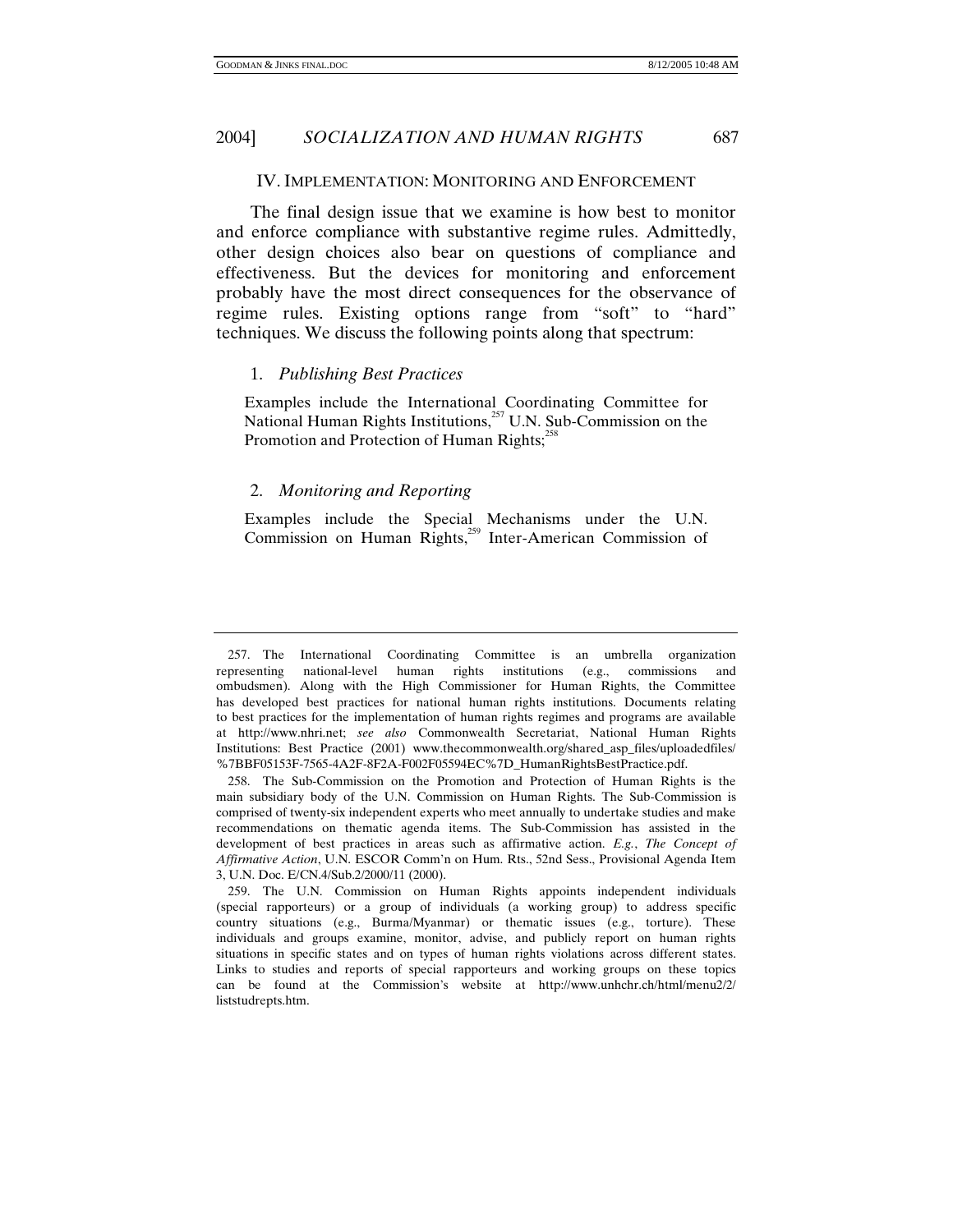### IV. IMPLEMENTATION: MONITORING AND ENFORCEMENT

The final design issue that we examine is how best to monitor and enforce compliance with substantive regime rules. Admittedly, other design choices also bear on questions of compliance and effectiveness. But the devices for monitoring and enforcement probably have the most direct consequences for the observance of regime rules. Existing options range from "soft" to "hard" techniques. We discuss the following points along that spectrum:

#### 1. *Publishing Best Practices*

Examples include the International Coordinating Committee for National Human Rights Institutions, $257$  U.N. Sub-Commission on the Promotion and Protection of Human Rights;<sup>258</sup>

# 2. *Monitoring and Reporting*

Examples include the Special Mechanisms under the U.N. Commission on Human Rights,<sup>259</sup> Inter-American Commission of

 <sup>257.</sup> The International Coordinating Committee is an umbrella organization representing national-level human rights institutions (e.g., commissions and ombudsmen). Along with the High Commissioner for Human Rights, the Committee has developed best practices for national human rights institutions. Documents relating to best practices for the implementation of human rights regimes and programs are available at http://www.nhri.net; *see also* Commonwealth Secretariat, National Human Rights Institutions: Best Practice (2001) www.thecommonwealth.org/shared\_asp\_files/uploadedfiles/ %7BBF05153F-7565-4A2F-8F2A-F002F05594EC%7D\_HumanRightsBestPractice.pdf.

 <sup>258.</sup> The Sub-Commission on the Promotion and Protection of Human Rights is the main subsidiary body of the U.N. Commission on Human Rights. The Sub-Commission is comprised of twenty-six independent experts who meet annually to undertake studies and make recommendations on thematic agenda items. The Sub-Commission has assisted in the development of best practices in areas such as affirmative action. *E.g.*, *The Concept of Affirmative Action*, U.N. ESCOR Comm'n on Hum. Rts., 52nd Sess., Provisional Agenda Item 3, U.N. Doc. E/CN.4/Sub.2/2000/11 (2000).

 <sup>259.</sup> The U.N. Commission on Human Rights appoints independent individuals (special rapporteurs) or a group of individuals (a working group) to address specific country situations (e.g., Burma/Myanmar) or thematic issues (e.g., torture). These individuals and groups examine, monitor, advise, and publicly report on human rights situations in specific states and on types of human rights violations across different states. Links to studies and reports of special rapporteurs and working groups on these topics can be found at the Commission's website at http://www.unhchr.ch/html/menu2/2/ liststudrepts.htm.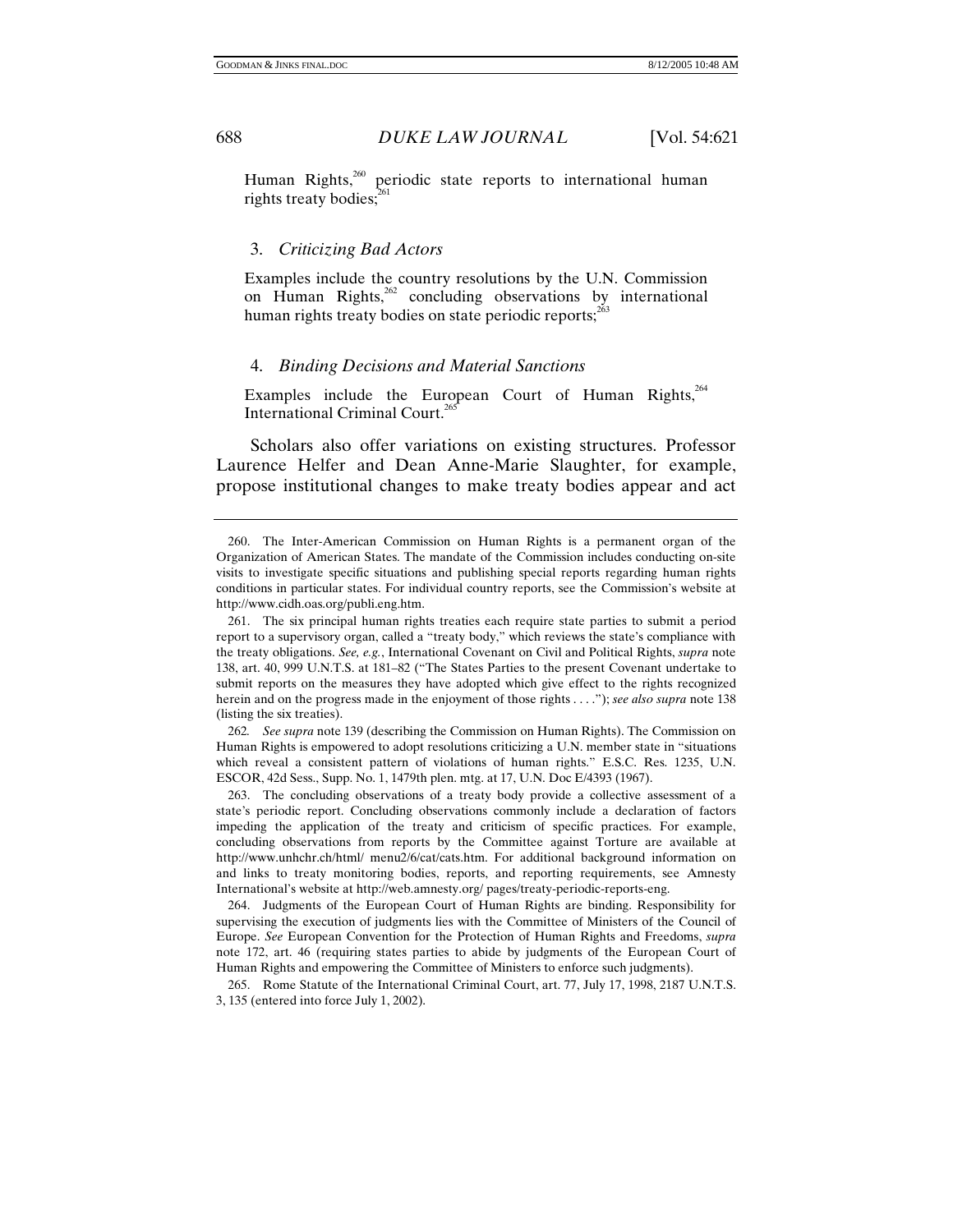Human Rights, $260$  periodic state reports to international human rights treaty bodies; $^{261}$ 

#### 3. *Criticizing Bad Actors*

Examples include the country resolutions by the U.N. Commission on Human Rights, $262$  concluding observations by international human rights treaty bodies on state periodic reports; $^{263}$ 

#### 4. *Binding Decisions and Material Sanctions*

Examples include the European Court of Human Rights, $^{264}$ International Criminal Court.<sup>265</sup>

Scholars also offer variations on existing structures. Professor Laurence Helfer and Dean Anne-Marie Slaughter, for example, propose institutional changes to make treaty bodies appear and act

262*. See supra* note 139 (describing the Commission on Human Rights). The Commission on Human Rights is empowered to adopt resolutions criticizing a U.N. member state in "situations which reveal a consistent pattern of violations of human rights." E.S.C. Res. 1235, U.N. ESCOR, 42d Sess., Supp. No. 1, 1479th plen. mtg. at 17, U.N. Doc E/4393 (1967).

 263. The concluding observations of a treaty body provide a collective assessment of a state's periodic report. Concluding observations commonly include a declaration of factors impeding the application of the treaty and criticism of specific practices. For example, concluding observations from reports by the Committee against Torture are available at http://www.unhchr.ch/html/ menu2/6/cat/cats.htm. For additional background information on and links to treaty monitoring bodies, reports, and reporting requirements, see Amnesty International's website at http://web.amnesty.org/ pages/treaty-periodic-reports-eng.

 264. Judgments of the European Court of Human Rights are binding. Responsibility for supervising the execution of judgments lies with the Committee of Ministers of the Council of Europe. *See* European Convention for the Protection of Human Rights and Freedoms, *supra*  note 172, art. 46 (requiring states parties to abide by judgments of the European Court of Human Rights and empowering the Committee of Ministers to enforce such judgments).

 265. Rome Statute of the International Criminal Court, art. 77, July 17, 1998, 2187 U.N.T.S. 3, 135 (entered into force July 1, 2002).

 <sup>260.</sup> The Inter-American Commission on Human Rights is a permanent organ of the Organization of American States. The mandate of the Commission includes conducting on-site visits to investigate specific situations and publishing special reports regarding human rights conditions in particular states. For individual country reports, see the Commission's website at http://www.cidh.oas.org/publi.eng.htm.

 <sup>261.</sup> The six principal human rights treaties each require state parties to submit a period report to a supervisory organ, called a "treaty body," which reviews the state's compliance with the treaty obligations. *See, e.g.*, International Covenant on Civil and Political Rights, *supra* note 138, art. 40, 999 U.N.T.S. at 181–82 ("The States Parties to the present Covenant undertake to submit reports on the measures they have adopted which give effect to the rights recognized herein and on the progress made in the enjoyment of those rights . . . ."); *see also supra* note 138 (listing the six treaties).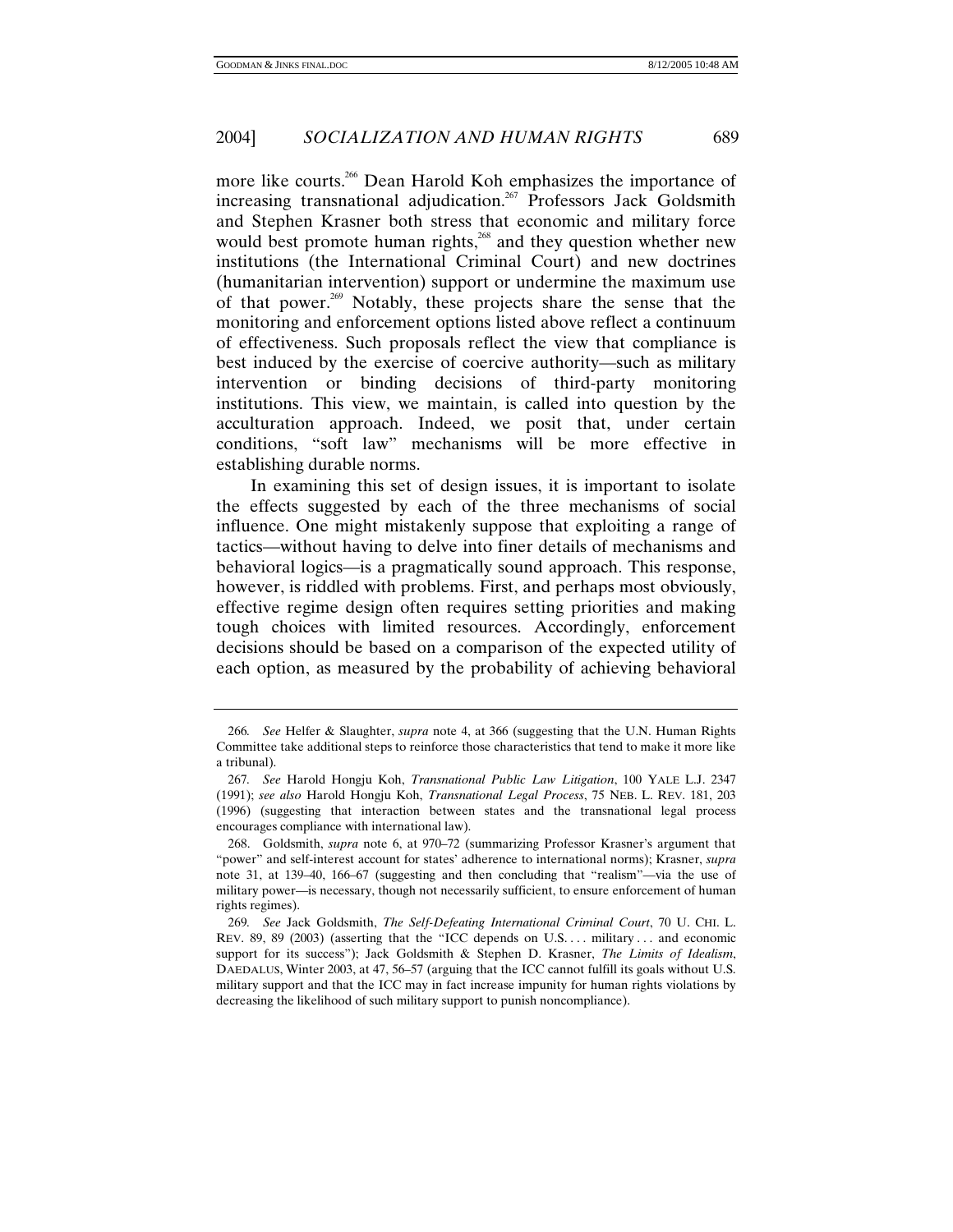more like courts.<sup>266</sup> Dean Harold Koh emphasizes the importance of increasing transnational adjudication.<sup>267</sup> Professors Jack Goldsmith and Stephen Krasner both stress that economic and military force would best promote human rights,<sup>268</sup> and they question whether new institutions (the International Criminal Court) and new doctrines (humanitarian intervention) support or undermine the maximum use of that power.<sup>269</sup> Notably, these projects share the sense that the monitoring and enforcement options listed above reflect a continuum of effectiveness. Such proposals reflect the view that compliance is best induced by the exercise of coercive authority—such as military intervention or binding decisions of third-party monitoring institutions. This view, we maintain, is called into question by the acculturation approach. Indeed, we posit that, under certain conditions, "soft law" mechanisms will be more effective in establishing durable norms.

In examining this set of design issues, it is important to isolate the effects suggested by each of the three mechanisms of social influence. One might mistakenly suppose that exploiting a range of tactics—without having to delve into finer details of mechanisms and behavioral logics—is a pragmatically sound approach. This response, however, is riddled with problems. First, and perhaps most obviously, effective regime design often requires setting priorities and making tough choices with limited resources. Accordingly, enforcement decisions should be based on a comparison of the expected utility of each option, as measured by the probability of achieving behavioral

<sup>266</sup>*. See* Helfer & Slaughter, *supra* note 4, at 366 (suggesting that the U.N. Human Rights Committee take additional steps to reinforce those characteristics that tend to make it more like a tribunal).

<sup>267</sup>*. See* Harold Hongju Koh, *Transnational Public Law Litigation*, 100 YALE L.J. 2347 (1991); *see also* Harold Hongju Koh, *Transnational Legal Process*, 75 NEB. L. REV. 181, 203 (1996) (suggesting that interaction between states and the transnational legal process encourages compliance with international law).

 <sup>268.</sup> Goldsmith, *supra* note 6, at 970–72 (summarizing Professor Krasner's argument that "power" and self-interest account for states' adherence to international norms); Krasner, *supra* note 31, at 139–40, 166–67 (suggesting and then concluding that "realism"—via the use of military power—is necessary, though not necessarily sufficient, to ensure enforcement of human rights regimes).

<sup>269</sup>*. See* Jack Goldsmith, *The Self-Defeating International Criminal Court*, 70 U. CHI. L. REV. 89, 89 (2003) (asserting that the "ICC depends on U.S.... military ... and economic support for its success"); Jack Goldsmith & Stephen D. Krasner, *The Limits of Idealism*, DAEDALUS, Winter 2003, at 47, 56–57 (arguing that the ICC cannot fulfill its goals without U.S. military support and that the ICC may in fact increase impunity for human rights violations by decreasing the likelihood of such military support to punish noncompliance).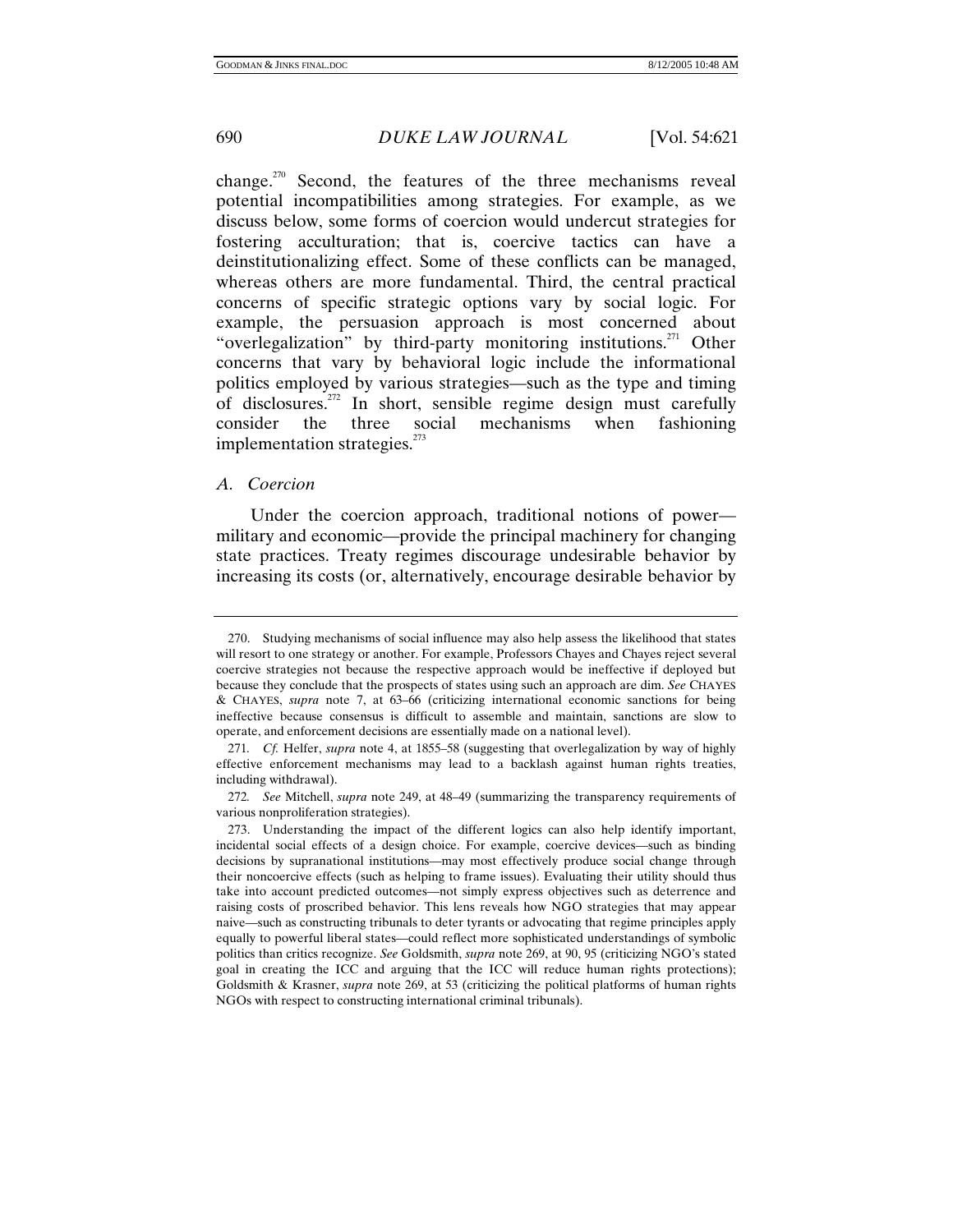change.<sup>270</sup> Second, the features of the three mechanisms reveal potential incompatibilities among strategies. For example, as we discuss below, some forms of coercion would undercut strategies for fostering acculturation; that is, coercive tactics can have a deinstitutionalizing effect. Some of these conflicts can be managed, whereas others are more fundamental. Third, the central practical concerns of specific strategic options vary by social logic. For example, the persuasion approach is most concerned about "overlegalization" by third-party monitoring institutions.<sup>271</sup> Other concerns that vary by behavioral logic include the informational politics employed by various strategies—such as the type and timing of disclosures.<sup>272</sup> In short, sensible regime design must carefully consider the three social mechanisms when fashioning implementation strategies.<sup>273</sup>

## *A. Coercion*

Under the coercion approach, traditional notions of power military and economic—provide the principal machinery for changing state practices. Treaty regimes discourage undesirable behavior by increasing its costs (or, alternatively, encourage desirable behavior by

 <sup>270.</sup> Studying mechanisms of social influence may also help assess the likelihood that states will resort to one strategy or another. For example, Professors Chayes and Chayes reject several coercive strategies not because the respective approach would be ineffective if deployed but because they conclude that the prospects of states using such an approach are dim. *See* CHAYES & CHAYES, *supra* note 7, at 63–66 (criticizing international economic sanctions for being ineffective because consensus is difficult to assemble and maintain, sanctions are slow to operate, and enforcement decisions are essentially made on a national level).

<sup>271</sup>*. Cf.* Helfer, *supra* note 4, at 1855–58 (suggesting that overlegalization by way of highly effective enforcement mechanisms may lead to a backlash against human rights treaties, including withdrawal).

<sup>272</sup>*. See* Mitchell, *supra* note 249, at 48–49 (summarizing the transparency requirements of various nonproliferation strategies).

 <sup>273.</sup> Understanding the impact of the different logics can also help identify important, incidental social effects of a design choice. For example, coercive devices—such as binding decisions by supranational institutions—may most effectively produce social change through their noncoercive effects (such as helping to frame issues). Evaluating their utility should thus take into account predicted outcomes—not simply express objectives such as deterrence and raising costs of proscribed behavior. This lens reveals how NGO strategies that may appear naive—such as constructing tribunals to deter tyrants or advocating that regime principles apply equally to powerful liberal states—could reflect more sophisticated understandings of symbolic politics than critics recognize. *See* Goldsmith, *supra* note 269, at 90, 95 (criticizing NGO's stated goal in creating the ICC and arguing that the ICC will reduce human rights protections); Goldsmith & Krasner, *supra* note 269, at 53 (criticizing the political platforms of human rights NGOs with respect to constructing international criminal tribunals).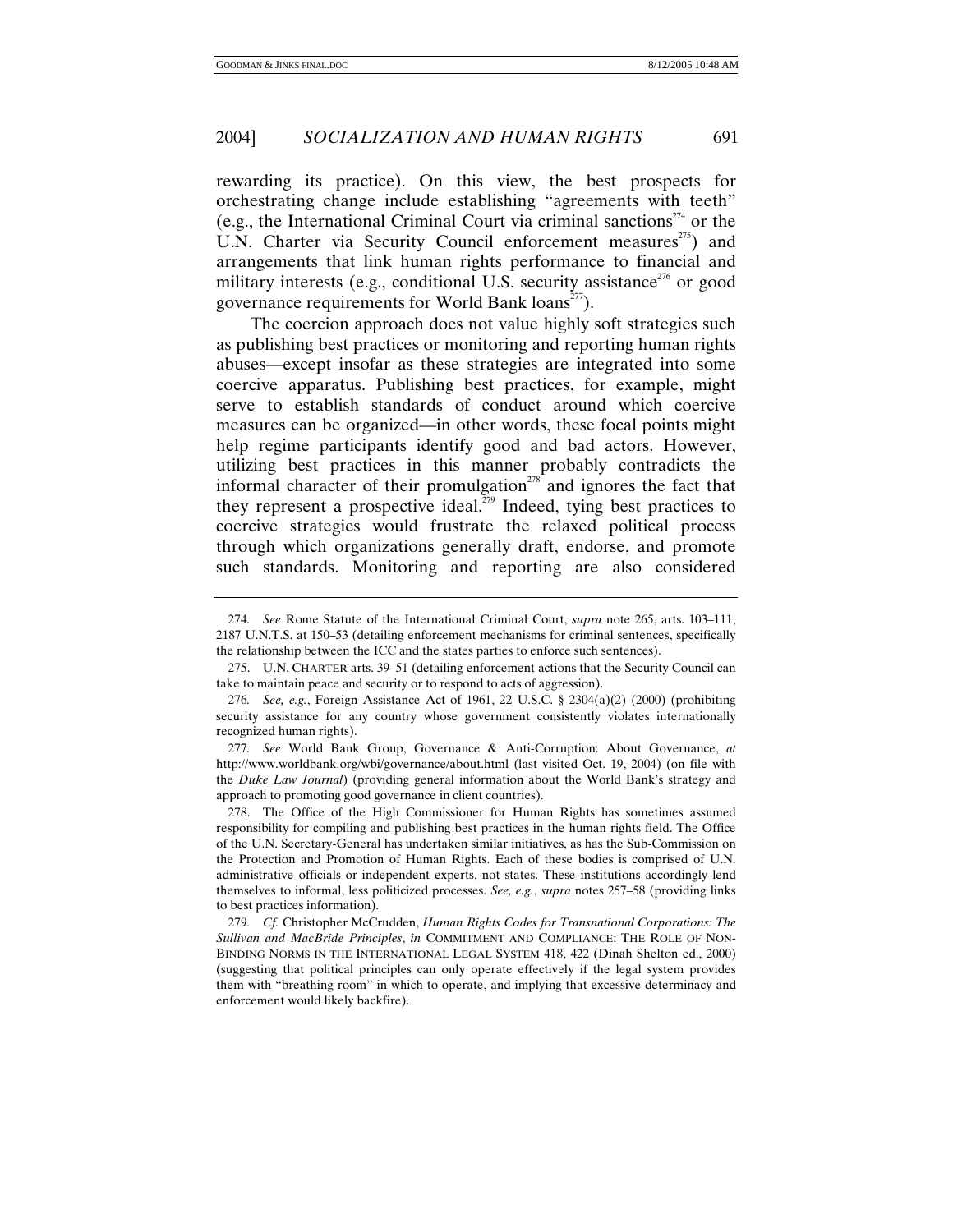## 2004] *SOCIALIZATION AND HUMAN RIGHTS* 691

rewarding its practice). On this view, the best prospects for orchestrating change include establishing "agreements with teeth" (e.g., the International Criminal Court via criminal sanctions<sup> $274$ </sup> or the U.N. Charter via Security Council enforcement measures<sup> $275$ </sup>) and arrangements that link human rights performance to financial and military interests (e.g., conditional U.S. security assistance<sup>276</sup> or good governance requirements for World Bank loans<sup> $277$ </sup>).

The coercion approach does not value highly soft strategies such as publishing best practices or monitoring and reporting human rights abuses—except insofar as these strategies are integrated into some coercive apparatus. Publishing best practices, for example, might serve to establish standards of conduct around which coercive measures can be organized—in other words, these focal points might help regime participants identify good and bad actors. However, utilizing best practices in this manner probably contradicts the informal character of their promulgation<sup> $278$ </sup> and ignores the fact that they represent a prospective ideal.<sup> $\bar{z}^{79}$ </sup> Indeed, tying best practices to coercive strategies would frustrate the relaxed political process through which organizations generally draft, endorse, and promote such standards. Monitoring and reporting are also considered

277*. See* World Bank Group, Governance & Anti-Corruption: About Governance, *at* http://www.worldbank.org/wbi/governance/about.html (last visited Oct. 19, 2004) (on file with the *Duke Law Journal*) (providing general information about the World Bank's strategy and approach to promoting good governance in client countries).

 278. The Office of the High Commissioner for Human Rights has sometimes assumed responsibility for compiling and publishing best practices in the human rights field. The Office of the U.N. Secretary-General has undertaken similar initiatives, as has the Sub-Commission on the Protection and Promotion of Human Rights. Each of these bodies is comprised of U.N. administrative officials or independent experts, not states. These institutions accordingly lend themselves to informal, less politicized processes. *See, e.g.*, *supra* notes 257–58 (providing links to best practices information).

279*. Cf.* Christopher McCrudden, *Human Rights Codes for Transnational Corporations: The Sullivan and MacBride Principles*, *in* COMMITMENT AND COMPLIANCE: THE ROLE OF NON-BINDING NORMS IN THE INTERNATIONAL LEGAL SYSTEM 418, 422 (Dinah Shelton ed., 2000) (suggesting that political principles can only operate effectively if the legal system provides them with "breathing room" in which to operate, and implying that excessive determinacy and enforcement would likely backfire).

<sup>274</sup>*. See* Rome Statute of the International Criminal Court, *supra* note 265, arts. 103–111, 2187 U.N.T.S. at 150–53 (detailing enforcement mechanisms for criminal sentences, specifically the relationship between the ICC and the states parties to enforce such sentences).

 <sup>275.</sup> U.N. CHARTER arts. 39–51 (detailing enforcement actions that the Security Council can take to maintain peace and security or to respond to acts of aggression).

<sup>276</sup>*. See, e.g.*, Foreign Assistance Act of 1961, 22 U.S.C. § 2304(a)(2) (2000) (prohibiting security assistance for any country whose government consistently violates internationally recognized human rights).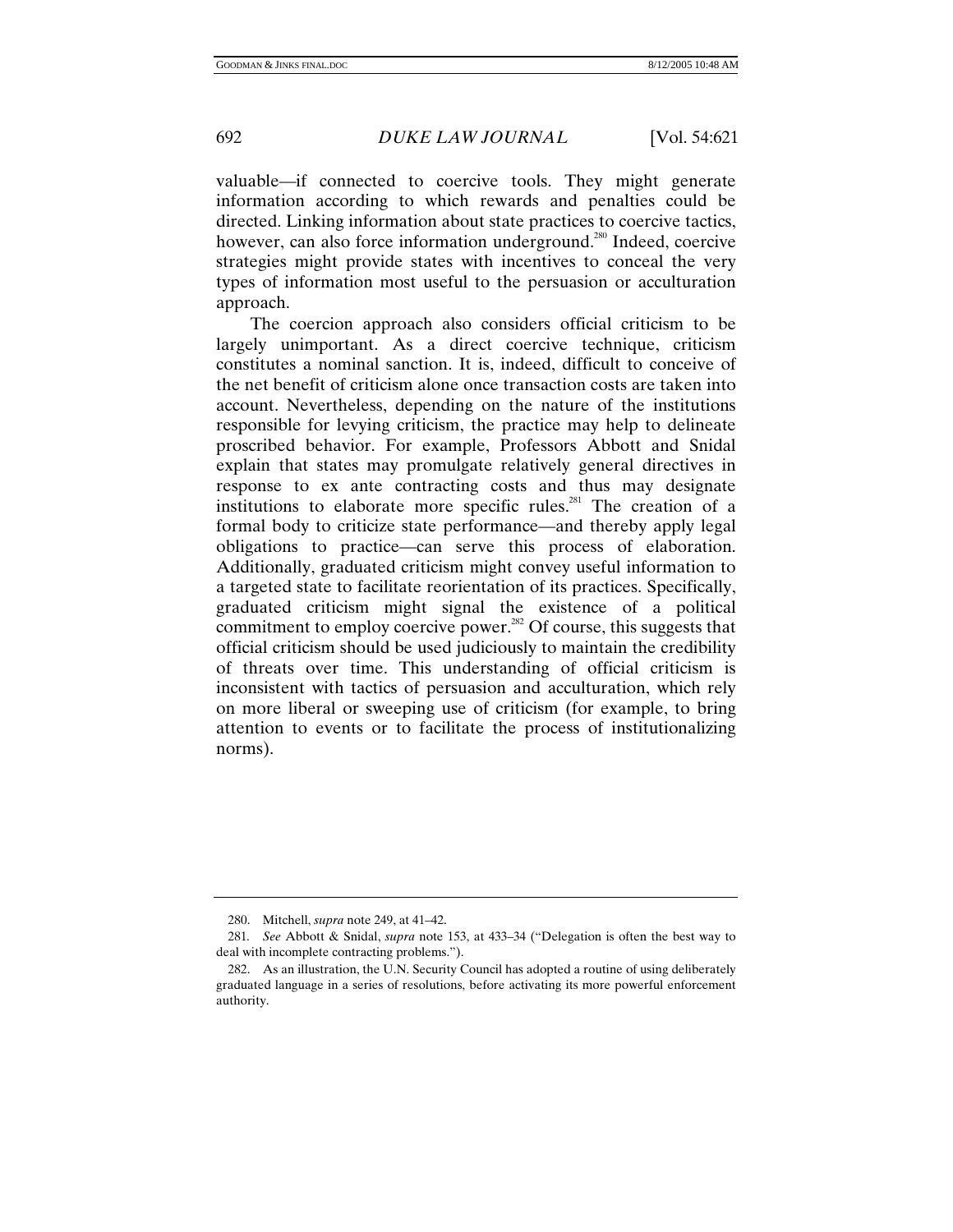valuable—if connected to coercive tools. They might generate information according to which rewards and penalties could be directed. Linking information about state practices to coercive tactics, however, can also force information underground.<sup>280</sup> Indeed, coercive strategies might provide states with incentives to conceal the very types of information most useful to the persuasion or acculturation approach.

The coercion approach also considers official criticism to be largely unimportant. As a direct coercive technique, criticism constitutes a nominal sanction. It is, indeed, difficult to conceive of the net benefit of criticism alone once transaction costs are taken into account. Nevertheless, depending on the nature of the institutions responsible for levying criticism, the practice may help to delineate proscribed behavior. For example, Professors Abbott and Snidal explain that states may promulgate relatively general directives in response to ex ante contracting costs and thus may designate institutions to elaborate more specific rules.<sup>281</sup> The creation of a formal body to criticize state performance—and thereby apply legal obligations to practice—can serve this process of elaboration. Additionally, graduated criticism might convey useful information to a targeted state to facilitate reorientation of its practices. Specifically, graduated criticism might signal the existence of a political commitment to employ coercive power.<sup>282</sup> Of course, this suggests that official criticism should be used judiciously to maintain the credibility of threats over time. This understanding of official criticism is inconsistent with tactics of persuasion and acculturation, which rely on more liberal or sweeping use of criticism (for example, to bring attention to events or to facilitate the process of institutionalizing norms).

 <sup>280.</sup> Mitchell, *supra* note 249, at 41–42.

<sup>281</sup>*. See* Abbott & Snidal, *supra* note 153, at 433–34 ("Delegation is often the best way to deal with incomplete contracting problems.").

 <sup>282.</sup> As an illustration, the U.N. Security Council has adopted a routine of using deliberately graduated language in a series of resolutions, before activating its more powerful enforcement authority.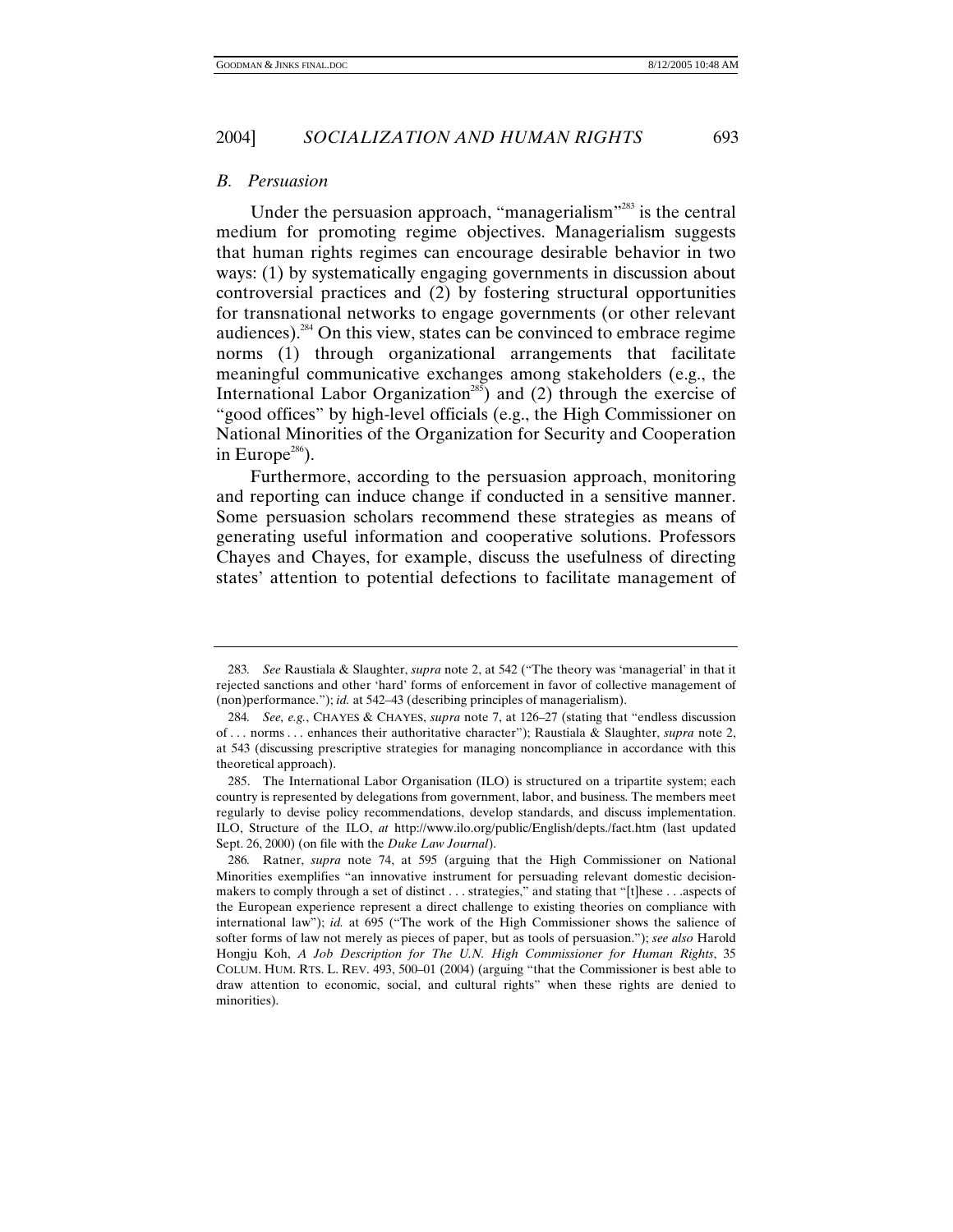### *B. Persuasion*

Under the persuasion approach, "managerialism"<sup>283</sup> is the central medium for promoting regime objectives. Managerialism suggests that human rights regimes can encourage desirable behavior in two ways: (1) by systematically engaging governments in discussion about controversial practices and (2) by fostering structural opportunities for transnational networks to engage governments (or other relevant audiences).284 On this view, states can be convinced to embrace regime norms (1) through organizational arrangements that facilitate meaningful communicative exchanges among stakeholders (e.g., the International Labor Organization<sup>285</sup>) and (2) through the exercise of "good offices" by high-level officials (e.g., the High Commissioner on National Minorities of the Organization for Security and Cooperation in Europe<sup>286</sup>).

Furthermore, according to the persuasion approach, monitoring and reporting can induce change if conducted in a sensitive manner. Some persuasion scholars recommend these strategies as means of generating useful information and cooperative solutions. Professors Chayes and Chayes, for example, discuss the usefulness of directing states' attention to potential defections to facilitate management of

<sup>283</sup>*. See* Raustiala & Slaughter, *supra* note 2, at 542 ("The theory was 'managerial' in that it rejected sanctions and other 'hard' forms of enforcement in favor of collective management of (non)performance."); *id.* at 542–43 (describing principles of managerialism).

<sup>284</sup>*. See, e.g.*, CHAYES & CHAYES, *supra* note 7, at 126–27 (stating that "endless discussion of . . . norms . . . enhances their authoritative character"); Raustiala & Slaughter, *supra* note 2, at 543 (discussing prescriptive strategies for managing noncompliance in accordance with this theoretical approach).

 <sup>285.</sup> The International Labor Organisation (ILO) is structured on a tripartite system; each country is represented by delegations from government, labor, and business. The members meet regularly to devise policy recommendations, develop standards, and discuss implementation. ILO, Structure of the ILO, *at* http://www.ilo.org/public/English/depts./fact.htm (last updated Sept. 26, 2000) (on file with the *Duke Law Journal*).

<sup>286</sup>*.* Ratner, *supra* note 74, at 595 (arguing that the High Commissioner on National Minorities exemplifies "an innovative instrument for persuading relevant domestic decisionmakers to comply through a set of distinct . . . strategies," and stating that "[t]hese . . .aspects of the European experience represent a direct challenge to existing theories on compliance with international law"); *id.* at 695 ("The work of the High Commissioner shows the salience of softer forms of law not merely as pieces of paper, but as tools of persuasion."); *see also* Harold Hongju Koh, *A Job Description for The U.N. High Commissioner for Human Rights*, 35 COLUM. HUM. RTS. L. REV. 493, 500–01 (2004) (arguing "that the Commissioner is best able to draw attention to economic, social, and cultural rights" when these rights are denied to minorities).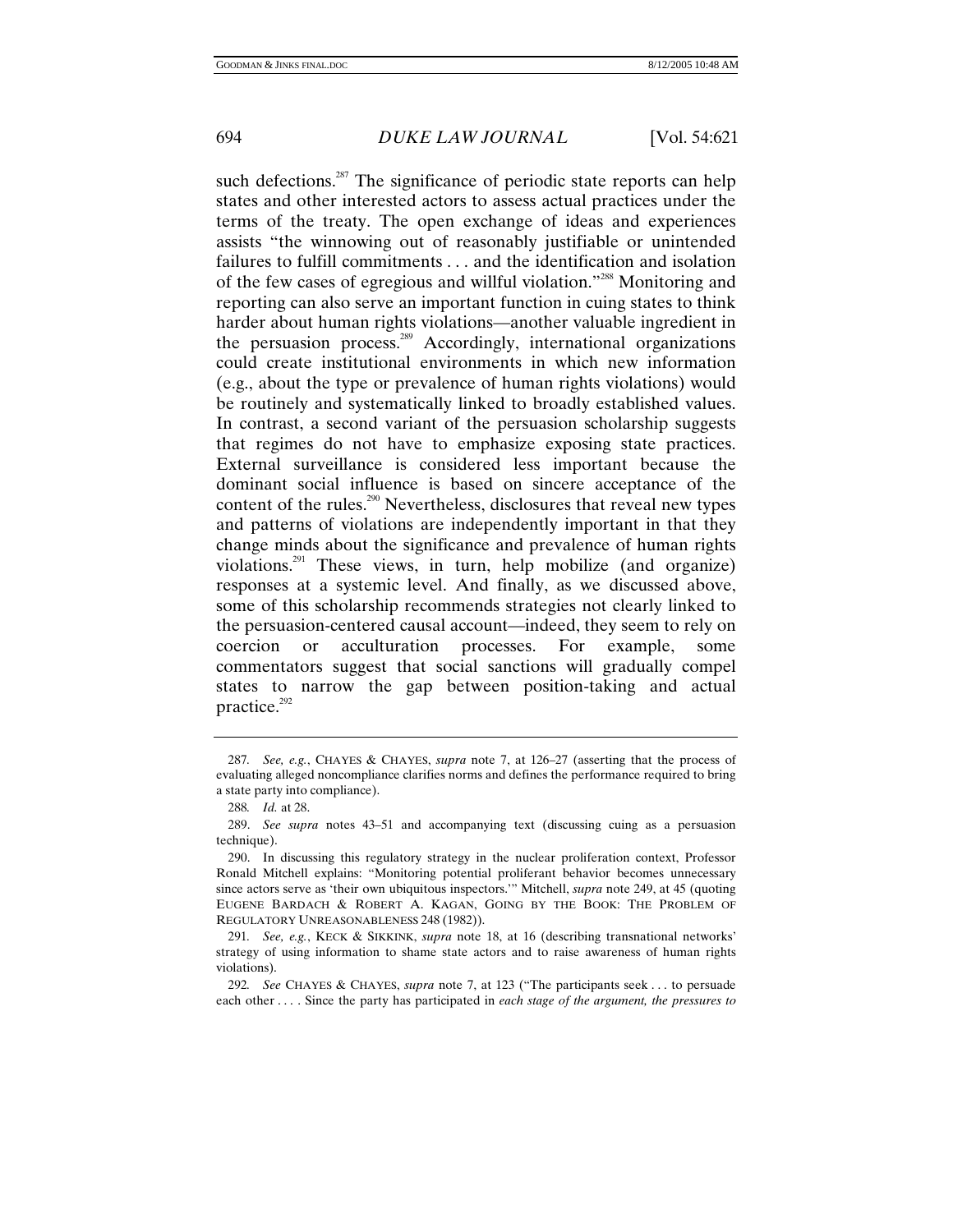such defections.<sup>287</sup> The significance of periodic state reports can help states and other interested actors to assess actual practices under the terms of the treaty. The open exchange of ideas and experiences assists "the winnowing out of reasonably justifiable or unintended failures to fulfill commitments . . . and the identification and isolation of the few cases of egregious and willful violation."288 Monitoring and reporting can also serve an important function in cuing states to think harder about human rights violations—another valuable ingredient in the persuasion process.<sup>289</sup> Accordingly, international organizations could create institutional environments in which new information (e.g., about the type or prevalence of human rights violations) would be routinely and systematically linked to broadly established values. In contrast, a second variant of the persuasion scholarship suggests that regimes do not have to emphasize exposing state practices. External surveillance is considered less important because the dominant social influence is based on sincere acceptance of the content of the rules.<sup>290</sup> Nevertheless, disclosures that reveal new types and patterns of violations are independently important in that they change minds about the significance and prevalence of human rights violations.291 These views, in turn, help mobilize (and organize) responses at a systemic level. And finally, as we discussed above, some of this scholarship recommends strategies not clearly linked to the persuasion-centered causal account—indeed, they seem to rely on coercion or acculturation processes. For example, some commentators suggest that social sanctions will gradually compel states to narrow the gap between position-taking and actual practice.<sup>292</sup>

<sup>287</sup>*. See, e.g.*, CHAYES & CHAYES, *supra* note 7, at 126–27 (asserting that the process of evaluating alleged noncompliance clarifies norms and defines the performance required to bring a state party into compliance).

<sup>288</sup>*. Id.* at 28.

 <sup>289.</sup> *See supra* notes 43–51 and accompanying text (discussing cuing as a persuasion technique).

 <sup>290.</sup> In discussing this regulatory strategy in the nuclear proliferation context, Professor Ronald Mitchell explains: "Monitoring potential proliferant behavior becomes unnecessary since actors serve as 'their own ubiquitous inspectors.'" Mitchell, *supra* note 249, at 45 (quoting EUGENE BARDACH & ROBERT A. KAGAN, GOING BY THE BOOK: THE PROBLEM OF REGULATORY UNREASONABLENESS 248 (1982)).

<sup>291</sup>*. See, e.g.*, KECK & SIKKINK, *supra* note 18, at 16 (describing transnational networks' strategy of using information to shame state actors and to raise awareness of human rights violations).

<sup>292</sup>*. See* CHAYES & CHAYES, *supra* note 7, at 123 ("The participants seek . . . to persuade each other . . . . Since the party has participated in *each stage of the argument, the pressures to*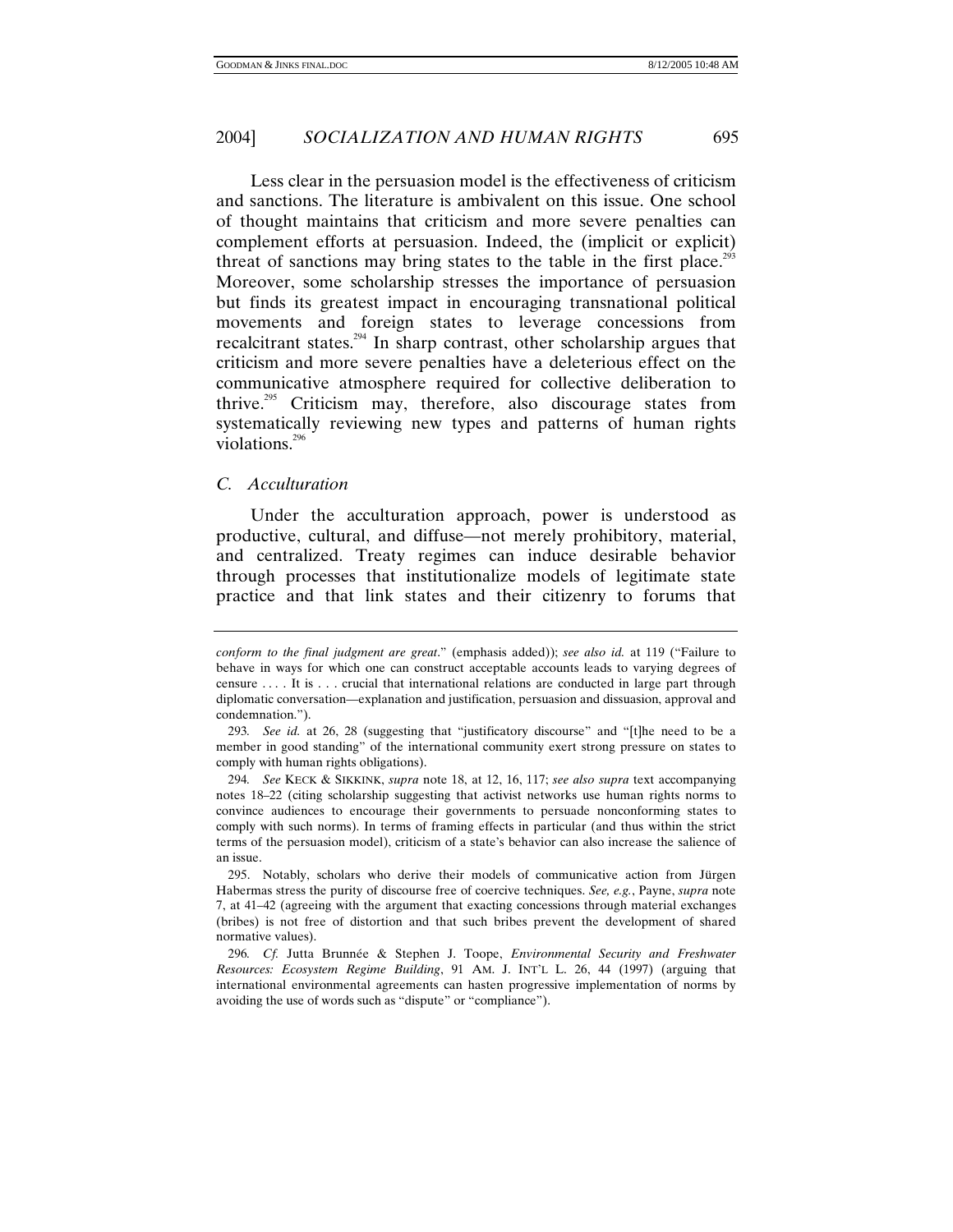Less clear in the persuasion model is the effectiveness of criticism and sanctions. The literature is ambivalent on this issue. One school of thought maintains that criticism and more severe penalties can complement efforts at persuasion. Indeed, the (implicit or explicit) threat of sanctions may bring states to the table in the first place.<sup>293</sup> Moreover, some scholarship stresses the importance of persuasion but finds its greatest impact in encouraging transnational political movements and foreign states to leverage concessions from recalcitrant states.294 In sharp contrast, other scholarship argues that criticism and more severe penalties have a deleterious effect on the communicative atmosphere required for collective deliberation to thrive.295 Criticism may, therefore, also discourage states from systematically reviewing new types and patterns of human rights violations<sup>296</sup>

## *C. Acculturation*

Under the acculturation approach, power is understood as productive, cultural, and diffuse—not merely prohibitory, material, and centralized. Treaty regimes can induce desirable behavior through processes that institutionalize models of legitimate state practice and that link states and their citizenry to forums that

*conform to the final judgment are great*." (emphasis added)); *see also id.* at 119 ("Failure to behave in ways for which one can construct acceptable accounts leads to varying degrees of censure . . . . It is . . . crucial that international relations are conducted in large part through diplomatic conversation—explanation and justification, persuasion and dissuasion, approval and condemnation.").

<sup>293</sup>*. See id.* at 26, 28 (suggesting that "justificatory discourse" and "[t]he need to be a member in good standing" of the international community exert strong pressure on states to comply with human rights obligations).

<sup>294</sup>*. See* KECK & SIKKINK, *supra* note 18, at 12, 16, 117; *see also supra* text accompanying notes 18–22 (citing scholarship suggesting that activist networks use human rights norms to convince audiences to encourage their governments to persuade nonconforming states to comply with such norms). In terms of framing effects in particular (and thus within the strict terms of the persuasion model), criticism of a state's behavior can also increase the salience of an issue.

 <sup>295.</sup> Notably, scholars who derive their models of communicative action from Jürgen Habermas stress the purity of discourse free of coercive techniques. *See, e.g.*, Payne, *supra* note 7, at 41–42 (agreeing with the argument that exacting concessions through material exchanges (bribes) is not free of distortion and that such bribes prevent the development of shared normative values).

<sup>296</sup>*. Cf.* Jutta Brunnée & Stephen J. Toope, *Environmental Security and Freshwater Resources: Ecosystem Regime Building*, 91 AM. J. INT'L L. 26, 44 (1997) (arguing that international environmental agreements can hasten progressive implementation of norms by avoiding the use of words such as "dispute" or "compliance").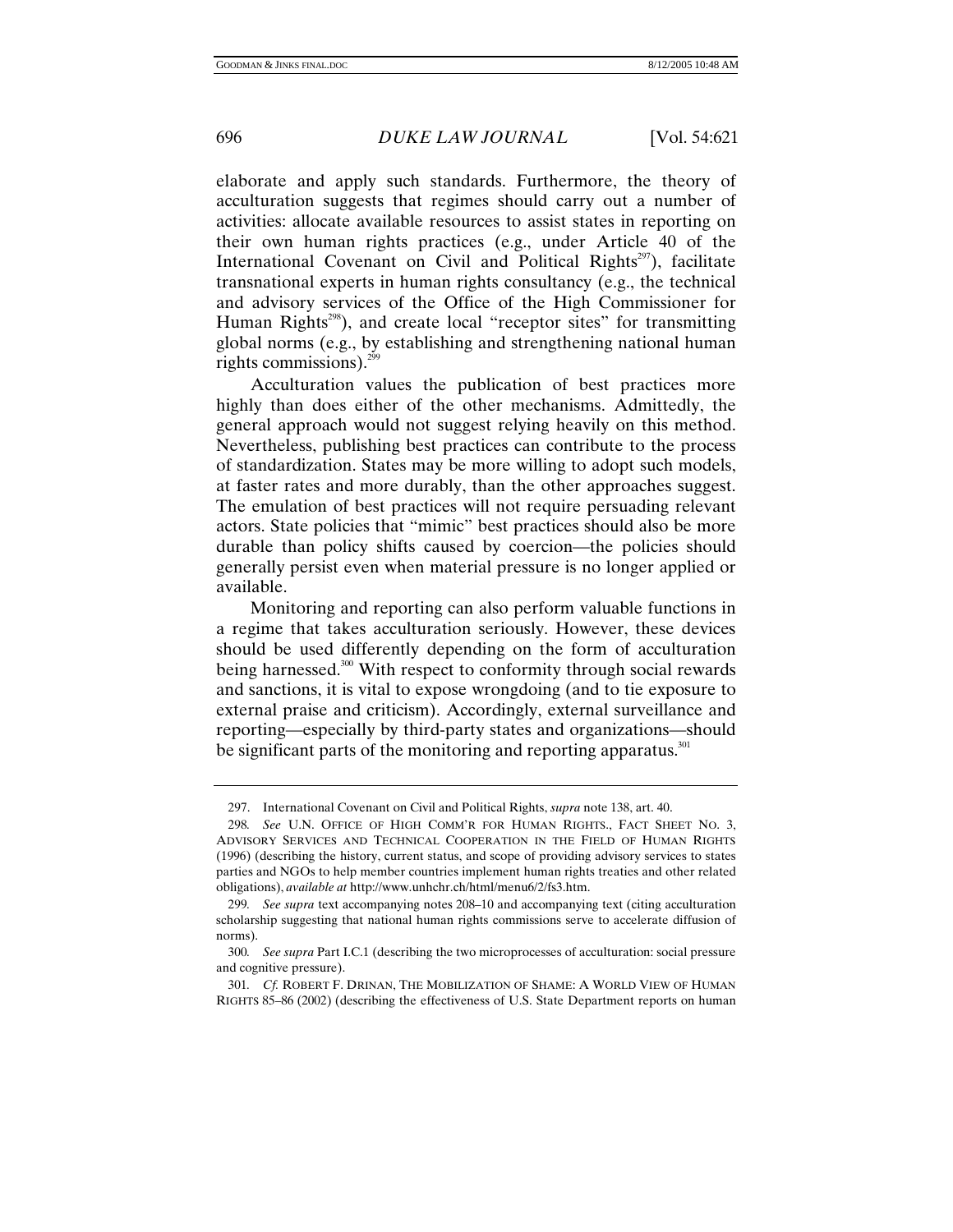elaborate and apply such standards. Furthermore, the theory of acculturation suggests that regimes should carry out a number of activities: allocate available resources to assist states in reporting on their own human rights practices (e.g., under Article 40 of the International Covenant on Civil and Political Rights<sup>297</sup>), facilitate transnational experts in human rights consultancy (e.g., the technical and advisory services of the Office of the High Commissioner for Human Rights<sup>298</sup>), and create local "receptor sites" for transmitting global norms (e.g., by establishing and strengthening national human rights commissions). $299$ 

Acculturation values the publication of best practices more highly than does either of the other mechanisms. Admittedly, the general approach would not suggest relying heavily on this method. Nevertheless, publishing best practices can contribute to the process of standardization. States may be more willing to adopt such models, at faster rates and more durably, than the other approaches suggest. The emulation of best practices will not require persuading relevant actors. State policies that "mimic" best practices should also be more durable than policy shifts caused by coercion—the policies should generally persist even when material pressure is no longer applied or available.

Monitoring and reporting can also perform valuable functions in a regime that takes acculturation seriously. However, these devices should be used differently depending on the form of acculturation being harnessed.<sup>300</sup> With respect to conformity through social rewards and sanctions, it is vital to expose wrongdoing (and to tie exposure to external praise and criticism). Accordingly, external surveillance and reporting—especially by third-party states and organizations—should be significant parts of the monitoring and reporting apparatus.<sup>301</sup>

 <sup>297.</sup> International Covenant on Civil and Political Rights, *supra* note 138, art. 40.

<sup>298</sup>*. See* U.N. OFFICE OF HIGH COMM'R FOR HUMAN RIGHTS., FACT SHEET NO. 3, ADVISORY SERVICES AND TECHNICAL COOPERATION IN THE FIELD OF HUMAN RIGHTS (1996) (describing the history, current status, and scope of providing advisory services to states parties and NGOs to help member countries implement human rights treaties and other related obligations), *available at* http://www.unhchr.ch/html/menu6/2/fs3.htm.

<sup>299</sup>*. See supra* text accompanying notes 208–10 and accompanying text (citing acculturation scholarship suggesting that national human rights commissions serve to accelerate diffusion of norms).

<sup>300</sup>*. See supra* Part I.C.1 (describing the two microprocesses of acculturation: social pressure and cognitive pressure).

<sup>301</sup>*. Cf.* ROBERT F. DRINAN, THE MOBILIZATION OF SHAME: A WORLD VIEW OF HUMAN RIGHTS 85–86 (2002) (describing the effectiveness of U.S. State Department reports on human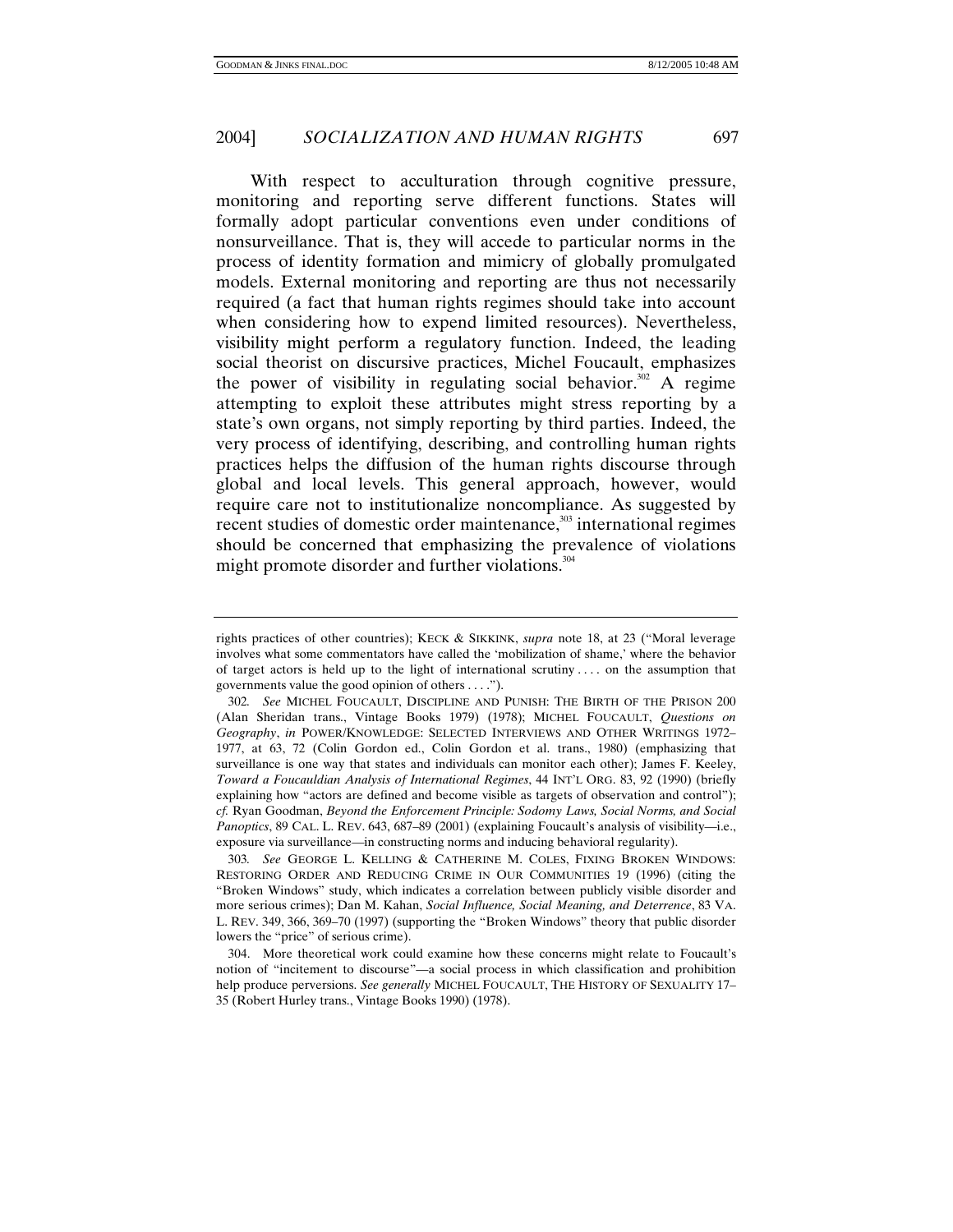With respect to acculturation through cognitive pressure, monitoring and reporting serve different functions. States will formally adopt particular conventions even under conditions of nonsurveillance. That is, they will accede to particular norms in the process of identity formation and mimicry of globally promulgated models. External monitoring and reporting are thus not necessarily required (a fact that human rights regimes should take into account when considering how to expend limited resources). Nevertheless, visibility might perform a regulatory function. Indeed, the leading social theorist on discursive practices, Michel Foucault, emphasizes the power of visibility in regulating social behavior.<sup>302</sup> A regime attempting to exploit these attributes might stress reporting by a state's own organs, not simply reporting by third parties. Indeed, the very process of identifying, describing, and controlling human rights practices helps the diffusion of the human rights discourse through global and local levels. This general approach, however, would require care not to institutionalize noncompliance. As suggested by recent studies of domestic order maintenance,<sup>303</sup> international regimes should be concerned that emphasizing the prevalence of violations might promote disorder and further violations.<sup>304</sup>

rights practices of other countries); KECK & SIKKINK, *supra* note 18, at 23 ("Moral leverage involves what some commentators have called the 'mobilization of shame,' where the behavior of target actors is held up to the light of international scrutiny . . . . on the assumption that governments value the good opinion of others . . . .").

<sup>302</sup>*. See* MICHEL FOUCAULT, DISCIPLINE AND PUNISH: THE BIRTH OF THE PRISON 200 (Alan Sheridan trans., Vintage Books 1979) (1978); MICHEL FOUCAULT, *Questions on Geography*, *in* POWER/KNOWLEDGE: SELECTED INTERVIEWS AND OTHER WRITINGS 1972– 1977, at 63, 72 (Colin Gordon ed., Colin Gordon et al. trans., 1980) (emphasizing that surveillance is one way that states and individuals can monitor each other); James F. Keeley, *Toward a Foucauldian Analysis of International Regimes*, 44 INT'L ORG. 83, 92 (1990) (briefly explaining how "actors are defined and become visible as targets of observation and control"); *cf.* Ryan Goodman, *Beyond the Enforcement Principle: Sodomy Laws, Social Norms, and Social Panoptics*, 89 CAL. L. REV. 643, 687–89 (2001) (explaining Foucault's analysis of visibility—i.e., exposure via surveillance—in constructing norms and inducing behavioral regularity).

<sup>303</sup>*. See* GEORGE L. KELLING & CATHERINE M. COLES, FIXING BROKEN WINDOWS: RESTORING ORDER AND REDUCING CRIME IN OUR COMMUNITIES 19 (1996) (citing the "Broken Windows" study, which indicates a correlation between publicly visible disorder and more serious crimes); Dan M. Kahan, *Social Influence, Social Meaning, and Deterrence*, 83 VA. L. REV. 349, 366, 369–70 (1997) (supporting the "Broken Windows" theory that public disorder lowers the "price" of serious crime).

 <sup>304.</sup> More theoretical work could examine how these concerns might relate to Foucault's notion of "incitement to discourse"—a social process in which classification and prohibition help produce perversions. See generally MICHEL FOUCAULT, THE HISTORY OF SEXUALITY 17-35 (Robert Hurley trans., Vintage Books 1990) (1978).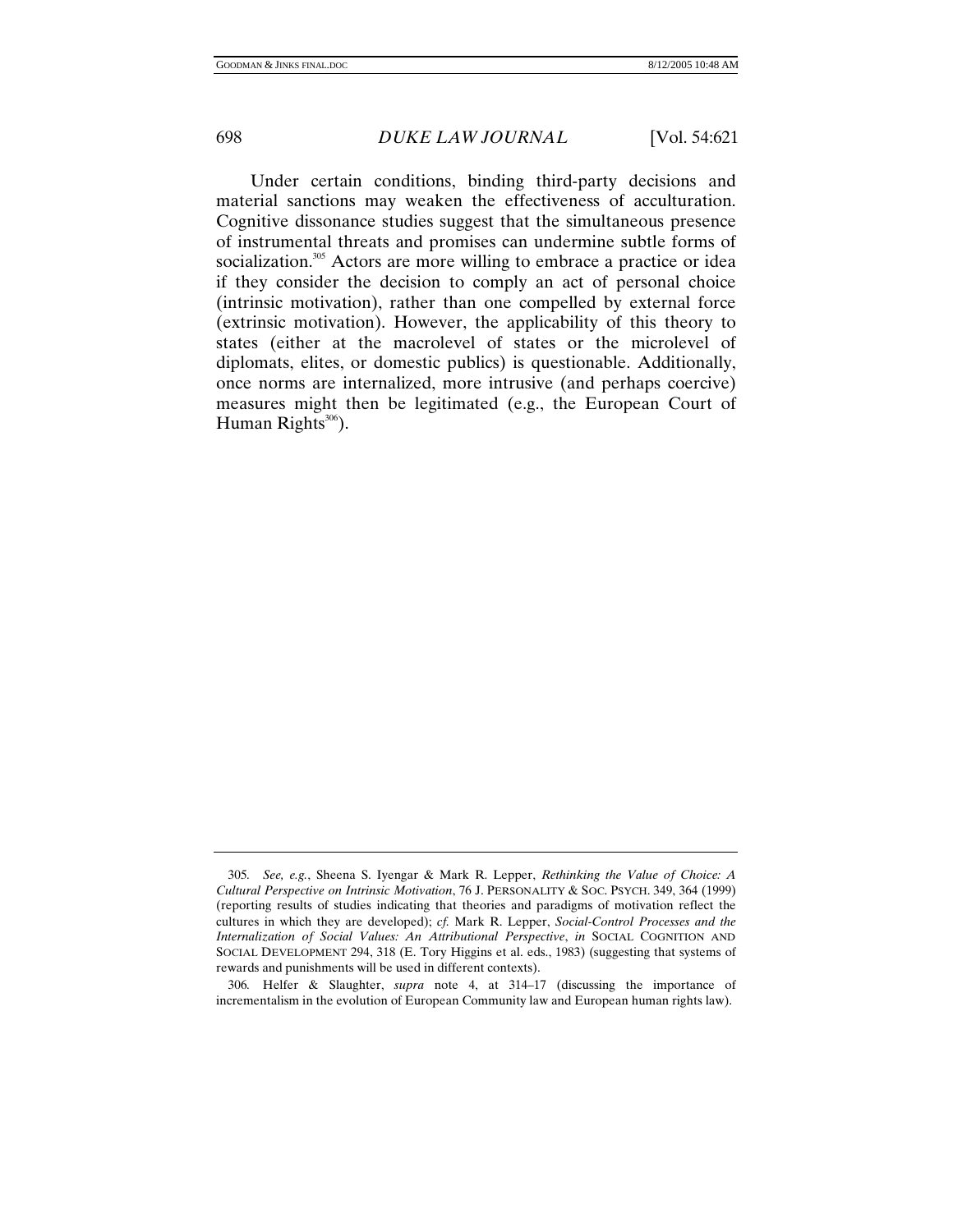Under certain conditions, binding third-party decisions and material sanctions may weaken the effectiveness of acculturation. Cognitive dissonance studies suggest that the simultaneous presence of instrumental threats and promises can undermine subtle forms of socialization.<sup>305</sup> Actors are more willing to embrace a practice or idea if they consider the decision to comply an act of personal choice (intrinsic motivation), rather than one compelled by external force (extrinsic motivation). However, the applicability of this theory to states (either at the macrolevel of states or the microlevel of diplomats, elites, or domestic publics) is questionable. Additionally, once norms are internalized, more intrusive (and perhaps coercive) measures might then be legitimated (e.g., the European Court of Human Rights $306$ ).

<sup>305</sup>*. See, e.g.*, Sheena S. Iyengar & Mark R. Lepper, *Rethinking the Value of Choice: A Cultural Perspective on Intrinsic Motivation*, 76 J. PERSONALITY & SOC. PSYCH. 349, 364 (1999) (reporting results of studies indicating that theories and paradigms of motivation reflect the cultures in which they are developed); *cf.* Mark R. Lepper, *Social-Control Processes and the Internalization of Social Values: An Attributional Perspective*, *in* SOCIAL COGNITION AND SOCIAL DEVELOPMENT 294, 318 (E. Tory Higgins et al. eds., 1983) (suggesting that systems of rewards and punishments will be used in different contexts).

<sup>306</sup>*.* Helfer & Slaughter, *supra* note 4, at 314–17 (discussing the importance of incrementalism in the evolution of European Community law and European human rights law).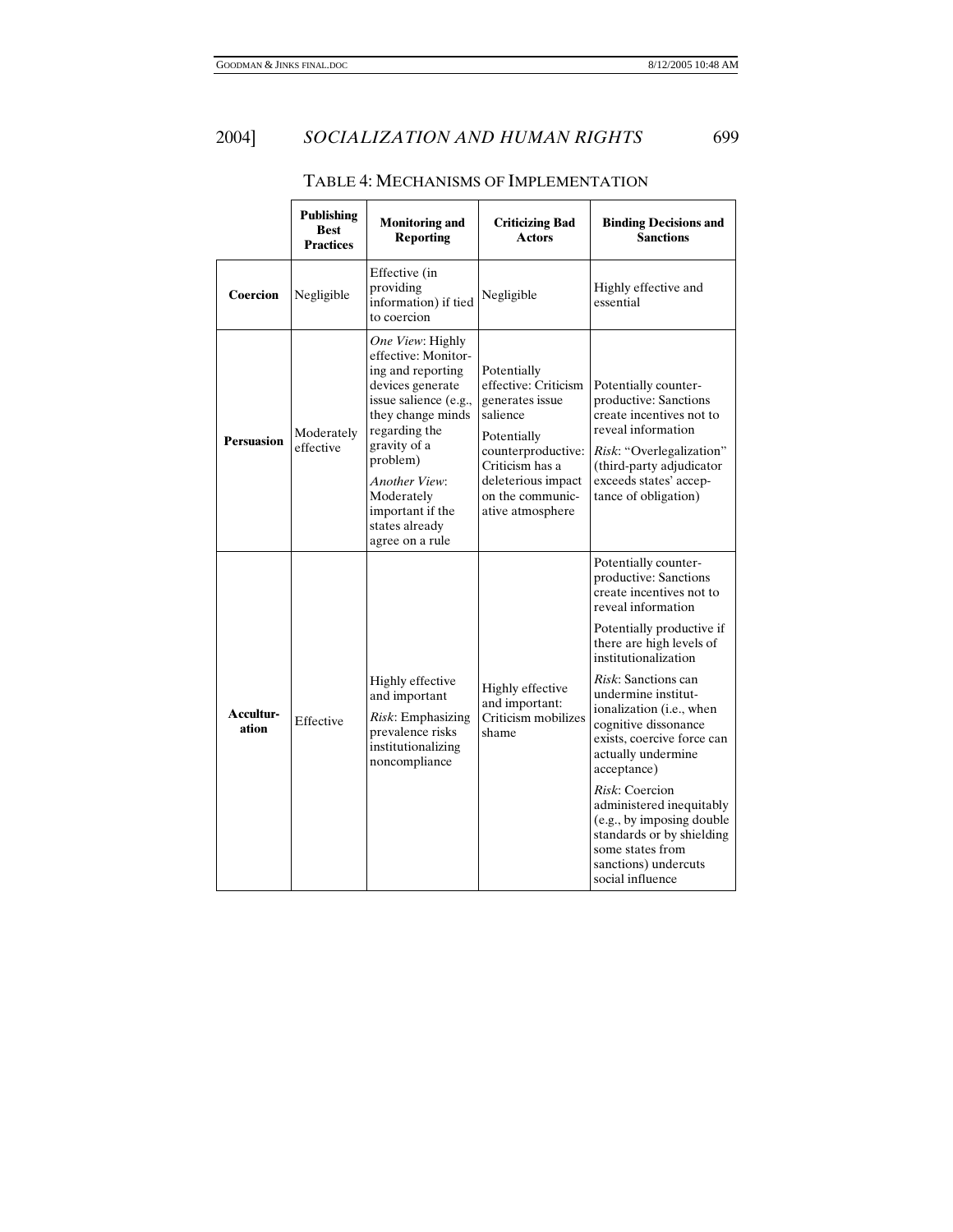|                    | <b>Publishing</b><br><b>Best</b><br><b>Practices</b> | <b>Monitoring and</b><br><b>Reporting</b>                                                                                                                                                                                                                                  | <b>Criticizing Bad</b><br><b>Actors</b>                                                                                                                                                  | <b>Binding Decisions and</b><br><b>Sanctions</b>                                                                                                                                                                                                                                                                                                                                                                                                                                                                                     |
|--------------------|------------------------------------------------------|----------------------------------------------------------------------------------------------------------------------------------------------------------------------------------------------------------------------------------------------------------------------------|------------------------------------------------------------------------------------------------------------------------------------------------------------------------------------------|--------------------------------------------------------------------------------------------------------------------------------------------------------------------------------------------------------------------------------------------------------------------------------------------------------------------------------------------------------------------------------------------------------------------------------------------------------------------------------------------------------------------------------------|
| Coercion           | Negligible                                           | Effective (in<br>providing<br>information) if tied<br>to coercion                                                                                                                                                                                                          | Negligible                                                                                                                                                                               | Highly effective and<br>essential                                                                                                                                                                                                                                                                                                                                                                                                                                                                                                    |
| <b>Persuasion</b>  | Moderately<br>effective                              | One View: Highly<br>effective: Monitor-<br>ing and reporting<br>devices generate<br>issue salience (e.g.,<br>they change minds<br>regarding the<br>gravity of a<br>problem)<br><b>Another View:</b><br>Moderately<br>important if the<br>states already<br>agree on a rule | Potentially<br>effective: Criticism<br>generates issue<br>salience<br>Potentially<br>counterproductive:<br>Criticism has a<br>deleterious impact<br>on the communic-<br>ative atmosphere | Potentially counter-<br>productive: Sanctions<br>create incentives not to<br>reveal information<br>Risk: "Overlegalization"<br>(third-party adjudicator<br>exceeds states' accep-<br>tance of obligation)                                                                                                                                                                                                                                                                                                                            |
| Accultur-<br>ation | Effective                                            | Highly effective<br>and important<br><i>Risk:</i> Emphasizing<br>prevalence risks<br>institutionalizing<br>noncompliance                                                                                                                                                   | Highly effective<br>and important:<br>Criticism mobilizes<br>shame                                                                                                                       | Potentially counter-<br>productive: Sanctions<br>create incentives not to<br>reveal information<br>Potentially productive if<br>there are high levels of<br>institutionalization<br><i>Risk:</i> Sanctions can<br>undermine institut-<br>ionalization (i.e., when<br>cognitive dissonance<br>exists, coercive force can<br>actually undermine<br>acceptance)<br>Risk: Coercion<br>administered inequitably<br>(e.g., by imposing double<br>standards or by shielding<br>some states from<br>sanctions) undercuts<br>social influence |

# TABLE 4: MECHANISMS OF IMPLEMENTATION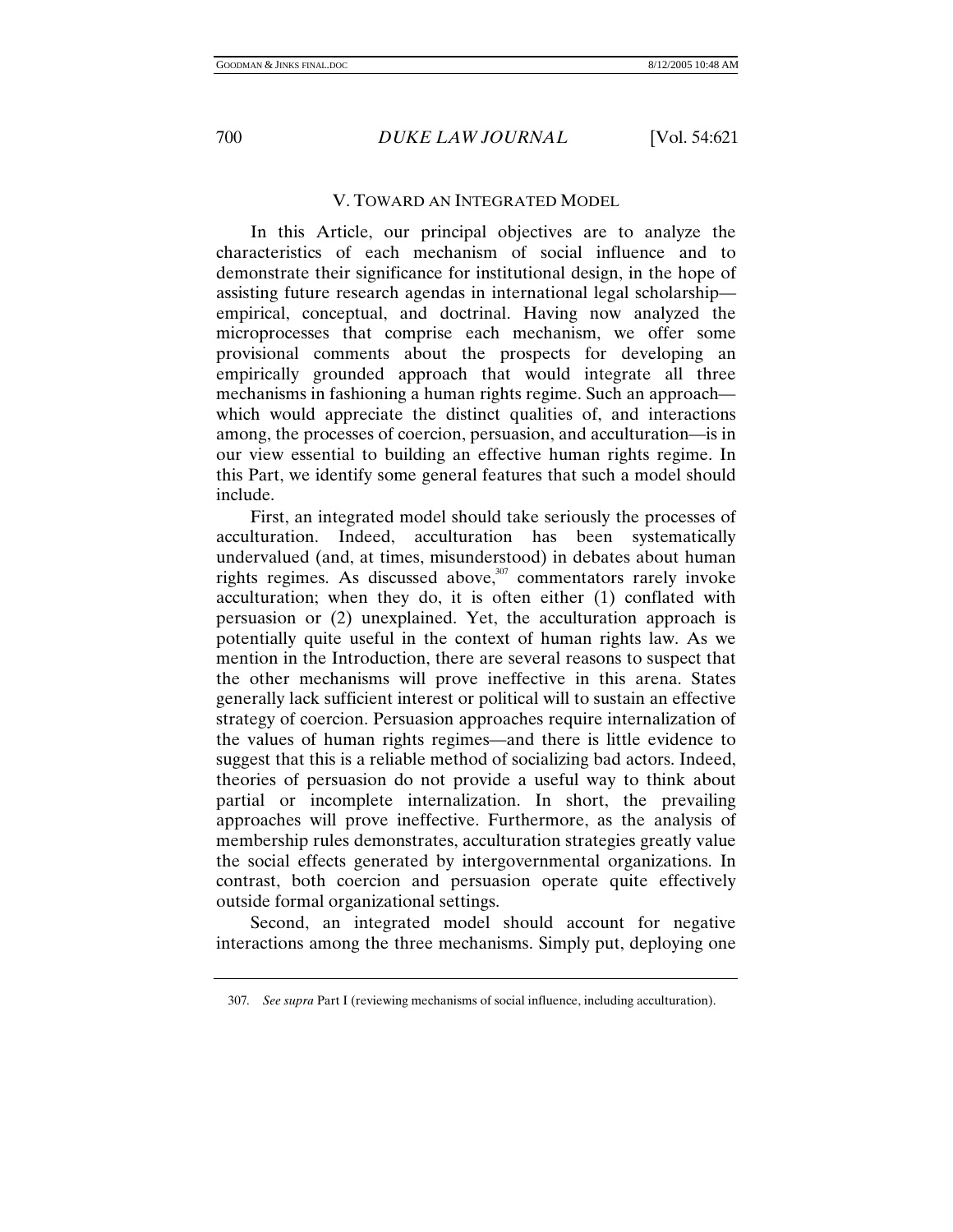### V. TOWARD AN INTEGRATED MODEL

In this Article, our principal objectives are to analyze the characteristics of each mechanism of social influence and to demonstrate their significance for institutional design, in the hope of assisting future research agendas in international legal scholarship empirical, conceptual, and doctrinal. Having now analyzed the microprocesses that comprise each mechanism, we offer some provisional comments about the prospects for developing an empirically grounded approach that would integrate all three mechanisms in fashioning a human rights regime. Such an approach which would appreciate the distinct qualities of, and interactions among, the processes of coercion, persuasion, and acculturation—is in our view essential to building an effective human rights regime. In this Part, we identify some general features that such a model should include.

First, an integrated model should take seriously the processes of acculturation. Indeed, acculturation has been systematically undervalued (and, at times, misunderstood) in debates about human rights regimes. As discussed above, $307$  commentators rarely invoke acculturation; when they do, it is often either (1) conflated with persuasion or (2) unexplained. Yet, the acculturation approach is potentially quite useful in the context of human rights law. As we mention in the Introduction, there are several reasons to suspect that the other mechanisms will prove ineffective in this arena. States generally lack sufficient interest or political will to sustain an effective strategy of coercion. Persuasion approaches require internalization of the values of human rights regimes—and there is little evidence to suggest that this is a reliable method of socializing bad actors. Indeed, theories of persuasion do not provide a useful way to think about partial or incomplete internalization. In short, the prevailing approaches will prove ineffective. Furthermore, as the analysis of membership rules demonstrates, acculturation strategies greatly value the social effects generated by intergovernmental organizations. In contrast, both coercion and persuasion operate quite effectively outside formal organizational settings.

Second, an integrated model should account for negative interactions among the three mechanisms. Simply put, deploying one

<sup>307</sup>*. See supra* Part I (reviewing mechanisms of social influence, including acculturation).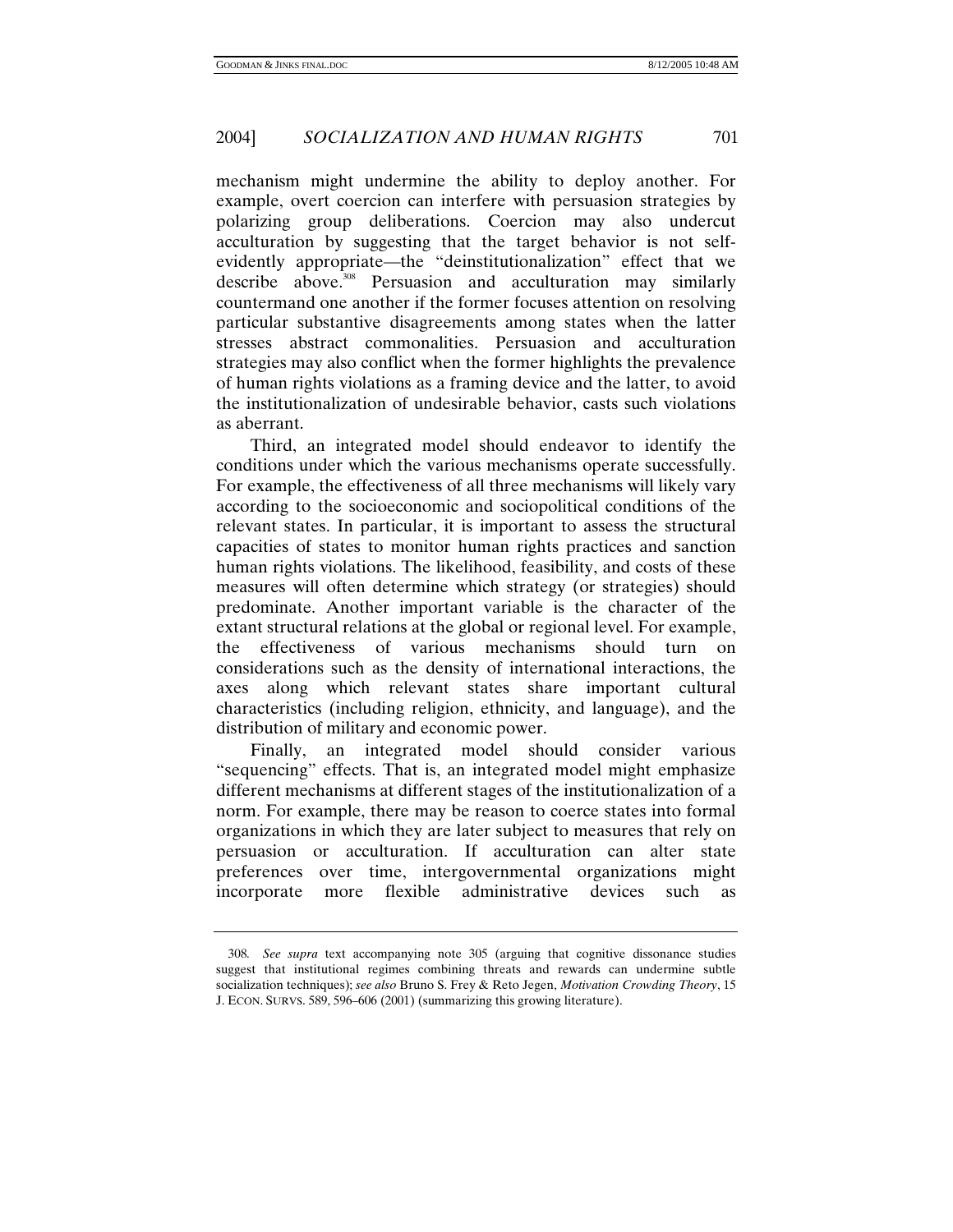mechanism might undermine the ability to deploy another. For example, overt coercion can interfere with persuasion strategies by polarizing group deliberations. Coercion may also undercut acculturation by suggesting that the target behavior is not selfevidently appropriate—the "deinstitutionalization" effect that we describe above.<sup>308</sup> Persuasion and acculturation may similarly countermand one another if the former focuses attention on resolving particular substantive disagreements among states when the latter stresses abstract commonalities. Persuasion and acculturation strategies may also conflict when the former highlights the prevalence of human rights violations as a framing device and the latter, to avoid the institutionalization of undesirable behavior, casts such violations as aberrant.

Third, an integrated model should endeavor to identify the conditions under which the various mechanisms operate successfully. For example, the effectiveness of all three mechanisms will likely vary according to the socioeconomic and sociopolitical conditions of the relevant states. In particular, it is important to assess the structural capacities of states to monitor human rights practices and sanction human rights violations. The likelihood, feasibility, and costs of these measures will often determine which strategy (or strategies) should predominate. Another important variable is the character of the extant structural relations at the global or regional level. For example, the effectiveness of various mechanisms should turn on considerations such as the density of international interactions, the axes along which relevant states share important cultural characteristics (including religion, ethnicity, and language), and the distribution of military and economic power.

Finally, an integrated model should consider various "sequencing" effects. That is, an integrated model might emphasize different mechanisms at different stages of the institutionalization of a norm. For example, there may be reason to coerce states into formal organizations in which they are later subject to measures that rely on persuasion or acculturation. If acculturation can alter state preferences over time, intergovernmental organizations might incorporate more flexible administrative devices such as

<sup>308</sup>*. See supra* text accompanying note 305 (arguing that cognitive dissonance studies suggest that institutional regimes combining threats and rewards can undermine subtle socialization techniques); *see also* Bruno S. Frey & Reto Jegen, *Motivation Crowding Theory*, 15 J. ECON. SURVS. 589, 596–606 (2001) (summarizing this growing literature).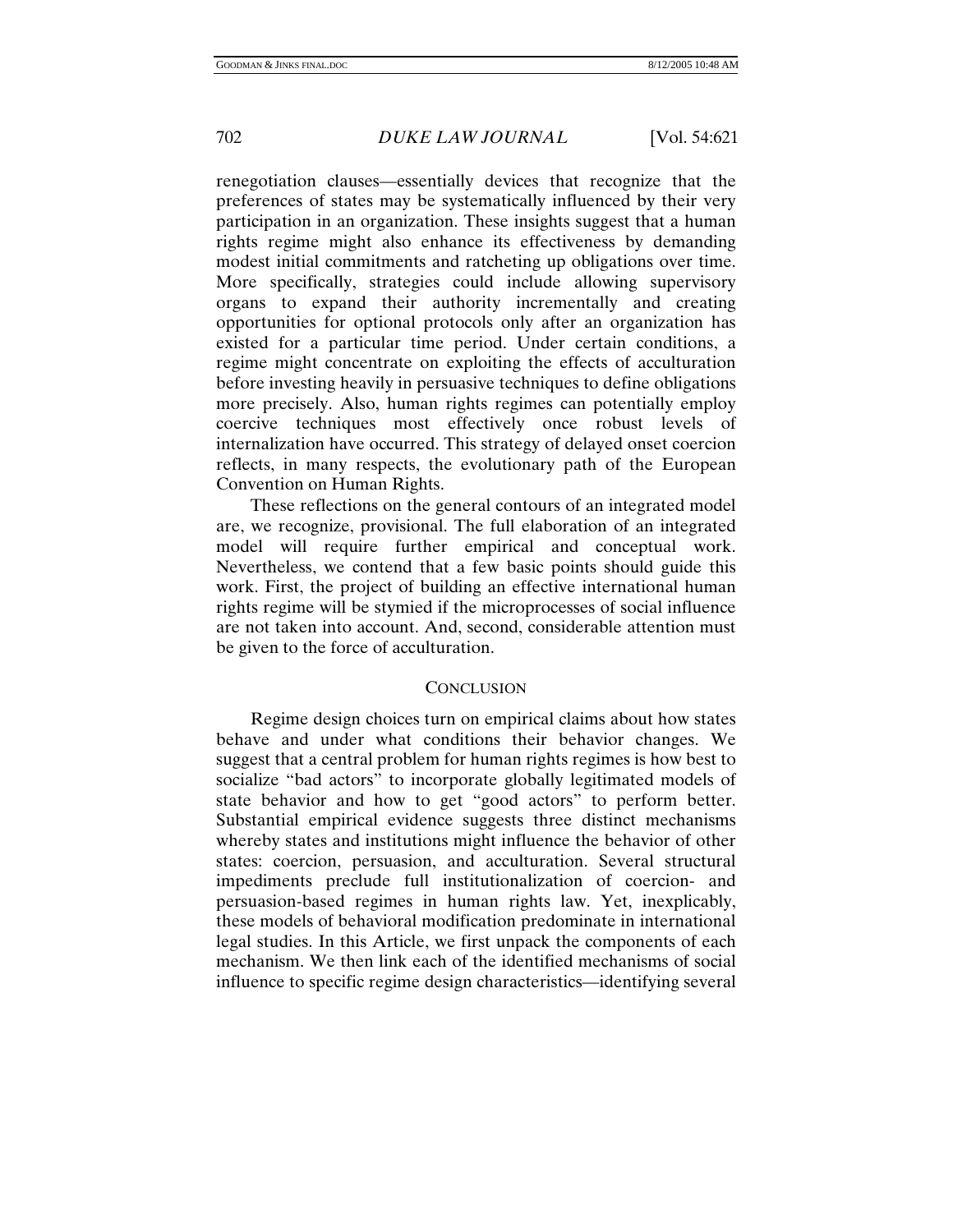renegotiation clauses—essentially devices that recognize that the preferences of states may be systematically influenced by their very participation in an organization. These insights suggest that a human rights regime might also enhance its effectiveness by demanding modest initial commitments and ratcheting up obligations over time. More specifically, strategies could include allowing supervisory organs to expand their authority incrementally and creating opportunities for optional protocols only after an organization has existed for a particular time period. Under certain conditions, a regime might concentrate on exploiting the effects of acculturation before investing heavily in persuasive techniques to define obligations more precisely. Also, human rights regimes can potentially employ coercive techniques most effectively once robust levels of internalization have occurred. This strategy of delayed onset coercion reflects, in many respects, the evolutionary path of the European Convention on Human Rights.

These reflections on the general contours of an integrated model are, we recognize, provisional. The full elaboration of an integrated model will require further empirical and conceptual work. Nevertheless, we contend that a few basic points should guide this work. First, the project of building an effective international human rights regime will be stymied if the microprocesses of social influence are not taken into account. And, second, considerable attention must be given to the force of acculturation.

#### **CONCLUSION**

Regime design choices turn on empirical claims about how states behave and under what conditions their behavior changes. We suggest that a central problem for human rights regimes is how best to socialize "bad actors" to incorporate globally legitimated models of state behavior and how to get "good actors" to perform better. Substantial empirical evidence suggests three distinct mechanisms whereby states and institutions might influence the behavior of other states: coercion, persuasion, and acculturation. Several structural impediments preclude full institutionalization of coercion- and persuasion-based regimes in human rights law. Yet, inexplicably, these models of behavioral modification predominate in international legal studies. In this Article, we first unpack the components of each mechanism. We then link each of the identified mechanisms of social influence to specific regime design characteristics—identifying several